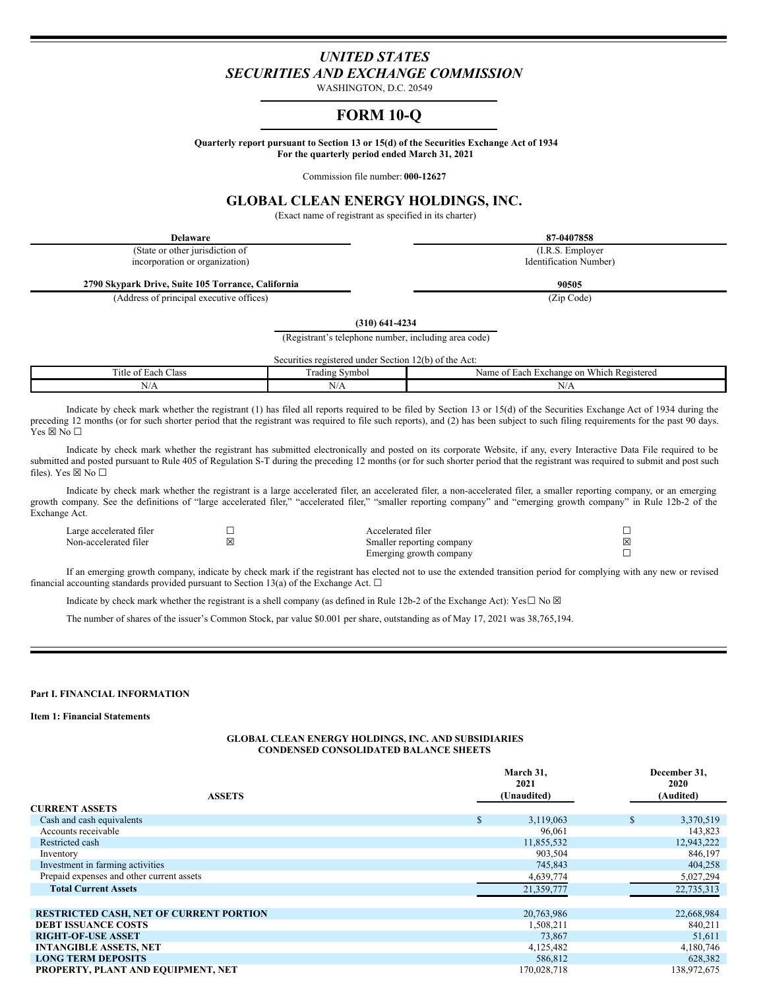# *UNITED STATES SECURITIES AND EXCHANGE COMMISSION*

WASHINGTON, D.C. 20549

# **FORM 10-Q**

**Quarterly report pursuant to Section 13 or 15(d) of the Securities Exchange Act of 1934 For the quarterly period ended March 31, 2021**

Commission file number: **000-12627**

# **GLOBAL CLEAN ENERGY HOLDINGS, INC.**

(Exact name of registrant as specified in its charter)

| <b>Delaware</b>                 | 87-0407858             |
|---------------------------------|------------------------|
| (State or other jurisdiction of | (I.R.S. Employer)      |
| incorporation or organization)  | Identification Number) |

**2790 Skypark Drive, Suite 105 Torrance, California 90505**

(Address of principal executive offices) (Zip Code)

**(310) 641-4234**

(Registrant's telephone number, including area code)

| Securities registered under Section 12(b) of the Act:                                                                      |     |                                         |  |  |  |  |  |  |  |
|----------------------------------------------------------------------------------------------------------------------------|-----|-----------------------------------------|--|--|--|--|--|--|--|
| Class<br>$\sim$ $-$<br><b>TTTI</b><br>Title.<br>Frading Symbol<br>e of Each Exchange on Which Registered<br>of Each<br>Nam |     |                                         |  |  |  |  |  |  |  |
| N/A<br>the contract of the contract of                                                                                     | N/A | IV/A<br>the contract of the contract of |  |  |  |  |  |  |  |

Indicate by check mark whether the registrant (1) has filed all reports required to be filed by Section 13 or 15(d) of the Securities Exchange Act of 1934 during the preceding 12 months (or for such shorter period that the registrant was required to file such reports), and (2) has been subject to such filing requirements for the past 90 days.  $Yes \boxtimes No \square$ 

Indicate by check mark whether the registrant has submitted electronically and posted on its corporate Website, if any, every Interactive Data File required to be submitted and posted pursuant to Rule 405 of Regulation S-T during the preceding 12 months (or for such shorter period that the registrant was required to submit and post such files). Yes $\boxtimes$  No  $\Box$ 

Indicate by check mark whether the registrant is a large accelerated filer, an accelerated filer, a non-accelerated filer, a smaller reporting company, or an emerging growth company. See the definitions of "large accelerated filer," "accelerated filer," "smaller reporting company" and "emerging growth company" in Rule 12b-2 of the Exchange Act.

Large accelerated filer ☐ Accelerated filer ☐

Emerging growth company **□** If an emerging growth company, indicate by check mark if the registrant has elected not to use the extended transition period for complying with any new or revised financial accounting standards provided pursuant to Section 13(a) of the Exchange Act.  $\Box$ 

Smaller reporting company

Indicate by check mark whether the registrant is a shell company (as defined in Rule 12b-2 of the Exchange Act): Yes $\Box$  No  $\boxtimes$ 

The number of shares of the issuer's Common Stock, par value \$0.001 per share, outstanding as of May 17, 2021 was 38,765,194.

### **Part I. FINANCIAL INFORMATION**

**Item 1: Financial Statements**

### **GLOBAL CLEAN ENERGY HOLDINGS, INC. AND SUBSIDIARIES CONDENSED CONSOLIDATED BALANCE SHEETS**

|                                                | March 31.    |             | December 31,<br>2020 |             |
|------------------------------------------------|--------------|-------------|----------------------|-------------|
| <b>ASSETS</b>                                  |              | (Unaudited) |                      | (Audited)   |
| <b>CURRENT ASSETS</b>                          |              |             |                      |             |
| Cash and cash equivalents                      | $\mathbb{S}$ | 3,119,063   | <sup>\$</sup>        | 3,370,519   |
| Accounts receivable                            |              | 96,061      |                      | 143,823     |
| Restricted cash                                |              | 11,855,532  |                      | 12,943,222  |
| Inventory                                      |              | 903,504     |                      | 846,197     |
| Investment in farming activities               |              | 745,843     |                      | 404,258     |
| Prepaid expenses and other current assets      |              | 4,639,774   |                      | 5,027,294   |
| <b>Total Current Assets</b>                    |              | 21,359,777  |                      | 22,735,313  |
|                                                |              |             |                      |             |
| <b>RESTRICTED CASH, NET OF CURRENT PORTION</b> |              | 20,763,986  |                      | 22,668,984  |
| <b>DEBT ISSUANCE COSTS</b>                     |              | 1,508,211   |                      | 840,211     |
| <b>RIGHT-OF-USE ASSET</b>                      |              | 73,867      |                      | 51,611      |
| <b>INTANGIBLE ASSETS, NET</b>                  |              | 4,125,482   |                      | 4,180,746   |
| <b>LONG TERM DEPOSITS</b>                      |              | 586,812     |                      | 628,382     |
| PROPERTY, PLANT AND EQUIPMENT, NET             |              | 170,028,718 |                      | 138,972,675 |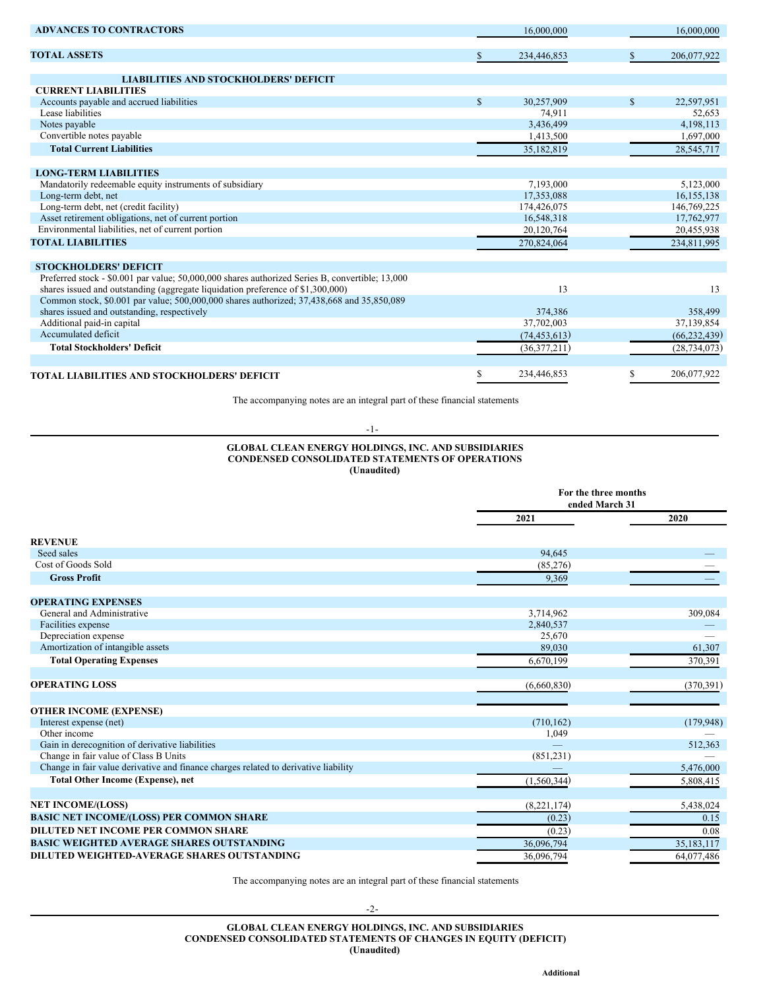| <b>ADVANCES TO CONTRACTORS</b>                                                                  |              | 16,000,000     |              | 16,000,000     |
|-------------------------------------------------------------------------------------------------|--------------|----------------|--------------|----------------|
| <b>TOTAL ASSETS</b>                                                                             |              | 234,446,853    |              | 206,077,922    |
| <b>LIABILITIES AND STOCKHOLDERS' DEFICIT</b>                                                    |              |                |              |                |
| <b>CURRENT LIABILITIES</b>                                                                      |              |                |              |                |
| Accounts payable and accrued liabilities                                                        | $\mathbb{S}$ | 30,257,909     | $\mathbb{S}$ | 22,597,951     |
| Lease liabilities                                                                               |              | 74,911         |              | 52,653         |
| Notes payable                                                                                   |              | 3,436,499      |              | 4,198,113      |
| Convertible notes payable                                                                       |              | 1,413,500      |              | 1,697,000      |
| <b>Total Current Liabilities</b>                                                                |              | 35,182,819     |              | 28,545,717     |
|                                                                                                 |              |                |              |                |
| <b>LONG-TERM LIABILITIES</b>                                                                    |              |                |              |                |
| Mandatorily redeemable equity instruments of subsidiary                                         |              | 7,193,000      |              | 5,123,000      |
| Long-term debt, net                                                                             |              | 17,353,088     |              | 16, 155, 138   |
| Long-term debt, net (credit facility)                                                           |              | 174,426,075    |              | 146,769,225    |
| Asset retirement obligations, net of current portion                                            |              | 16,548,318     |              | 17,762,977     |
| Environmental liabilities, net of current portion                                               |              | 20,120,764     |              | 20,455,938     |
| <b>TOTAL LIABILITIES</b>                                                                        |              | 270,824,064    |              | 234,811,995    |
|                                                                                                 |              |                |              |                |
| <b>STOCKHOLDERS' DEFICIT</b>                                                                    |              |                |              |                |
| Preferred stock - \$0.001 par value; 50,000,000 shares authorized Series B, convertible; 13,000 |              |                |              |                |
| shares issued and outstanding (aggregate liquidation preference of \$1,300,000)                 |              | 13             |              | 13             |
| Common stock, \$0.001 par value; 500,000,000 shares authorized; 37,438,668 and 35,850,089       |              |                |              |                |
| shares issued and outstanding, respectively                                                     |              | 374,386        |              | 358,499        |
| Additional paid-in capital                                                                      |              | 37,702,003     |              | 37,139,854     |
| Accumulated deficit                                                                             |              | (74, 453, 613) |              | (66, 232, 439) |
| <b>Total Stockholders' Deficit</b>                                                              |              | (36,377,211)   |              | (28, 734, 073) |
|                                                                                                 |              |                |              |                |
| <b>TOTAL LIABILITIES AND STOCKHOLDERS' DEFICIT</b>                                              | \$           | 234,446,853    | S            | 206,077,922    |

The accompanying notes are an integral part of these financial statements

-1-

### **GLOBAL CLEAN ENERGY HOLDINGS, INC. AND SUBSIDIARIES CONDENSED CONSOLIDATED STATEMENTS OF OPERATIONS (Unaudited)**

|                                                                                     | For the three months<br>ended March 31 |            |
|-------------------------------------------------------------------------------------|----------------------------------------|------------|
|                                                                                     | 2021                                   | 2020       |
| <b>REVENUE</b>                                                                      |                                        |            |
| Seed sales                                                                          | 94.645                                 |            |
| Cost of Goods Sold                                                                  | (85, 276)                              |            |
| <b>Gross Profit</b>                                                                 | 9,369                                  |            |
| <b>OPERATING EXPENSES</b>                                                           |                                        |            |
| General and Administrative                                                          | 3,714,962                              | 309,084    |
| Facilities expense                                                                  | 2,840,537                              |            |
| Depreciation expense                                                                | 25,670                                 |            |
| Amortization of intangible assets                                                   | 89,030                                 | 61.307     |
| <b>Total Operating Expenses</b>                                                     | 6,670,199                              | 370,391    |
| <b>OPERATING LOSS</b>                                                               | (6,660,830)                            | (370, 391) |
| <b>OTHER INCOME (EXPENSE)</b>                                                       |                                        |            |
| Interest expense (net)                                                              | (710, 162)                             | (179, 948) |
| Other income                                                                        | 1,049                                  |            |
| Gain in derecognition of derivative liabilities                                     |                                        | 512,363    |
| Change in fair value of Class B Units                                               | (851, 231)                             |            |
| Change in fair value derivative and finance charges related to derivative liability |                                        | 5,476,000  |
| <b>Total Other Income (Expense), net</b>                                            | (1,560,344)                            | 5,808,415  |
|                                                                                     |                                        |            |
| <b>NET INCOME/(LOSS)</b>                                                            | (8,221,174)                            | 5,438,024  |
| <b>BASIC NET INCOME/(LOSS) PER COMMON SHARE</b>                                     | (0.23)                                 | 0.15       |
| DILUTED NET INCOME PER COMMON SHARE                                                 | (0.23)                                 | 0.08       |
| <b>BASIC WEIGHTED AVERAGE SHARES OUTSTANDING</b>                                    | 36,096,794                             | 35,183,117 |
| DILUTED WEIGHTED-AVERAGE SHARES OUTSTANDING                                         | 36,096,794                             | 64,077,486 |

The accompanying notes are an integral part of these financial statements

-2-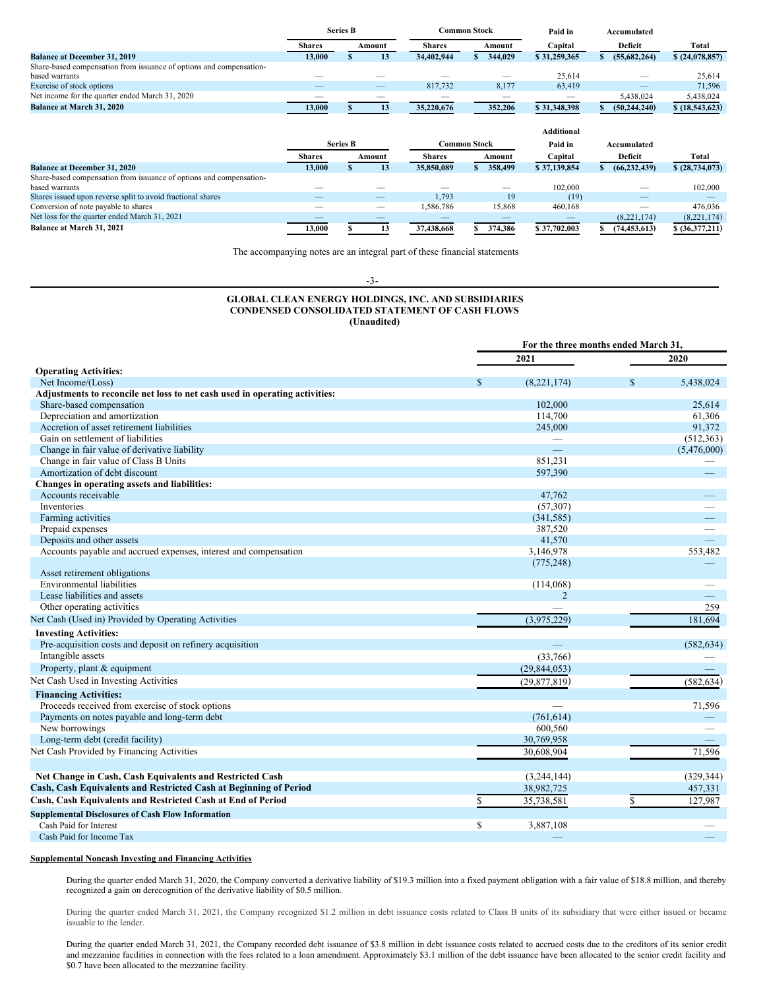|                                                                     |               | <b>Series B</b><br><b>Common Stock</b> |        |                                      | Paid in | Accumulated |                                         |  |                        |                 |
|---------------------------------------------------------------------|---------------|----------------------------------------|--------|--------------------------------------|---------|-------------|-----------------------------------------|--|------------------------|-----------------|
|                                                                     | <b>Shares</b> |                                        | Amount | <b>Shares</b>                        |         | Amount      | Capital                                 |  | Deficit                | Total           |
| <b>Balance at December 31, 2019</b>                                 | 13,000        |                                        | 13     | 34,402,944                           |         | \$344,029   | \$31,259,365                            |  | (55,682,264)           | \$(24,078,857)  |
| Share-based compensation from issuance of options and compensation- |               |                                        |        |                                      |         |             |                                         |  |                        |                 |
| based warrants                                                      |               |                                        |        |                                      |         |             | 25,614                                  |  |                        | 25,614          |
| Exercise of stock options                                           |               |                                        |        | 817,732                              |         | 8,177       | 63,419                                  |  |                        | 71,596          |
| Net income for the quarter ended March 31, 2020                     |               |                                        |        |                                      |         |             |                                         |  | 5,438,024              | 5,438,024       |
| <b>Balance at March 31, 2020</b>                                    | 13,000        |                                        | 13     | 35,220,676                           |         | 352,206     | \$31,348,398                            |  | (50, 244, 240)         | \$(18,543,623)  |
|                                                                     | <b>Shares</b> | <b>Series B</b>                        | Amount | <b>Common Stock</b><br><b>Shares</b> |         | Amount      | <b>Additional</b><br>Paid in<br>Capital |  | Accumulated<br>Deficit | Total           |
| <b>Balance at December 31, 2020</b>                                 | 13,000        |                                        | 13     | 35,850,089                           |         | 358,499     | \$37,139,854                            |  | (66, 232, 439)         | \$(28,734,073)  |
| Share-based compensation from issuance of options and compensation- |               |                                        |        |                                      |         |             |                                         |  |                        |                 |
| based warrants                                                      |               |                                        |        |                                      |         |             | 102,000                                 |  |                        | 102,000         |
| Shares issued upon reverse split to avoid fractional shares         | __            |                                        |        | 1,793                                |         | 19          | (19)                                    |  | $-$                    |                 |
| Conversion of note payable to shares                                |               |                                        | $-$    | 1,586,786                            |         | 15,868      | 460,168                                 |  |                        | 476,036         |
| Net loss for the quarter ended March 31, 2021                       |               |                                        |        |                                      |         |             |                                         |  | (8,221,174)            | (8,221,174)     |
| Balance at March 31, 2021                                           | 13,000        |                                        | 13     | 37,438,668                           |         | 374,386     | \$37,702,003                            |  | (74, 453, 613)         | \$ (36,377,211) |

The accompanying notes are an integral part of these financial statements

#### -3-

#### **GLOBAL CLEAN ENERGY HOLDINGS, INC. AND SUBSIDIARIES CONDENSED CONSOLIDATED STATEMENT OF CASH FLOWS (Unaudited)**

| 2021<br>2020<br><b>Operating Activities:</b><br>Net Income/(Loss)<br>(8,221,174)<br>5,438,024<br>S<br>\$<br>Adjustments to reconcile net loss to net cash used in operating activities:<br>Share-based compensation<br>102,000<br>25.614<br>Depreciation and amortization<br>114,700<br>61,306<br>Accretion of asset retirement liabilities<br>91,372<br>245,000<br>Gain on settlement of liabilities<br>(512, 363)<br>Change in fair value of derivative liability<br>(5,476,000)<br>Change in fair value of Class B Units<br>851,231<br>Amortization of debt discount<br>597,390<br>Changes in operating assets and liabilities:<br>Accounts receivable<br>47,762<br>(57, 307)<br>Inventories<br>Farming activities<br>(341, 585)<br>Prepaid expenses<br>387,520<br>Deposits and other assets<br>41,570<br>Accounts payable and accrued expenses, interest and compensation<br>3,146,978<br>553,482 |
|-------------------------------------------------------------------------------------------------------------------------------------------------------------------------------------------------------------------------------------------------------------------------------------------------------------------------------------------------------------------------------------------------------------------------------------------------------------------------------------------------------------------------------------------------------------------------------------------------------------------------------------------------------------------------------------------------------------------------------------------------------------------------------------------------------------------------------------------------------------------------------------------------------|
|                                                                                                                                                                                                                                                                                                                                                                                                                                                                                                                                                                                                                                                                                                                                                                                                                                                                                                       |
|                                                                                                                                                                                                                                                                                                                                                                                                                                                                                                                                                                                                                                                                                                                                                                                                                                                                                                       |
|                                                                                                                                                                                                                                                                                                                                                                                                                                                                                                                                                                                                                                                                                                                                                                                                                                                                                                       |
|                                                                                                                                                                                                                                                                                                                                                                                                                                                                                                                                                                                                                                                                                                                                                                                                                                                                                                       |
|                                                                                                                                                                                                                                                                                                                                                                                                                                                                                                                                                                                                                                                                                                                                                                                                                                                                                                       |
|                                                                                                                                                                                                                                                                                                                                                                                                                                                                                                                                                                                                                                                                                                                                                                                                                                                                                                       |
|                                                                                                                                                                                                                                                                                                                                                                                                                                                                                                                                                                                                                                                                                                                                                                                                                                                                                                       |
|                                                                                                                                                                                                                                                                                                                                                                                                                                                                                                                                                                                                                                                                                                                                                                                                                                                                                                       |
|                                                                                                                                                                                                                                                                                                                                                                                                                                                                                                                                                                                                                                                                                                                                                                                                                                                                                                       |
|                                                                                                                                                                                                                                                                                                                                                                                                                                                                                                                                                                                                                                                                                                                                                                                                                                                                                                       |
|                                                                                                                                                                                                                                                                                                                                                                                                                                                                                                                                                                                                                                                                                                                                                                                                                                                                                                       |
|                                                                                                                                                                                                                                                                                                                                                                                                                                                                                                                                                                                                                                                                                                                                                                                                                                                                                                       |
|                                                                                                                                                                                                                                                                                                                                                                                                                                                                                                                                                                                                                                                                                                                                                                                                                                                                                                       |
|                                                                                                                                                                                                                                                                                                                                                                                                                                                                                                                                                                                                                                                                                                                                                                                                                                                                                                       |
|                                                                                                                                                                                                                                                                                                                                                                                                                                                                                                                                                                                                                                                                                                                                                                                                                                                                                                       |
|                                                                                                                                                                                                                                                                                                                                                                                                                                                                                                                                                                                                                                                                                                                                                                                                                                                                                                       |
|                                                                                                                                                                                                                                                                                                                                                                                                                                                                                                                                                                                                                                                                                                                                                                                                                                                                                                       |
|                                                                                                                                                                                                                                                                                                                                                                                                                                                                                                                                                                                                                                                                                                                                                                                                                                                                                                       |
| (775, 248)                                                                                                                                                                                                                                                                                                                                                                                                                                                                                                                                                                                                                                                                                                                                                                                                                                                                                            |
| Asset retirement obligations                                                                                                                                                                                                                                                                                                                                                                                                                                                                                                                                                                                                                                                                                                                                                                                                                                                                          |
| <b>Environmental liabilities</b><br>(114,068)                                                                                                                                                                                                                                                                                                                                                                                                                                                                                                                                                                                                                                                                                                                                                                                                                                                         |
| Lease liabilities and assets<br>$\overline{2}$                                                                                                                                                                                                                                                                                                                                                                                                                                                                                                                                                                                                                                                                                                                                                                                                                                                        |
| Other operating activities<br>259                                                                                                                                                                                                                                                                                                                                                                                                                                                                                                                                                                                                                                                                                                                                                                                                                                                                     |
| Net Cash (Used in) Provided by Operating Activities<br>(3,975,229)<br>181.694                                                                                                                                                                                                                                                                                                                                                                                                                                                                                                                                                                                                                                                                                                                                                                                                                         |
| <b>Investing Activities:</b>                                                                                                                                                                                                                                                                                                                                                                                                                                                                                                                                                                                                                                                                                                                                                                                                                                                                          |
| Pre-acquisition costs and deposit on refinery acquisition<br>(582, 634)                                                                                                                                                                                                                                                                                                                                                                                                                                                                                                                                                                                                                                                                                                                                                                                                                               |
| Intangible assets<br>(33,766)                                                                                                                                                                                                                                                                                                                                                                                                                                                                                                                                                                                                                                                                                                                                                                                                                                                                         |
| Property, plant & equipment<br>(29, 844, 053)                                                                                                                                                                                                                                                                                                                                                                                                                                                                                                                                                                                                                                                                                                                                                                                                                                                         |
| Net Cash Used in Investing Activities<br>(29,877,819)<br>(582, 634)                                                                                                                                                                                                                                                                                                                                                                                                                                                                                                                                                                                                                                                                                                                                                                                                                                   |
| <b>Financing Activities:</b>                                                                                                                                                                                                                                                                                                                                                                                                                                                                                                                                                                                                                                                                                                                                                                                                                                                                          |
| Proceeds received from exercise of stock options<br>71,596                                                                                                                                                                                                                                                                                                                                                                                                                                                                                                                                                                                                                                                                                                                                                                                                                                            |
| Payments on notes payable and long-term debt<br>(761, 614)                                                                                                                                                                                                                                                                                                                                                                                                                                                                                                                                                                                                                                                                                                                                                                                                                                            |
| 600,560<br>New borrowings                                                                                                                                                                                                                                                                                                                                                                                                                                                                                                                                                                                                                                                                                                                                                                                                                                                                             |
| Long-term debt (credit facility)<br>30,769,958                                                                                                                                                                                                                                                                                                                                                                                                                                                                                                                                                                                                                                                                                                                                                                                                                                                        |
| Net Cash Provided by Financing Activities<br>30,608,904<br>71,596                                                                                                                                                                                                                                                                                                                                                                                                                                                                                                                                                                                                                                                                                                                                                                                                                                     |
|                                                                                                                                                                                                                                                                                                                                                                                                                                                                                                                                                                                                                                                                                                                                                                                                                                                                                                       |
| (329, 344)<br>Net Change in Cash, Cash Equivalents and Restricted Cash<br>(3,244,144)                                                                                                                                                                                                                                                                                                                                                                                                                                                                                                                                                                                                                                                                                                                                                                                                                 |
| Cash, Cash Equivalents and Restricted Cash at Beginning of Period<br>38,982,725<br>457,331                                                                                                                                                                                                                                                                                                                                                                                                                                                                                                                                                                                                                                                                                                                                                                                                            |
| Cash, Cash Equivalents and Restricted Cash at End of Period<br>35,738,581<br>127,987<br>\$                                                                                                                                                                                                                                                                                                                                                                                                                                                                                                                                                                                                                                                                                                                                                                                                            |
| <b>Supplemental Disclosures of Cash Flow Information</b>                                                                                                                                                                                                                                                                                                                                                                                                                                                                                                                                                                                                                                                                                                                                                                                                                                              |
| \$<br>Cash Paid for Interest<br>3,887,108                                                                                                                                                                                                                                                                                                                                                                                                                                                                                                                                                                                                                                                                                                                                                                                                                                                             |
| Cash Paid for Income Tax                                                                                                                                                                                                                                                                                                                                                                                                                                                                                                                                                                                                                                                                                                                                                                                                                                                                              |

### **Supplemental Noncash Investing and Financing Activities**

During the quarter ended March 31, 2020, the Company converted a derivative liability of \$19.3 million into a fixed payment obligation with a fair value of \$18.8 million, and thereby recognized a gain on derecognition of the derivative liability of \$0.5 million.

During the quarter ended March 31, 2021, the Company recognized \$1.2 million in debt issuance costs related to Class B units of its subsidiary that were either issued or became issuable to the lender.

During the quarter ended March 31, 2021, the Company recorded debt issuance of \$3.8 million in debt issuance costs related to accrued costs due to the creditors of its senior credit and mezzanine facilities in connection with the fees related to a loan amendment. Approximately \$3.1 million of the debt issuance have been allocated to the senior credit facility and and mezzanine facilities in connection \$0.7 have been allocated to the mezzanine facility.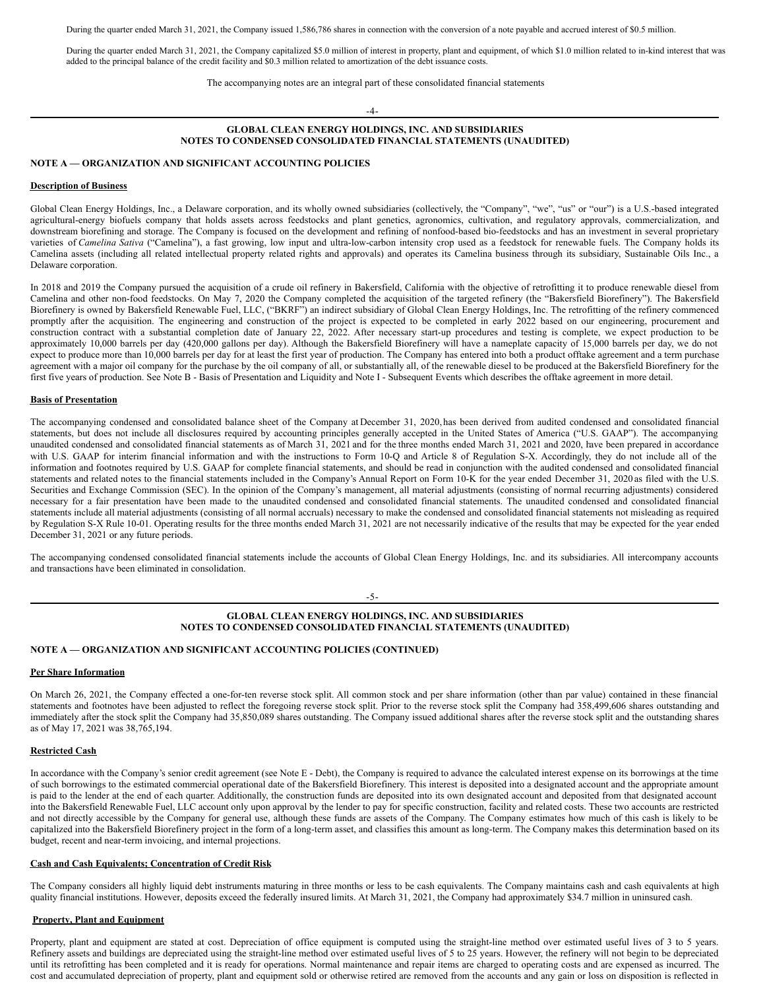During the quarter ended March 31, 2021, the Company issued 1,586,786 shares in connection with the conversion of a note payable and accrued interest of \$0.5 million.

During the quarter ended March 31, 2021, the Company capitalized \$5.0 million of interest in property, plant and equipment, of which \$1.0 million related to in-kind interest that was added to the principal balance of the credit facility and \$0.3 million related to amortization of the debt issuance costs.

The accompanying notes are an integral part of these consolidated financial statements

#### -4-

### **GLOBAL CLEAN ENERGY HOLDINGS, INC. AND SUBSIDIARIES NOTES TO CONDENSED CONSOLIDATED FINANCIAL STATEMENTS (UNAUDITED)**

### **NOTE A — ORGANIZATION AND SIGNIFICANT ACCOUNTING POLICIES**

#### **Description of Business**

Global Clean Energy Holdings, Inc., a Delaware corporation, and its wholly owned subsidiaries (collectively, the "Company", "we", "us" or "our") is a U.S.-based integrated agricultural-energy biofuels company that holds assets across feedstocks and plant genetics, agronomics, cultivation, and regulatory approvals, commercialization, and downstream biorefining and storage. The Company is focused on the development and refining of nonfood-based bio-feedstocks and has an investment in several proprietary varieties of *Camelina Sativa* ("Camelina"), a fast growing, low input and ultra-low-carbon intensity crop used as a feedstock for renewable fuels. The Company holds its Camelina assets (including all related intellectual property related rights and approvals) and operates its Camelina business through its subsidiary, Sustainable Oils Inc., a Delaware corporation.

In 2018 and 2019 the Company pursued the acquisition of a crude oil refinery in Bakersfield, California with the objective of retrofitting it to produce renewable diesel from Camelina and other non-food feedstocks. On May 7, 2020 the Company completed the acquisition of the targeted refinery (the "Bakersfield Biorefinery"). The Bakersfield Biorefinery is owned by Bakersfield Renewable Fuel, LLC, ("BKRF") an indirect subsidiary of Global Clean Energy Holdings, Inc. The retrofitting of the refinery commenced promptly after the acquisition. The engineering and construction of the project is expected to be completed in early 2022 based on our engineering, procurement and construction contract with a substantial completion date of January 22, 2022. After necessary start-up procedures and testing is complete, we expect production to be approximately 10,000 barrels per day (420,000 gallons per day). Although the Bakersfield Biorefinery will have a nameplate capacity of 15,000 barrels per day, we do not expect to produce more than 10,000 barrels per day for at least the first year of production. The Company has entered into both a product offtake agreement and a term purchase agreement with a major oil company for the purchase by the oil company of all, or substantially all, of the renewable diesel to be produced at the Bakersfield Biorefinery for the first five years of production. See Note B - Basis of Presentation and Liquidity and Note I - Subsequent Events which describes the offtake agreement in more detail.

#### **Basis of Presentation**

The accompanying condensed and consolidated balance sheet of the Company at December 31, 2020, has been derived from audited condensed and consolidated financial statements, but does not include all disclosures required by accounting principles generally accepted in the United States of America ("U.S. GAAP"). The accompanying unaudited condensed and consolidated financial statements as of March 31, 2021 and for the three months ended March 31, 2021 and 2020, have been prepared in accordance with U.S. GAAP for interim financial information and with the instructions to Form 10-Q and Article 8 of Regulation S-X. Accordingly, they do not include all of the information and footnotes required by U.S. GAAP for complete financial statements, and should be read in conjunction with the audited condensed and consolidated financial statements and related notes to the financial statements included in the Company's Annual Report on Form 10-K for the year ended December 31, 2020 as filed with the U.S. Securities and Exchange Commission (SEC). In the opinion of the Company's management, all material adjustments (consisting of normal recurring adjustments) considered necessary for a fair presentation have been made to the unaudited condensed and consolidated financial statements. The unaudited condensed and consolidated financial statements include all material adjustments (consisting of all normal accruals) necessary to make the condensed and consolidated financial statements not misleading as required by Regulation S-X Rule 10-01. Operating results for the three months ended March 31, 2021 are not necessarily indicative of the results that may be expected for the year ended December 31, 2021 or any future periods.

The accompanying condensed consolidated financial statements include the accounts of Global Clean Energy Holdings, Inc. and its subsidiaries. All intercompany accounts and transactions have been eliminated in consolidation.

#### -5-

### **GLOBAL CLEAN ENERGY HOLDINGS, INC. AND SUBSIDIARIES NOTES TO CONDENSED CONSOLIDATED FINANCIAL STATEMENTS (UNAUDITED)**

#### **NOTE A — ORGANIZATION AND SIGNIFICANT ACCOUNTING POLICIES (CONTINUED)**

#### **Per Share Information**

On March 26, 2021, the Company effected a one-for-ten reverse stock split. All common stock and per share information (other than par value) contained in these financial statements and footnotes have been adjusted to reflect the foregoing reverse stock split. Prior to the reverse stock split the Company had 358,499,606 shares outstanding and immediately after the stock split the Company had 35,850,089 shares outstanding. The Company issued additional shares after the reverse stock split and the outstanding shares as of May 17, 2021 was 38,765,194.

#### **Restricted Cash**

In accordance with the Company's senior credit agreement (see Note E - Debt), the Company is required to advance the calculated interest expense on its borrowings at the time of such borrowings to the estimated commercial operational date of the Bakersfield Biorefinery. This interest is deposited into a designated account and the appropriate amount is paid to the lender at the end of each quarter. Additionally, the construction funds are deposited into its own designated account and deposited from that designated account into the Bakersfield Renewable Fuel, LLC account only upon approval by the lender to pay for specific construction, facility and related costs. These two accounts are restricted and not directly accessible by the Company for general use, although these funds are assets of the Company. The Company estimates how much of this cash is likely to be capitalized into the Bakersfield Biorefinery project in the form of a long-term asset, and classifies this amount as long-term. The Company makes this determination based on its budget, recent and near-term invoicing, and internal projections.

### **Cash and Cash Equivalents; Concentration of Credit Risk**

The Company considers all highly liquid debt instruments maturing in three months or less to be cash equivalents. The Company maintains cash and cash equivalents at high quality financial institutions. However, deposits exceed the federally insured limits. At March 31, 2021, the Company had approximately \$34.7 million in uninsured cash.

#### **Property, Plant and Equipment**

Property, plant and equipment are stated at cost. Depreciation of office equipment is computed using the straight-line method over estimated useful lives of 3 to 5 years. Refinery assets and buildings are depreciated using the straight-line method over estimated useful lives of 5 to 25 years. However, the refinery will not begin to be depreciated until its retrofitting has been completed and it is ready for operations. Normal maintenance and repair items are charged to operating costs and are expensed as incurred. The cost and accumulated depreciation of property, plant and equipment sold or otherwise retired are removed from the accounts and any gain or loss on disposition is reflected in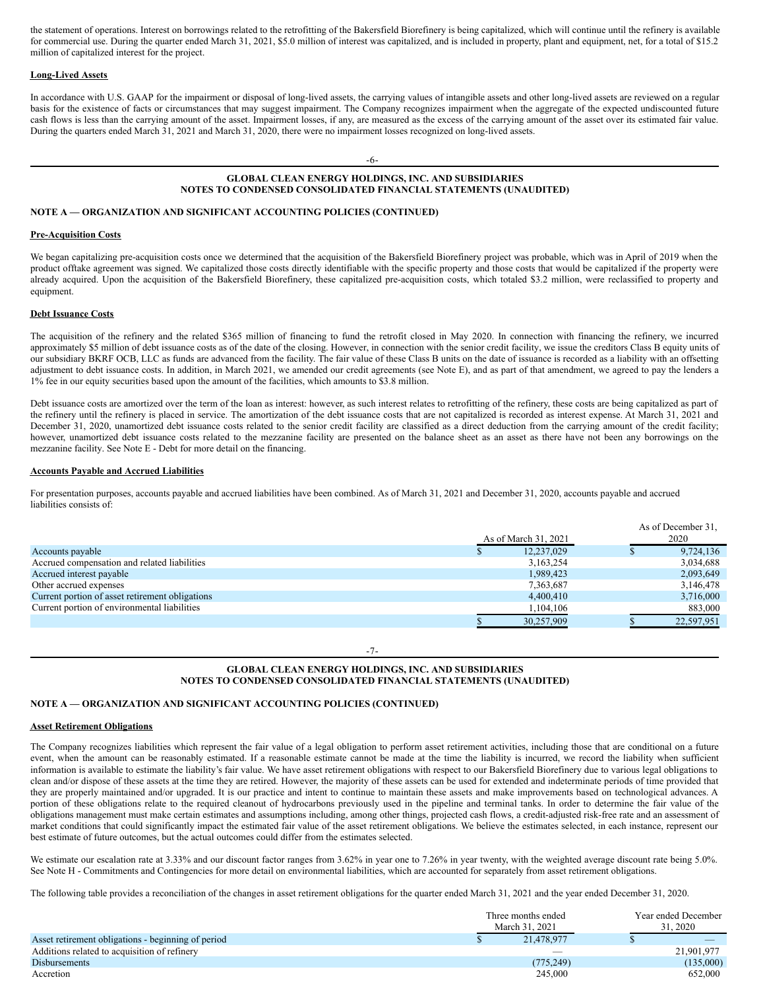the statement of operations. Interest on borrowings related to the retrofitting of the Bakersfield Biorefinery is being capitalized, which will continue until the refinery is available for commercial use. During the quarter ended March 31, 2021, \$5.0 million of interest was capitalized, and is included in property, plant and equipment, net, for a total of \$15.2 million of capitalized interest for the project.

### **Long-Lived Assets**

In accordance with U.S. GAAP for the impairment or disposal of long-lived assets, the carrying values of intangible assets and other long-lived assets are reviewed on a regular basis for the existence of facts or circumstances that may suggest impairment. The Company recognizes impairment when the aggregate of the expected undiscounted future cash flows is less than the carrying amount of the asset. Impairment losses, if any, are measured as the excess of the carrying amount of the asset over its estimated fair value. During the quarters ended March 31, 2021 and March 31, 2020, there were no impairment losses recognized on long-lived assets.

#### -6-

### **GLOBAL CLEAN ENERGY HOLDINGS, INC. AND SUBSIDIARIES NOTES TO CONDENSED CONSOLIDATED FINANCIAL STATEMENTS (UNAUDITED)**

### **NOTE A — ORGANIZATION AND SIGNIFICANT ACCOUNTING POLICIES (CONTINUED)**

#### **Pre-Acquisition Costs**

We began capitalizing pre-acquisition costs once we determined that the acquisition of the Bakersfield Biorefinery project was probable, which was in April of 2019 when the product offtake agreement was signed. We capitalized those costs directly identifiable with the specific property and those costs that would be capitalized if the property were already acquired. Upon the acquisition of the Bakersfield Biorefinery, these capitalized pre-acquisition costs, which totaled \$3.2 million, were reclassified to property and equipment.

#### **Debt Issuance Costs**

The acquisition of the refinery and the related \$365 million of financing to fund the retrofit closed in May 2020. In connection with financing the refinery, we incurred approximately \$5 million of debt issuance costs as of the date of the closing. However, in connection with the senior credit facility, we issue the creditors Class B equity units of our subsidiary BKRF OCB, LLC as funds are advanced from the facility. The fair value of these Class B units on the date of issuance is recorded as a liability with an offsetting adjustment to debt issuance costs. In addition, in March 2021, we amended our credit agreements (see Note E), and as part of that amendment, we agreed to pay the lenders a 1% fee in our equity securities based upon the amount of the facilities, which amounts to \$3.8 million.

Debt issuance costs are amortized over the term of the loan as interest: however, as such interest relates to retrofitting of the refinery, these costs are being capitalized as part of the refinery until the refinery is placed in service. The amortization of the debt issuance costs that are not capitalized is recorded as interest expense. At March 31, 2021 and December 31, 2020, unamortized debt issuance costs related to the senior credit facility are classified as a direct deduction from the carrying amount of the credit facility; however, unamortized debt issuance costs related to the mezzanine facility are presented on the balance sheet as an asset as there have not been any borrowings on the mezzanine facility. See Note E - Debt for more detail on the financing.

#### **Accounts Payable and Accrued Liabilities**

For presentation purposes, accounts payable and accrued liabilities have been combined. As of March 31, 2021 and December 31, 2020, accounts payable and accrued liabilities consists of:

|                                                 |                      | As of December 31, |
|-------------------------------------------------|----------------------|--------------------|
|                                                 | As of March 31, 2021 | 2020               |
| Accounts payable                                | 12,237,029           | 9,724,136          |
| Accrued compensation and related liabilities    | 3,163,254            | 3,034,688          |
| Accrued interest payable                        | 1,989,423            | 2,093,649          |
| Other accrued expenses                          | 7,363,687            | 3,146,478          |
| Current portion of asset retirement obligations | 4,400,410            | 3,716,000          |
| Current portion of environmental liabilities    | 1,104,106            | 883,000            |
|                                                 | 30,257,909           | 22,597,951         |

-7-

### **GLOBAL CLEAN ENERGY HOLDINGS, INC. AND SUBSIDIARIES NOTES TO CONDENSED CONSOLIDATED FINANCIAL STATEMENTS (UNAUDITED)**

### **NOTE A — ORGANIZATION AND SIGNIFICANT ACCOUNTING POLICIES (CONTINUED)**

### **Asset Retirement Obligations**

The Company recognizes liabilities which represent the fair value of a legal obligation to perform asset retirement activities, including those that are conditional on a future event, when the amount can be reasonably estimated. If a reasonable estimate cannot be made at the time the liability is incurred, we record the liability when sufficient information is available to estimate the liability's fair value. We have asset retirement obligations with respect to our Bakersfield Biorefinery due to various legal obligations to clean and/or dispose of these assets at the time they are retired. However, the majority of these assets can be used for extended and indeterminate periods of time provided that they are properly maintained and/or upgraded. It is our practice and intent to continue to maintain these assets and make improvements based on technological advances. A portion of these obligations relate to the required cleanout of hydrocarbons previously used in the pipeline and terminal tanks. In order to determine the fair value of the obligations management must make certain estimates and assumptions including, among other things, projected cash flows, a credit-adjusted risk-free rate and an assessment of market conditions that could significantly impact the estimated fair value of the asset retirement obligations. We believe the estimates selected, in each instance, represent our best estimate of future outcomes, but the actual outcomes could differ from the estimates selected.

We estimate our escalation rate at 3.33% and our discount factor ranges from 3.62% in year one to 7.26% in year twenty, with the weighted average discount rate being 5.0%. See Note H - Commitments and Contingencies for more detail on environmental liabilities, which are accounted for separately from asset retirement obligations.

The following table provides a reconciliation of the changes in asset retirement obligations for the quarter ended March 31, 2021 and the year ended December 31, 2020.

|                                                    | Three months ended<br>March 31, 2021 | Year ended December<br>31, 2020 |
|----------------------------------------------------|--------------------------------------|---------------------------------|
| Asset retirement obligations - beginning of period | 21.478.977                           |                                 |
| Additions related to acquisition of refinery       | -                                    | 21,901,977                      |
| <b>Disbursements</b>                               | (775.249)                            | (135,000)                       |
| Accretion                                          | 245,000                              | 652,000                         |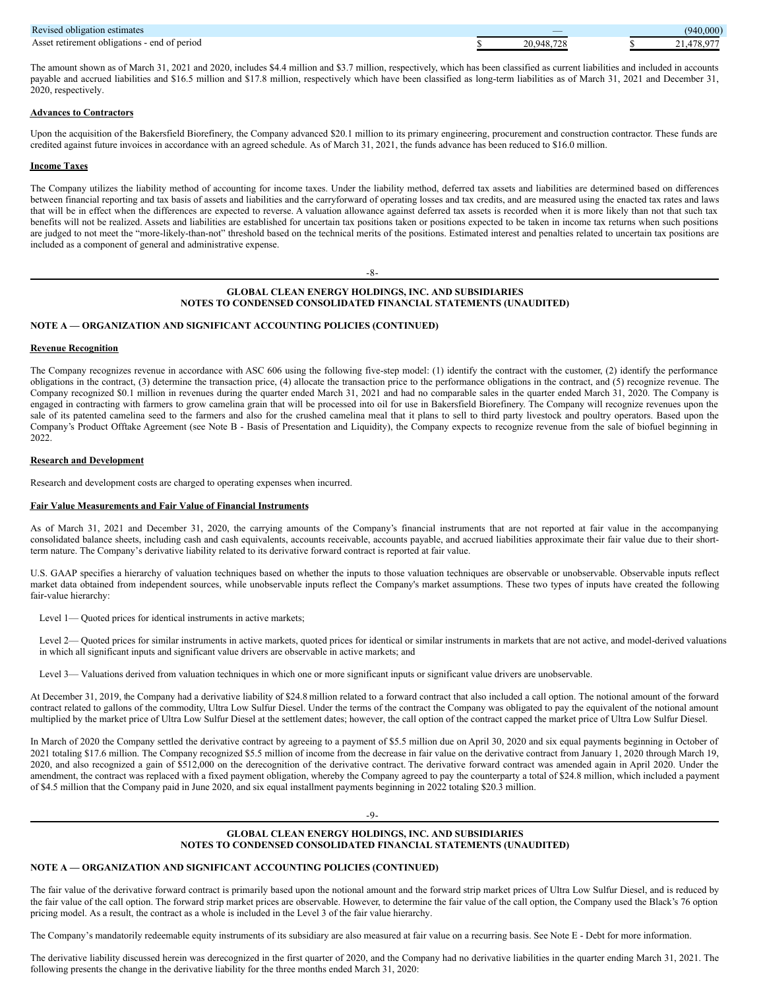| Revised obligation estimates                 |               |  | (940.000) |
|----------------------------------------------|---------------|--|-----------|
| Asset retirement obligations - end of period | .194877<br>∠∪ |  | $\sim$    |

The amount shown as of March 31, 2021 and 2020, includes \$4.4 million and \$3.7 million, respectively, which has been classified as current liabilities and included in accounts payable and accrued liabilities and \$16.5 million and \$17.8 million, respectively which have been classified as long-term liabilities as of March 31, 2021 and December 31, 2020, respectively.

#### **Advances to Contractors**

Upon the acquisition of the Bakersfield Biorefinery, the Company advanced \$20.1 million to its primary engineering, procurement and construction contractor. These funds are credited against future invoices in accordance with an agreed schedule. As of March 31, 2021, the funds advance has been reduced to \$16.0 million.

### **Income Taxes**

The Company utilizes the liability method of accounting for income taxes. Under the liability method, deferred tax assets and liabilities are determined based on differences between financial reporting and tax basis of assets and liabilities and the carryforward of operating losses and tax credits, and are measured using the enacted tax rates and laws that will be in effect when the differences are expected to reverse. A valuation allowance against deferred tax assets is recorded when it is more likely than not that such tax benefits will not be realized. Assets and liabilities are established for uncertain tax positions taken or positions expected to be taken in income tax returns when such positions are judged to not meet the "more-likely-than-not" threshold based on the technical merits of the positions. Estimated interest and penalties related to uncertain tax positions are included as a component of general and administrative expense.

#### -8-

# **GLOBAL CLEAN ENERGY HOLDINGS, INC. AND SUBSIDIARIES NOTES TO CONDENSED CONSOLIDATED FINANCIAL STATEMENTS (UNAUDITED)**

### **NOTE A — ORGANIZATION AND SIGNIFICANT ACCOUNTING POLICIES (CONTINUED)**

#### **Revenue Recognition**

The Company recognizes revenue in accordance with ASC 606 using the following five-step model: (1) identify the contract with the customer, (2) identify the performance obligations in the contract, (3) determine the transaction price, (4) allocate the transaction price to the performance obligations in the contract, and (5) recognize revenue. The Company recognized \$0.1 million in revenues during the quarter ended March 31, 2021 and had no comparable sales in the quarter ended March 31, 2020. The Company is engaged in contracting with farmers to grow camelina grain that will be processed into oil for use in Bakersfield Biorefinery. The Company will recognize revenues upon the sale of its patented camelina seed to the farmers and also for the crushed camelina meal that it plans to sell to third party livestock and poultry operators. Based upon the Company's Product Offtake Agreement (see Note B - Basis of Presentation and Liquidity), the Company expects to recognize revenue from the sale of biofuel beginning in 2022.

#### **Research and Development**

Research and development costs are charged to operating expenses when incurred.

#### **Fair Value Measurements and Fair Value of Financial Instruments**

As of March 31, 2021 and December 31, 2020, the carrying amounts of the Company's financial instruments that are not reported at fair value in the accompanying consolidated balance sheets, including cash and cash equivalents, accounts receivable, accounts payable, and accrued liabilities approximate their fair value due to their shortterm nature. The Company's derivative liability related to its derivative forward contract is reported at fair value.

U.S. GAAP specifies a hierarchy of valuation techniques based on whether the inputs to those valuation techniques are observable or unobservable. Observable inputs reflect market data obtained from independent sources, while unobservable inputs reflect the Company's market assumptions. These two types of inputs have created the following fair-value hierarchy:

Level 1— Quoted prices for identical instruments in active markets;

Level 2— Quoted prices for similar instruments in active markets, quoted prices for identical or similar instruments in markets that are not active, and model-derived valuations in which all significant inputs and significant value drivers are observable in active markets; and

Level 3— Valuations derived from valuation techniques in which one or more significant inputs or significant value drivers are unobservable.

At December 31, 2019, the Company had a derivative liability of \$24.8 million related to a forward contract that also included a call option. The notional amount of the forward contract related to gallons of the commodity, Ultra Low Sulfur Diesel. Under the terms of the contract the Company was obligated to pay the equivalent of the notional amount multiplied by the market price of Ultra Low Sulfur Diesel at the settlement dates; however, the call option of the contract capped the market price of Ultra Low Sulfur Diesel.

In March of 2020 the Company settled the derivative contract by agreeing to a payment of \$5.5 million due on April 30, 2020 and six equal payments beginning in October of 2021 totaling \$17.6 million. The Company recognized \$5.5 million of income from the decrease in fair value on the derivative contract from January 1, 2020 through March 19, 2020, and also recognized a gain of \$512,000 on the derecognition of the derivative contract. The derivative forward contract was amended again in April 2020. Under the amendment, the contract was replaced with a fixed payment obligation, whereby the Company agreed to pay the counterparty a total of \$24.8 million, which included a payment of \$4.5 million that the Company paid in June 2020, and six equal installment payments beginning in 2022 totaling \$20.3 million.

-9-

### **GLOBAL CLEAN ENERGY HOLDINGS, INC. AND SUBSIDIARIES NOTES TO CONDENSED CONSOLIDATED FINANCIAL STATEMENTS (UNAUDITED)**

### **NOTE A — ORGANIZATION AND SIGNIFICANT ACCOUNTING POLICIES (CONTINUED)**

The fair value of the derivative forward contract is primarily based upon the notional amount and the forward strip market prices of Ultra Low Sulfur Diesel, and is reduced by the fair value of the call option. The forward strip market prices are observable. However, to determine the fair value of the call option, the Company used the Black's 76 option pricing model. As a result, the contract as a whole is included in the Level 3 of the fair value hierarchy.

The Company's mandatorily redeemable equity instruments of its subsidiary are also measured at fair value on a recurring basis. See Note E - Debt for more information.

The derivative liability discussed herein was derecognized in the first quarter of 2020, and the Company had no derivative liabilities in the quarter ending March 31, 2021. The following presents the change in the derivative liability for the three months ended March 31, 2020: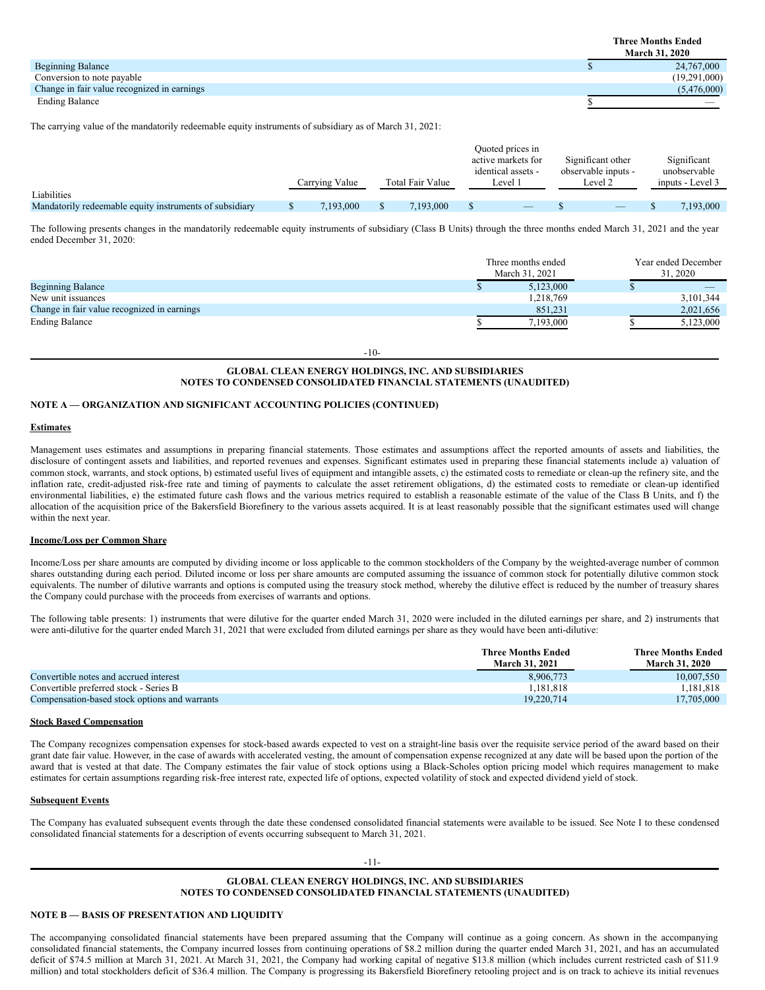|                                             | <b>Three Months Ended</b> |
|---------------------------------------------|---------------------------|
|                                             | <b>March 31, 2020</b>     |
| <b>Beginning Balance</b>                    | 24,767,000                |
| Conversion to note payable                  | (19,291,000)              |
| Change in fair value recognized in earnings | (5,476,000)               |
| <b>Ending Balance</b>                       |                           |

The carrying value of the mandatorily redeemable equity instruments of subsidiary as of March 31, 2021:

|                                                         | Carrying Value |           | Total Fair Value |           |  | Quoted prices in<br>active markets for<br>identical assets -<br>Level |  | Significant other<br>observable inputs -<br>Level 2 |  | Significant<br>unobservable<br>inputs - Level 3 |  |
|---------------------------------------------------------|----------------|-----------|------------------|-----------|--|-----------------------------------------------------------------------|--|-----------------------------------------------------|--|-------------------------------------------------|--|
| Liabilities                                             |                |           |                  |           |  |                                                                       |  |                                                     |  |                                                 |  |
| Mandatorily redeemable equity instruments of subsidiary |                | 7.193.000 |                  | 7.193.000 |  | $\overline{\phantom{a}}$                                              |  | $\overline{\phantom{a}}$                            |  | 7.193.000                                       |  |
|                                                         |                |           |                  |           |  |                                                                       |  |                                                     |  |                                                 |  |

The following presents changes in the mandatorily redeemable equity instruments of subsidiary (Class B Units) through the three months ended March 31, 2021 and the year ended December 31, 2020:

|                                             | Three months ended<br>March 31, 2021 | Year ended December<br>31, 2020 |
|---------------------------------------------|--------------------------------------|---------------------------------|
| <b>Beginning Balance</b>                    | 5.123,000<br>пυ                      |                                 |
| New unit issuances                          | 1,218,769                            | 3,101,344                       |
| Change in fair value recognized in earnings | 851,231                              | 2,021,656                       |
| <b>Ending Balance</b>                       | 7.193.000                            | 5,123,000                       |

-10-

### **GLOBAL CLEAN ENERGY HOLDINGS, INC. AND SUBSIDIARIES NOTES TO CONDENSED CONSOLIDATED FINANCIAL STATEMENTS (UNAUDITED)**

### **NOTE A — ORGANIZATION AND SIGNIFICANT ACCOUNTING POLICIES (CONTINUED)**

#### **Estimates**

Management uses estimates and assumptions in preparing financial statements. Those estimates and assumptions affect the reported amounts of assets and liabilities, the disclosure of contingent assets and liabilities, and reported revenues and expenses. Significant estimates used in preparing these financial statements include a) valuation of common stock, warrants, and stock options, b) estimated useful lives of equipment and intangible assets, c) the estimated costs to remediate or clean-up the refinery site, and the inflation rate, credit-adjusted risk-free rate and timing of payments to calculate the asset retirement obligations, d) the estimated costs to remediate or clean-up identified environmental liabilities, e) the estimated future cash flows and the various metrics required to establish a reasonable estimate of the value of the Class B Units, and f) the allocation of the acquisition price of the Bakersfield Biorefinery to the various assets acquired. It is at least reasonably possible that the significant estimates used will change within the next year.

### **Income/Loss per Common Share**

Income/Loss per share amounts are computed by dividing income or loss applicable to the common stockholders of the Company by the weighted-average number of common shares outstanding during each period. Diluted income or loss per share amounts are computed assuming the issuance of common stock for potentially dilutive common stock equivalents. The number of dilutive warrants and options is computed using the treasury stock method, whereby the dilutive effect is reduced by the number of treasury shares the Company could purchase with the proceeds from exercises of warrants and options.

The following table presents: 1) instruments that were dilutive for the quarter ended March 31, 2020 were included in the diluted earnings per share, and 2) instruments that were anti-dilutive for the quarter ended March 31, 2021 that were excluded from diluted earnings per share as they would have been anti-dilutive:

|                                               | <b>Three Months Ended</b><br><b>March 31, 2021</b> | <b>Three Months Ended</b><br><b>March 31, 2020</b> |
|-----------------------------------------------|----------------------------------------------------|----------------------------------------------------|
| Convertible notes and accrued interest        | 8.906.773                                          | 10,007.550                                         |
| Convertible preferred stock - Series B        | 1.181.818                                          | 1.181.818                                          |
| Compensation-based stock options and warrants | 19.220.714                                         | 17.705.000                                         |

### **Stock Based Compensation**

The Company recognizes compensation expenses for stock-based awards expected to vest on a straight-line basis over the requisite service period of the award based on their grant date fair value. However, in the case of awards with accelerated vesting, the amount of compensation expense recognized at any date will be based upon the portion of the award that is vested at that date. The Company estimates the fair value of stock options using a Black-Scholes option pricing model which requires management to make estimates for certain assumptions regarding risk-free interest rate, expected life of options, expected volatility of stock and expected dividend yield of stock.

#### **Subsequent Events**

The Company has evaluated subsequent events through the date these condensed consolidated financial statements were available to be issued. See Note I to these condensed consolidated financial statements for a description of events occurring subsequent to March 31, 2021.

-11-

### **GLOBAL CLEAN ENERGY HOLDINGS, INC. AND SUBSIDIARIES NOTES TO CONDENSED CONSOLIDATED FINANCIAL STATEMENTS (UNAUDITED)**

#### **NOTE B — BASIS OF PRESENTATION AND LIQUIDITY**

The accompanying consolidated financial statements have been prepared assuming that the Company will continue as a going concern. As shown in the accompanying consolidated financial statements, the Company incurred losses from continuing operations of \$8.2 million during the quarter ended March 31, 2021, and has an accumulated deficit of \$74.5 million at March 31, 2021. At March 31, 2021, the Company had working capital of negative \$13.8 million (which includes current restricted cash of \$11.9 million) and total stockholders deficit of \$36.4 million. The Company is progressing its Bakersfield Biorefinery retooling project and is on track to achieve its initial revenues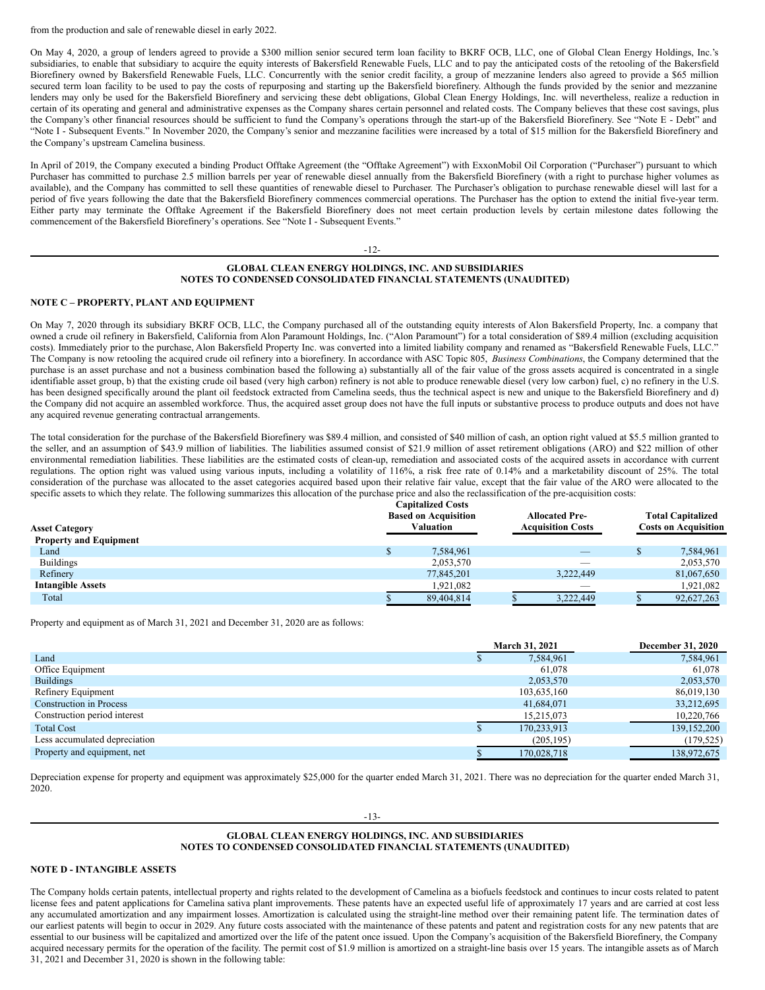from the production and sale of renewable diesel in early 2022.

On May 4, 2020, a group of lenders agreed to provide a \$300 million senior secured term loan facility to BKRF OCB, LLC, one of Global Clean Energy Holdings, Inc.'s subsidiaries, to enable that subsidiary to acquire the equity interests of Bakersfield Renewable Fuels, LLC and to pay the anticipated costs of the retooling of the Bakersfield Biorefinery owned by Bakersfield Renewable Fuels, LLC. Concurrently with the senior credit facility, a group of mezzanine lenders also agreed to provide a \$65 million secured term loan facility to be used to pay the costs of repurposing and starting up the Bakersfield biorefinery. Although the funds provided by the senior and mezzanine lenders may only be used for the Bakersfield Biorefinery and servicing these debt obligations, Global Clean Energy Holdings, Inc. will nevertheless, realize a reduction in certain of its operating and general and administrative expenses as the Company shares certain personnel and related costs. The Company believes that these cost savings, plus the Company's other financial resources should be sufficient to fund the Company's operations through the start-up of the Bakersfield Biorefinery. See "Note E - Debt" and "Note I - Subsequent Events." In November 2020, the Company's senior and mezzanine facilities were increased by a total of \$15 million for the Bakersfield Biorefinery and the Company's upstream Camelina business.

In April of 2019, the Company executed a binding Product Offtake Agreement (the "Offtake Agreement") with ExxonMobil Oil Corporation ("Purchaser") pursuant to which Purchaser has committed to purchase 2.5 million barrels per year of renewable diesel annually from the Bakersfield Biorefinery (with a right to purchase higher volumes as available), and the Company has committed to sell these quantities of renewable diesel to Purchaser. The Purchaser's obligation to purchase renewable diesel will last for a period of five years following the date that the Bakersfield Biorefinery commences commercial operations. The Purchaser has the option to extend the initial five-year term. Either party may terminate the Offtake Agreement if the Bakersfield Biorefinery does not meet certain production levels by certain milestone dates following the commencement of the Bakersfield Biorefinery's operations. See "Note I - Subsequent Events."

#### -12-

# **GLOBAL CLEAN ENERGY HOLDINGS, INC. AND SUBSIDIARIES NOTES TO CONDENSED CONSOLIDATED FINANCIAL STATEMENTS (UNAUDITED)**

### **NOTE C – PROPERTY, PLANT AND EQUIPMENT**

On May 7, 2020 through its subsidiary BKRF OCB, LLC, the Company purchased all of the outstanding equity interests of Alon Bakersfield Property, Inc. a company that owned a crude oil refinery in Bakersfield, California from Alon Paramount Holdings, Inc. ("Alon Paramount") for a total consideration of \$89.4 million (excluding acquisition costs). Immediately prior to the purchase, Alon Bakersfield Property Inc. was converted into a limited liability company and renamed as "Bakersfield Renewable Fuels, LLC." The Company is now retooling the acquired crude oil refinery into a biorefinery. In accordance with ASC Topic 805, *Business Combinations*, the Company determined that the purchase is an asset purchase and not a business combination based the following a) substantially all of the fair value of the gross assets acquired is concentrated in a single identifiable asset group, b) that the existing crude oil based (very high carbon) refinery is not able to produce renewable diesel (very low carbon) fuel, c) no refinery in the U.S. has been designed specifically around the plant oil feedstock extracted from Camelina seeds, thus the technical aspect is new and unique to the Bakersfield Biorefinery and d) the Company did not acquire an assembled workforce. Thus, the acquired asset group does not have the full inputs or substantive process to produce outputs and does not have any acquired revenue generating contractual arrangements.

The total consideration for the purchase of the Bakersfield Biorefinery was \$89.4 million, and consisted of \$40 million of cash, an option right valued at \$5.5 million granted to the seller, and an assumption of \$43.9 million of liabilities. The liabilities assumed consist of \$21.9 million of asset retirement obligations (ARO) and \$22 million of other environmental remediation liabilities. These liabilities are the estimated costs of clean-up, remediation and associated costs of the acquired assets in accordance with current regulations. The option right was valued using various inputs, including a volatility of 116%, a risk free rate of 0.14% and a marketability discount of 25%. The total consideration of the purchase was allocated to the asset categories acquired based upon their relative fair value, except that the fair value of the ARO were allocated to the specific assets to which they relate. The following summarizes this allocation of the purchase price and also the reclassification of the pre-acquisition costs:

| <b>Asset Category</b>         | <b>Capitalized Costs</b><br><b>Based on Acquisition</b><br><b>Valuation</b> |            | <b>Allocated Pre-</b><br><b>Acquisition Costs</b> | <b>Total Capitalized</b><br><b>Costs on Acquisition</b> |
|-------------------------------|-----------------------------------------------------------------------------|------------|---------------------------------------------------|---------------------------------------------------------|
| <b>Property and Equipment</b> |                                                                             |            |                                                   |                                                         |
| Land                          |                                                                             | 7,584,961  |                                                   | 7,584,961                                               |
| <b>Buildings</b>              |                                                                             | 2,053,570  |                                                   | 2,053,570                                               |
| Refinery                      |                                                                             | 77,845,201 | 3,222,449                                         | 81,067,650                                              |
| <b>Intangible Assets</b>      |                                                                             | 1,921,082  | $\overline{\phantom{a}}$                          | 1,921,082                                               |
| Total                         |                                                                             | 89,404,814 | 3,222,449                                         | 92,627,263                                              |

Property and equipment as of March 31, 2021 and December 31, 2020 are as follows:

|                                | <b>March 31, 2021</b> | <b>December 31, 2020</b> |
|--------------------------------|-----------------------|--------------------------|
| Land                           | 7,584,961             | 7,584,961                |
| Office Equipment               | 61,078                | 61,078                   |
| <b>Buildings</b>               | 2,053,570             | 2,053,570                |
| Refinery Equipment             | 103,635,160           | 86,019,130               |
| <b>Construction in Process</b> | 41,684,071            | 33,212,695               |
| Construction period interest   | 15,215,073            | 10,220,766               |
| <b>Total Cost</b>              | 170,233,913           | 139, 152, 200            |
| Less accumulated depreciation  | (205, 195)            | (179, 525)               |
| Property and equipment, net    | 170,028,718           | 138,972,675              |

Depreciation expense for property and equipment was approximately \$25,000 for the quarter ended March 31, 2021. There was no depreciation for the quarter ended March 31, 2020.

-13-

### **GLOBAL CLEAN ENERGY HOLDINGS, INC. AND SUBSIDIARIES NOTES TO CONDENSED CONSOLIDATED FINANCIAL STATEMENTS (UNAUDITED)**

### **NOTE D - INTANGIBLE ASSETS**

The Company holds certain patents, intellectual property and rights related to the development of Camelina as a biofuels feedstock and continues to incur costs related to patent license fees and patent applications for Camelina sativa plant improvements. These patents have an expected useful life of approximately 17 years and are carried at cost less any accumulated amortization and any impairment losses. Amortization is calculated using the straight-line method over their remaining patent life. The termination dates of our earliest patents will begin to occur in 2029. Any future costs associated with the maintenance of these patents and patent and registration costs for any new patents that are essential to our business will be capitalized and amortized over the life of the patent once issued. Upon the Company's acquisition of the Bakersfield Biorefinery, the Company acquired necessary permits for the operation of the facility. The permit cost of \$1.9 million is amortized on a straight-line basis over 15 years. The intangible assets as of March 31, 2021 and December 31, 2020 is shown in the following table: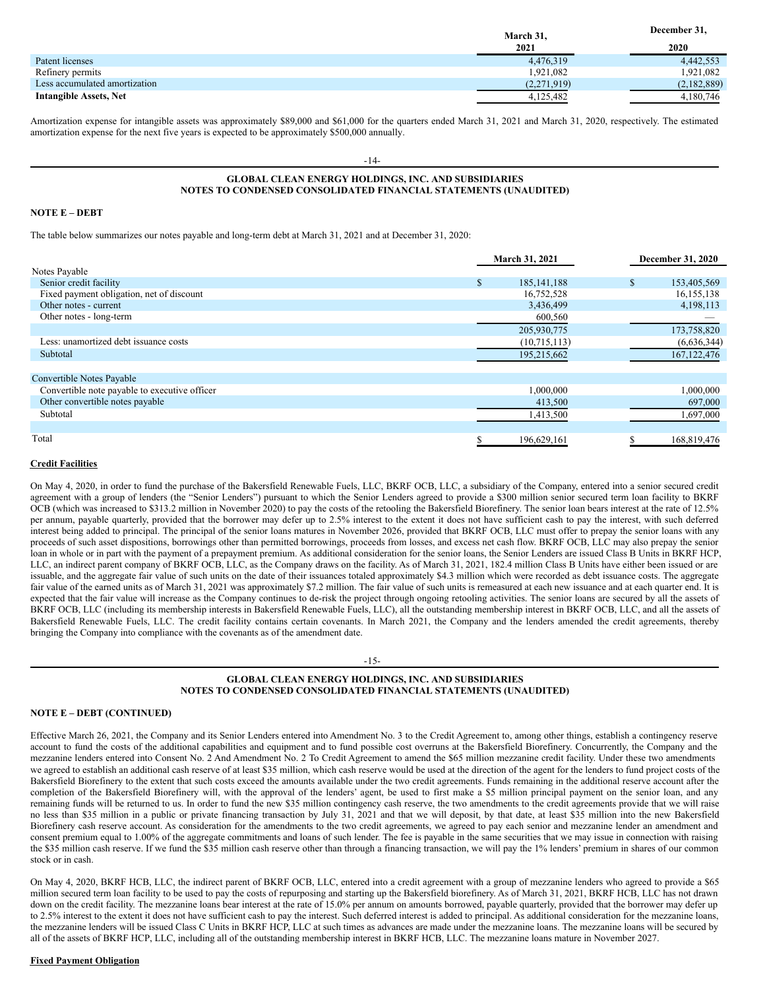|                               | March 31,   | December 31, |
|-------------------------------|-------------|--------------|
|                               | 2021        | 2020         |
| Patent licenses               | 4,476,319   | 4,442,553    |
| Refinery permits              | 1,921,082   | 1.921.082    |
| Less accumulated amortization | (2,271,919) | (2,182,889)  |
| <b>Intangible Assets, Net</b> | 4.125.482   | 4.180.746    |

**December 31,**

Amortization expense for intangible assets was approximately \$89,000 and \$61,000 for the quarters ended March 31, 2021 and March 31, 2020, respectively. The estimated amortization expense for the next five years is expected to be approximately \$500,000 annually.

#### -14-

# **GLOBAL CLEAN ENERGY HOLDINGS, INC. AND SUBSIDIARIES NOTES TO CONDENSED CONSOLIDATED FINANCIAL STATEMENTS (UNAUDITED)**

### **NOTE E – DEBT**

The table below summarizes our notes payable and long-term debt at March 31, 2021 and at December 31, 2020:

|                                               | March 31, 2021      | December 31, 2020  |
|-----------------------------------------------|---------------------|--------------------|
| Notes Payable                                 |                     |                    |
| Senior credit facility                        | \$<br>185, 141, 188 | 153,405,569<br>\$. |
| Fixed payment obligation, net of discount     | 16,752,528          | 16, 155, 138       |
| Other notes - current                         | 3,436,499           | 4,198,113          |
| Other notes - long-term                       | 600,560             |                    |
|                                               | 205,930,775         | 173,758,820        |
| Less: unamortized debt issuance costs         | (10,715,113)        | (6,636,344)        |
| Subtotal                                      | 195,215,662         | 167, 122, 476      |
| Convertible Notes Payable                     |                     |                    |
| Convertible note payable to executive officer | 1,000,000           | 1,000,000          |
| Other convertible notes payable               | 413,500             | 697,000            |
| Subtotal                                      | 1,413,500           | 1,697,000          |
|                                               |                     |                    |
| Total                                         | 196,629,161         | 168,819,476        |

### **Credit Facilities**

On May 4, 2020, in order to fund the purchase of the Bakersfield Renewable Fuels, LLC, BKRF OCB, LLC, a subsidiary of the Company, entered into a senior secured credit agreement with a group of lenders (the "Senior Lenders") pursuant to which the Senior Lenders agreed to provide a \$300 million senior secured term loan facility to BKRF OCB (which was increased to \$313.2 million in November 2020) to pay the costs of the retooling the Bakersfield Biorefinery. The senior loan bears interest at the rate of 12.5% per annum, payable quarterly, provided that the borrower may defer up to 2.5% interest to the extent it does not have sufficient cash to pay the interest, with such deferred interest being added to principal. The principal of the senior loans matures in November 2026, provided that BKRF OCB, LLC must offer to prepay the senior loans with any proceeds of such asset dispositions, borrowings other than permitted borrowings, proceeds from losses, and excess net cash flow. BKRF OCB, LLC may also prepay the senior loan in whole or in part with the payment of a prepayment premium. As additional consideration for the senior loans, the Senior Lenders are issued Class B Units in BKRF HCP, LLC, an indirect parent company of BKRF OCB, LLC, as the Company draws on the facility. As of March 31, 2021, 182.4 million Class B Units have either been issued or are issuable, and the aggregate fair value of such units on the date of their issuances totaled approximately \$4.3 million which were recorded as debt issuance costs. The aggregate fair value of the earned units as of March 31, 2021 was approximately \$7.2 million. The fair value of such units is remeasured at each new issuance and at each quarter end. It is expected that the fair value will increase as the Company continues to de-risk the project through ongoing retooling activities. The senior loans are secured by all the assets of BKRF OCB, LLC (including its membership interests in Bakersfield Renewable Fuels, LLC), all the outstanding membership interest in BKRF OCB, LLC, and all the assets of Bakersfield Renewable Fuels, LLC. The credit facility contains certain covenants. In March 2021, the Company and the lenders amended the credit agreements, thereby bringing the Company into compliance with the covenants as of the amendment date.

### -15-

# **GLOBAL CLEAN ENERGY HOLDINGS, INC. AND SUBSIDIARIES NOTES TO CONDENSED CONSOLIDATED FINANCIAL STATEMENTS (UNAUDITED)**

### **NOTE E – DEBT (CONTINUED)**

Effective March 26, 2021, the Company and its Senior Lenders entered into Amendment No. 3 to the Credit Agreement to, among other things, establish a contingency reserve account to fund the costs of the additional capabilities and equipment and to fund possible cost overruns at the Bakersfield Biorefinery. Concurrently, the Company and the mezzanine lenders entered into Consent No. 2 And Amendment No. 2 To Credit Agreement to amend the \$65 million mezzanine credit facility. Under these two amendments we agreed to establish an additional cash reserve of at least \$35 million, which cash reserve would be used at the direction of the agent for the lenders to fund project costs of the Bakersfield Biorefinery to the extent that such costs exceed the amounts available under the two credit agreements. Funds remaining in the additional reserve account after the completion of the Bakersfield Biorefinery will, with the approval of the lenders' agent, be used to first make a \$5 million principal payment on the senior loan, and any remaining funds will be returned to us. In order to fund the new \$35 million contingency cash reserve, the two amendments to the credit agreements provide that we will raise no less than \$35 million in a public or private financing transaction by July 31, 2021 and that we will deposit, by that date, at least \$35 million into the new Bakersfield Biorefinery cash reserve account. As consideration for the amendments to the two credit agreements, we agreed to pay each senior and mezzanine lender an amendment and consent premium equal to 1.00% of the aggregate commitments and loans of such lender. The fee is payable in the same securities that we may issue in connection with raising the \$35 million cash reserve. If we fund the \$35 million cash reserve other than through a financing transaction, we will pay the 1% lenders' premium in shares of our common stock or in cash.

On May 4, 2020, BKRF HCB, LLC, the indirect parent of BKRF OCB, LLC, entered into a credit agreement with a group of mezzanine lenders who agreed to provide a \$65 million secured term loan facility to be used to pay the costs of repurposing and starting up the Bakersfield biorefinery. As of March 31, 2021, BKRF HCB, LLC has not drawn down on the credit facility. The mezzanine loans bear interest at the rate of 15.0% per annum on amounts borrowed, payable quarterly, provided that the borrower may defer up to 2.5% interest to the extent it does not have sufficient cash to pay the interest. Such deferred interest is added to principal. As additional consideration for the mezzanine loans, the mezzanine lenders will be issued Class C Units in BKRF HCP, LLC at such times as advances are made under the mezzanine loans. The mezzanine loans will be secured by all of the assets of BKRF HCP, LLC, including all of the outstanding membership interest in BKRF HCB, LLC. The mezzanine loans mature in November 2027.

### **Fixed Payment Obligation**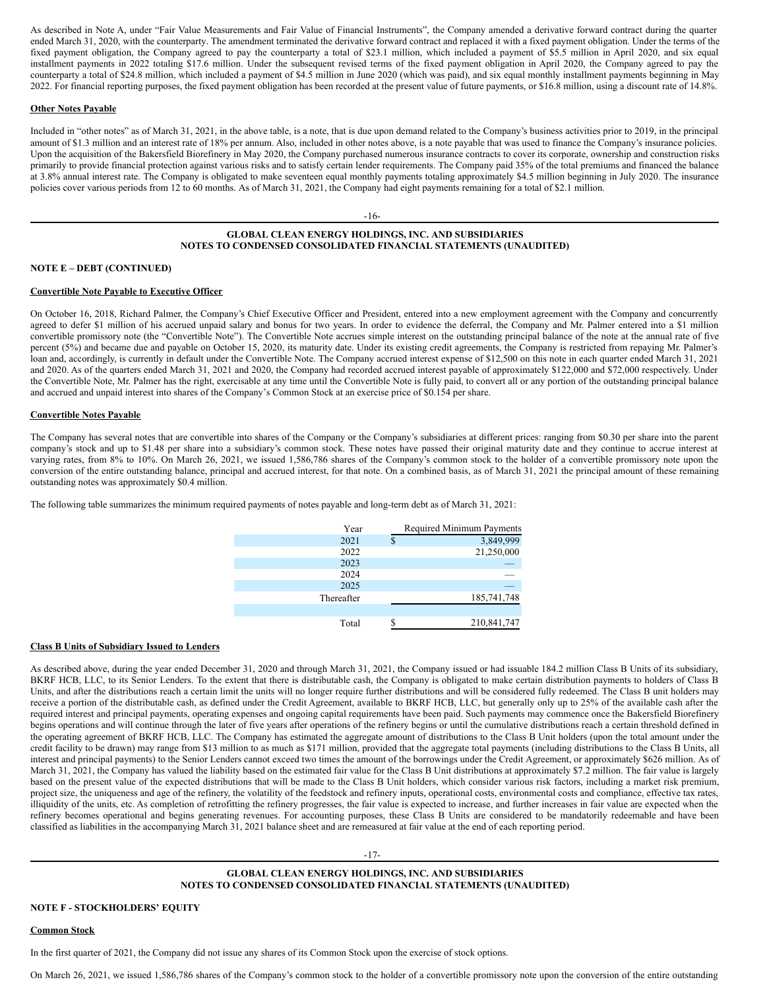As described in Note A, under "Fair Value Measurements and Fair Value of Financial Instruments", the Company amended a derivative forward contract during the quarter ended March 31, 2020, with the counterparty. The amendment terminated the derivative forward contract and replaced it with a fixed payment obligation. Under the terms of the fixed payment obligation, the Company agreed to pay the counterparty a total of \$23.1 million, which included a payment of \$5.5 million in April 2020, and six equal installment payments in 2022 totaling \$17.6 million. Under the subsequent revised terms of the fixed payment obligation in April 2020, the Company agreed to pay the counterparty a total of \$24.8 million, which included a payment of \$4.5 million in June 2020 (which was paid), and six equal monthly installment payments beginning in May 2022. For financial reporting purposes, the fixed payment obligation has been recorded at the present value of future payments, or \$16.8 million, using a discount rate of 14.8%.

### **Other Notes Payable**

Included in "other notes" as of March 31, 2021, in the above table, is a note, that is due upon demand related to the Company's business activities prior to 2019, in the principal amount of \$1.3 million and an interest rate of 18% per annum. Also, included in other notes above, is a note payable that was used to finance the Company's insurance policies. Upon the acquisition of the Bakersfield Biorefinery in May 2020, the Company purchased numerous insurance contracts to cover its corporate, ownership and construction risks primarily to provide financial protection against various risks and to satisfy certain lender requirements. The Company paid 35% of the total premiums and financed the balance at 3.8% annual interest rate. The Company is obligated to make seventeen equal monthly payments totaling approximately \$4.5 million beginning in July 2020. The insurance policies cover various periods from 12 to 60 months. As of March 31, 2021, the Company had eight payments remaining for a total of \$2.1 million.

#### -16-

### **GLOBAL CLEAN ENERGY HOLDINGS, INC. AND SUBSIDIARIES NOTES TO CONDENSED CONSOLIDATED FINANCIAL STATEMENTS (UNAUDITED)**

### **NOTE E – DEBT (CONTINUED)**

### **Convertible Note Payable to Executive Officer**

On October 16, 2018, Richard Palmer, the Company's Chief Executive Officer and President, entered into a new employment agreement with the Company and concurrently agreed to defer \$1 million of his accrued unpaid salary and bonus for two years. In order to evidence the deferral, the Company and Mr. Palmer entered into a \$1 million convertible promissory note (the "Convertible Note"). The Convertible Note accrues simple interest on the outstanding principal balance of the note at the annual rate of five percent (5%) and became due and payable on October 15, 2020, its maturity date. Under its existing credit agreements, the Company is restricted from repaying Mr. Palmer's loan and, accordingly, is currently in default under the Convertible Note. The Company accrued interest expense of \$12,500 on this note in each quarter ended March 31, 2021 and 2020. As of the quarters ended March 31, 2021 and 2020, the Company had recorded accrued interest payable of approximately \$122,000 and \$72,000 respectively. Under the Convertible Note, Mr. Palmer has the right, exercisable at any time until the Convertible Note is fully paid, to convert all or any portion of the outstanding principal balance and accrued and unpaid interest into shares of the Company's Common Stock at an exercise price of \$0.154 per share.

### **Convertible Notes Payable**

The Company has several notes that are convertible into shares of the Company or the Company's subsidiaries at different prices: ranging from \$0.30 per share into the parent company's stock and up to \$1.48 per share into a subsidiary's common stock. These notes have passed their original maturity date and they continue to accrue interest at varying rates, from 8% to 10%. On March 26, 2021, we issued 1,586,786 shares of the Company's common stock to the holder of a convertible promissory note upon the conversion of the entire outstanding balance, principal and accrued interest, for that note. On a combined basis, as of March 31, 2021 the principal amount of these remaining outstanding notes was approximately \$0.4 million.

The following table summarizes the minimum required payments of notes payable and long-term debt as of March 31, 2021:

| Year       | Required Minimum Payments |
|------------|---------------------------|
| 2021       | \$<br>3,849,999           |
| 2022       | 21,250,000                |
| 2023       |                           |
| 2024       |                           |
| 2025       |                           |
| Thereafter | 185,741,748               |
|            |                           |
| Total      | 210,841,747               |

#### **Class B Units of Subsidiary Issued to Lenders**

As described above, during the year ended December 31, 2020 and through March 31, 2021, the Company issued or had issuable 184.2 million Class B Units of its subsidiary, BKRF HCB, LLC, to its Senior Lenders. To the extent that there is distributable cash, the Company is obligated to make certain distribution payments to holders of Class B Units, and after the distributions reach a certain limit the units will no longer require further distributions and will be considered fully redeemed. The Class B unit holders may receive a portion of the distributable cash, as defined under the Credit Agreement, available to BKRF HCB, LLC, but generally only up to 25% of the available cash after the required interest and principal payments, operating expenses and ongoing capital requirements have been paid. Such payments may commence once the Bakersfield Biorefinery begins operations and will continue through the later of five years after operations of the refinery begins or until the cumulative distributions reach a certain threshold defined in the operating agreement of BKRF HCB, LLC. The Company has estimated the aggregate amount of distributions to the Class B Unit holders (upon the total amount under the credit facility to be drawn) may range from \$13 million to as much as \$171 million, provided that the aggregate total payments (including distributions to the Class B Units, all interest and principal payments) to the Senior Lenders cannot exceed two times the amount of the borrowings under the Credit Agreement, or approximately \$626 million. As of March 31, 2021, the Company has valued the liability based on the estimated fair value for the Class B Unit distributions at approximately \$7.2 million. The fair value is largely based on the present value of the expected distributions that will be made to the Class B Unit holders, which consider various risk factors, including a market risk premium, project size, the uniqueness and age of the refinery, the volatility of the feedstock and refinery inputs, operational costs, environmental costs and compliance, effective tax rates, illiquidity of the units, etc. As completion of retrofitting the refinery progresses, the fair value is expected to increase, and further increases in fair value are expected when the refinery becomes operational and begins generating revenues. For accounting purposes, these Class B Units are considered to be mandatorily redeemable and have been classified as liabilities in the accompanying March 31, 2021 balance sheet and are remeasured at fair value at the end of each reporting period.

-17-

### **GLOBAL CLEAN ENERGY HOLDINGS, INC. AND SUBSIDIARIES NOTES TO CONDENSED CONSOLIDATED FINANCIAL STATEMENTS (UNAUDITED)**

### **NOTE F - STOCKHOLDERS' EQUITY**

#### **Common Stock**

In the first quarter of 2021, the Company did not issue any shares of its Common Stock upon the exercise of stock options.

On March 26, 2021, we issued 1,586,786 shares of the Company's common stock to the holder of a convertible promissory note upon the conversion of the entire outstanding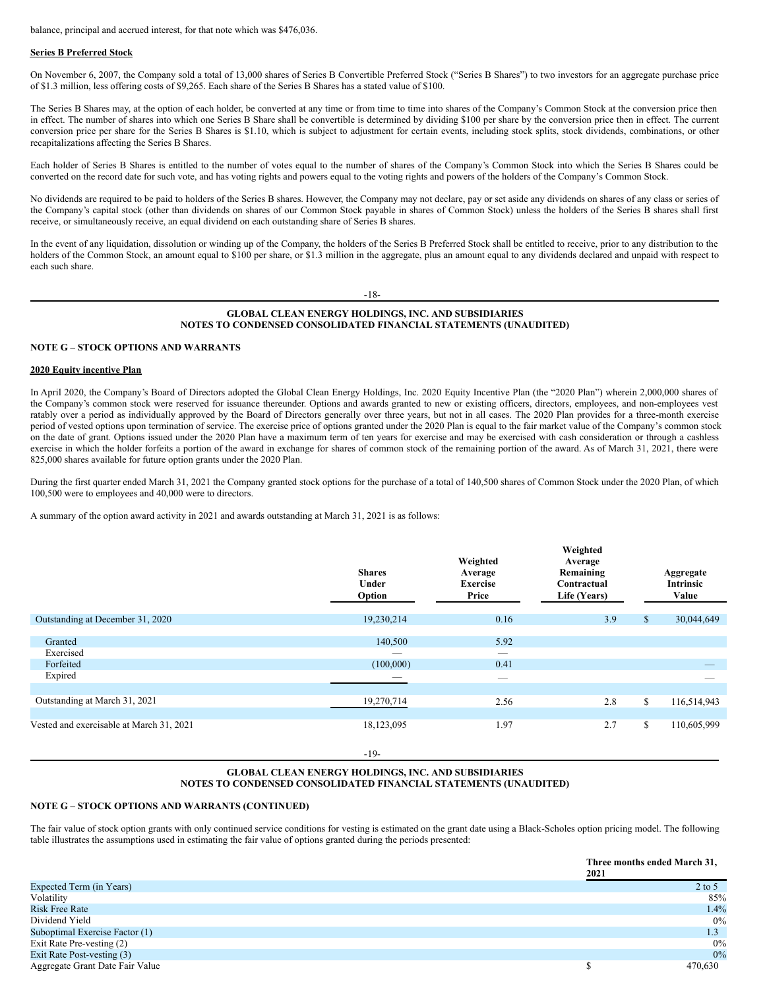balance, principal and accrued interest, for that note which was \$476,036.

### **Series B Preferred Stock**

On November 6, 2007, the Company sold a total of 13,000 shares of Series B Convertible Preferred Stock ("Series B Shares") to two investors for an aggregate purchase price of \$1.3 million, less offering costs of \$9,265. Each share of the Series B Shares has a stated value of \$100.

The Series B Shares may, at the option of each holder, be converted at any time or from time to time into shares of the Company's Common Stock at the conversion price then in effect. The number of shares into which one Series B Share shall be convertible is determined by dividing \$100 per share by the conversion price then in effect. The current conversion price per share for the Series B Shares is \$1.10, which is subject to adjustment for certain events, including stock splits, stock dividends, combinations, or other recapitalizations affecting the Series B Shares.

Each holder of Series B Shares is entitled to the number of votes equal to the number of shares of the Company's Common Stock into which the Series B Shares could be converted on the record date for such vote, and has voting rights and powers equal to the voting rights and powers of the holders of the Company's Common Stock.

No dividends are required to be paid to holders of the Series B shares. However, the Company may not declare, pay or set aside any dividends on shares of any class or series of the Company's capital stock (other than dividends on shares of our Common Stock payable in shares of Common Stock) unless the holders of the Series B shares shall first receive, or simultaneously receive, an equal dividend on each outstanding share of Series B shares.

In the event of any liquidation, dissolution or winding up of the Company, the holders of the Series B Preferred Stock shall be entitled to receive, prior to any distribution to the holders of the Common Stock, an amount equal to \$100 per share, or \$1.3 million in the aggregate, plus an amount equal to any dividends declared and unpaid with respect to each such share.

-18-

### **GLOBAL CLEAN ENERGY HOLDINGS, INC. AND SUBSIDIARIES NOTES TO CONDENSED CONSOLIDATED FINANCIAL STATEMENTS (UNAUDITED)**

### **NOTE G – STOCK OPTIONS AND WARRANTS**

### **2020 Equity incentive Plan**

In April 2020, the Company's Board of Directors adopted the Global Clean Energy Holdings, Inc. 2020 Equity Incentive Plan (the "2020 Plan") wherein 2,000,000 shares of the Company's common stock were reserved for issuance thereunder. Options and awards granted to new or existing officers, directors, employees, and non-employees vest ratably over a period as individually approved by the Board of Directors generally over three years, but not in all cases. The 2020 Plan provides for a three-month exercise period of vested options upon termination of service. The exercise price of options granted under the 2020 Plan is equal to the fair market value of the Company's common stock on the date of grant. Options issued under the 2020 Plan have a maximum term of ten years for exercise and may be exercised with cash consideration or through a cashless exercise in which the holder forfeits a portion of the award in exchange for shares of common stock of the remaining portion of the award. As of March 31, 2021, there were 825,000 shares available for future option grants under the 2020 Plan.

During the first quarter ended March 31, 2021 the Company granted stock options for the purchase of a total of 140,500 shares of Common Stock under the 2020 Plan, of which 100,500 were to employees and 40,000 were to directors.

A summary of the option award activity in 2021 and awards outstanding at March 31, 2021 is as follows:

|                                          | <b>Shares</b><br>Under<br>Option      | Weighted<br>Average<br><b>Exercise</b><br>Price | Weighted<br>Average<br>Remaining<br>Contractual<br>Life (Years) |              | Aggregate<br><b>Intrinsic</b><br>Value |
|------------------------------------------|---------------------------------------|-------------------------------------------------|-----------------------------------------------------------------|--------------|----------------------------------------|
| Outstanding at December 31, 2020         | 19,230,214                            | 0.16                                            | 3.9                                                             | $\mathbb{S}$ | 30,044,649                             |
| Granted                                  | 140,500                               | 5.92                                            |                                                                 |              |                                        |
| Exercised<br>Forfeited                   | $\overline{\phantom{a}}$<br>(100,000) | 0.41                                            |                                                                 |              |                                        |
| Expired                                  |                                       | _                                               |                                                                 |              |                                        |
| Outstanding at March 31, 2021            | 19,270,714                            | 2.56                                            | 2.8                                                             | $\mathbb{S}$ | 116,514,943                            |
| Vested and exercisable at March 31, 2021 | 18,123,095                            | 1.97                                            | 2.7                                                             | \$           | 110,605,999                            |

-19-

### **GLOBAL CLEAN ENERGY HOLDINGS, INC. AND SUBSIDIARIES NOTES TO CONDENSED CONSOLIDATED FINANCIAL STATEMENTS (UNAUDITED)**

### **NOTE G – STOCK OPTIONS AND WARRANTS (CONTINUED)**

The fair value of stock option grants with only continued service conditions for vesting is estimated on the grant date using a Black-Scholes option pricing model. The following table illustrates the assumptions used in estimating the fair value of options granted during the periods presented:

|  | Three months ended March 31, |  |  |  |
|--|------------------------------|--|--|--|
|--|------------------------------|--|--|--|

|                                 | Three months chucu miarch 31,<br>2021 |          |
|---------------------------------|---------------------------------------|----------|
| Expected Term (in Years)        |                                       | $2$ to 5 |
| Volatility                      |                                       | 85%      |
| <b>Risk Free Rate</b>           |                                       | 1.4%     |
| Dividend Yield                  |                                       | $0\%$    |
| Suboptimal Exercise Factor (1)  |                                       | 1.3      |
| Exit Rate Pre-vesting (2)       |                                       | $0\%$    |
| Exit Rate Post-vesting (3)      |                                       | 0%       |
| Aggregate Grant Date Fair Value |                                       | 470.630  |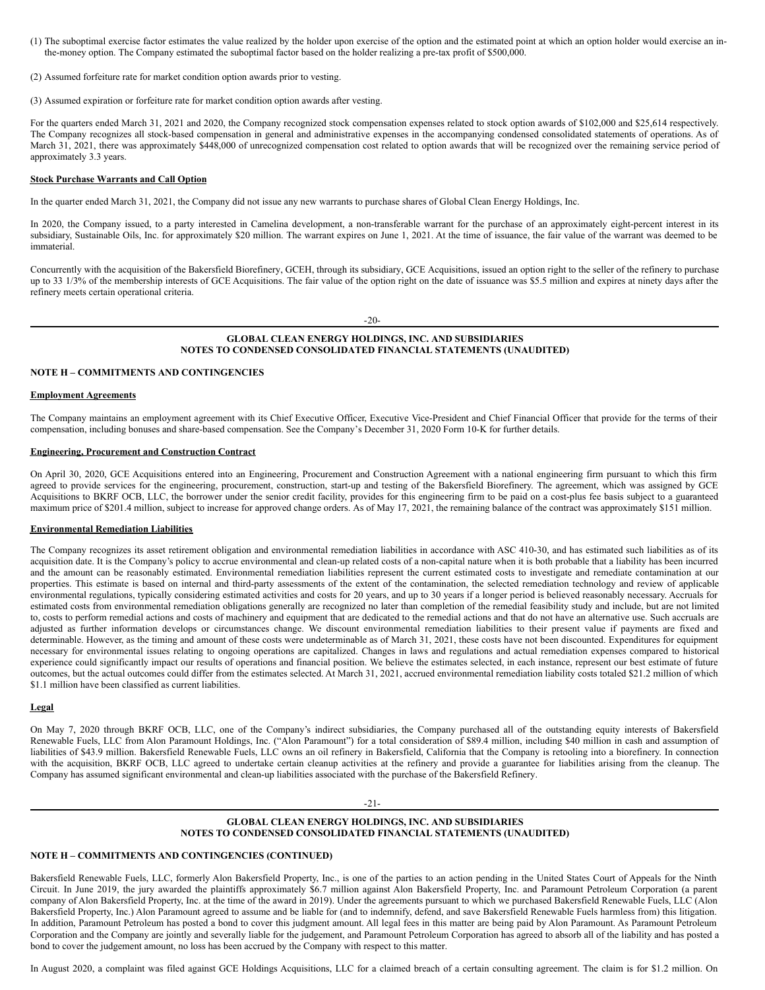- (1) The suboptimal exercise factor estimates the value realized by the holder upon exercise of the option and the estimated point at which an option holder would exercise an inthe-money option. The Company estimated the suboptimal factor based on the holder realizing a pre-tax profit of \$500,000.
- (2) Assumed forfeiture rate for market condition option awards prior to vesting.
- (3) Assumed expiration or forfeiture rate for market condition option awards after vesting.

For the quarters ended March 31, 2021 and 2020, the Company recognized stock compensation expenses related to stock option awards of \$102,000 and \$25,614 respectively. The Company recognizes all stock-based compensation in general and administrative expenses in the accompanying condensed consolidated statements of operations. As of March 31, 2021, there was approximately \$448,000 of unrecognized compensation cost related to option awards that will be recognized over the remaining service period of approximately 3.3 years.

### **Stock Purchase Warrants and Call Option**

In the quarter ended March 31, 2021, the Company did not issue any new warrants to purchase shares of Global Clean Energy Holdings, Inc.

In 2020, the Company issued, to a party interested in Camelina development, a non-transferable warrant for the purchase of an approximately eight-percent interest in its subsidiary, Sustainable Oils, Inc. for approximately \$20 million. The warrant expires on June 1, 2021. At the time of issuance, the fair value of the warrant was deemed to be immaterial.

Concurrently with the acquisition of the Bakersfield Biorefinery, GCEH, through its subsidiary, GCE Acquisitions, issued an option right to the seller of the refinery to purchase up to 33 1/3% of the membership interests of GCE Acquisitions. The fair value of the option right on the date of issuance was \$5.5 million and expires at ninety days after the refinery meets certain operational criteria.

-20-

### **GLOBAL CLEAN ENERGY HOLDINGS, INC. AND SUBSIDIARIES NOTES TO CONDENSED CONSOLIDATED FINANCIAL STATEMENTS (UNAUDITED)**

### **NOTE H – COMMITMENTS AND CONTINGENCIES**

#### **Employment Agreements**

The Company maintains an employment agreement with its Chief Executive Officer, Executive Vice-President and Chief Financial Officer that provide for the terms of their compensation, including bonuses and share-based compensation. See the Company's December 31, 2020 Form 10-K for further details.

### **Engineering, Procurement and Construction Contract**

On April 30, 2020, GCE Acquisitions entered into an Engineering, Procurement and Construction Agreement with a national engineering firm pursuant to which this firm agreed to provide services for the engineering, procurement, construction, start-up and testing of the Bakersfield Biorefinery. The agreement, which was assigned by GCE Acquisitions to BKRF OCB, LLC, the borrower under the senior credit facility, provides for this engineering firm to be paid on a cost-plus fee basis subject to a guaranteed maximum price of \$201.4 million, subject to increase for approved change orders. As of May 17, 2021, the remaining balance of the contract was approximately \$151 million.

#### **Environmental Remediation Liabilities**

The Company recognizes its asset retirement obligation and environmental remediation liabilities in accordance with ASC 410-30, and has estimated such liabilities as of its acquisition date. It is the Company's policy to accrue environmental and clean-up related costs of a non-capital nature when it is both probable that a liability has been incurred and the amount can be reasonably estimated. Environmental remediation liabilities represent the current estimated costs to investigate and remediate contamination at our properties. This estimate is based on internal and third-party assessments of the extent of the contamination, the selected remediation technology and review of applicable environmental regulations, typically considering estimated activities and costs for 20 years, and up to 30 years if a longer period is believed reasonably necessary. Accruals for estimated costs from environmental remediation obligations generally are recognized no later than completion of the remedial feasibility study and include, but are not limited to, costs to perform remedial actions and costs of machinery and equipment that are dedicated to the remedial actions and that do not have an alternative use. Such accruals are adjusted as further information develops or circumstances change. We discount environmental remediation liabilities to their present value if payments are fixed and determinable. However, as the timing and amount of these costs were undeterminable as of March 31, 2021, these costs have not been discounted. Expenditures for equipment necessary for environmental issues relating to ongoing operations are capitalized. Changes in laws and regulations and actual remediation expenses compared to historical experience could significantly impact our results of operations and financial position. We believe the estimates selected, in each instance, represent our best estimate of future outcomes, but the actual outcomes could differ from the estimates selected. At March 31, 2021, accrued environmental remediation liability costs totaled \$21.2 million of which \$1.1 million have been classified as current liabilities.

#### **Legal**

On May 7, 2020 through BKRF OCB, LLC, one of the Company's indirect subsidiaries, the Company purchased all of the outstanding equity interests of Bakersfield Renewable Fuels, LLC from Alon Paramount Holdings, Inc. ("Alon Paramount") for a total consideration of \$89.4 million, including \$40 million in cash and assumption of liabilities of \$43.9 million. Bakersfield Renewable Fuels, LLC owns an oil refinery in Bakersfield, California that the Company is retooling into a biorefinery. In connection with the acquisition, BKRF OCB, LLC agreed to undertake certain cleanup activities at the refinery and provide a guarantee for liabilities arising from the cleanup. The Company has assumed significant environmental and clean-up liabilities associated with the purchase of the Bakersfield Refinery.

#### -21-

### **GLOBAL CLEAN ENERGY HOLDINGS, INC. AND SUBSIDIARIES NOTES TO CONDENSED CONSOLIDATED FINANCIAL STATEMENTS (UNAUDITED)**

### **NOTE H – COMMITMENTS AND CONTINGENCIES (CONTINUED)**

Bakersfield Renewable Fuels, LLC, formerly Alon Bakersfield Property, Inc., is one of the parties to an action pending in the United States Court of Appeals for the Ninth Circuit. In June 2019, the jury awarded the plaintiffs approximately \$6.7 million against Alon Bakersfield Property, Inc. and Paramount Petroleum Corporation (a parent company of Alon Bakersfield Property, Inc. at the time of the award in 2019). Under the agreements pursuant to which we purchased Bakersfield Renewable Fuels, LLC (Alon Bakersfield Property, Inc.) Alon Paramount agreed to assume and be liable for (and to indemnify, defend, and save Bakersfield Renewable Fuels harmless from) this litigation. In addition, Paramount Petroleum has posted a bond to cover this judgment amount. All legal fees in this matter are being paid by Alon Paramount. As Paramount Petroleum Corporation and the Company are jointly and severally liable for the judgement, and Paramount Petroleum Corporation has agreed to absorb all of the liability and has posted a bond to cover the judgement amount, no loss has been accrued by the Company with respect to this matter.

In August 2020, a complaint was filed against GCE Holdings Acquisitions, LLC for a claimed breach of a certain consulting agreement. The claim is for \$1.2 million. On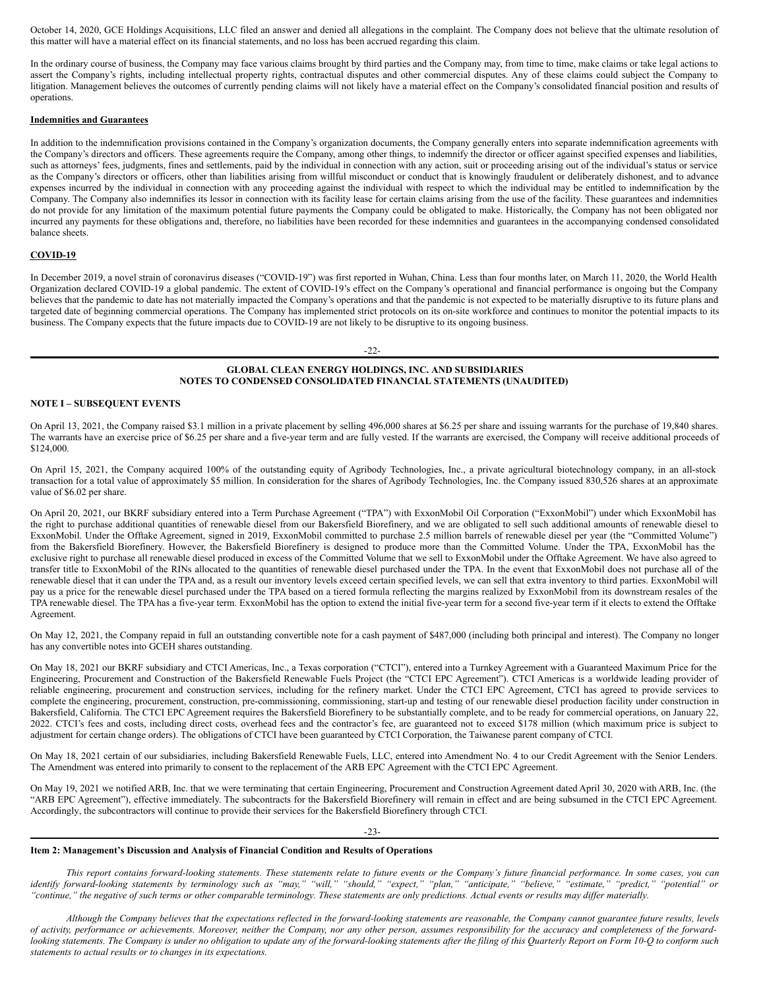October 14, 2020, GCE Holdings Acquisitions, LLC filed an answer and denied all allegations in the complaint. The Company does not believe that the ultimate resolution of this matter will have a material effect on its financial statements, and no loss has been accrued regarding this claim.

In the ordinary course of business, the Company may face various claims brought by third parties and the Company may, from time to time, make claims or take legal actions to assert the Company's rights, including intellectual property rights, contractual disputes and other commercial disputes. Any of these claims could subject the Company to litigation. Management believes the outcomes of currently pending claims will not likely have a material effect on the Company's consolidated financial position and results of operations.

#### **Indemnities and Guarantees**

In addition to the indemnification provisions contained in the Company's organization documents, the Company generally enters into separate indemnification agreements with the Company's directors and officers. These agreements require the Company, among other things, to indemnify the director or officer against specified expenses and liabilities, such as attorneys' fees, judgments, fines and settlements, paid by the individual in connection with any action, suit or proceeding arising out of the individual's status or service as the Company's directors or officers, other than liabilities arising from willful misconduct or conduct that is knowingly fraudulent or deliberately dishonest, and to advance expenses incurred by the individual in connection with any proceeding against the individual with respect to which the individual may be entitled to indemnification by the Company. The Company also indemnifies its lessor in connection with its facility lease for certain claims arising from the use of the facility. These guarantees and indemnities do not provide for any limitation of the maximum potential future payments the Company could be obligated to make. Historically, the Company has not been obligated nor incurred any payments for these obligations and, therefore, no liabilities have been recorded for these indemnities and guarantees in the accompanying condensed consolidated balance sheets.

### **COVID-19**

In December 2019, a novel strain of coronavirus diseases ("COVID-19") was first reported in Wuhan, China. Less than four months later, on March 11, 2020, the World Health Organization declared COVID-19 a global pandemic. The extent of COVID-19's effect on the Company's operational and financial performance is ongoing but the Company believes that the pandemic to date has not materially impacted the Company's operations and that the pandemic is not expected to be materially disruptive to its future plans and targeted date of beginning commercial operations. The Company has implemented strict protocols on its on-site workforce and continues to monitor the potential impacts to its business. The Company expects that the future impacts due to COVID-19 are not likely to be disruptive to its ongoing business.

-22-

### **GLOBAL CLEAN ENERGY HOLDINGS, INC. AND SUBSIDIARIES NOTES TO CONDENSED CONSOLIDATED FINANCIAL STATEMENTS (UNAUDITED)**

### **NOTE I – SUBSEQUENT EVENTS**

On April 13, 2021, the Company raised \$3.1 million in a private placement by selling 496,000 shares at \$6.25 per share and issuing warrants for the purchase of 19,840 shares. The warrants have an exercise price of \$6.25 per share and a five-year term and are fully vested. If the warrants are exercised, the Company will receive additional proceeds of \$124,000.

On April 15, 2021, the Company acquired 100% of the outstanding equity of Agribody Technologies, Inc., a private agricultural biotechnology company, in an all-stock transaction for a total value of approximately \$5 million. In consideration for the shares of Agribody Technologies, Inc. the Company issued 830,526 shares at an approximate value of \$6.02 per share.

On April 20, 2021, our BKRF subsidiary entered into a Term Purchase Agreement ("TPA") with ExxonMobil Oil Corporation ("ExxonMobil") under which ExxonMobil has the right to purchase additional quantities of renewable diesel from our Bakersfield Biorefinery, and we are obligated to sell such additional amounts of renewable diesel to ExxonMobil. Under the Offtake Agreement, signed in 2019, ExxonMobil committed to purchase 2.5 million barrels of renewable diesel per year (the "Committed Volume") from the Bakersfield Biorefinery. However, the Bakersfield Biorefinery is designed to produce more than the Committed Volume. Under the TPA, ExxonMobil has the exclusive right to purchase all renewable diesel produced in excess of the Committed Volume that we sell to ExxonMobil under the Offtake Agreement. We have also agreed to transfer title to ExxonMobil of the RINs allocated to the quantities of renewable diesel purchased under the TPA. In the event that ExxonMobil does not purchase all of the renewable diesel that it can under the TPA and, as a result our inventory levels exceed certain specified levels, we can sell that extra inventory to third parties. ExxonMobil will pay us a price for the renewable diesel purchased under the TPA based on a tiered formula reflecting the margins realized by ExxonMobil from its downstream resales of the TPA renewable diesel. The TPA has a five-year term. ExxonMobil has the option to extend the initial five-year term for a second five-year term if it elects to extend the Offtake Agreement.

On May 12, 2021, the Company repaid in full an outstanding convertible note for a cash payment of \$487,000 (including both principal and interest). The Company no longer has any convertible notes into GCEH shares outstanding.

On May 18, 2021 our BKRF subsidiary and CTCI Americas, Inc., a Texas corporation ("CTCI"), entered into a Turnkey Agreement with a Guaranteed Maximum Price for the Engineering, Procurement and Construction of the Bakersfield Renewable Fuels Project (the "CTCI EPC Agreement"). CTCI Americas is a worldwide leading provider of reliable engineering, procurement and construction services, including for the refinery market. Under the CTCI EPC Agreement, CTCI has agreed to provide services to complete the engineering, procurement, construction, pre-commissioning, commissioning, start-up and testing of our renewable diesel production facility under construction in Bakersfield, California. The CTCI EPC Agreement requires the Bakersfield Biorefinery to be substantially complete, and to be ready for commercial operations, on January 22, 2022. CTCI's fees and costs, including direct costs, overhead fees and the contractor's fee, are guaranteed not to exceed \$178 million (which maximum price is subject to adjustment for certain change orders). The obligations of CTCI have been guaranteed by CTCI Corporation, the Taiwanese parent company of CTCI.

On May 18, 2021 certain of our subsidiaries, including Bakersfield Renewable Fuels, LLC, entered into Amendment No. 4 to our Credit Agreement with the Senior Lenders. The Amendment was entered into primarily to consent to the replacement of the ARB EPC Agreement with the CTCI EPC Agreement.

On May 19, 2021 we notified ARB, Inc. that we were terminating that certain Engineering, Procurement and Construction Agreement dated April 30, 2020 with ARB, Inc. (the "ARB EPC Agreement"), effective immediately. The subcontracts for the Bakersfield Biorefinery will remain in effect and are being subsumed in the CTCI EPC Agreement. Accordingly, the subcontractors will continue to provide their services for the Bakersfield Biorefinery through CTCI.

-23-

### **Item 2: Management's Discussion and Analysis of Financial Condition and Results of Operations**

This report contains forward-looking statements. These statements relate to future events or the Company's future financial performance. In some cases, you can identify forward-looking statements by terminology such as "may," "will," "should," "expect," "plan," "anticipate," "believe," "estimate," "predict," "potential" or "continue," the negative of such terms or other comparable terminology. These statements are only predictions. Actual events or results may differ materially.

Although the Company believes that the expectations reflected in the forward-looking statements are reasonable, the Company cannot guarantee future results, levels of activity, performance or achievements. Moreover, neither the Company, nor any other person, assumes responsibility for the accuracy and completeness of the forwardlooking statements. The Company is under no obligation to update any of the forward-looking statements after the filing of this Quarterly Report on Form 10-Q to conform such *statements to actual results or to changes in its expectations.*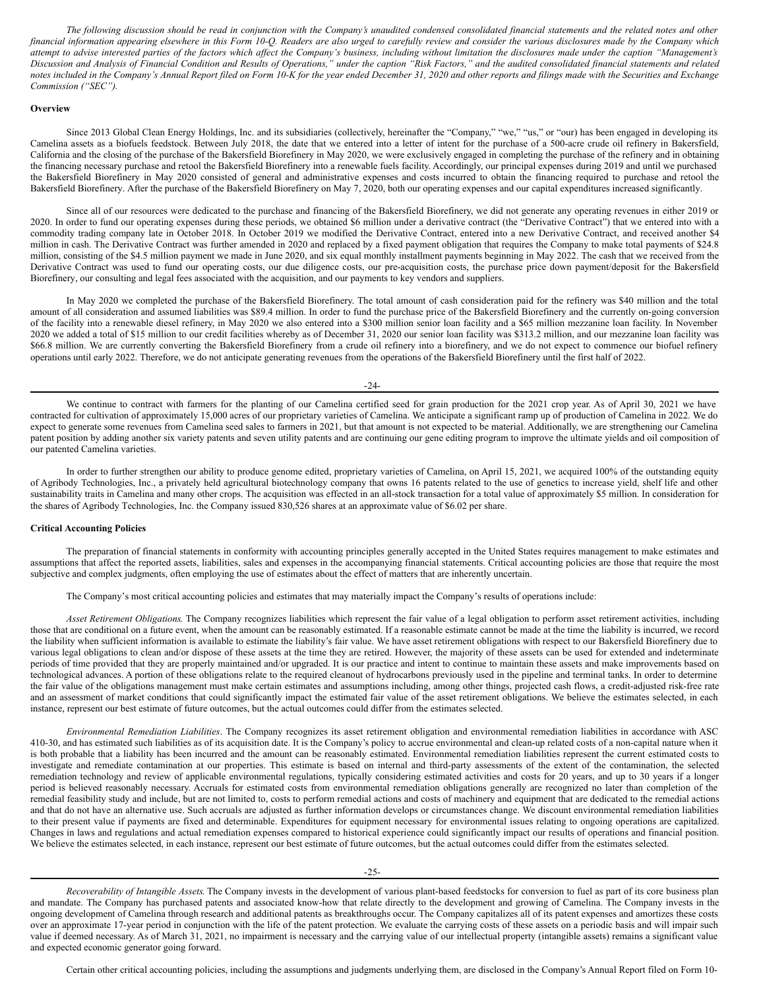The following discussion should be read in conjunction with the Company's unaudited condensed consolidated financial statements and the related notes and other financial information appearing elsewhere in this Form 10-Q. Readers are also urged to carefully review and consider the various disclosures made by the Company which attempt to advise interested parties of the factors which affect the Company's business, including without limitation the disclosures made under the caption "Management's Discussion and Analysis of Financial Condition and Results of Operations," under the caption "Risk Factors," and the audited consolidated financial statements and related notes included in the Company's Annual Report filed on Form 10-K for the year ended December 31, 2020 and other reports and filings made with the Securities and Exchange *Commission ("SEC").*

### **Overview**

Since 2013 Global Clean Energy Holdings, Inc. and its subsidiaries (collectively, hereinafter the "Company," "we," "us," or "our) has been engaged in developing its Camelina assets as a biofuels feedstock. Between July 2018, the date that we entered into a letter of intent for the purchase of a 500-acre crude oil refinery in Bakersfield, California and the closing of the purchase of the Bakersfield Biorefinery in May 2020, we were exclusively engaged in completing the purchase of the refinery and in obtaining the financing necessary purchase and retool the Bakersfield Biorefinery into a renewable fuels facility. Accordingly, our principal expenses during 2019 and until we purchased the Bakersfield Biorefinery in May 2020 consisted of general and administrative expenses and costs incurred to obtain the financing required to purchase and retool the Bakersfield Biorefinery. After the purchase of the Bakersfield Biorefinery on May 7, 2020, both our operating expenses and our capital expenditures increased significantly.

Since all of our resources were dedicated to the purchase and financing of the Bakersfield Biorefinery, we did not generate any operating revenues in either 2019 or 2020. In order to fund our operating expenses during these periods, we obtained \$6 million under a derivative contract (the "Derivative Contract") that we entered into with a commodity trading company late in October 2018. In October 2019 we modified the Derivative Contract, entered into a new Derivative Contract, and received another \$4 million in cash. The Derivative Contract was further amended in 2020 and replaced by a fixed payment obligation that requires the Company to make total payments of \$24.8 million, consisting of the \$4.5 million payment we made in June 2020, and six equal monthly installment payments beginning in May 2022. The cash that we received from the Derivative Contract was used to fund our operating costs, our due diligence costs, our pre-acquisition costs, the purchase price down payment/deposit for the Bakersfield Biorefinery, our consulting and legal fees associated with the acquisition, and our payments to key vendors and suppliers.

In May 2020 we completed the purchase of the Bakersfield Biorefinery. The total amount of cash consideration paid for the refinery was \$40 million and the total amount of all consideration and assumed liabilities was \$89.4 million. In order to fund the purchase price of the Bakersfield Biorefinery and the currently on-going conversion of the facility into a renewable diesel refinery, in May 2020 we also entered into a \$300 million senior loan facility and a \$65 million mezzanine loan facility. In November 2020 we added a total of \$15 million to our credit facilities whereby as of December 31, 2020 our senior loan facility was \$313.2 million, and our mezzanine loan facility was \$66.8 million. We are currently converting the Bakersfield Biorefinery from a crude oil refinery into a biorefinery, and we do not expect to commence our biofuel refinery operations until early 2022. Therefore, we do not anticipate generating revenues from the operations of the Bakersfield Biorefinery until the first half of 2022.

-24-

We continue to contract with farmers for the planting of our Camelina certified seed for grain production for the 2021 crop year. As of April 30, 2021 we have contracted for cultivation of approximately 15,000 acres of our proprietary varieties of Camelina. We anticipate a significant ramp up of production of Camelina in 2022. We do expect to generate some revenues from Camelina seed sales to farmers in 2021, but that amount is not expected to be material. Additionally, we are strengthening our Camelina patent position by adding another six variety patents and seven utility patents and are continuing our gene editing program to improve the ultimate yields and oil composition of our patented Camelina varieties.

In order to further strengthen our ability to produce genome edited, proprietary varieties of Camelina, on April 15, 2021, we acquired 100% of the outstanding equity of Agribody Technologies, Inc., a privately held agricultural biotechnology company that owns 16 patents related to the use of genetics to increase yield, shelf life and other sustainability traits in Camelina and many other crops. The acquisition was effected in an all-stock transaction for a total value of approximately \$5 million. In consideration for the shares of Agribody Technologies, Inc. the Company issued 830,526 shares at an approximate value of \$6.02 per share.

#### **Critical Accounting Policies**

The preparation of financial statements in conformity with accounting principles generally accepted in the United States requires management to make estimates and assumptions that affect the reported assets, liabilities, sales and expenses in the accompanying financial statements. Critical accounting policies are those that require the most subjective and complex judgments, often employing the use of estimates about the effect of matters that are inherently uncertain.

The Company's most critical accounting policies and estimates that may materially impact the Company's results of operations include:

*Asset Retirement Obligations*. The Company recognizes liabilities which represent the fair value of a legal obligation to perform asset retirement activities, including those that are conditional on a future event, when the amount can be reasonably estimated. If a reasonable estimate cannot be made at the time the liability is incurred, we record the liability when sufficient information is available to estimate the liability's fair value. We have asset retirement obligations with respect to our Bakersfield Biorefinery due to various legal obligations to clean and/or dispose of these assets at the time they are retired. However, the majority of these assets can be used for extended and indeterminate periods of time provided that they are properly maintained and/or upgraded. It is our practice and intent to continue to maintain these assets and make improvements based on technological advances. A portion of these obligations relate to the required cleanout of hydrocarbons previously used in the pipeline and terminal tanks. In order to determine the fair value of the obligations management must make certain estimates and assumptions including, among other things, projected cash flows, a credit-adjusted risk-free rate and an assessment of market conditions that could significantly impact the estimated fair value of the asset retirement obligations. We believe the estimates selected, in each instance, represent our best estimate of future outcomes, but the actual outcomes could differ from the estimates selected.

*Environmental Remediation Liabilities*. The Company recognizes its asset retirement obligation and environmental remediation liabilities in accordance with ASC 410-30, and has estimated such liabilities as of its acquisition date. It is the Company's policy to accrue environmental and clean-up related costs of a non-capital nature when it is both probable that a liability has been incurred and the amount can be reasonably estimated. Environmental remediation liabilities represent the current estimated costs to investigate and remediate contamination at our properties. This estimate is based on internal and third-party assessments of the extent of the contamination, the selected remediation technology and review of applicable environmental regulations, typically considering estimated activities and costs for 20 years, and up to 30 years if a longer period is believed reasonably necessary. Accruals for estimated costs from environmental remediation obligations generally are recognized no later than completion of the remedial feasibility study and include, but are not limited to, costs to perform remedial actions and costs of machinery and equipment that are dedicated to the remedial actions and that do not have an alternative use. Such accruals are adjusted as further information develops or circumstances change. We discount environmental remediation liabilities to their present value if payments are fixed and determinable. Expenditures for equipment necessary for environmental issues relating to ongoing operations are capitalized. Changes in laws and regulations and actual remediation expenses compared to historical experience could significantly impact our results of operations and financial position. We believe the estimates selected, in each instance, represent our best estimate of future outcomes, but the actual outcomes could differ from the estimates selected.

-25-

*Recoverability of Intangible Assets*. The Company invests in the development of various plant-based feedstocks for conversion to fuel as part of its core business plan and mandate. The Company has purchased patents and associated know-how that relate directly to the development and growing of Camelina. The Company invests in the ongoing development of Camelina through research and additional patents as breakthroughs occur. The Company capitalizes all of its patent expenses and amortizes these costs over an approximate 17-year period in conjunction with the life of the patent protection. We evaluate the carrying costs of these assets on a periodic basis and will impair such value if deemed necessary. As of March 31, 2021, no impairment is necessary and the carrying value of our intellectual property (intangible assets) remains a significant value and expected economic generator going forward.

Certain other critical accounting policies, including the assumptions and judgments underlying them, are disclosed in the Company's Annual Report filed on Form 10-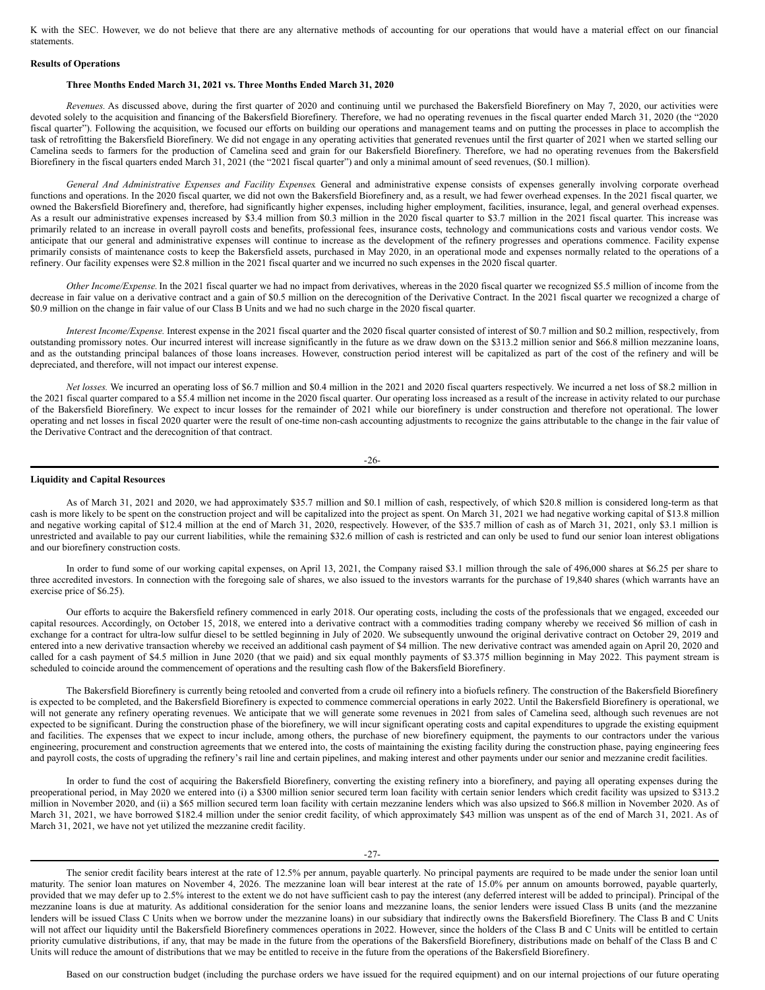K with the SEC. However, we do not believe that there are any alternative methods of accounting for our operations that would have a material effect on our financial statements.

#### **Results of Operations**

#### **Three Months Ended March 31, 2021 vs. Three Months Ended March 31, 2020**

*Revenues.* As discussed above, during the first quarter of 2020 and continuing until we purchased the Bakersfield Biorefinery on May 7, 2020, our activities were devoted solely to the acquisition and financing of the Bakersfield Biorefinery. Therefore, we had no operating revenues in the fiscal quarter ended March 31, 2020 (the "2020 fiscal quarter"). Following the acquisition, we focused our efforts on building our operations and management teams and on putting the processes in place to accomplish the task of retrofitting the Bakersfield Biorefinery. We did not engage in any operating activities that generated revenues until the first quarter of 2021 when we started selling our Camelina seeds to farmers for the production of Camelina seed and grain for our Bakersfield Biorefinery. Therefore, we had no operating revenues from the Bakersfield Biorefinery in the fiscal quarters ended March 31, 2021 (the "2021 fiscal quarter") and only a minimal amount of seed revenues, (\$0.1 million).

*General And Administrative Expenses and Facility Expenses*. General and administrative expense consists of expenses generally involving corporate overhead functions and operations. In the 2020 fiscal quarter, we did not own the Bakersfield Biorefinery and, as a result, we had fewer overhead expenses. In the 2021 fiscal quarter, we owned the Bakersfield Biorefinery and, therefore, had significantly higher expenses, including higher employment, facilities, insurance, legal, and general overhead expenses. As a result our administrative expenses increased by \$3.4 million from \$0.3 million in the 2020 fiscal quarter to \$3.7 million in the 2021 fiscal quarter. This increase was primarily related to an increase in overall payroll costs and benefits, professional fees, insurance costs, technology and communications costs and various vendor costs. We anticipate that our general and administrative expenses will continue to increase as the development of the refinery progresses and operations commence. Facility expense primarily consists of maintenance costs to keep the Bakersfield assets, purchased in May 2020, in an operational mode and expenses normally related to the operations of a refinery. Our facility expenses were \$2.8 million in the 2021 fiscal quarter and we incurred no such expenses in the 2020 fiscal quarter.

*Other Income/Expense.*In the 2021 fiscal quarter we had no impact from derivatives, whereas in the 2020 fiscal quarter we recognized \$5.5 million of income from the decrease in fair value on a derivative contract and a gain of \$0.5 million on the derecognition of the Derivative Contract. In the 2021 fiscal quarter we recognized a charge of \$0.9 million on the change in fair value of our Class B Units and we had no such charge in the 2020 fiscal quarter.

*Interest Income/Expense.* Interest expense in the 2021 fiscal quarter and the 2020 fiscal quarter consisted of interest of \$0.7 million and \$0.2 million, respectively, from outstanding promissory notes. Our incurred interest will increase significantly in the future as we draw down on the \$313.2 million senior and \$66.8 million mezzanine loans, and as the outstanding principal balances of those loans increases. However, construction period interest will be capitalized as part of the cost of the refinery and will be depreciated, and therefore, will not impact our interest expense.

*Net losses.* We incurred an operating loss of \$6.7 million and \$0.4 million in the 2021 and 2020 fiscal quarters respectively. We incurred a net loss of \$8.2 million in the 2021 fiscal quarter compared to a \$5.4 million net income in the 2020 fiscal quarter. Our operating loss increased as a result of the increase in activity related to our purchase of the Bakersfield Biorefinery. We expect to incur losses for the remainder of 2021 while our biorefinery is under construction and therefore not operational. The lower operating and net losses in fiscal 2020 quarter were the result of one-time non-cash accounting adjustments to recognize the gains attributable to the change in the fair value of the Derivative Contract and the derecognition of that contract.

| _<br>_<br>۰.<br>I<br>×<br>٧ |
|-----------------------------|
|-----------------------------|

### **Liquidity and Capital Resources**

As of March 31, 2021 and 2020, we had approximately \$35.7 million and \$0.1 million of cash, respectively, of which \$20.8 million is considered long-term as that cash is more likely to be spent on the construction project and will be capitalized into the project as spent. On March 31, 2021 we had negative working capital of \$13.8 million and negative working capital of \$12.4 million at the end of March 31, 2020, respectively. However, of the \$35.7 million of cash as of March 31, 2021, only \$3.1 million is unrestricted and available to pay our current liabilities, while the remaining \$32.6 million of cash is restricted and can only be used to fund our senior loan interest obligations and our biorefinery construction costs.

In order to fund some of our working capital expenses, on April 13, 2021, the Company raised \$3.1 million through the sale of 496,000 shares at \$6.25 per share to three accredited investors. In connection with the foregoing sale of shares, we also issued to the investors warrants for the purchase of 19,840 shares (which warrants have an exercise price of \$6.25).

Our efforts to acquire the Bakersfield refinery commenced in early 2018. Our operating costs, including the costs of the professionals that we engaged, exceeded our capital resources. Accordingly, on October 15, 2018, we entered into a derivative contract with a commodities trading company whereby we received \$6 million of cash in exchange for a contract for ultra-low sulfur diesel to be settled beginning in July of 2020. We subsequently unwound the original derivative contract on October 29, 2019 and entered into a new derivative transaction whereby we received an additional cash payment of \$4 million. The new derivative contract was amended again on April 20, 2020 and called for a cash payment of \$4.5 million in June 2020 (that we paid) and six equal monthly payments of \$3.375 million beginning in May 2022. This payment stream is scheduled to coincide around the commencement of operations and the resulting cash flow of the Bakersfield Biorefinery.

The Bakersfield Biorefinery is currently being retooled and converted from a crude oil refinery into a biofuels refinery. The construction of the Bakersfield Biorefinery is expected to be completed, and the Bakersfield Biorefinery is expected to commence commercial operations in early 2022. Until the Bakersfield Biorefinery is operational, we will not generate any refinery operating revenues. We anticipate that we will generate some revenues in 2021 from sales of Camelina seed, although such revenues are not expected to be significant. During the construction phase of the biorefinery, we will incur significant operating costs and capital expenditures to upgrade the existing equipment and facilities. The expenses that we expect to incur include, among others, the purchase of new biorefinery equipment, the payments to our contractors under the various engineering, procurement and construction agreements that we entered into, the costs of maintaining the existing facility during the construction phase, paying engineering fees and payroll costs, the costs of upgrading the refinery's rail line and certain pipelines, and making interest and other payments under our senior and mezzanine credit facilities.

In order to fund the cost of acquiring the Bakersfield Biorefinery, converting the existing refinery into a biorefinery, and paying all operating expenses during the preoperational period, in May 2020 we entered into (i) a \$300 million senior secured term loan facility with certain senior lenders which credit facility was upsized to \$313.2 million in November 2020, and (ii) a \$65 million secured term loan facility with certain mezzanine lenders which was also upsized to \$66.8 million in November 2020. As of March 31, 2021, we have borrowed \$182.4 million under the senior credit facility, of which approximately \$43 million was unspent as of the end of March 31, 2021. As of March 31, 2021, we have not yet utilized the mezzanine credit facility.

The senior credit facility bears interest at the rate of 12.5% per annum, payable quarterly. No principal payments are required to be made under the senior loan until maturity. The senior loan matures on November 4, 2026. The mezzanine loan will bear interest at the rate of 15.0% per annum on amounts borrowed, payable quarterly, provided that we may defer up to 2.5% interest to the extent we do not have sufficient cash to pay the interest (any deferred interest will be added to principal). Principal of the mezzanine loans is due at maturity. As additional consideration for the senior loans and mezzanine loans, the senior lenders were issued Class B units (and the mezzanine lenders will be issued Class C Units when we borrow under the mezzanine loans) in our subsidiary that indirectly owns the Bakersfield Biorefinery. The Class B and C Units will not affect our liquidity until the Bakersfield Biorefinery commences operations in 2022. However, since the holders of the Class B and C Units will be entitled to certain priority cumulative distributions, if any, that may be made in the future from the operations of the Bakersfield Biorefinery, distributions made on behalf of the Class B and C Units will reduce the amount of distributions that we may be entitled to receive in the future from the operations of the Bakersfield Biorefinery.

Based on our construction budget (including the purchase orders we have issued for the required equipment) and on our internal projections of our future operating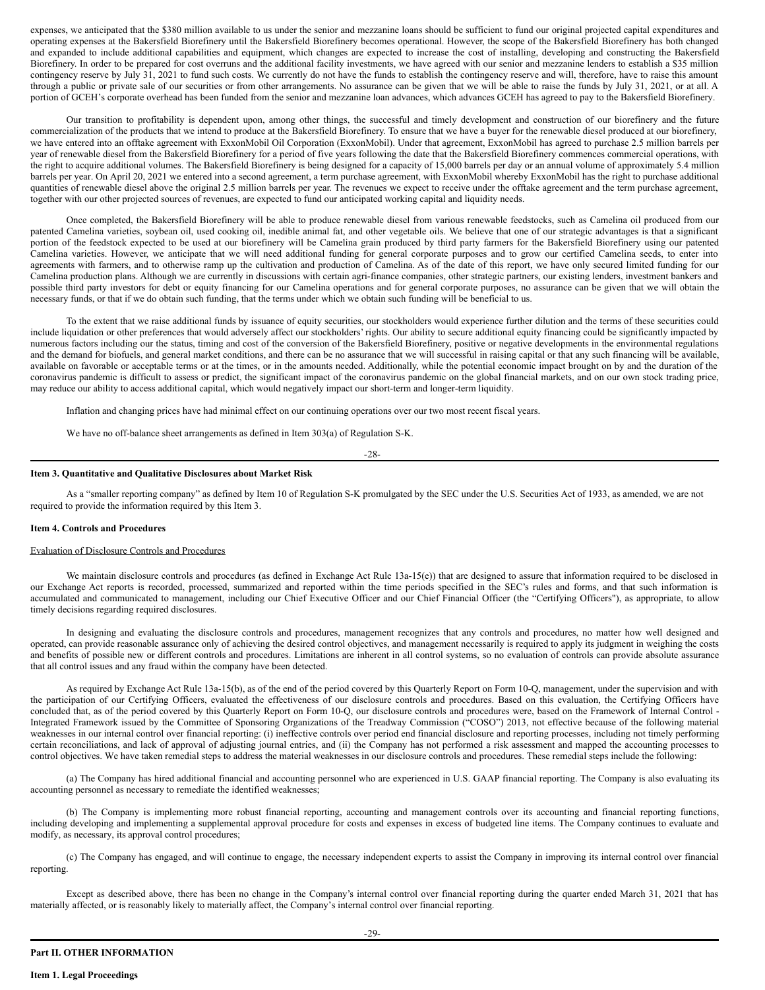expenses, we anticipated that the \$380 million available to us under the senior and mezzanine loans should be sufficient to fund our original projected capital expenditures and operating expenses at the Bakersfield Biorefinery until the Bakersfield Biorefinery becomes operational. However, the scope of the Bakersfield Biorefinery has both changed and expanded to include additional capabilities and equipment, which changes are expected to increase the cost of installing, developing and constructing the Bakersfield Biorefinery. In order to be prepared for cost overruns and the additional facility investments, we have agreed with our senior and mezzanine lenders to establish a \$35 million contingency reserve by July 31, 2021 to fund such costs. We currently do not have the funds to establish the contingency reserve and will, therefore, have to raise this amount through a public or private sale of our securities or from other arrangements. No assurance can be given that we will be able to raise the funds by July 31, 2021, or at all. A portion of GCEH's corporate overhead has been funded from the senior and mezzanine loan advances, which advances GCEH has agreed to pay to the Bakersfield Biorefinery.

Our transition to profitability is dependent upon, among other things, the successful and timely development and construction of our biorefinery and the future commercialization of the products that we intend to produce at the Bakersfield Biorefinery. To ensure that we have a buyer for the renewable diesel produced at our biorefinery, we have entered into an offtake agreement with ExxonMobil Oil Corporation (ExxonMobil). Under that agreement, ExxonMobil has agreed to purchase 2.5 million barrels per year of renewable diesel from the Bakersfield Biorefinery for a period of five years following the date that the Bakersfield Biorefinery commences commercial operations, with the right to acquire additional volumes. The Bakersfield Biorefinery is being designed for a capacity of 15,000 barrels per day or an annual volume of approximately 5.4 million barrels per year. On April 20, 2021 we entered into a second agreement, a term purchase agreement, with ExxonMobil whereby ExxonMobil has the right to purchase additional quantities of renewable diesel above the original 2.5 million barrels per year. The revenues we expect to receive under the offtake agreement and the term purchase agreement, together with our other projected sources of revenues, are expected to fund our anticipated working capital and liquidity needs.

Once completed, the Bakersfield Biorefinery will be able to produce renewable diesel from various renewable feedstocks, such as Camelina oil produced from our patented Camelina varieties, soybean oil, used cooking oil, inedible animal fat, and other vegetable oils. We believe that one of our strategic advantages is that a significant portion of the feedstock expected to be used at our biorefinery will be Camelina grain produced by third party farmers for the Bakersfield Biorefinery using our patented Camelina varieties. However, we anticipate that we will need additional funding for general corporate purposes and to grow our certified Camelina seeds, to enter into agreements with farmers, and to otherwise ramp up the cultivation and production of Camelina. As of the date of this report, we have only secured limited funding for our Camelina production plans. Although we are currently in discussions with certain agri-finance companies, other strategic partners, our existing lenders, investment bankers and possible third party investors for debt or equity financing for our Camelina operations and for general corporate purposes, no assurance can be given that we will obtain the necessary funds, or that if we do obtain such funding, that the terms under which we obtain such funding will be beneficial to us.

To the extent that we raise additional funds by issuance of equity securities, our stockholders would experience further dilution and the terms of these securities could include liquidation or other preferences that would adversely affect our stockholders' rights. Our ability to secure additional equity financing could be significantly impacted by numerous factors including our the status, timing and cost of the conversion of the Bakersfield Biorefinery, positive or negative developments in the environmental regulations and the demand for biofuels, and general market conditions, and there can be no assurance that we will successful in raising capital or that any such financing will be available, available on favorable or acceptable terms or at the times, or in the amounts needed. Additionally, while the potential economic impact brought on by and the duration of the coronavirus pandemic is difficult to assess or predict, the significant impact of the coronavirus pandemic on the global financial markets, and on our own stock trading price, may reduce our ability to access additional capital, which would negatively impact our short-term and longer-term liquidity.

Inflation and changing prices have had minimal effect on our continuing operations over our two most recent fiscal years.

We have no off-balance sheet arrangements as defined in Item 303(a) of Regulation S-K.

-28-

### **Item 3. Quantitative and Qualitative Disclosures about Market Risk**

As a "smaller reporting company" as defined by Item 10 of Regulation S-K promulgated by the SEC under the U.S. Securities Act of 1933, as amended, we are not required to provide the information required by this Item 3.

#### **Item 4. Controls and Procedures**

#### Evaluation of Disclosure Controls and Procedures

We maintain disclosure controls and procedures (as defined in Exchange Act Rule 13a-15(e)) that are designed to assure that information required to be disclosed in our Exchange Act reports is recorded, processed, summarized and reported within the time periods specified in the SEC's rules and forms, and that such information is accumulated and communicated to management, including our Chief Executive Officer and our Chief Financial Officer (the "Certifying Officers"), as appropriate, to allow timely decisions regarding required disclosures.

In designing and evaluating the disclosure controls and procedures, management recognizes that any controls and procedures, no matter how well designed and operated, can provide reasonable assurance only of achieving the desired control objectives, and management necessarily is required to apply its judgment in weighing the costs and benefits of possible new or different controls and procedures. Limitations are inherent in all control systems, so no evaluation of controls can provide absolute assurance that all control issues and any fraud within the company have been detected.

As required by Exchange Act Rule 13a-15(b), as of the end of the period covered by this Quarterly Report on Form 10-Q, management, under the supervision and with the participation of our Certifying Officers, evaluated the effectiveness of our disclosure controls and procedures. Based on this evaluation, the Certifying Officers have concluded that, as of the period covered by this Quarterly Report on Form 10-Q, our disclosure controls and procedures were, based on the Framework of Internal Control - Integrated Framework issued by the Committee of Sponsoring Organizations of the Treadway Commission ("COSO") 2013, not effective because of the following material weaknesses in our internal control over financial reporting: (i) ineffective controls over period end financial disclosure and reporting processes, including not timely performing certain reconciliations, and lack of approval of adjusting journal entries, and (ii) the Company has not performed a risk assessment and mapped the accounting processes to control objectives. We have taken remedial steps to address the material weaknesses in our disclosure controls and procedures. These remedial steps include the following:

(a) The Company has hired additional financial and accounting personnel who are experienced in U.S. GAAP financial reporting. The Company is also evaluating its accounting personnel as necessary to remediate the identified weaknesses;

(b) The Company is implementing more robust financial reporting, accounting and management controls over its accounting and financial reporting functions, including developing and implementing a supplemental approval procedure for costs and expenses in excess of budgeted line items. The Company continues to evaluate and modify, as necessary, its approval control procedures;

(c) The Company has engaged, and will continue to engage, the necessary independent experts to assist the Company in improving its internal control over financial reporting.

Except as described above, there has been no change in the Company's internal control over financial reporting during the quarter ended March 31, 2021 that has materially affected, or is reasonably likely to materially affect, the Company's internal control over financial reporting.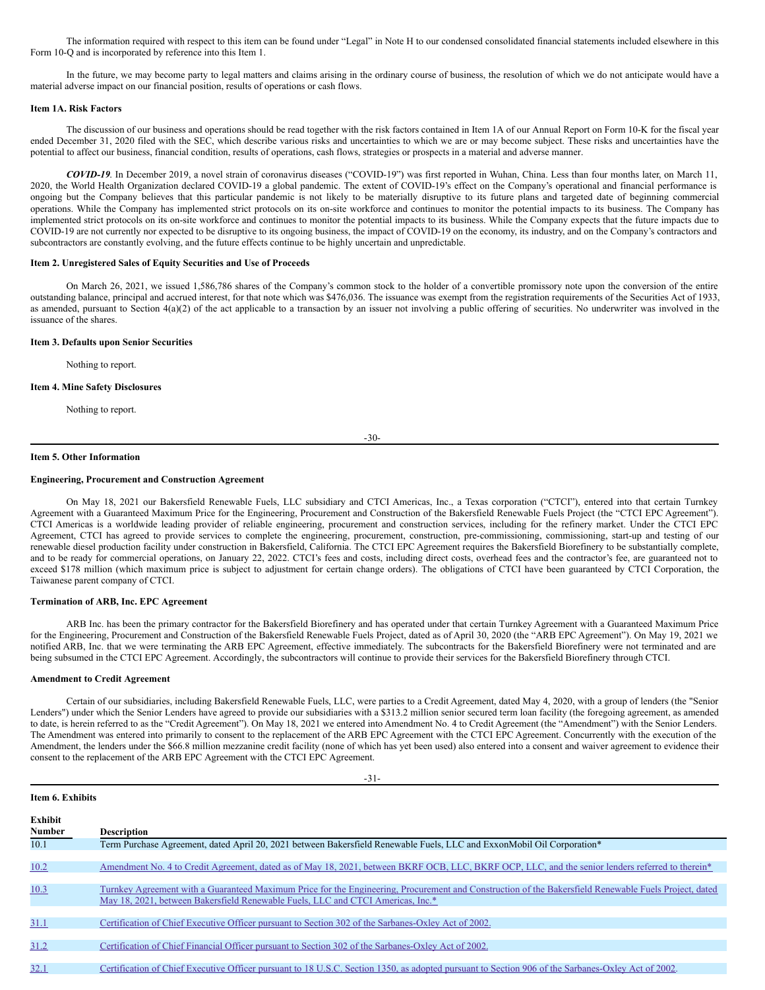The information required with respect to this item can be found under "Legal" in Note H to our condensed consolidated financial statements included elsewhere in this Form 10-Q and is incorporated by reference into this Item 1.

In the future, we may become party to legal matters and claims arising in the ordinary course of business, the resolution of which we do not anticipate would have a material adverse impact on our financial position, results of operations or cash flows.

### **Item 1A. Risk Factors**

The discussion of our business and operations should be read together with the risk factors contained in Item 1A of our Annual Report on Form 10-K for the fiscal year ended December 31, 2020 filed with the SEC, which describe various risks and uncertainties to which we are or may become subject. These risks and uncertainties have the potential to affect our business, financial condition, results of operations, cash flows, strategies or prospects in a material and adverse manner.

*COVID-19*. In December 2019, a novel strain of coronavirus diseases ("COVID-19") was first reported in Wuhan, China. Less than four months later, on March 11, 2020, the World Health Organization declared COVID-19 a global pandemic. The extent of COVID-19's effect on the Company's operational and financial performance is ongoing but the Company believes that this particular pandemic is not likely to be materially disruptive to its future plans and targeted date of beginning commercial operations. While the Company has implemented strict protocols on its on-site workforce and continues to monitor the potential impacts to its business. The Company has implemented strict protocols on its on-site workforce and continues to monitor the potential impacts to its business. While the Company expects that the future impacts due to COVID-19 are not currently nor expected to be disruptive to its ongoing business, the impact of COVID-19 on the economy, its industry, and on the Company's contractors and subcontractors are constantly evolving, and the future effects continue to be highly uncertain and unpredictable.

#### **Item 2. Unregistered Sales of Equity Securities and Use of Proceeds**

On March 26, 2021, we issued 1,586,786 shares of the Company's common stock to the holder of a convertible promissory note upon the conversion of the entire outstanding balance, principal and accrued interest, for that note which was \$476,036. The issuance was exempt from the registration requirements of the Securities Act of 1933, as amended, pursuant to Section 4(a)(2) of the act applicable to a transaction by an issuer not involving a public offering of securities. No underwriter was involved in the issuance of the shares.

#### **Item 3. Defaults upon Senior Securities**

Nothing to report.

### **Item 4. Mine Safety Disclosures**

Nothing to report.

-30-

### **Item 5. Other Information**

### **Engineering, Procurement and Construction Agreement**

On May 18, 2021 our Bakersfield Renewable Fuels, LLC subsidiary and CTCI Americas, Inc., a Texas corporation ("CTCI"), entered into that certain Turnkey Agreement with a Guaranteed Maximum Price for the Engineering, Procurement and Construction of the Bakersfield Renewable Fuels Project (the "CTCI EPC Agreement"). CTCI Americas is a worldwide leading provider of reliable engineering, procurement and construction services, including for the refinery market. Under the CTCI EPC Agreement, CTCI has agreed to provide services to complete the engineering, procurement, construction, pre-commissioning, commissioning, start-up and testing of our renewable diesel production facility under construction in Bakersfield, California. The CTCI EPC Agreement requires the Bakersfield Biorefinery to be substantially complete, and to be ready for commercial operations, on January 22, 2022. CTCI's fees and costs, including direct costs, overhead fees and the contractor's fee, are guaranteed not to exceed \$178 million (which maximum price is subject to adjustment for certain change orders). The obligations of CTCI have been guaranteed by CTCI Corporation, the Taiwanese parent company of CTCI.

### **Termination of ARB, Inc. EPC Agreement**

ARB Inc. has been the primary contractor for the Bakersfield Biorefinery and has operated under that certain Turnkey Agreement with a Guaranteed Maximum Price for the Engineering, Procurement and Construction of the Bakersfield Renewable Fuels Project, dated as of April 30, 2020 (the "ARB EPC Agreement"). On May 19, 2021 we notified ARB, Inc. that we were terminating the ARB EPC Agreement, effective immediately. The subcontracts for the Bakersfield Biorefinery were not terminated and are being subsumed in the CTCI EPC Agreement. Accordingly, the subcontractors will continue to provide their services for the Bakersfield Biorefinery through CTCI.

### **Amendment to Credit Agreement**

Certain of our subsidiaries, including Bakersfield Renewable Fuels, LLC, were parties to a Credit Agreement, dated May 4, 2020, with a group of lenders (the "Senior Lenders") under which the Senior Lenders have agreed to provide our subsidiaries with a \$313.2 million senior secured term loan facility (the foregoing agreement, as amended to date, is herein referred to as the "Credit Agreement"). On May 18, 2021 we entered into Amendment No. 4 to Credit Agreement (the "Amendment") with the Senior Lenders. The Amendment was entered into primarily to consent to the replacement of the ARB EPC Agreement with the CTCI EPC Agreement. Concurrently with the execution of the Amendment, the lenders under the \$66.8 million mezzanine credit facility (none of which has yet been used) also entered into a consent and waiver agreement to evidence their consent to the replacement of the ARB EPC Agreement with the CTCI EPC Agreement.

|                          | $-31-$                                                                                                                                                                                                                                   |
|--------------------------|------------------------------------------------------------------------------------------------------------------------------------------------------------------------------------------------------------------------------------------|
| Item 6. Exhibits         |                                                                                                                                                                                                                                          |
| Exhibit<br><b>Number</b> | <b>Description</b>                                                                                                                                                                                                                       |
| 10.1                     | Term Purchase Agreement, dated April 20, 2021 between Bakersfield Renewable Fuels, LLC and ExxonMobil Oil Corporation*                                                                                                                   |
| 10.2                     | Amendment No. 4 to Credit Agreement, dated as of May 18, 2021, between BKRF OCB, LLC, BKRF OCP, LLC, and the senior lenders referred to therein*                                                                                         |
| 10.3                     | Turnkey Agreement with a Guaranteed Maximum Price for the Engineering, Procurement and Construction of the Bakersfield Renewable Fuels Project, dated<br>May 18, 2021, between Bakersfield Renewable Fuels, LLC and CTCI Americas, Inc.* |
| 31.1                     | Certification of Chief Executive Officer pursuant to Section 302 of the Sarbanes-Oxley Act of 2002.                                                                                                                                      |
| 31.2                     | Certification of Chief Financial Officer pursuant to Section 302 of the Sarbanes-Oxley Act of 2002.                                                                                                                                      |
| 32.1                     | Certification of Chief Executive Officer pursuant to 18 U.S.C. Section 1350, as adopted pursuant to Section 906 of the Sarbanes-Oxley Act of 2002.                                                                                       |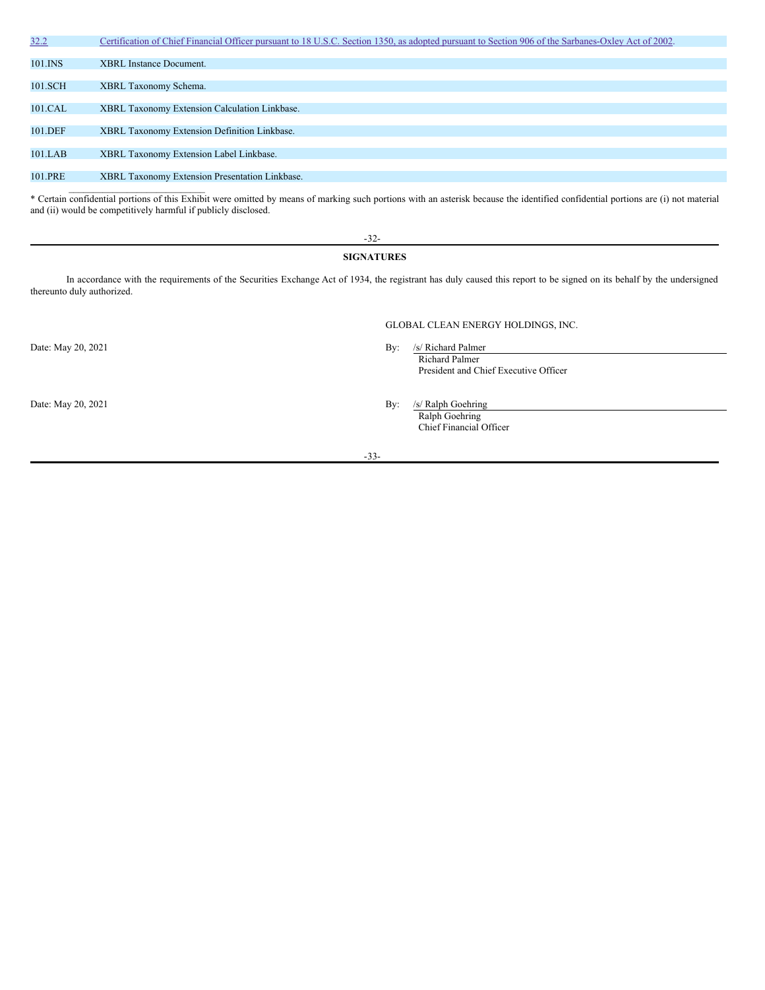| 32.2       | Certification of Chief Financial Officer pursuant to 18 U.S.C. Section 1350, as adopted pursuant to Section 906 of the Sarbanes-Oxley Act of 2002. |
|------------|----------------------------------------------------------------------------------------------------------------------------------------------------|
|            |                                                                                                                                                    |
| 101.INS    | <b>XBRL</b> Instance Document.                                                                                                                     |
|            |                                                                                                                                                    |
| 101.SCH    | XBRL Taxonomy Schema.                                                                                                                              |
|            |                                                                                                                                                    |
| 101.CAL    | XBRL Taxonomy Extension Calculation Linkbase.                                                                                                      |
|            |                                                                                                                                                    |
| 101.DEF    | XBRL Taxonomy Extension Definition Linkbase.                                                                                                       |
|            |                                                                                                                                                    |
| $101$ .LAB | XBRL Taxonomy Extension Label Linkbase.                                                                                                            |
|            |                                                                                                                                                    |
| 101.PRE    | XBRL Taxonomy Extension Presentation Linkbase.                                                                                                     |
|            |                                                                                                                                                    |

\* Certain confidential portions of this Exhibit were omitted by means of marking such portions with an asterisk because the identified confidential portions are (i) not material and (ii) would be competitively harmful if publicly disclosed.

# -32- **SIGNATURES** In accordance with the requirements of the Securities Exchange Act of 1934, the registrant has duly caused this report to be signed on its behalf by the undersigned thereunto duly authorized. GLOBAL CLEAN ENERGY HOLDINGS, INC. Date: May 20, 2021 By: /s/ Richard Palmer Richard Palmer President and Chief Executive Officer Date: May 20, 2021 By: /s/ Ralph Goehring Ralph Goehring Chief Financial Officer -33-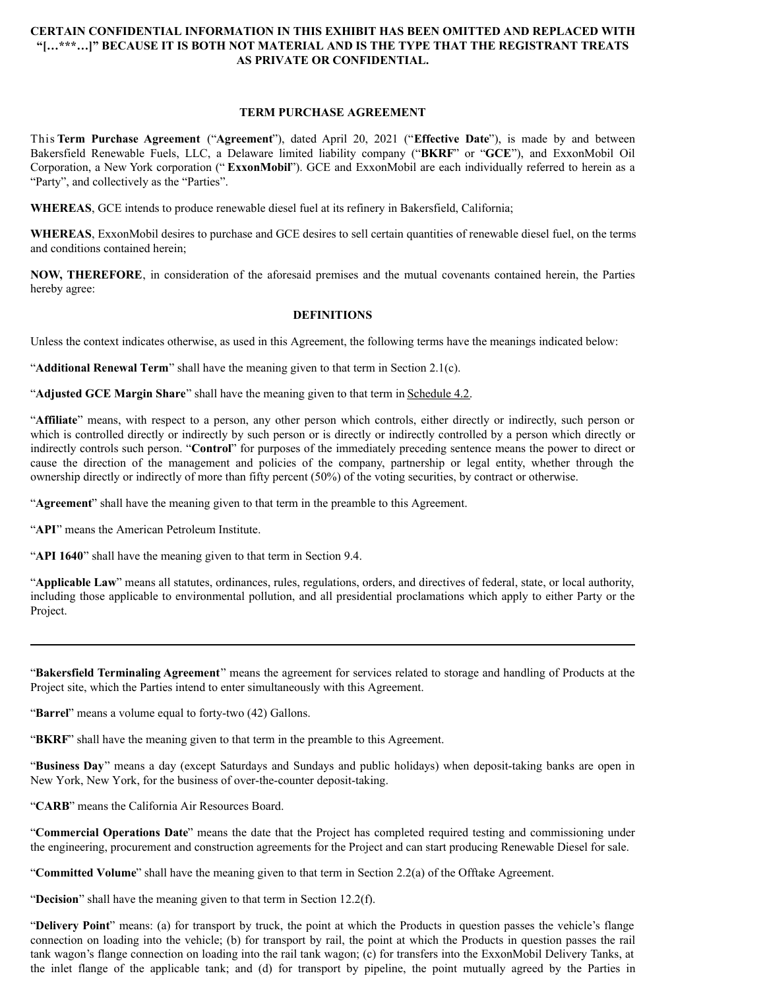# **CERTAIN CONFIDENTIAL INFORMATION IN THIS EXHIBIT HAS BEEN OMITTED AND REPLACED WITH "[…\*\*\*…]" BECAUSE IT IS BOTH NOT MATERIAL AND IS THE TYPE THAT THE REGISTRANT TREATS AS PRIVATE OR CONFIDENTIAL.**

# **TERM PURCHASE AGREEMENT**

This **Term Purchase Agreement** ("**Agreement**"), dated April 20, 2021 ("**Effective Date**"), is made by and between Bakersfield Renewable Fuels, LLC, a Delaware limited liability company ("**BKRF**" or "**GCE**"), and ExxonMobil Oil Corporation, a New York corporation (" **ExxonMobil**"). GCE and ExxonMobil are each individually referred to herein as a "Party", and collectively as the "Parties".

**WHEREAS**, GCE intends to produce renewable diesel fuel at its refinery in Bakersfield, California;

**WHEREAS**, ExxonMobil desires to purchase and GCE desires to sell certain quantities of renewable diesel fuel, on the terms and conditions contained herein;

**NOW, THEREFORE**, in consideration of the aforesaid premises and the mutual covenants contained herein, the Parties hereby agree:

# **DEFINITIONS**

Unless the context indicates otherwise, as used in this Agreement, the following terms have the meanings indicated below:

"**Additional Renewal Term**" shall have the meaning given to that term in Section 2.1(c).

"**Adjusted GCE Margin Share**" shall have the meaning given to that term in Schedule 4.2.

"**Affiliate**" means, with respect to a person, any other person which controls, either directly or indirectly, such person or which is controlled directly or indirectly by such person or is directly or indirectly controlled by a person which directly or indirectly controls such person. "**Control**" for purposes of the immediately preceding sentence means the power to direct or cause the direction of the management and policies of the company, partnership or legal entity, whether through the ownership directly or indirectly of more than fifty percent (50%) of the voting securities, by contract or otherwise.

"**Agreement**" shall have the meaning given to that term in the preamble to this Agreement.

"**API**" means the American Petroleum Institute.

"**API 1640**" shall have the meaning given to that term in Section 9.4.

"**Applicable Law**" means all statutes, ordinances, rules, regulations, orders, and directives of federal, state, or local authority, including those applicable to environmental pollution, and all presidential proclamations which apply to either Party or the Project.

"**Bakersfield Terminaling Agreement**" means the agreement for services related to storage and handling of Products at the Project site, which the Parties intend to enter simultaneously with this Agreement.

"**Barrel**" means a volume equal to forty-two (42) Gallons.

"**BKRF**" shall have the meaning given to that term in the preamble to this Agreement.

"**Business Day**" means a day (except Saturdays and Sundays and public holidays) when deposit-taking banks are open in New York, New York, for the business of over-the-counter deposit-taking.

"**CARB**" means the California Air Resources Board.

"**Commercial Operations Date**" means the date that the Project has completed required testing and commissioning under the engineering, procurement and construction agreements for the Project and can start producing Renewable Diesel for sale.

"**Committed Volume**" shall have the meaning given to that term in Section 2.2(a) of the Offtake Agreement.

"**Decision**" shall have the meaning given to that term in Section 12.2(f).

"**Delivery Point**" means: (a) for transport by truck, the point at which the Products in question passes the vehicle's flange connection on loading into the vehicle; (b) for transport by rail, the point at which the Products in question passes the rail tank wagon's flange connection on loading into the rail tank wagon; (c) for transfers into the ExxonMobil Delivery Tanks, at the inlet flange of the applicable tank; and (d) for transport by pipeline, the point mutually agreed by the Parties in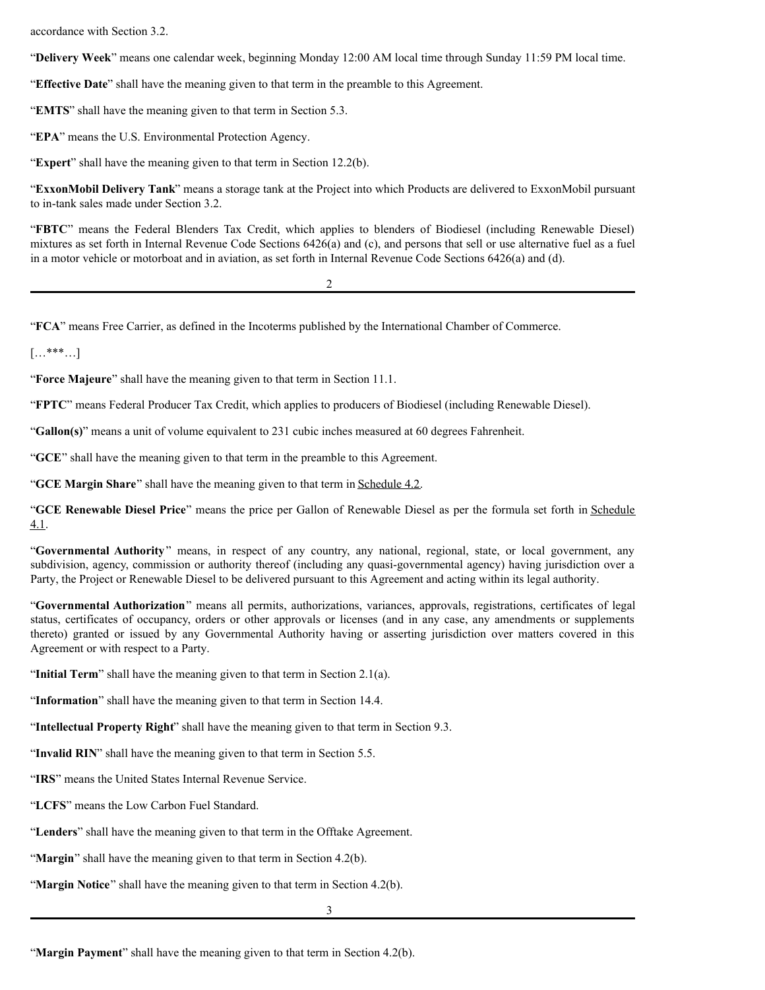accordance with Section 3.2.

"**Delivery Week**" means one calendar week, beginning Monday 12:00 AM local time through Sunday 11:59 PM local time.

"**Effective Date**" shall have the meaning given to that term in the preamble to this Agreement.

"**EMTS**" shall have the meaning given to that term in Section 5.3.

"**EPA**" means the U.S. Environmental Protection Agency.

"**Expert**" shall have the meaning given to that term in Section 12.2(b).

"**ExxonMobil Delivery Tank**" means a storage tank at the Project into which Products are delivered to ExxonMobil pursuant to in-tank sales made under Section 3.2.

"**FBTC**" means the Federal Blenders Tax Credit, which applies to blenders of Biodiesel (including Renewable Diesel) mixtures as set forth in Internal Revenue Code Sections 6426(a) and (c), and persons that sell or use alternative fuel as a fuel in a motor vehicle or motorboat and in aviation, as set forth in Internal Revenue Code Sections 6426(a) and (d).

2

"**FCA**" means Free Carrier, as defined in the Incoterms published by the International Chamber of Commerce.

[…\*\*\*…]

"**Force Majeure**" shall have the meaning given to that term in Section 11.1.

"**FPTC**" means Federal Producer Tax Credit, which applies to producers of Biodiesel (including Renewable Diesel).

"**Gallon(s)**" means a unit of volume equivalent to 231 cubic inches measured at 60 degrees Fahrenheit.

"**GCE**" shall have the meaning given to that term in the preamble to this Agreement.

"**GCE Margin Share**" shall have the meaning given to that term in Schedule 4.2.

"**GCE Renewable Diesel Price**" means the price per Gallon of Renewable Diesel as per the formula set forth in Schedule 4.1.

"**Governmental Authority**" means, in respect of any country, any national, regional, state, or local government, any subdivision, agency, commission or authority thereof (including any quasi-governmental agency) having jurisdiction over a Party, the Project or Renewable Diesel to be delivered pursuant to this Agreement and acting within its legal authority.

"**Governmental Authorization**" means all permits, authorizations, variances, approvals, registrations, certificates of legal status, certificates of occupancy, orders or other approvals or licenses (and in any case, any amendments or supplements thereto) granted or issued by any Governmental Authority having or asserting jurisdiction over matters covered in this Agreement or with respect to a Party.

"**Initial Term**" shall have the meaning given to that term in Section 2.1(a).

"**Information**" shall have the meaning given to that term in Section 14.4.

"**Intellectual Property Right**" shall have the meaning given to that term in Section 9.3.

"**Invalid RIN**" shall have the meaning given to that term in Section 5.5.

"**IRS**" means the United States Internal Revenue Service.

"**LCFS**" means the Low Carbon Fuel Standard.

"**Lenders**" shall have the meaning given to that term in the Offtake Agreement.

"Margin" shall have the meaning given to that term in Section 4.2(b).

"**Margin Notice**" shall have the meaning given to that term in Section 4.2(b).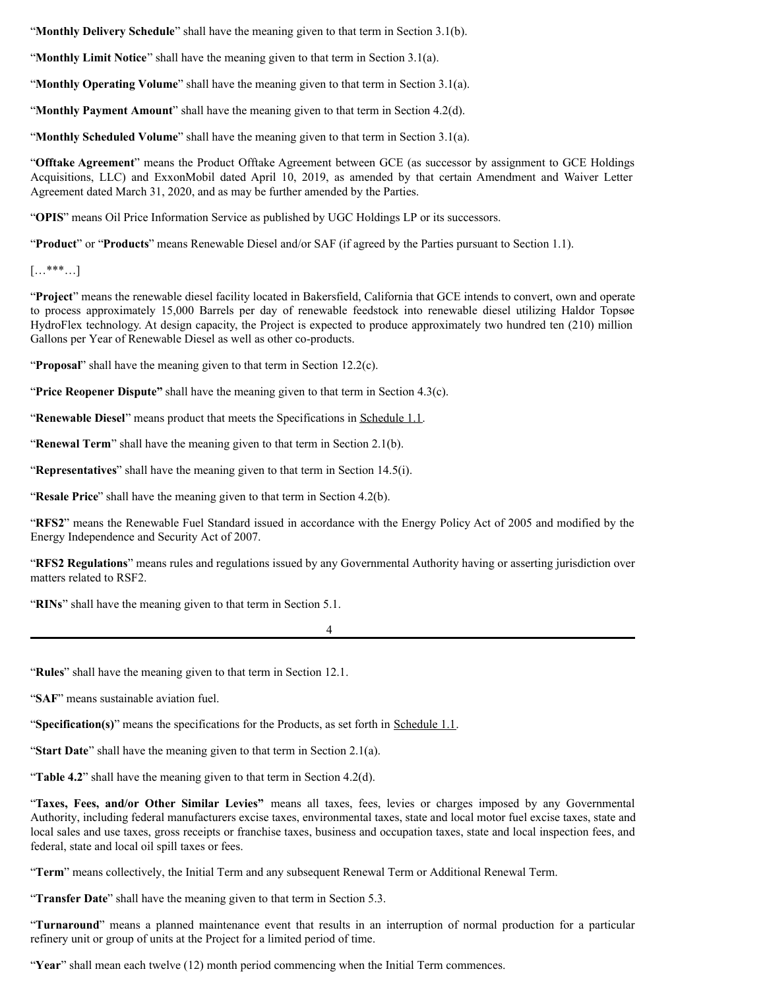"**Monthly Delivery Schedule**" shall have the meaning given to that term in Section 3.1(b).

"**Monthly Limit Notice**" shall have the meaning given to that term in Section 3.1(a).

"**Monthly Operating Volume**" shall have the meaning given to that term in Section 3.1(a).

"**Monthly Payment Amount**" shall have the meaning given to that term in Section 4.2(d).

"**Monthly Scheduled Volume**" shall have the meaning given to that term in Section 3.1(a).

"**Offtake Agreement**" means the Product Offtake Agreement between GCE (as successor by assignment to GCE Holdings Acquisitions, LLC) and ExxonMobil dated April 10, 2019, as amended by that certain Amendment and Waiver Letter Agreement dated March 31, 2020, and as may be further amended by the Parties.

"**OPIS**" means Oil Price Information Service as published by UGC Holdings LP or its successors.

"**Product**" or "**Products**" means Renewable Diesel and/or SAF (if agreed by the Parties pursuant to Section 1.1).

[…\*\*\*…]

"**Project**" means the renewable diesel facility located in Bakersfield, California that GCE intends to convert, own and operate to process approximately 15,000 Barrels per day of renewable feedstock into renewable diesel utilizing Haldor Topsøe HydroFlex technology. At design capacity, the Project is expected to produce approximately two hundred ten (210) million Gallons per Year of Renewable Diesel as well as other co-products.

"**Proposal**" shall have the meaning given to that term in Section 12.2(c).

"**Price Reopener Dispute"** shall have the meaning given to that term in Section 4.3(c).

"**Renewable Diesel**" means product that meets the Specifications in Schedule 1.1.

"**Renewal Term**" shall have the meaning given to that term in Section 2.1(b).

"**Representatives**" shall have the meaning given to that term in Section 14.5(i).

"**Resale Price**" shall have the meaning given to that term in Section 4.2(b).

"**RFS2**" means the Renewable Fuel Standard issued in accordance with the Energy Policy Act of 2005 and modified by the Energy Independence and Security Act of 2007.

"**RFS2 Regulations**" means rules and regulations issued by any Governmental Authority having or asserting jurisdiction over matters related to RSF2.

"**RINs**" shall have the meaning given to that term in Section 5.1.

4

"**Rules**" shall have the meaning given to that term in Section 12.1.

"**SAF**" means sustainable aviation fuel.

"**Specification(s)**" means the specifications for the Products, as set forth in Schedule 1.1.

"**Start Date**" shall have the meaning given to that term in Section 2.1(a).

"**Table 4.2**" shall have the meaning given to that term in Section 4.2(d).

"**Taxes, Fees, and/or Other Similar Levies"** means all taxes, fees, levies or charges imposed by any Governmental Authority, including federal manufacturers excise taxes, environmental taxes, state and local motor fuel excise taxes, state and local sales and use taxes, gross receipts or franchise taxes, business and occupation taxes, state and local inspection fees, and federal, state and local oil spill taxes or fees.

"**Term**" means collectively, the Initial Term and any subsequent Renewal Term or Additional Renewal Term.

"**Transfer Date**" shall have the meaning given to that term in Section 5.3.

"**Turnaround**" means a planned maintenance event that results in an interruption of normal production for a particular refinery unit or group of units at the Project for a limited period of time.

"**Year**" shall mean each twelve (12) month period commencing when the Initial Term commences.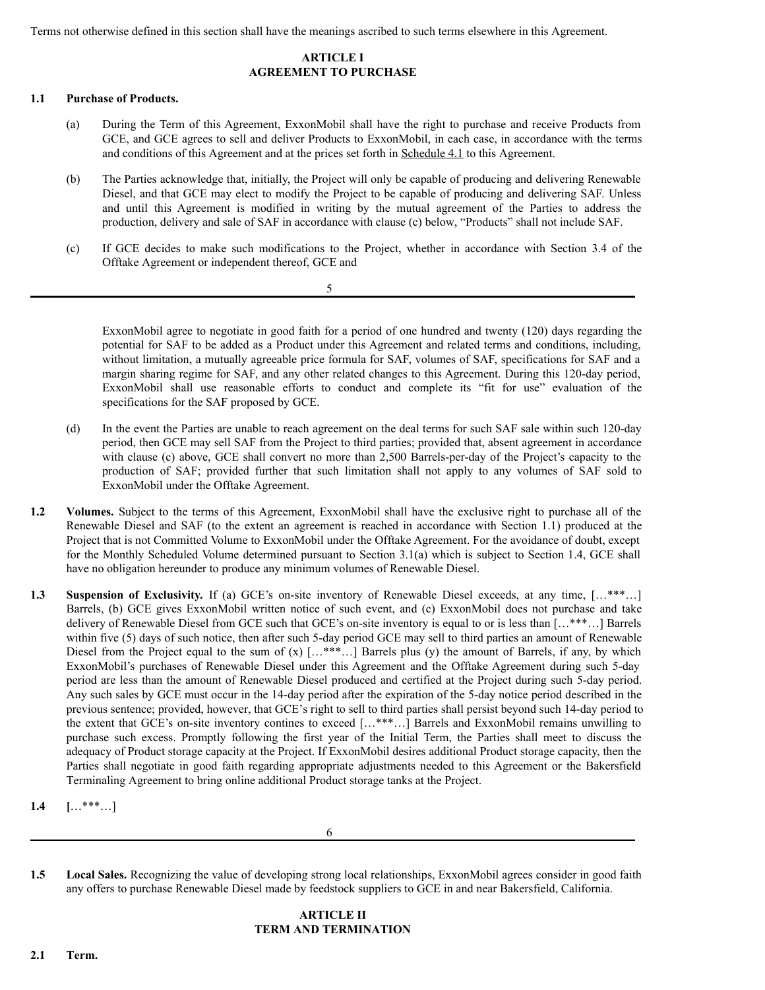Terms not otherwise defined in this section shall have the meanings ascribed to such terms elsewhere in this Agreement.

# **ARTICLE I AGREEMENT TO PURCHASE**

# **1.1 Purchase of Products.**

- (a) During the Term of this Agreement, ExxonMobil shall have the right to purchase and receive Products from GCE, and GCE agrees to sell and deliver Products to ExxonMobil, in each case, in accordance with the terms and conditions of this Agreement and at the prices set forth in Schedule 4.1 to this Agreement.
- (b) The Parties acknowledge that, initially, the Project will only be capable of producing and delivering Renewable Diesel, and that GCE may elect to modify the Project to be capable of producing and delivering SAF. Unless and until this Agreement is modified in writing by the mutual agreement of the Parties to address the production, delivery and sale of SAF in accordance with clause (c) below, "Products" shall not include SAF.
- (c) If GCE decides to make such modifications to the Project, whether in accordance with Section 3.4 of the Offtake Agreement or independent thereof, GCE and

5

ExxonMobil agree to negotiate in good faith for a period of one hundred and twenty (120) days regarding the potential for SAF to be added as a Product under this Agreement and related terms and conditions, including, without limitation, a mutually agreeable price formula for SAF, volumes of SAF, specifications for SAF and a margin sharing regime for SAF, and any other related changes to this Agreement. During this 120-day period, ExxonMobil shall use reasonable efforts to conduct and complete its "fit for use" evaluation of the specifications for the SAF proposed by GCE.

- (d) In the event the Parties are unable to reach agreement on the deal terms for such SAF sale within such 120-day period, then GCE may sell SAF from the Project to third parties; provided that, absent agreement in accordance with clause (c) above, GCE shall convert no more than 2,500 Barrels-per-day of the Project's capacity to the production of SAF; provided further that such limitation shall not apply to any volumes of SAF sold to ExxonMobil under the Offtake Agreement.
- **1.2 Volumes.** Subject to the terms of this Agreement, ExxonMobil shall have the exclusive right to purchase all of the Renewable Diesel and SAF (to the extent an agreement is reached in accordance with Section 1.1) produced at the Project that is not Committed Volume to ExxonMobil under the Offtake Agreement. For the avoidance of doubt, except for the Monthly Scheduled Volume determined pursuant to Section 3.1(a) which is subject to Section 1.4, GCE shall have no obligation hereunder to produce any minimum volumes of Renewable Diesel.
- **1.3 Suspension of Exclusivity.** If (a) GCE's on-site inventory of Renewable Diesel exceeds, at any time, […\*\*\*…] Barrels, (b) GCE gives ExxonMobil written notice of such event, and (c) ExxonMobil does not purchase and take delivery of Renewable Diesel from GCE such that GCE's on-site inventory is equal to or is less than […\*\*\*…] Barrels within five (5) days of such notice, then after such 5-day period GCE may sell to third parties an amount of Renewable Diesel from the Project equal to the sum of (x) […\*\*\*…] Barrels plus (y) the amount of Barrels, if any, by which ExxonMobil's purchases of Renewable Diesel under this Agreement and the Offtake Agreement during such 5-day period are less than the amount of Renewable Diesel produced and certified at the Project during such 5-day period. Any such sales by GCE must occur in the 14-day period after the expiration of the 5-day notice period described in the previous sentence; provided, however, that GCE's right to sell to third parties shall persist beyond such 14-day period to the extent that GCE's on-site inventory contines to exceed […\*\*\*…] Barrels and ExxonMobil remains unwilling to purchase such excess. Promptly following the first year of the Initial Term, the Parties shall meet to discuss the adequacy of Product storage capacity at the Project. If ExxonMobil desires additional Product storage capacity, then the Parties shall negotiate in good faith regarding appropriate adjustments needed to this Agreement or the Bakersfield Terminaling Agreement to bring online additional Product storage tanks at the Project.

**1.4 [**…\*\*\*…]

6

**1.5 Local Sales.** Recognizing the value of developing strong local relationships, ExxonMobil agrees consider in good faith any offers to purchase Renewable Diesel made by feedstock suppliers to GCE in and near Bakersfield, California.

# **ARTICLE II TERM AND TERMINATION**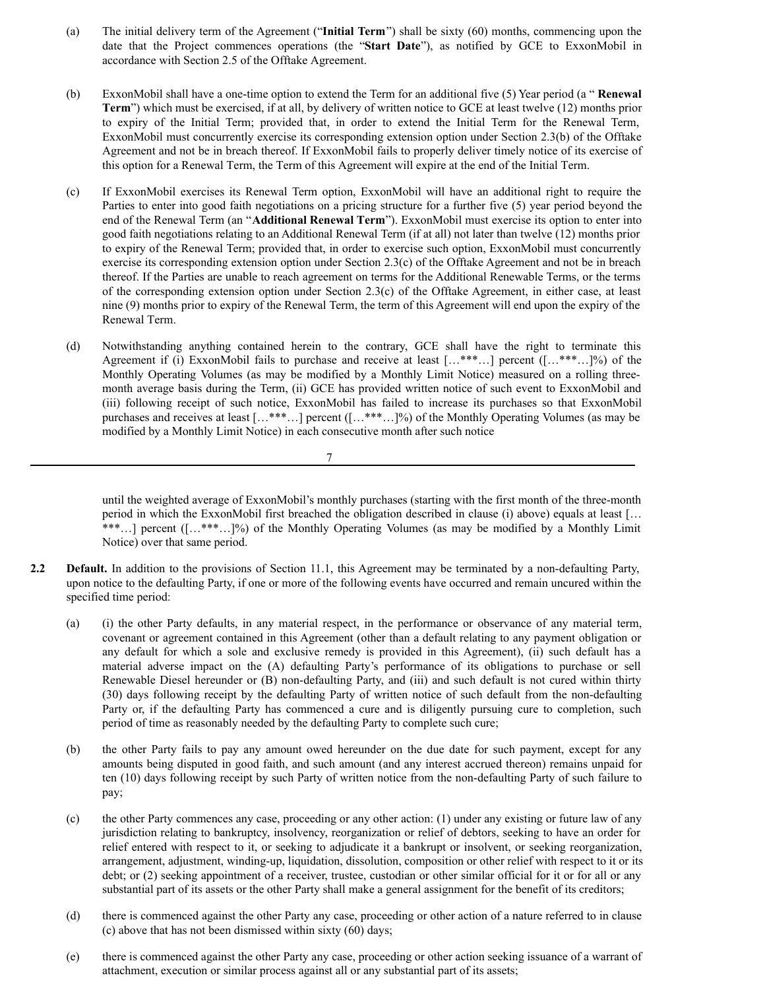- (a) The initial delivery term of the Agreement ("**Initial Term**") shall be sixty (60) months, commencing upon the date that the Project commences operations (the "**Start Date**"), as notified by GCE to ExxonMobil in accordance with Section 2.5 of the Offtake Agreement.
- (b) ExxonMobil shall have a one-time option to extend the Term for an additional five (5) Year period (a " **Renewal Term**") which must be exercised, if at all, by delivery of written notice to GCE at least twelve (12) months prior to expiry of the Initial Term; provided that, in order to extend the Initial Term for the Renewal Term, ExxonMobil must concurrently exercise its corresponding extension option under Section 2.3(b) of the Offtake Agreement and not be in breach thereof. If ExxonMobil fails to properly deliver timely notice of its exercise of this option for a Renewal Term, the Term of this Agreement will expire at the end of the Initial Term.
- (c) If ExxonMobil exercises its Renewal Term option, ExxonMobil will have an additional right to require the Parties to enter into good faith negotiations on a pricing structure for a further five (5) year period beyond the end of the Renewal Term (an "**Additional Renewal Term**"). ExxonMobil must exercise its option to enter into good faith negotiations relating to an Additional Renewal Term (if at all) not later than twelve (12) months prior to expiry of the Renewal Term; provided that, in order to exercise such option, ExxonMobil must concurrently exercise its corresponding extension option under Section 2.3(c) of the Offtake Agreement and not be in breach thereof. If the Parties are unable to reach agreement on terms for the Additional Renewable Terms, or the terms of the corresponding extension option under Section 2.3(c) of the Offtake Agreement, in either case, at least nine (9) months prior to expiry of the Renewal Term, the term of this Agreement will end upon the expiry of the Renewal Term.
- (d) Notwithstanding anything contained herein to the contrary, GCE shall have the right to terminate this Agreement if (i) ExxonMobil fails to purchase and receive at least  $[...***...]$  percent  $([...***...]$ %) of the Monthly Operating Volumes (as may be modified by a Monthly Limit Notice) measured on a rolling threemonth average basis during the Term, (ii) GCE has provided written notice of such event to ExxonMobil and (iii) following receipt of such notice, ExxonMobil has failed to increase its purchases so that ExxonMobil purchases and receives at least […\*\*\*…] percent ([…\*\*\*…]%) of the Monthly Operating Volumes (as may be modified by a Monthly Limit Notice) in each consecutive month after such notice

7

until the weighted average of ExxonMobil's monthly purchases (starting with the first month of the three-month period in which the ExxonMobil first breached the obligation described in clause (i) above) equals at least [… \*\*\*…] percent ([…\*\*\*…]%) of the Monthly Operating Volumes (as may be modified by a Monthly Limit Notice) over that same period.

- **2.2 Default.** In addition to the provisions of Section 11.1, this Agreement may be terminated by a non-defaulting Party, upon notice to the defaulting Party, if one or more of the following events have occurred and remain uncured within the specified time period:
	- (a) (i) the other Party defaults, in any material respect, in the performance or observance of any material term, covenant or agreement contained in this Agreement (other than a default relating to any payment obligation or any default for which a sole and exclusive remedy is provided in this Agreement), (ii) such default has a material adverse impact on the (A) defaulting Party's performance of its obligations to purchase or sell Renewable Diesel hereunder or (B) non-defaulting Party, and (iii) and such default is not cured within thirty (30) days following receipt by the defaulting Party of written notice of such default from the non-defaulting Party or, if the defaulting Party has commenced a cure and is diligently pursuing cure to completion, such period of time as reasonably needed by the defaulting Party to complete such cure;
	- (b) the other Party fails to pay any amount owed hereunder on the due date for such payment, except for any amounts being disputed in good faith, and such amount (and any interest accrued thereon) remains unpaid for ten (10) days following receipt by such Party of written notice from the non-defaulting Party of such failure to pay;
	- (c) the other Party commences any case, proceeding or any other action: (1) under any existing or future law of any jurisdiction relating to bankruptcy, insolvency, reorganization or relief of debtors, seeking to have an order for relief entered with respect to it, or seeking to adjudicate it a bankrupt or insolvent, or seeking reorganization, arrangement, adjustment, winding-up, liquidation, dissolution, composition or other relief with respect to it or its debt; or (2) seeking appointment of a receiver, trustee, custodian or other similar official for it or for all or any substantial part of its assets or the other Party shall make a general assignment for the benefit of its creditors;
	- (d) there is commenced against the other Party any case, proceeding or other action of a nature referred to in clause (c) above that has not been dismissed within sixty (60) days;
	- (e) there is commenced against the other Party any case, proceeding or other action seeking issuance of a warrant of attachment, execution or similar process against all or any substantial part of its assets;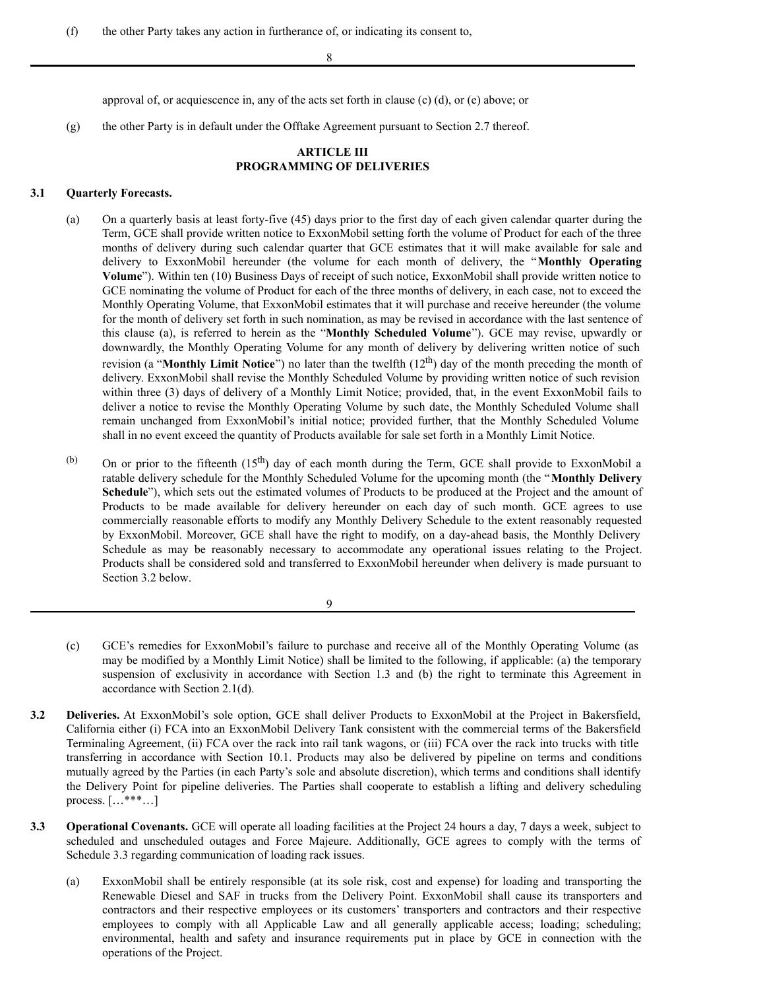8

approval of, or acquiescence in, any of the acts set forth in clause (c) (d), or (e) above; or

(g) the other Party is in default under the Offtake Agreement pursuant to Section 2.7 thereof.

# **ARTICLE III PROGRAMMING OF DELIVERIES**

# **3.1 Quarterly Forecasts.**

- (a) On a quarterly basis at least forty-five (45) days prior to the first day of each given calendar quarter during the Term, GCE shall provide written notice to ExxonMobil setting forth the volume of Product for each of the three months of delivery during such calendar quarter that GCE estimates that it will make available for sale and delivery to ExxonMobil hereunder (the volume for each month of delivery, the "**Monthly Operating Volume**"). Within ten (10) Business Days of receipt of such notice, ExxonMobil shall provide written notice to GCE nominating the volume of Product for each of the three months of delivery, in each case, not to exceed the Monthly Operating Volume, that ExxonMobil estimates that it will purchase and receive hereunder (the volume for the month of delivery set forth in such nomination, as may be revised in accordance with the last sentence of this clause (a), is referred to herein as the "**Monthly Scheduled Volume**"). GCE may revise, upwardly or downwardly, the Monthly Operating Volume for any month of delivery by delivering written notice of such revision (a "**Monthly Limit Notice**") no later than the twelfth (12<sup>th</sup>) day of the month preceding the month of delivery. ExxonMobil shall revise the Monthly Scheduled Volume by providing written notice of such revision within three (3) days of delivery of a Monthly Limit Notice; provided, that, in the event ExxonMobil fails to deliver a notice to revise the Monthly Operating Volume by such date, the Monthly Scheduled Volume shall remain unchanged from ExxonMobil's initial notice; provided further, that the Monthly Scheduled Volume shall in no event exceed the quantity of Products available for sale set forth in a Monthly Limit Notice.
- (b) On or prior to the fifteenth  $(15^{th})$  day of each month during the Term, GCE shall provide to ExxonMobil a ratable delivery schedule for the Monthly Scheduled Volume for the upcoming month (the "**Monthly Delivery Schedule**"), which sets out the estimated volumes of Products to be produced at the Project and the amount of Products to be made available for delivery hereunder on each day of such month. GCE agrees to use commercially reasonable efforts to modify any Monthly Delivery Schedule to the extent reasonably requested by ExxonMobil. Moreover, GCE shall have the right to modify, on a day-ahead basis, the Monthly Delivery Schedule as may be reasonably necessary to accommodate any operational issues relating to the Project. Products shall be considered sold and transferred to ExxonMobil hereunder when delivery is made pursuant to Section 3.2 below.

9

- (c) GCE's remedies for ExxonMobil's failure to purchase and receive all of the Monthly Operating Volume (as may be modified by a Monthly Limit Notice) shall be limited to the following, if applicable: (a) the temporary suspension of exclusivity in accordance with Section 1.3 and (b) the right to terminate this Agreement in accordance with Section 2.1(d).
- **3.2 Deliveries.** At ExxonMobil's sole option, GCE shall deliver Products to ExxonMobil at the Project in Bakersfield, California either (i) FCA into an ExxonMobil Delivery Tank consistent with the commercial terms of the Bakersfield Terminaling Agreement, (ii) FCA over the rack into rail tank wagons, or (iii) FCA over the rack into trucks with title transferring in accordance with Section 10.1. Products may also be delivered by pipeline on terms and conditions mutually agreed by the Parties (in each Party's sole and absolute discretion), which terms and conditions shall identify the Delivery Point for pipeline deliveries. The Parties shall cooperate to establish a lifting and delivery scheduling process.  $[...$ \*\*\*...]
- **3.3 Operational Covenants.** GCE will operate all loading facilities at the Project 24 hours a day, 7 days a week, subject to scheduled and unscheduled outages and Force Majeure. Additionally, GCE agrees to comply with the terms of Schedule 3.3 regarding communication of loading rack issues.
	- (a) ExxonMobil shall be entirely responsible (at its sole risk, cost and expense) for loading and transporting the Renewable Diesel and SAF in trucks from the Delivery Point. ExxonMobil shall cause its transporters and contractors and their respective employees or its customers' transporters and contractors and their respective employees to comply with all Applicable Law and all generally applicable access; loading; scheduling; environmental, health and safety and insurance requirements put in place by GCE in connection with the operations of the Project.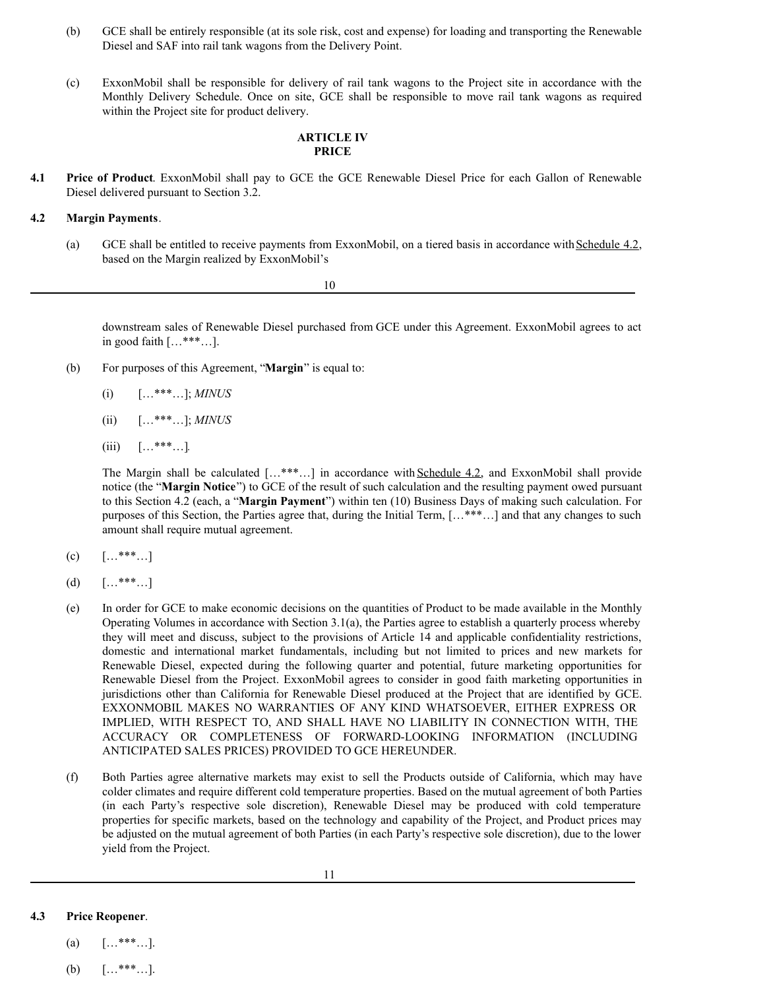- (b) GCE shall be entirely responsible (at its sole risk, cost and expense) for loading and transporting the Renewable Diesel and SAF into rail tank wagons from the Delivery Point.
- (c) ExxonMobil shall be responsible for delivery of rail tank wagons to the Project site in accordance with the Monthly Delivery Schedule. Once on site, GCE shall be responsible to move rail tank wagons as required within the Project site for product delivery.

# **ARTICLE IV PRICE**

**4.1 Price of Product**. ExxonMobil shall pay to GCE the GCE Renewable Diesel Price for each Gallon of Renewable Diesel delivered pursuant to Section 3.2.

# **4.2 Margin Payments**.

(a) GCE shall be entitled to receive payments from ExxonMobil, on a tiered basis in accordance withSchedule 4.2, based on the Margin realized by ExxonMobil's

10

downstream sales of Renewable Diesel purchased from GCE under this Agreement. ExxonMobil agrees to act in good faith […\*\*\*…].

- (b) For purposes of this Agreement, "**Margin**" is equal to:
	- $(i)$   $[...***...]$ ; *MINUS*
	- (ii) […\*\*\*…]; *MINUS*
	- (iii) […\*\*\*…]*.*

The Margin shall be calculated [...\*\*\*...] in accordance with Schedule 4.2, and ExxonMobil shall provide notice (the "**Margin Notice**") to GCE of the result of such calculation and the resulting payment owed pursuant to this Section 4.2 (each, a "**Margin Payment**") within ten (10) Business Days of making such calculation. For purposes of this Section, the Parties agree that, during the Initial Term, […\*\*\*…] and that any changes to such amount shall require mutual agreement.

- $(c)$   $[\dots$ \*\*\*...]
- (d)  $[\dots$ \*\*\*...]
- (e) In order for GCE to make economic decisions on the quantities of Product to be made available in the Monthly Operating Volumes in accordance with Section 3.1(a), the Parties agree to establish a quarterly process whereby they will meet and discuss, subject to the provisions of Article 14 and applicable confidentiality restrictions, domestic and international market fundamentals, including but not limited to prices and new markets for Renewable Diesel, expected during the following quarter and potential, future marketing opportunities for Renewable Diesel from the Project. ExxonMobil agrees to consider in good faith marketing opportunities in jurisdictions other than California for Renewable Diesel produced at the Project that are identified by GCE. EXXONMOBIL MAKES NO WARRANTIES OF ANY KIND WHATSOEVER, EITHER EXPRESS OR IMPLIED, WITH RESPECT TO, AND SHALL HAVE NO LIABILITY IN CONNECTION WITH, THE ACCURACY OR COMPLETENESS OF FORWARD-LOOKING INFORMATION (INCLUDING ANTICIPATED SALES PRICES) PROVIDED TO GCE HEREUNDER.
- (f) Both Parties agree alternative markets may exist to sell the Products outside of California, which may have colder climates and require different cold temperature properties. Based on the mutual agreement of both Parties (in each Party's respective sole discretion), Renewable Diesel may be produced with cold temperature properties for specific markets, based on the technology and capability of the Project, and Product prices may be adjusted on the mutual agreement of both Parties (in each Party's respective sole discretion), due to the lower yield from the Project.

# **4.3 Price Reopener**.

- $(a)$   $\left[ \dots \right]^{***} \dots$ ].
- (b)  $[\dots$ \*\*\*...].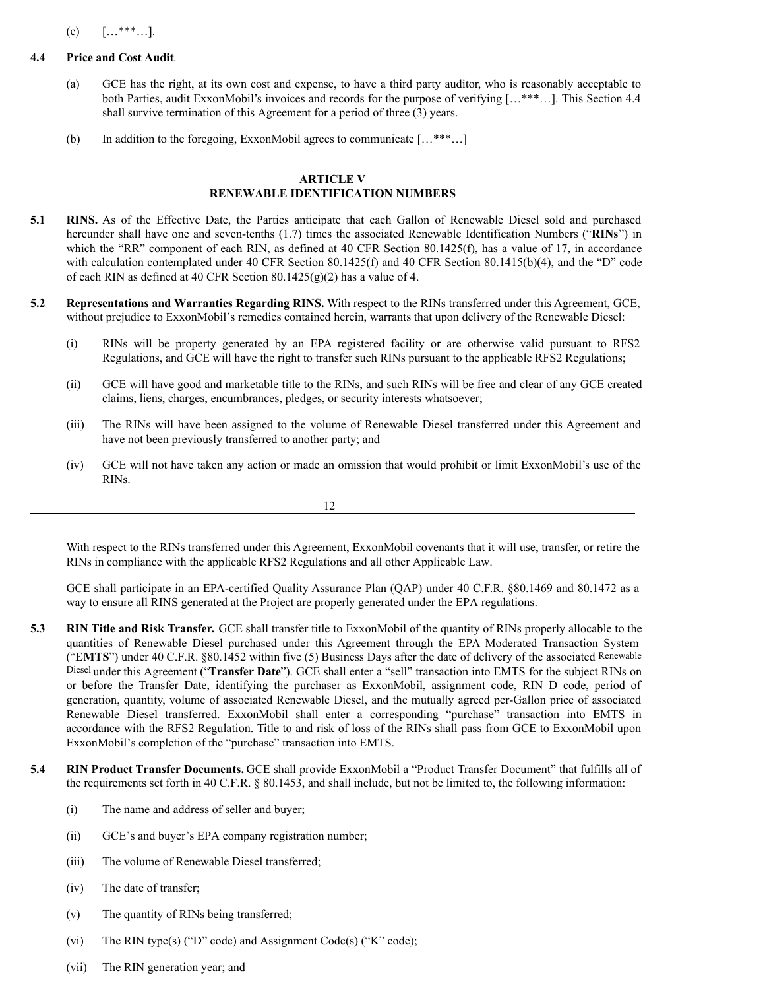$(c)$  [...\*\*\*...].

# **4.4 Price and Cost Audit**.

- (a) GCE has the right, at its own cost and expense, to have a third party auditor, who is reasonably acceptable to both Parties, audit ExxonMobil's invoices and records for the purpose of verifying […\*\*\*…]. This Section 4.4 shall survive termination of this Agreement for a period of three (3) years.
- (b) In addition to the foregoing, ExxonMobil agrees to communicate […\*\*\*…]

# **ARTICLE V RENEWABLE IDENTIFICATION NUMBERS**

- **5.1 RINS.** As of the Effective Date, the Parties anticipate that each Gallon of Renewable Diesel sold and purchased hereunder shall have one and seven-tenths (1.7) times the associated Renewable Identification Numbers ("**RINs**") in which the "RR" component of each RIN, as defined at 40 CFR Section 80.1425(f), has a value of 17, in accordance with calculation contemplated under 40 CFR Section 80.1425(f) and 40 CFR Section 80.1415(b)(4), and the "D" code of each RIN as defined at 40 CFR Section  $80.1425(g)(2)$  has a value of 4.
- **5.2 Representations and Warranties Regarding RINS.** With respect to the RINs transferred under this Agreement, GCE, without prejudice to ExxonMobil's remedies contained herein, warrants that upon delivery of the Renewable Diesel:
	- (i) RINs will be property generated by an EPA registered facility or are otherwise valid pursuant to RFS2 Regulations, and GCE will have the right to transfer such RINs pursuant to the applicable RFS2 Regulations;
	- (ii) GCE will have good and marketable title to the RINs, and such RINs will be free and clear of any GCE created claims, liens, charges, encumbrances, pledges, or security interests whatsoever;
	- (iii) The RINs will have been assigned to the volume of Renewable Diesel transferred under this Agreement and have not been previously transferred to another party; and
	- (iv) GCE will not have taken any action or made an omission that would prohibit or limit ExxonMobil's use of the RINs.

12

With respect to the RINs transferred under this Agreement, ExxonMobil covenants that it will use, transfer, or retire the RINs in compliance with the applicable RFS2 Regulations and all other Applicable Law.

GCE shall participate in an EPA-certified Quality Assurance Plan (QAP) under 40 C.F.R. §80.1469 and 80.1472 as a way to ensure all RINS generated at the Project are properly generated under the EPA regulations.

- **5.3 RIN Title and Risk Transfer.** GCE shall transfer title to ExxonMobil of the quantity of RINs properly allocable to the quantities of Renewable Diesel purchased under this Agreement through the EPA Moderated Transaction System ("**EMTS**") under 40 C.F.R. §80.1452 within five (5) Business Days after the date of delivery of the associated Renewable Diesel under this Agreement ("**Transfer Date**"). GCE shall enter a "sell" transaction into EMTS for the subject RINs on or before the Transfer Date, identifying the purchaser as ExxonMobil, assignment code, RIN D code, period of generation, quantity, volume of associated Renewable Diesel, and the mutually agreed per-Gallon price of associated Renewable Diesel transferred. ExxonMobil shall enter a corresponding "purchase" transaction into EMTS in accordance with the RFS2 Regulation. Title to and risk of loss of the RINs shall pass from GCE to ExxonMobil upon ExxonMobil's completion of the "purchase" transaction into EMTS.
- **5.4 RIN Product Transfer Documents.** GCE shall provide ExxonMobil a "Product Transfer Document" that fulfills all of the requirements set forth in 40 C.F.R. § 80.1453, and shall include, but not be limited to, the following information:
	- (i) The name and address of seller and buyer;
	- (ii) GCE's and buyer's EPA company registration number;
	- (iii) The volume of Renewable Diesel transferred;
	- (iv) The date of transfer;
	- (v) The quantity of RINs being transferred;
	- (vi) The RIN type(s) ("D" code) and Assignment Code(s) ("K" code);
	- (vii) The RIN generation year; and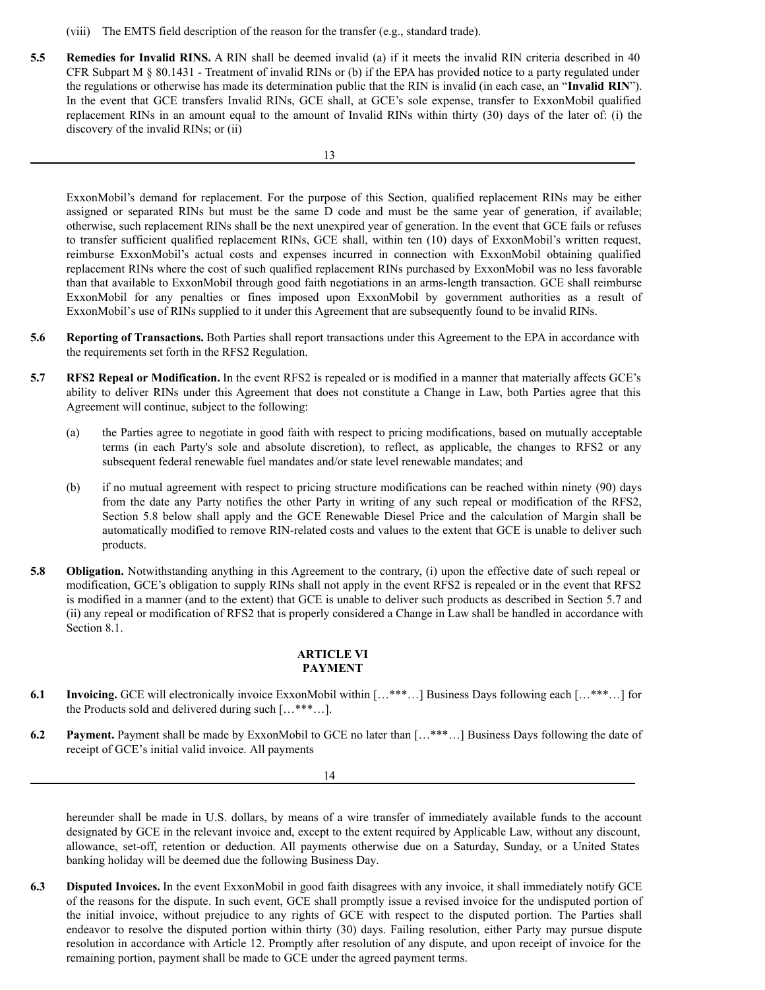- (viii) The EMTS field description of the reason for the transfer (e.g., standard trade).
- **5.5 Remedies for Invalid RINS.** A RIN shall be deemed invalid (a) if it meets the invalid RIN criteria described in 40 CFR Subpart M  $\S$  80.1431 - Treatment of invalid RINs or (b) if the EPA has provided notice to a party regulated under the regulations or otherwise has made its determination public that the RIN is invalid (in each case, an "**Invalid RIN**"). In the event that GCE transfers Invalid RINs, GCE shall, at GCE's sole expense, transfer to ExxonMobil qualified replacement RINs in an amount equal to the amount of Invalid RINs within thirty (30) days of the later of: (i) the discovery of the invalid RINs; or (ii)

13

ExxonMobil's demand for replacement. For the purpose of this Section, qualified replacement RINs may be either assigned or separated RINs but must be the same D code and must be the same year of generation, if available; otherwise, such replacement RINs shall be the next unexpired year of generation. In the event that GCE fails or refuses to transfer sufficient qualified replacement RINs, GCE shall, within ten (10) days of ExxonMobil's written request, reimburse ExxonMobil's actual costs and expenses incurred in connection with ExxonMobil obtaining qualified replacement RINs where the cost of such qualified replacement RINs purchased by ExxonMobil was no less favorable than that available to ExxonMobil through good faith negotiations in an arms-length transaction. GCE shall reimburse ExxonMobil for any penalties or fines imposed upon ExxonMobil by government authorities as a result of ExxonMobil's use of RINs supplied to it under this Agreement that are subsequently found to be invalid RINs.

- **5.6 Reporting of Transactions.** Both Parties shall report transactions under this Agreement to the EPA in accordance with the requirements set forth in the RFS2 Regulation.
- **5.7 RFS2 Repeal or Modification.** In the event RFS2 is repealed or is modified in a manner that materially affects GCE's ability to deliver RINs under this Agreement that does not constitute a Change in Law, both Parties agree that this Agreement will continue, subject to the following:
	- (a) the Parties agree to negotiate in good faith with respect to pricing modifications, based on mutually acceptable terms (in each Party's sole and absolute discretion), to reflect, as applicable, the changes to RFS2 or any subsequent federal renewable fuel mandates and/or state level renewable mandates; and
	- (b) if no mutual agreement with respect to pricing structure modifications can be reached within ninety (90) days from the date any Party notifies the other Party in writing of any such repeal or modification of the RFS2, Section 5.8 below shall apply and the GCE Renewable Diesel Price and the calculation of Margin shall be automatically modified to remove RIN-related costs and values to the extent that GCE is unable to deliver such products.
- **5.8 Obligation.** Notwithstanding anything in this Agreement to the contrary, (i) upon the effective date of such repeal or modification, GCE's obligation to supply RINs shall not apply in the event RFS2 is repealed or in the event that RFS2 is modified in a manner (and to the extent) that GCE is unable to deliver such products as described in Section 5.7 and (ii) any repeal or modification of RFS2 that is properly considered a Change in Law shall be handled in accordance with Section 8.1.

# **ARTICLE VI PAYMENT**

- **6.1 Invoicing.** GCE will electronically invoice ExxonMobil within […\*\*\*…] Business Days following each […\*\*\*…] for the Products sold and delivered during such […\*\*\*…].
- **6.2 Payment.** Payment shall be made by ExxonMobil to GCE no later than […\*\*\*…] Business Days following the date of receipt of GCE's initial valid invoice. All payments

14

hereunder shall be made in U.S. dollars, by means of a wire transfer of immediately available funds to the account designated by GCE in the relevant invoice and, except to the extent required by Applicable Law, without any discount, allowance, set-off, retention or deduction. All payments otherwise due on a Saturday, Sunday, or a United States banking holiday will be deemed due the following Business Day.

**6.3 Disputed Invoices.** In the event ExxonMobil in good faith disagrees with any invoice, it shall immediately notify GCE of the reasons for the dispute. In such event, GCE shall promptly issue a revised invoice for the undisputed portion of the initial invoice, without prejudice to any rights of GCE with respect to the disputed portion. The Parties shall endeavor to resolve the disputed portion within thirty (30) days. Failing resolution, either Party may pursue dispute resolution in accordance with Article 12. Promptly after resolution of any dispute, and upon receipt of invoice for the remaining portion, payment shall be made to GCE under the agreed payment terms.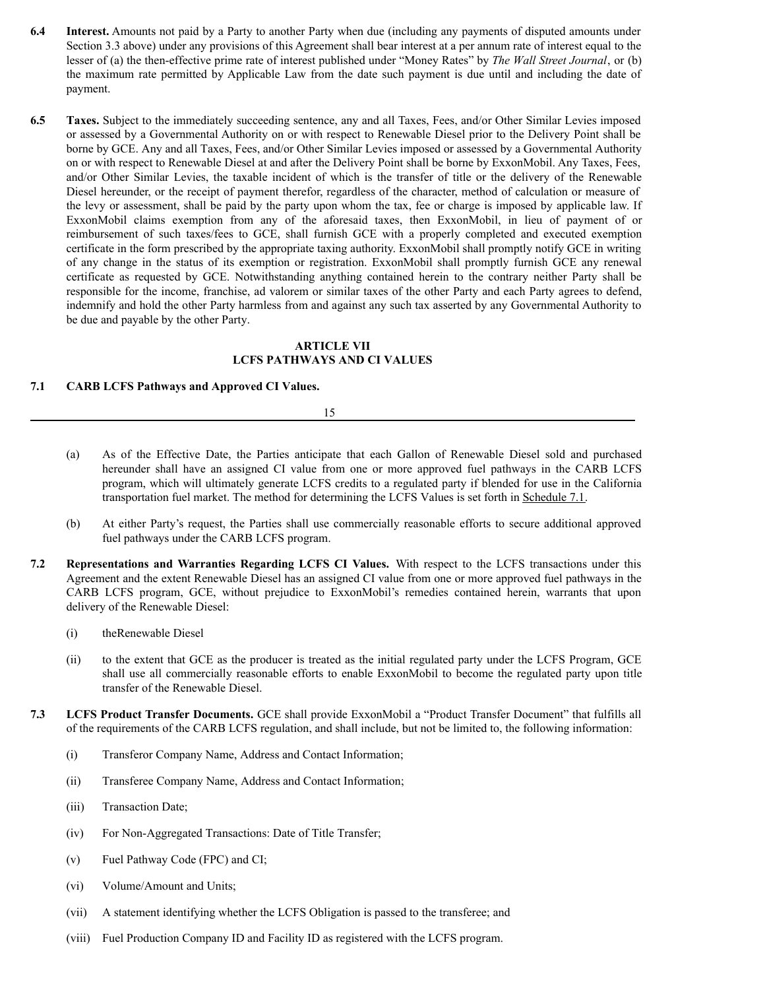- **6.4 Interest.** Amounts not paid by a Party to another Party when due (including any payments of disputed amounts under Section 3.3 above) under any provisions of this Agreement shall bear interest at a per annum rate of interest equal to the lesser of (a) the then-effective prime rate of interest published under "Money Rates" by *The Wall Street Journal*, or (b) the maximum rate permitted by Applicable Law from the date such payment is due until and including the date of payment.
- **6.5 Taxes.** Subject to the immediately succeeding sentence, any and all Taxes, Fees, and/or Other Similar Levies imposed or assessed by a Governmental Authority on or with respect to Renewable Diesel prior to the Delivery Point shall be borne by GCE. Any and all Taxes, Fees, and/or Other Similar Levies imposed or assessed by a Governmental Authority on or with respect to Renewable Diesel at and after the Delivery Point shall be borne by ExxonMobil. Any Taxes, Fees, and/or Other Similar Levies, the taxable incident of which is the transfer of title or the delivery of the Renewable Diesel hereunder, or the receipt of payment therefor, regardless of the character, method of calculation or measure of the levy or assessment, shall be paid by the party upon whom the tax, fee or charge is imposed by applicable law. If ExxonMobil claims exemption from any of the aforesaid taxes, then ExxonMobil, in lieu of payment of or reimbursement of such taxes/fees to GCE, shall furnish GCE with a properly completed and executed exemption certificate in the form prescribed by the appropriate taxing authority. ExxonMobil shall promptly notify GCE in writing of any change in the status of its exemption or registration. ExxonMobil shall promptly furnish GCE any renewal certificate as requested by GCE. Notwithstanding anything contained herein to the contrary neither Party shall be responsible for the income, franchise, ad valorem or similar taxes of the other Party and each Party agrees to defend, indemnify and hold the other Party harmless from and against any such tax asserted by any Governmental Authority to be due and payable by the other Party.

# **ARTICLE VII LCFS PATHWAYS AND CI VALUES**

# **7.1 CARB LCFS Pathways and Approved CI Values.**

15

- (a) As of the Effective Date, the Parties anticipate that each Gallon of Renewable Diesel sold and purchased hereunder shall have an assigned CI value from one or more approved fuel pathways in the CARB LCFS program, which will ultimately generate LCFS credits to a regulated party if blended for use in the California transportation fuel market. The method for determining the LCFS Values is set forth in Schedule 7.1.
- (b) At either Party's request, the Parties shall use commercially reasonable efforts to secure additional approved fuel pathways under the CARB LCFS program.
- **7.2 Representations and Warranties Regarding LCFS CI Values.** With respect to the LCFS transactions under this Agreement and the extent Renewable Diesel has an assigned CI value from one or more approved fuel pathways in the CARB LCFS program, GCE, without prejudice to ExxonMobil's remedies contained herein, warrants that upon delivery of the Renewable Diesel:
	- (i) theRenewable Diesel
	- (ii) to the extent that GCE as the producer is treated as the initial regulated party under the LCFS Program, GCE shall use all commercially reasonable efforts to enable ExxonMobil to become the regulated party upon title transfer of the Renewable Diesel.
- **7.3 LCFS Product Transfer Documents.** GCE shall provide ExxonMobil a "Product Transfer Document" that fulfills all of the requirements of the CARB LCFS regulation, and shall include, but not be limited to, the following information:
	- (i) Transferor Company Name, Address and Contact Information;
	- (ii) Transferee Company Name, Address and Contact Information;
	- (iii) Transaction Date;
	- (iv) For Non-Aggregated Transactions: Date of Title Transfer;
	- (v) Fuel Pathway Code (FPC) and CI;
	- (vi) Volume/Amount and Units;
	- (vii) A statement identifying whether the LCFS Obligation is passed to the transferee; and
	- (viii) Fuel Production Company ID and Facility ID as registered with the LCFS program.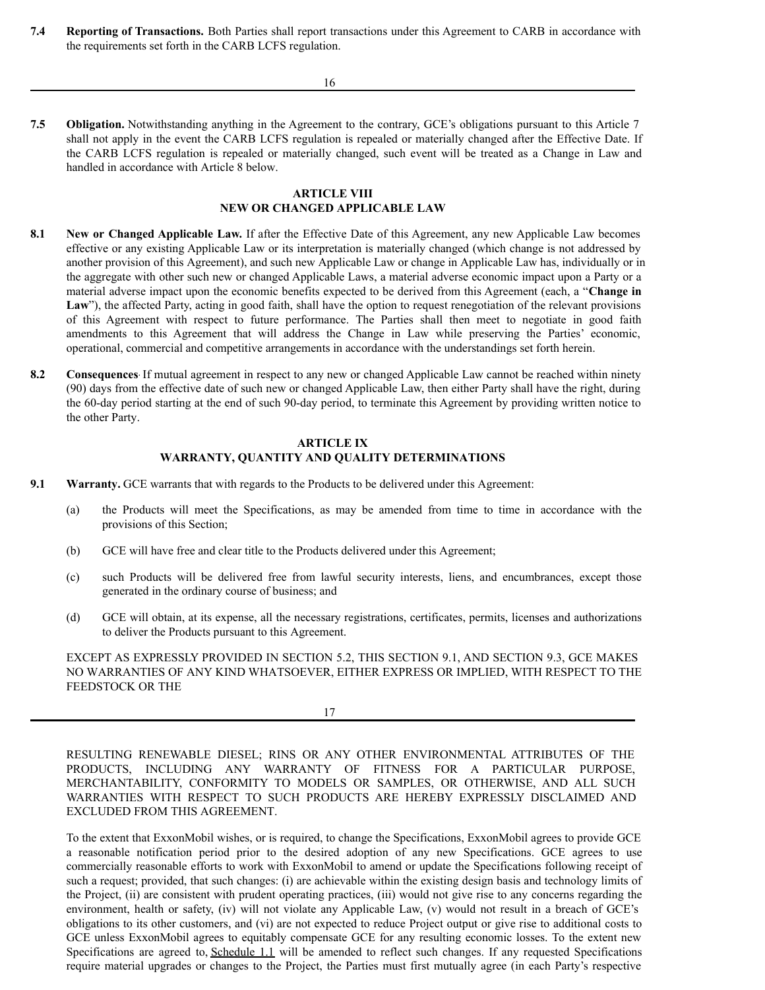**7.4 Reporting of Transactions.** Both Parties shall report transactions under this Agreement to CARB in accordance with the requirements set forth in the CARB LCFS regulation.

16

**7.5 Obligation.** Notwithstanding anything in the Agreement to the contrary, GCE's obligations pursuant to this Article 7 shall not apply in the event the CARB LCFS regulation is repealed or materially changed after the Effective Date. If the CARB LCFS regulation is repealed or materially changed, such event will be treated as a Change in Law and handled in accordance with Article 8 below.

# **ARTICLE VIII NEW OR CHANGED APPLICABLE LAW**

- **8.1 New or Changed Applicable Law.** If after the Effective Date of this Agreement, any new Applicable Law becomes effective or any existing Applicable Law or its interpretation is materially changed (which change is not addressed by another provision of this Agreement), and such new Applicable Law or change in Applicable Law has, individually or in the aggregate with other such new or changed Applicable Laws, a material adverse economic impact upon a Party or a material adverse impact upon the economic benefits expected to be derived from this Agreement (each, a "**Change in** Law"), the affected Party, acting in good faith, shall have the option to request renegotiation of the relevant provisions of this Agreement with respect to future performance. The Parties shall then meet to negotiate in good faith amendments to this Agreement that will address the Change in Law while preserving the Parties' economic, operational, commercial and competitive arrangements in accordance with the understandings set forth herein.
- **8.2 Consequences**. If mutual agreement in respect to any new or changed Applicable Law cannot be reached within ninety (90) days from the effective date of such new or changed Applicable Law, then either Party shall have the right, during the 60-day period starting at the end of such 90-day period, to terminate this Agreement by providing written notice to the other Party.

# **ARTICLE IX WARRANTY, QUANTITY AND QUALITY DETERMINATIONS**

- **9.1 Warranty.** GCE warrants that with regards to the Products to be delivered under this Agreement:
	- (a) the Products will meet the Specifications, as may be amended from time to time in accordance with the provisions of this Section;
	- (b) GCE will have free and clear title to the Products delivered under this Agreement;
	- (c) such Products will be delivered free from lawful security interests, liens, and encumbrances, except those generated in the ordinary course of business; and
	- (d) GCE will obtain, at its expense, all the necessary registrations, certificates, permits, licenses and authorizations to deliver the Products pursuant to this Agreement.

EXCEPT AS EXPRESSLY PROVIDED IN SECTION 5.2, THIS SECTION 9.1, AND SECTION 9.3, GCE MAKES NO WARRANTIES OF ANY KIND WHATSOEVER, EITHER EXPRESS OR IMPLIED, WITH RESPECT TO THE FEEDSTOCK OR THE

17

RESULTING RENEWABLE DIESEL; RINS OR ANY OTHER ENVIRONMENTAL ATTRIBUTES OF THE PRODUCTS, INCLUDING ANY WARRANTY OF FITNESS FOR A PARTICULAR PURPOSE, MERCHANTABILITY, CONFORMITY TO MODELS OR SAMPLES, OR OTHERWISE, AND ALL SUCH WARRANTIES WITH RESPECT TO SUCH PRODUCTS ARE HEREBY EXPRESSLY DISCLAIMED AND EXCLUDED FROM THIS AGREEMENT.

To the extent that ExxonMobil wishes, or is required, to change the Specifications, ExxonMobil agrees to provide GCE a reasonable notification period prior to the desired adoption of any new Specifications. GCE agrees to use commercially reasonable efforts to work with ExxonMobil to amend or update the Specifications following receipt of such a request; provided, that such changes: (i) are achievable within the existing design basis and technology limits of the Project, (ii) are consistent with prudent operating practices, (iii) would not give rise to any concerns regarding the environment, health or safety, (iv) will not violate any Applicable Law, (v) would not result in a breach of GCE's obligations to its other customers, and (vi) are not expected to reduce Project output or give rise to additional costs to GCE unless ExxonMobil agrees to equitably compensate GCE for any resulting economic losses. To the extent new Specifications are agreed to, Schedule 1.1 will be amended to reflect such changes. If any requested Specifications require material upgrades or changes to the Project, the Parties must first mutually agree (in each Party's respective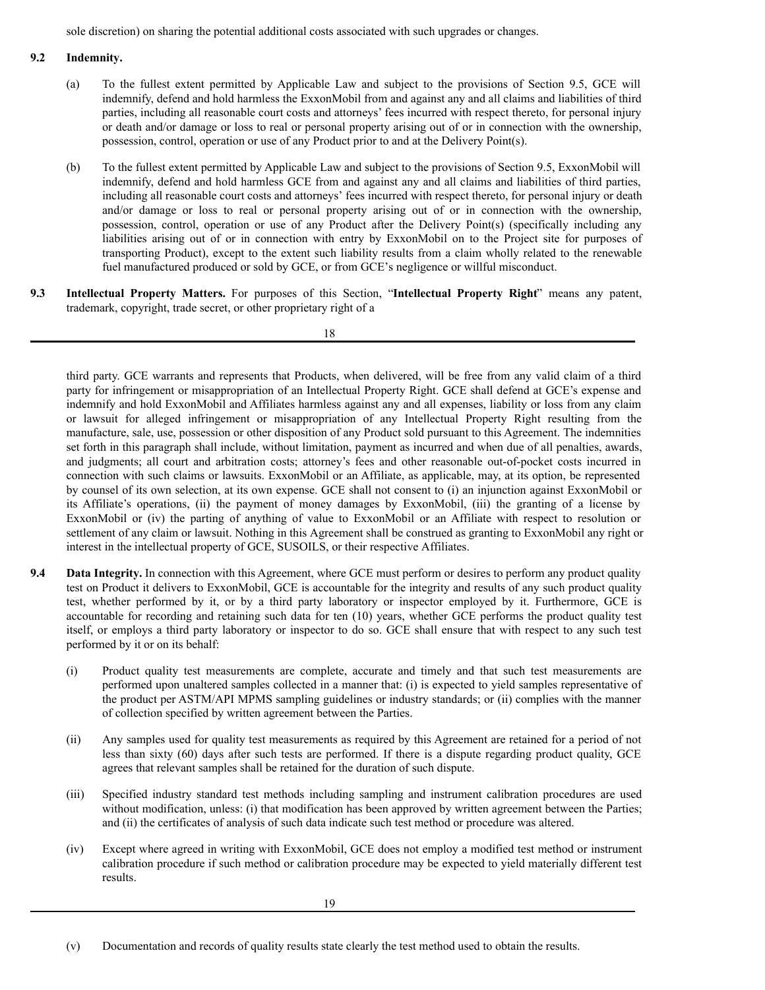sole discretion) on sharing the potential additional costs associated with such upgrades or changes.

# **9.2 Indemnity.**

- (a) To the fullest extent permitted by Applicable Law and subject to the provisions of Section 9.5, GCE will indemnify, defend and hold harmless the ExxonMobil from and against any and all claims and liabilities of third parties, including all reasonable court costs and attorneys' fees incurred with respect thereto, for personal injury or death and/or damage or loss to real or personal property arising out of or in connection with the ownership, possession, control, operation or use of any Product prior to and at the Delivery Point(s).
- (b) To the fullest extent permitted by Applicable Law and subject to the provisions of Section 9.5, ExxonMobil will indemnify, defend and hold harmless GCE from and against any and all claims and liabilities of third parties, including all reasonable court costs and attorneys' fees incurred with respect thereto, for personal injury or death and/or damage or loss to real or personal property arising out of or in connection with the ownership, possession, control, operation or use of any Product after the Delivery Point(s) (specifically including any liabilities arising out of or in connection with entry by ExxonMobil on to the Project site for purposes of transporting Product), except to the extent such liability results from a claim wholly related to the renewable fuel manufactured produced or sold by GCE, or from GCE's negligence or willful misconduct.
- **9.3 Intellectual Property Matters.** For purposes of this Section, "**Intellectual Property Right**" means any patent, trademark, copyright, trade secret, or other proprietary right of a

18

third party. GCE warrants and represents that Products, when delivered, will be free from any valid claim of a third party for infringement or misappropriation of an Intellectual Property Right. GCE shall defend at GCE's expense and indemnify and hold ExxonMobil and Affiliates harmless against any and all expenses, liability or loss from any claim or lawsuit for alleged infringement or misappropriation of any Intellectual Property Right resulting from the manufacture, sale, use, possession or other disposition of any Product sold pursuant to this Agreement. The indemnities set forth in this paragraph shall include, without limitation, payment as incurred and when due of all penalties, awards, and judgments; all court and arbitration costs; attorney's fees and other reasonable out-of-pocket costs incurred in connection with such claims or lawsuits. ExxonMobil or an Affiliate, as applicable, may, at its option, be represented by counsel of its own selection, at its own expense. GCE shall not consent to (i) an injunction against ExxonMobil or its Affiliate's operations, (ii) the payment of money damages by ExxonMobil, (iii) the granting of a license by ExxonMobil or (iv) the parting of anything of value to ExxonMobil or an Affiliate with respect to resolution or settlement of any claim or lawsuit. Nothing in this Agreement shall be construed as granting to ExxonMobil any right or interest in the intellectual property of GCE, SUSOILS, or their respective Affiliates.

- **9.4 Data Integrity.** In connection with this Agreement, where GCE must perform or desires to perform any product quality test on Product it delivers to ExxonMobil, GCE is accountable for the integrity and results of any such product quality test, whether performed by it, or by a third party laboratory or inspector employed by it. Furthermore, GCE is accountable for recording and retaining such data for ten (10) years, whether GCE performs the product quality test itself, or employs a third party laboratory or inspector to do so. GCE shall ensure that with respect to any such test performed by it or on its behalf:
	- (i) Product quality test measurements are complete, accurate and timely and that such test measurements are performed upon unaltered samples collected in a manner that: (i) is expected to yield samples representative of the product per ASTM/API MPMS sampling guidelines or industry standards; or (ii) complies with the manner of collection specified by written agreement between the Parties.
	- (ii) Any samples used for quality test measurements as required by this Agreement are retained for a period of not less than sixty (60) days after such tests are performed. If there is a dispute regarding product quality, GCE agrees that relevant samples shall be retained for the duration of such dispute.
	- (iii) Specified industry standard test methods including sampling and instrument calibration procedures are used without modification, unless: (i) that modification has been approved by written agreement between the Parties; and (ii) the certificates of analysis of such data indicate such test method or procedure was altered.
	- (iv) Except where agreed in writing with ExxonMobil, GCE does not employ a modified test method or instrument calibration procedure if such method or calibration procedure may be expected to yield materially different test results.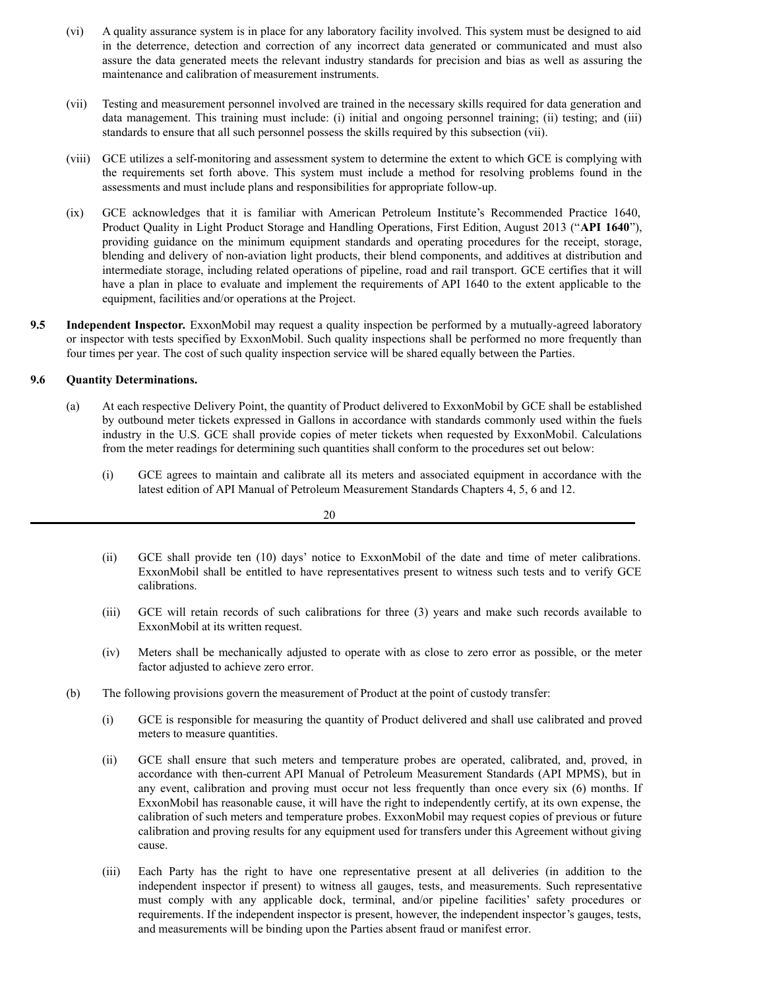- (vi) A quality assurance system is in place for any laboratory facility involved. This system must be designed to aid in the deterrence, detection and correction of any incorrect data generated or communicated and must also assure the data generated meets the relevant industry standards for precision and bias as well as assuring the maintenance and calibration of measurement instruments.
- (vii) Testing and measurement personnel involved are trained in the necessary skills required for data generation and data management. This training must include: (i) initial and ongoing personnel training; (ii) testing; and (iii) standards to ensure that all such personnel possess the skills required by this subsection (vii).
- (viii) GCE utilizes a self-monitoring and assessment system to determine the extent to which GCE is complying with the requirements set forth above. This system must include a method for resolving problems found in the assessments and must include plans and responsibilities for appropriate follow-up.
- (ix) GCE acknowledges that it is familiar with American Petroleum Institute's Recommended Practice 1640, Product Quality in Light Product Storage and Handling Operations, First Edition, August 2013 ("**API 1640**"), providing guidance on the minimum equipment standards and operating procedures for the receipt, storage, blending and delivery of non-aviation light products, their blend components, and additives at distribution and intermediate storage, including related operations of pipeline, road and rail transport. GCE certifies that it will have a plan in place to evaluate and implement the requirements of API 1640 to the extent applicable to the equipment, facilities and/or operations at the Project.
- **9.5 Independent Inspector.** ExxonMobil may request a quality inspection be performed by a mutually-agreed laboratory or inspector with tests specified by ExxonMobil. Such quality inspections shall be performed no more frequently than four times per year. The cost of such quality inspection service will be shared equally between the Parties.

# **9.6 Quantity Determinations.**

- (a) At each respective Delivery Point, the quantity of Product delivered to ExxonMobil by GCE shall be established by outbound meter tickets expressed in Gallons in accordance with standards commonly used within the fuels industry in the U.S. GCE shall provide copies of meter tickets when requested by ExxonMobil. Calculations from the meter readings for determining such quantities shall conform to the procedures set out below:
	- (i) GCE agrees to maintain and calibrate all its meters and associated equipment in accordance with the latest edition of API Manual of Petroleum Measurement Standards Chapters 4, 5, 6 and 12.

$$
20\quad
$$

- (ii) GCE shall provide ten (10) days' notice to ExxonMobil of the date and time of meter calibrations. ExxonMobil shall be entitled to have representatives present to witness such tests and to verify GCE calibrations.
- (iii) GCE will retain records of such calibrations for three (3) years and make such records available to ExxonMobil at its written request.
- (iv) Meters shall be mechanically adjusted to operate with as close to zero error as possible, or the meter factor adjusted to achieve zero error.
- (b) The following provisions govern the measurement of Product at the point of custody transfer:
	- (i) GCE is responsible for measuring the quantity of Product delivered and shall use calibrated and proved meters to measure quantities.
	- (ii) GCE shall ensure that such meters and temperature probes are operated, calibrated, and, proved, in accordance with then-current API Manual of Petroleum Measurement Standards (API MPMS), but in any event, calibration and proving must occur not less frequently than once every six (6) months. If ExxonMobil has reasonable cause, it will have the right to independently certify, at its own expense, the calibration of such meters and temperature probes. ExxonMobil may request copies of previous or future calibration and proving results for any equipment used for transfers under this Agreement without giving cause.
	- (iii) Each Party has the right to have one representative present at all deliveries (in addition to the independent inspector if present) to witness all gauges, tests, and measurements. Such representative must comply with any applicable dock, terminal, and/or pipeline facilities' safety procedures or requirements. If the independent inspector is present, however, the independent inspector's gauges, tests, and measurements will be binding upon the Parties absent fraud or manifest error.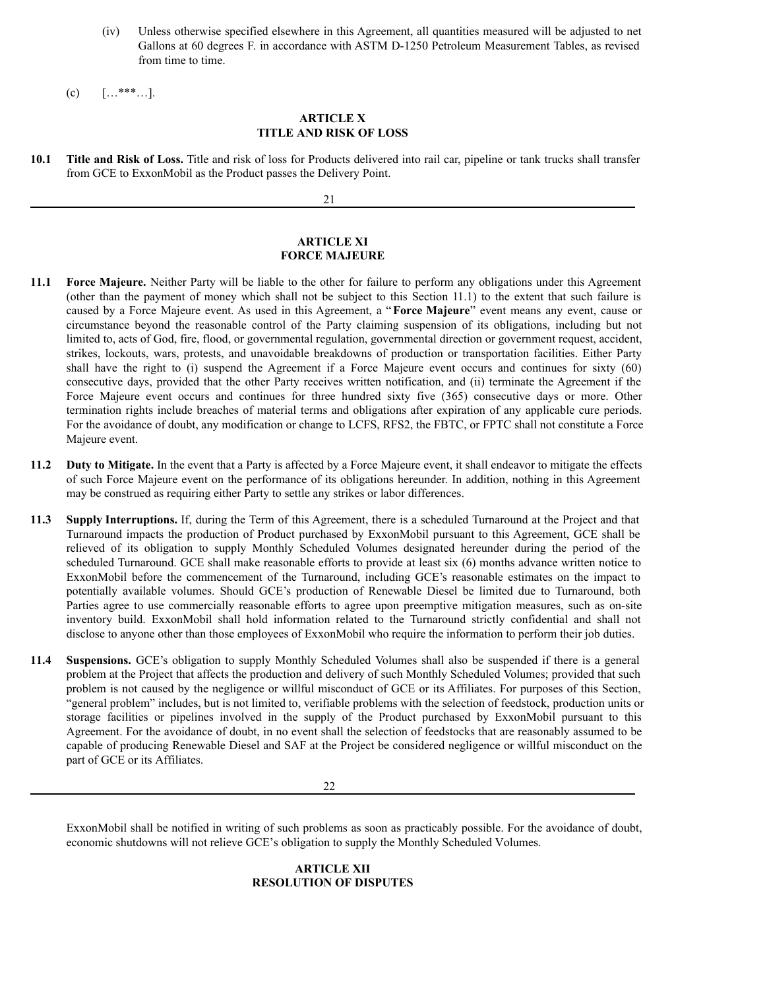- (iv) Unless otherwise specified elsewhere in this Agreement, all quantities measured will be adjusted to net Gallons at 60 degrees F. in accordance with ASTM D-1250 Petroleum Measurement Tables, as revised from time to time.
- $(c)$   $[\dots$  \*\*\*...].

# **ARTICLE X TITLE AND RISK OF LOSS**

**10.1 Title and Risk of Loss.** Title and risk of loss for Products delivered into rail car, pipeline or tank trucks shall transfer from GCE to ExxonMobil as the Product passes the Delivery Point.

21

# **ARTICLE XI FORCE MAJEURE**

- **11.1 Force Majeure.** Neither Party will be liable to the other for failure to perform any obligations under this Agreement (other than the payment of money which shall not be subject to this Section 11.1) to the extent that such failure is caused by a Force Majeure event. As used in this Agreement, a "**Force Majeure**" event means any event, cause or circumstance beyond the reasonable control of the Party claiming suspension of its obligations, including but not limited to, acts of God, fire, flood, or governmental regulation, governmental direction or government request, accident, strikes, lockouts, wars, protests, and unavoidable breakdowns of production or transportation facilities. Either Party shall have the right to (i) suspend the Agreement if a Force Majeure event occurs and continues for sixty (60) consecutive days, provided that the other Party receives written notification, and (ii) terminate the Agreement if the Force Majeure event occurs and continues for three hundred sixty five (365) consecutive days or more. Other termination rights include breaches of material terms and obligations after expiration of any applicable cure periods. For the avoidance of doubt, any modification or change to LCFS, RFS2, the FBTC, or FPTC shall not constitute a Force Majeure event.
- **11.2 Duty to Mitigate.** In the event that a Party is affected by a Force Majeure event, it shall endeavor to mitigate the effects of such Force Majeure event on the performance of its obligations hereunder. In addition, nothing in this Agreement may be construed as requiring either Party to settle any strikes or labor differences.
- **11.3 Supply Interruptions.** If, during the Term of this Agreement, there is a scheduled Turnaround at the Project and that Turnaround impacts the production of Product purchased by ExxonMobil pursuant to this Agreement, GCE shall be relieved of its obligation to supply Monthly Scheduled Volumes designated hereunder during the period of the scheduled Turnaround. GCE shall make reasonable efforts to provide at least six (6) months advance written notice to ExxonMobil before the commencement of the Turnaround, including GCE's reasonable estimates on the impact to potentially available volumes. Should GCE's production of Renewable Diesel be limited due to Turnaround, both Parties agree to use commercially reasonable efforts to agree upon preemptive mitigation measures, such as on-site inventory build. ExxonMobil shall hold information related to the Turnaround strictly confidential and shall not disclose to anyone other than those employees of ExxonMobil who require the information to perform their job duties.
- **11.4 Suspensions.** GCE's obligation to supply Monthly Scheduled Volumes shall also be suspended if there is a general problem at the Project that affects the production and delivery of such Monthly Scheduled Volumes; provided that such problem is not caused by the negligence or willful misconduct of GCE or its Affiliates. For purposes of this Section, "general problem" includes, but is not limited to, verifiable problems with the selection of feedstock, production units or storage facilities or pipelines involved in the supply of the Product purchased by ExxonMobil pursuant to this Agreement. For the avoidance of doubt, in no event shall the selection of feedstocks that are reasonably assumed to be capable of producing Renewable Diesel and SAF at the Project be considered negligence or willful misconduct on the part of GCE or its Affiliates.

22

ExxonMobil shall be notified in writing of such problems as soon as practicably possible. For the avoidance of doubt, economic shutdowns will not relieve GCE's obligation to supply the Monthly Scheduled Volumes.

# **ARTICLE XII RESOLUTION OF DISPUTES**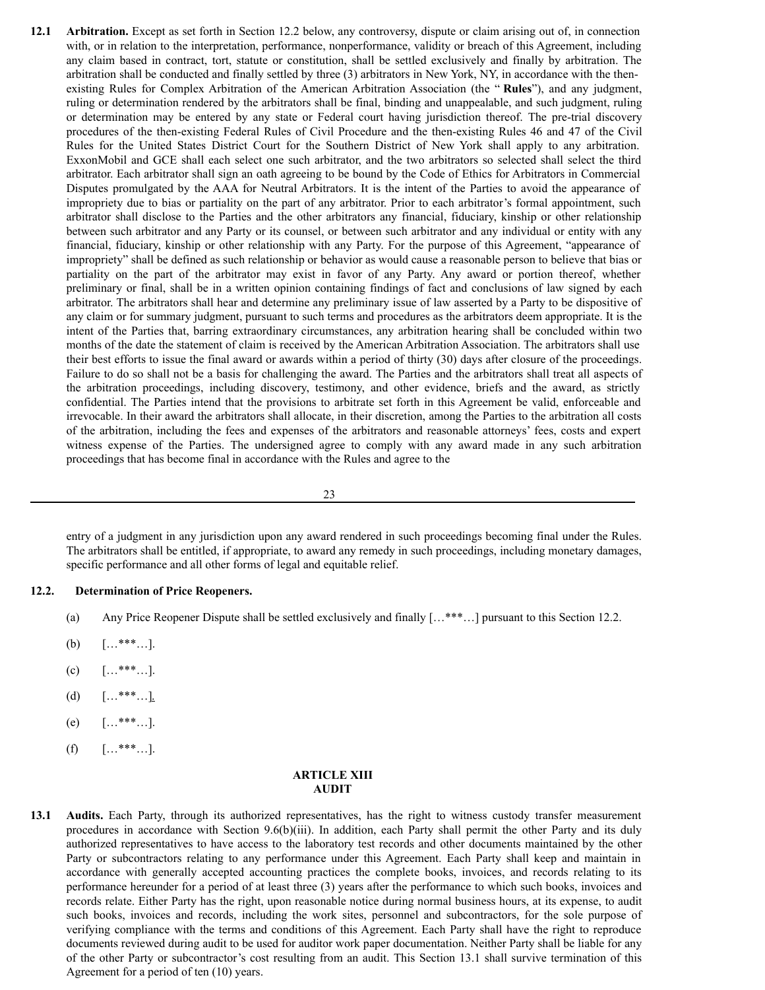**12.1 Arbitration.** Except as set forth in Section 12.2 below, any controversy, dispute or claim arising out of, in connection with, or in relation to the interpretation, performance, nonperformance, validity or breach of this Agreement, including any claim based in contract, tort, statute or constitution, shall be settled exclusively and finally by arbitration. The arbitration shall be conducted and finally settled by three (3) arbitrators in New York, NY, in accordance with the thenexisting Rules for Complex Arbitration of the American Arbitration Association (the " **Rules**"), and any judgment, ruling or determination rendered by the arbitrators shall be final, binding and unappealable, and such judgment, ruling or determination may be entered by any state or Federal court having jurisdiction thereof. The pre-trial discovery procedures of the then-existing Federal Rules of Civil Procedure and the then-existing Rules 46 and 47 of the Civil Rules for the United States District Court for the Southern District of New York shall apply to any arbitration. ExxonMobil and GCE shall each select one such arbitrator, and the two arbitrators so selected shall select the third arbitrator. Each arbitrator shall sign an oath agreeing to be bound by the Code of Ethics for Arbitrators in Commercial Disputes promulgated by the AAA for Neutral Arbitrators. It is the intent of the Parties to avoid the appearance of impropriety due to bias or partiality on the part of any arbitrator. Prior to each arbitrator's formal appointment, such arbitrator shall disclose to the Parties and the other arbitrators any financial, fiduciary, kinship or other relationship between such arbitrator and any Party or its counsel, or between such arbitrator and any individual or entity with any financial, fiduciary, kinship or other relationship with any Party. For the purpose of this Agreement, "appearance of impropriety" shall be defined as such relationship or behavior as would cause a reasonable person to believe that bias or partiality on the part of the arbitrator may exist in favor of any Party. Any award or portion thereof, whether preliminary or final, shall be in a written opinion containing findings of fact and conclusions of law signed by each arbitrator. The arbitrators shall hear and determine any preliminary issue of law asserted by a Party to be dispositive of any claim or for summary judgment, pursuant to such terms and procedures as the arbitrators deem appropriate. It is the intent of the Parties that, barring extraordinary circumstances, any arbitration hearing shall be concluded within two months of the date the statement of claim is received by the American Arbitration Association. The arbitrators shall use their best efforts to issue the final award or awards within a period of thirty (30) days after closure of the proceedings. Failure to do so shall not be a basis for challenging the award. The Parties and the arbitrators shall treat all aspects of the arbitration proceedings, including discovery, testimony, and other evidence, briefs and the award, as strictly confidential. The Parties intend that the provisions to arbitrate set forth in this Agreement be valid, enforceable and irrevocable. In their award the arbitrators shall allocate, in their discretion, among the Parties to the arbitration all costs of the arbitration, including the fees and expenses of the arbitrators and reasonable attorneys' fees, costs and expert witness expense of the Parties. The undersigned agree to comply with any award made in any such arbitration proceedings that has become final in accordance with the Rules and agree to the

23

entry of a judgment in any jurisdiction upon any award rendered in such proceedings becoming final under the Rules. The arbitrators shall be entitled, if appropriate, to award any remedy in such proceedings, including monetary damages, specific performance and all other forms of legal and equitable relief.

### **12.2. Determination of Price Reopeners.**

- (a) Any Price Reopener Dispute shall be settled exclusively and finally […\*\*\*…] pursuant to this Section 12.2.
- (b)  $[\dots$ \*\*\*...].
- $(c)$  [...\*\*\*...].
- (d)  $[\dots$ \*\*\*...]
- (e)  $[\dots$ \*\*\*...].
- $(f)$   $\left[ \dots \right]^{***} \dots$ ].

### **ARTICLE XIII AUDIT**

**13.1 Audits.** Each Party, through its authorized representatives, has the right to witness custody transfer measurement procedures in accordance with Section 9.6(b)(iii). In addition, each Party shall permit the other Party and its duly authorized representatives to have access to the laboratory test records and other documents maintained by the other Party or subcontractors relating to any performance under this Agreement. Each Party shall keep and maintain in accordance with generally accepted accounting practices the complete books, invoices, and records relating to its performance hereunder for a period of at least three (3) years after the performance to which such books, invoices and records relate. Either Party has the right, upon reasonable notice during normal business hours, at its expense, to audit such books, invoices and records, including the work sites, personnel and subcontractors, for the sole purpose of verifying compliance with the terms and conditions of this Agreement. Each Party shall have the right to reproduce documents reviewed during audit to be used for auditor work paper documentation. Neither Party shall be liable for any of the other Party or subcontractor's cost resulting from an audit. This Section 13.1 shall survive termination of this Agreement for a period of ten (10) years.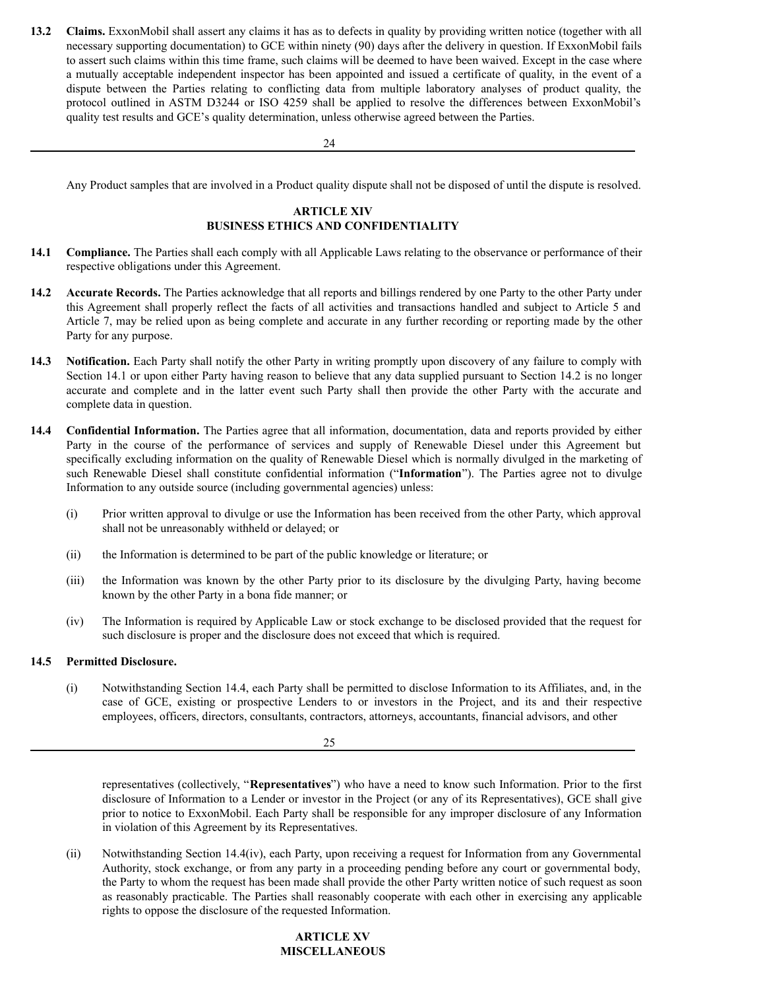**13.2 Claims.** ExxonMobil shall assert any claims it has as to defects in quality by providing written notice (together with all necessary supporting documentation) to GCE within ninety (90) days after the delivery in question. If ExxonMobil fails to assert such claims within this time frame, such claims will be deemed to have been waived. Except in the case where a mutually acceptable independent inspector has been appointed and issued a certificate of quality, in the event of a dispute between the Parties relating to conflicting data from multiple laboratory analyses of product quality, the protocol outlined in ASTM D3244 or ISO 4259 shall be applied to resolve the differences between ExxonMobil's quality test results and GCE's quality determination, unless otherwise agreed between the Parties.

### 24

Any Product samples that are involved in a Product quality dispute shall not be disposed of until the dispute is resolved.

# **ARTICLE XIV BUSINESS ETHICS AND CONFIDENTIALITY**

- **14.1 Compliance.** The Parties shall each comply with all Applicable Laws relating to the observance or performance of their respective obligations under this Agreement.
- **14.2 Accurate Records.** The Parties acknowledge that all reports and billings rendered by one Party to the other Party under this Agreement shall properly reflect the facts of all activities and transactions handled and subject to Article 5 and Article 7, may be relied upon as being complete and accurate in any further recording or reporting made by the other Party for any purpose.
- **14.3 Notification.** Each Party shall notify the other Party in writing promptly upon discovery of any failure to comply with Section 14.1 or upon either Party having reason to believe that any data supplied pursuant to Section 14.2 is no longer accurate and complete and in the latter event such Party shall then provide the other Party with the accurate and complete data in question.
- **14.4 Confidential Information.** The Parties agree that all information, documentation, data and reports provided by either Party in the course of the performance of services and supply of Renewable Diesel under this Agreement but specifically excluding information on the quality of Renewable Diesel which is normally divulged in the marketing of such Renewable Diesel shall constitute confidential information ("**Information**"). The Parties agree not to divulge Information to any outside source (including governmental agencies) unless:
	- (i) Prior written approval to divulge or use the Information has been received from the other Party, which approval shall not be unreasonably withheld or delayed; or
	- (ii) the Information is determined to be part of the public knowledge or literature; or
	- (iii) the Information was known by the other Party prior to its disclosure by the divulging Party, having become known by the other Party in a bona fide manner; or
	- (iv) The Information is required by Applicable Law or stock exchange to be disclosed provided that the request for such disclosure is proper and the disclosure does not exceed that which is required.

# **14.5 Permitted Disclosure.**

(i) Notwithstanding Section 14.4, each Party shall be permitted to disclose Information to its Affiliates, and, in the case of GCE, existing or prospective Lenders to or investors in the Project, and its and their respective employees, officers, directors, consultants, contractors, attorneys, accountants, financial advisors, and other

25

representatives (collectively, "**Representatives**") who have a need to know such Information. Prior to the first disclosure of Information to a Lender or investor in the Project (or any of its Representatives), GCE shall give prior to notice to ExxonMobil. Each Party shall be responsible for any improper disclosure of any Information in violation of this Agreement by its Representatives.

(ii) Notwithstanding Section 14.4(iv), each Party, upon receiving a request for Information from any Governmental Authority, stock exchange, or from any party in a proceeding pending before any court or governmental body, the Party to whom the request has been made shall provide the other Party written notice of such request as soon as reasonably practicable. The Parties shall reasonably cooperate with each other in exercising any applicable rights to oppose the disclosure of the requested Information.

# **ARTICLE XV MISCELLANEOUS**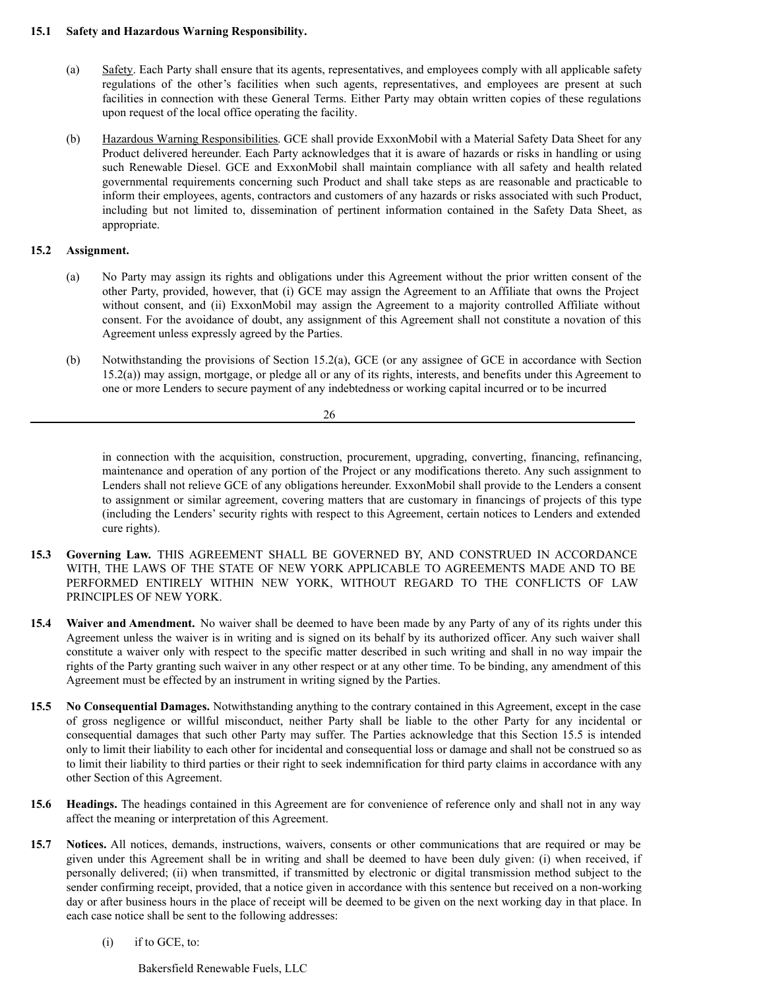# **15.1 Safety and Hazardous Warning Responsibility.**

- (a) Safety. Each Party shall ensure that its agents, representatives, and employees comply with all applicable safety regulations of the other's facilities when such agents, representatives, and employees are present at such facilities in connection with these General Terms. Either Party may obtain written copies of these regulations upon request of the local office operating the facility.
- (b) Hazardous Warning Responsibilities. GCE shall provide ExxonMobil with a Material Safety Data Sheet for any Product delivered hereunder. Each Party acknowledges that it is aware of hazards or risks in handling or using such Renewable Diesel. GCE and ExxonMobil shall maintain compliance with all safety and health related governmental requirements concerning such Product and shall take steps as are reasonable and practicable to inform their employees, agents, contractors and customers of any hazards or risks associated with such Product, including but not limited to, dissemination of pertinent information contained in the Safety Data Sheet, as appropriate.

# **15.2 Assignment.**

- (a) No Party may assign its rights and obligations under this Agreement without the prior written consent of the other Party, provided, however, that (i) GCE may assign the Agreement to an Affiliate that owns the Project without consent, and (ii) ExxonMobil may assign the Agreement to a majority controlled Affiliate without consent. For the avoidance of doubt, any assignment of this Agreement shall not constitute a novation of this Agreement unless expressly agreed by the Parties.
- (b) Notwithstanding the provisions of Section 15.2(a), GCE (or any assignee of GCE in accordance with Section 15.2(a)) may assign, mortgage, or pledge all or any of its rights, interests, and benefits under this Agreement to one or more Lenders to secure payment of any indebtedness or working capital incurred or to be incurred

26

in connection with the acquisition, construction, procurement, upgrading, converting, financing, refinancing, maintenance and operation of any portion of the Project or any modifications thereto. Any such assignment to Lenders shall not relieve GCE of any obligations hereunder. ExxonMobil shall provide to the Lenders a consent to assignment or similar agreement, covering matters that are customary in financings of projects of this type (including the Lenders' security rights with respect to this Agreement, certain notices to Lenders and extended cure rights).

- **15.3 Governing Law.** THIS AGREEMENT SHALL BE GOVERNED BY, AND CONSTRUED IN ACCORDANCE WITH, THE LAWS OF THE STATE OF NEW YORK APPLICABLE TO AGREEMENTS MADE AND TO BE PERFORMED ENTIRELY WITHIN NEW YORK, WITHOUT REGARD TO THE CONFLICTS OF LAW PRINCIPLES OF NEW YORK.
- **15.4 Waiver and Amendment.** No waiver shall be deemed to have been made by any Party of any of its rights under this Agreement unless the waiver is in writing and is signed on its behalf by its authorized officer. Any such waiver shall constitute a waiver only with respect to the specific matter described in such writing and shall in no way impair the rights of the Party granting such waiver in any other respect or at any other time. To be binding, any amendment of this Agreement must be effected by an instrument in writing signed by the Parties.
- **15.5 No Consequential Damages.** Notwithstanding anything to the contrary contained in this Agreement, except in the case of gross negligence or willful misconduct, neither Party shall be liable to the other Party for any incidental or consequential damages that such other Party may suffer. The Parties acknowledge that this Section 15.5 is intended only to limit their liability to each other for incidental and consequential loss or damage and shall not be construed so as to limit their liability to third parties or their right to seek indemnification for third party claims in accordance with any other Section of this Agreement.
- **15.6 Headings.** The headings contained in this Agreement are for convenience of reference only and shall not in any way affect the meaning or interpretation of this Agreement.
- **15.7 Notices.** All notices, demands, instructions, waivers, consents or other communications that are required or may be given under this Agreement shall be in writing and shall be deemed to have been duly given: (i) when received, if personally delivered; (ii) when transmitted, if transmitted by electronic or digital transmission method subject to the sender confirming receipt, provided, that a notice given in accordance with this sentence but received on a non-working day or after business hours in the place of receipt will be deemed to be given on the next working day in that place. In each case notice shall be sent to the following addresses:
	- (i) if to GCE, to:

Bakersfield Renewable Fuels, LLC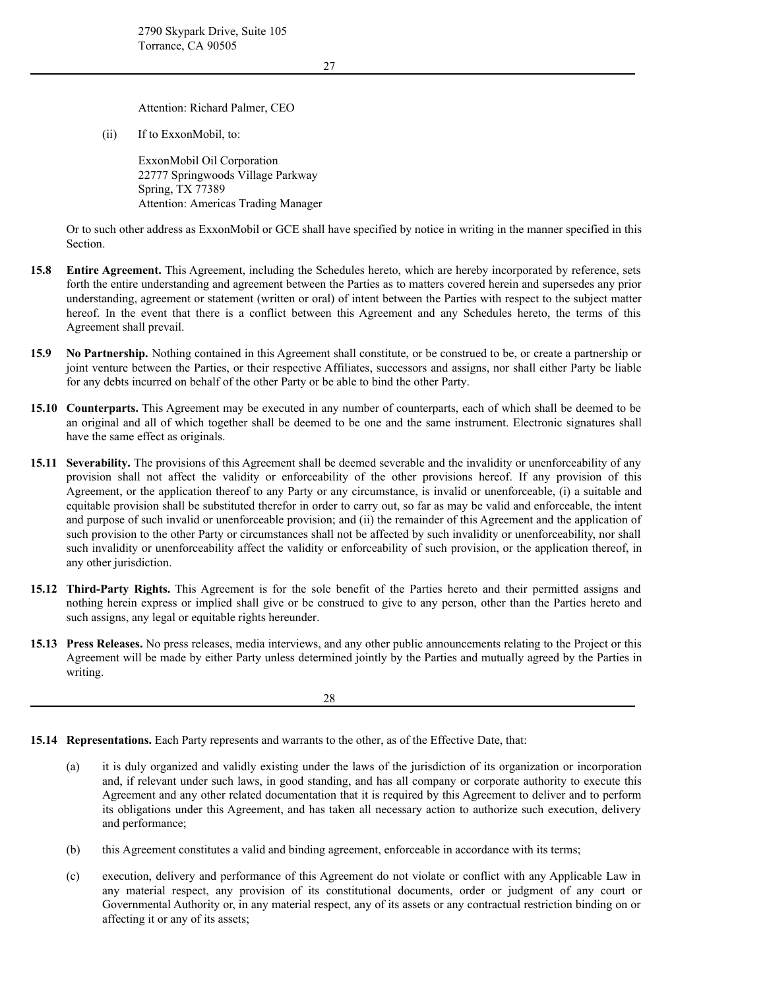Attention: Richard Palmer, CEO

(ii) If to ExxonMobil, to:

ExxonMobil Oil Corporation 22777 Springwoods Village Parkway Spring, TX 77389 Attention: Americas Trading Manager

Or to such other address as ExxonMobil or GCE shall have specified by notice in writing in the manner specified in this Section.

- **15.8 Entire Agreement.** This Agreement, including the Schedules hereto, which are hereby incorporated by reference, sets forth the entire understanding and agreement between the Parties as to matters covered herein and supersedes any prior understanding, agreement or statement (written or oral) of intent between the Parties with respect to the subject matter hereof. In the event that there is a conflict between this Agreement and any Schedules hereto, the terms of this Agreement shall prevail.
- **15.9 No Partnership.** Nothing contained in this Agreement shall constitute, or be construed to be, or create a partnership or joint venture between the Parties, or their respective Affiliates, successors and assigns, nor shall either Party be liable for any debts incurred on behalf of the other Party or be able to bind the other Party.
- **15.10 Counterparts.** This Agreement may be executed in any number of counterparts, each of which shall be deemed to be an original and all of which together shall be deemed to be one and the same instrument. Electronic signatures shall have the same effect as originals.
- **15.11 Severability.** The provisions of this Agreement shall be deemed severable and the invalidity or unenforceability of any provision shall not affect the validity or enforceability of the other provisions hereof. If any provision of this Agreement, or the application thereof to any Party or any circumstance, is invalid or unenforceable, (i) a suitable and equitable provision shall be substituted therefor in order to carry out, so far as may be valid and enforceable, the intent and purpose of such invalid or unenforceable provision; and (ii) the remainder of this Agreement and the application of such provision to the other Party or circumstances shall not be affected by such invalidity or unenforceability, nor shall such invalidity or unenforceability affect the validity or enforceability of such provision, or the application thereof, in any other jurisdiction.
- **15.12 Third-Party Rights.** This Agreement is for the sole benefit of the Parties hereto and their permitted assigns and nothing herein express or implied shall give or be construed to give to any person, other than the Parties hereto and such assigns, any legal or equitable rights hereunder.
- **15.13 Press Releases.** No press releases, media interviews, and any other public announcements relating to the Project or this Agreement will be made by either Party unless determined jointly by the Parties and mutually agreed by the Parties in writing.

28

**15.14 Representations.** Each Party represents and warrants to the other, as of the Effective Date, that:

- (a) it is duly organized and validly existing under the laws of the jurisdiction of its organization or incorporation and, if relevant under such laws, in good standing, and has all company or corporate authority to execute this Agreement and any other related documentation that it is required by this Agreement to deliver and to perform its obligations under this Agreement, and has taken all necessary action to authorize such execution, delivery and performance;
- (b) this Agreement constitutes a valid and binding agreement, enforceable in accordance with its terms;
- (c) execution, delivery and performance of this Agreement do not violate or conflict with any Applicable Law in any material respect, any provision of its constitutional documents, order or judgment of any court or Governmental Authority or, in any material respect, any of its assets or any contractual restriction binding on or affecting it or any of its assets;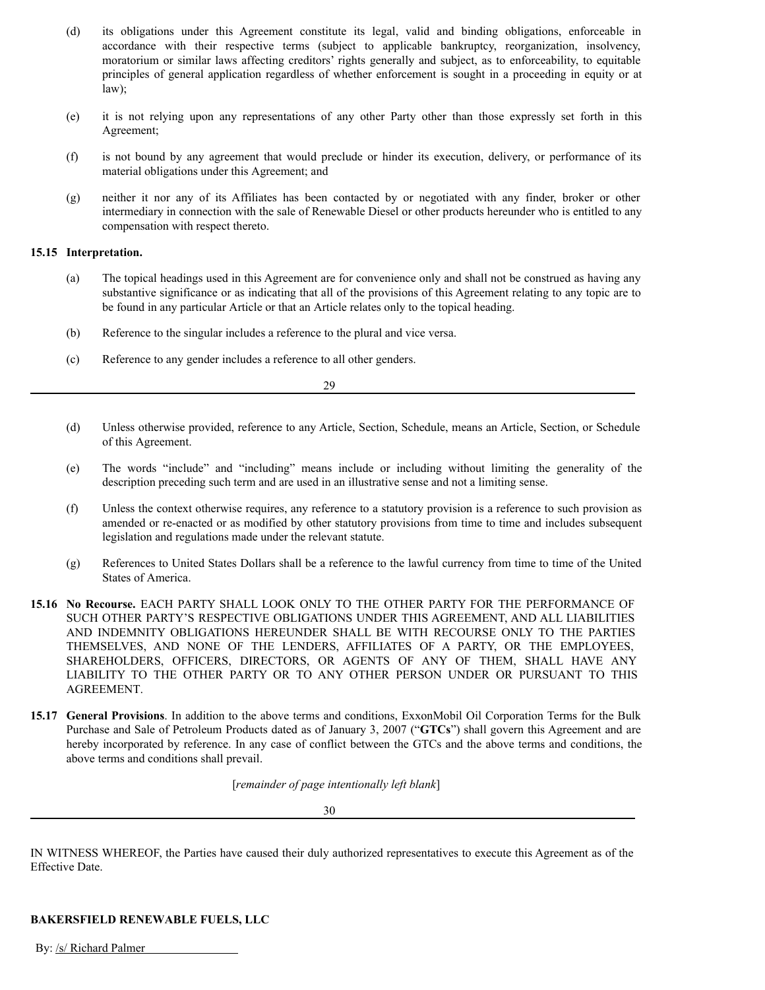- (d) its obligations under this Agreement constitute its legal, valid and binding obligations, enforceable in accordance with their respective terms (subject to applicable bankruptcy, reorganization, insolvency, moratorium or similar laws affecting creditors' rights generally and subject, as to enforceability, to equitable principles of general application regardless of whether enforcement is sought in a proceeding in equity or at law);
- (e) it is not relying upon any representations of any other Party other than those expressly set forth in this Agreement;
- (f) is not bound by any agreement that would preclude or hinder its execution, delivery, or performance of its material obligations under this Agreement; and
- (g) neither it nor any of its Affiliates has been contacted by or negotiated with any finder, broker or other intermediary in connection with the sale of Renewable Diesel or other products hereunder who is entitled to any compensation with respect thereto.

# **15.15 Interpretation.**

- (a) The topical headings used in this Agreement are for convenience only and shall not be construed as having any substantive significance or as indicating that all of the provisions of this Agreement relating to any topic are to be found in any particular Article or that an Article relates only to the topical heading.
- (b) Reference to the singular includes a reference to the plural and vice versa.
- (c) Reference to any gender includes a reference to all other genders.

29

- (d) Unless otherwise provided, reference to any Article, Section, Schedule, means an Article, Section, or Schedule of this Agreement.
- (e) The words "include" and "including" means include or including without limiting the generality of the description preceding such term and are used in an illustrative sense and not a limiting sense.
- (f) Unless the context otherwise requires, any reference to a statutory provision is a reference to such provision as amended or re-enacted or as modified by other statutory provisions from time to time and includes subsequent legislation and regulations made under the relevant statute.
- (g) References to United States Dollars shall be a reference to the lawful currency from time to time of the United States of America.
- **15.16 No Recourse.** EACH PARTY SHALL LOOK ONLY TO THE OTHER PARTY FOR THE PERFORMANCE OF SUCH OTHER PARTY'S RESPECTIVE OBLIGATIONS UNDER THIS AGREEMENT, AND ALL LIABILITIES AND INDEMNITY OBLIGATIONS HEREUNDER SHALL BE WITH RECOURSE ONLY TO THE PARTIES THEMSELVES, AND NONE OF THE LENDERS, AFFILIATES OF A PARTY, OR THE EMPLOYEES, SHAREHOLDERS, OFFICERS, DIRECTORS, OR AGENTS OF ANY OF THEM, SHALL HAVE ANY LIABILITY TO THE OTHER PARTY OR TO ANY OTHER PERSON UNDER OR PURSUANT TO THIS AGREEMENT.
- **15.17 General Provisions**. In addition to the above terms and conditions, ExxonMobil Oil Corporation Terms for the Bulk Purchase and Sale of Petroleum Products dated as of January 3, 2007 ("**GTCs**") shall govern this Agreement and are hereby incorporated by reference. In any case of conflict between the GTCs and the above terms and conditions, the above terms and conditions shall prevail.

[*remainder of page intentionally left blank*]

30

IN WITNESS WHEREOF, the Parties have caused their duly authorized representatives to execute this Agreement as of the Effective Date.

# **BAKERSFIELD RENEWABLE FUELS, LLC**

By: /s/ Richard Palmer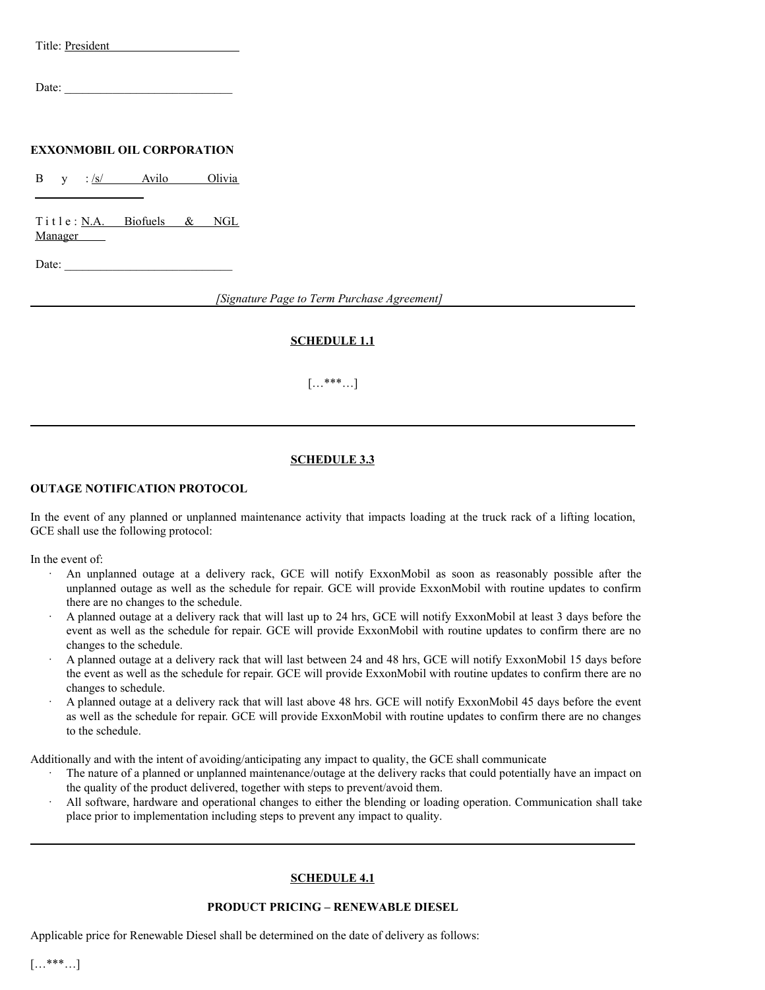| Title: President |
|------------------|
|                  |

Date: \_\_\_\_\_\_\_\_\_\_\_\_\_\_\_\_\_\_\_\_\_\_\_\_\_\_\_\_

# **EXXONMOBIL OIL CORPORATION**

B y : /s/ Avilo Olivia

 $T$  i t l e : N.A. Biofuels & NGL Manager

Date: \_\_\_\_\_\_\_\_\_\_\_\_\_\_\_\_\_\_\_\_\_\_\_\_\_\_\_\_

*[Signature Page to Term Purchase Agreement]*

## **SCHEDULE 1.1**

[…\*\*\*…]

# **SCHEDULE 3.3**

# **OUTAGE NOTIFICATION PROTOCOL**

In the event of any planned or unplanned maintenance activity that impacts loading at the truck rack of a lifting location, GCE shall use the following protocol:

In the event of:

- · An unplanned outage at a delivery rack, GCE will notify ExxonMobil as soon as reasonably possible after the unplanned outage as well as the schedule for repair. GCE will provide ExxonMobil with routine updates to confirm there are no changes to the schedule.
- · A planned outage at a delivery rack that will last up to 24 hrs, GCE will notify ExxonMobil at least 3 days before the event as well as the schedule for repair. GCE will provide ExxonMobil with routine updates to confirm there are no changes to the schedule.
- · A planned outage at a delivery rack that will last between 24 and 48 hrs, GCE will notify ExxonMobil 15 days before the event as well as the schedule for repair. GCE will provide ExxonMobil with routine updates to confirm there are no changes to schedule.
- · A planned outage at a delivery rack that will last above 48 hrs. GCE will notify ExxonMobil 45 days before the event as well as the schedule for repair. GCE will provide ExxonMobil with routine updates to confirm there are no changes to the schedule.

Additionally and with the intent of avoiding/anticipating any impact to quality, the GCE shall communicate

- The nature of a planned or unplanned maintenance/outage at the delivery racks that could potentially have an impact on the quality of the product delivered, together with steps to prevent/avoid them.
- · All software, hardware and operational changes to either the blending or loading operation. Communication shall take place prior to implementation including steps to prevent any impact to quality.

## **SCHEDULE 4.1**

# **PRODUCT PRICING – RENEWABLE DIESEL**

Applicable price for Renewable Diesel shall be determined on the date of delivery as follows: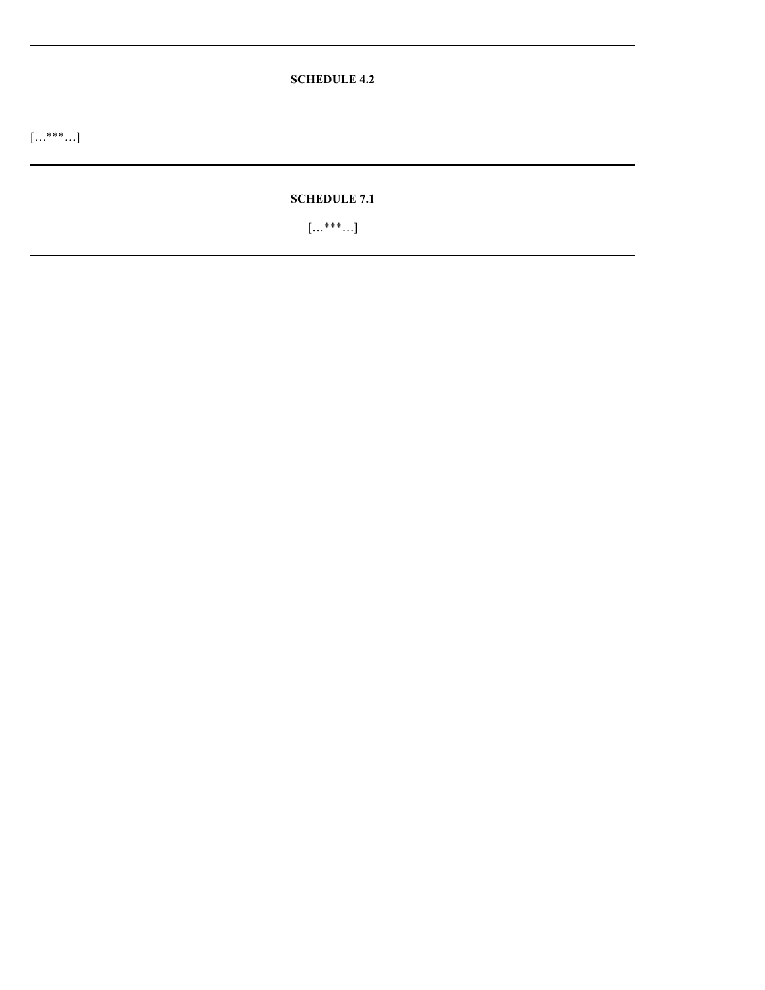**SCHEDULE 4.2**

 $[...$ \*\*\*…]

# **SCHEDULE 7.1**

 $[\dots^{***}...]$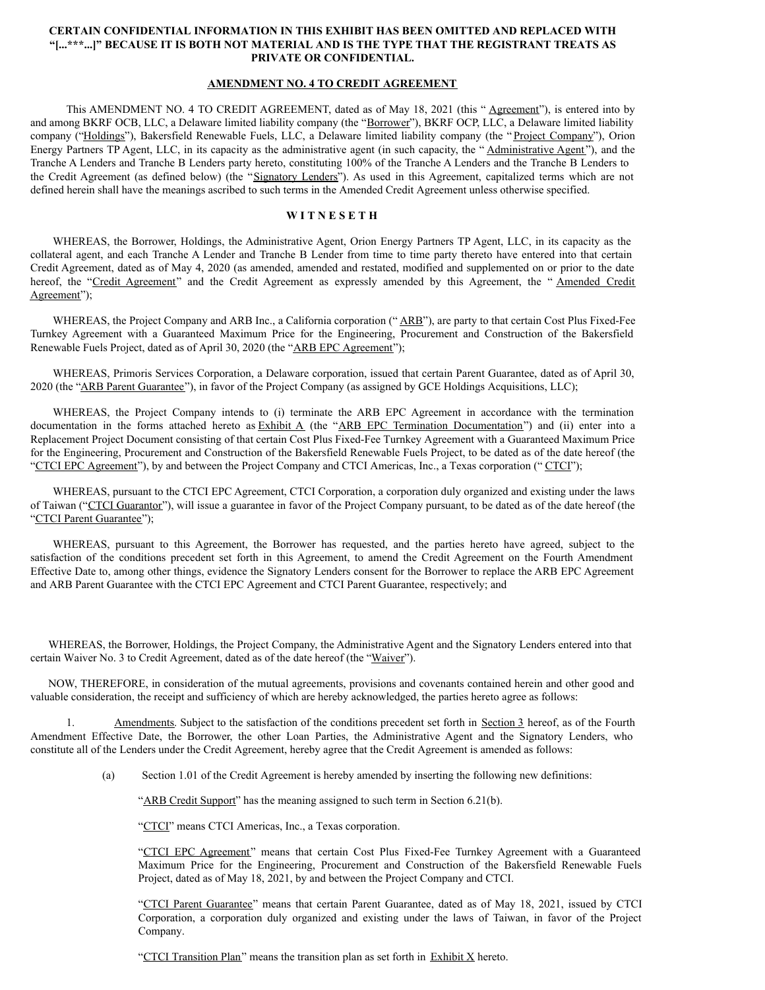### **CERTAIN CONFIDENTIAL INFORMATION IN THIS EXHIBIT HAS BEEN OMITTED AND REPLACED WITH "[...\*\*\*...]" BECAUSE IT IS BOTH NOT MATERIAL AND IS THE TYPE THAT THE REGISTRANT TREATS AS PRIVATE OR CONFIDENTIAL.**

## **AMENDMENT NO. 4 TO CREDIT AGREEMENT**

This AMENDMENT NO. 4 TO CREDIT AGREEMENT, dated as of May 18, 2021 (this " Agreement"), is entered into by and among BKRF OCB, LLC, a Delaware limited liability company (the "Borrower"), BKRF OCP, LLC, a Delaware limited liability company ("Holdings"), Bakersfield Renewable Fuels, LLC, a Delaware limited liability company (the "Project Company"), Orion Energy Partners TP Agent, LLC, in its capacity as the administrative agent (in such capacity, the "Administrative Agent"), and the Tranche A Lenders and Tranche B Lenders party hereto, constituting 100% of the Tranche A Lenders and the Tranche B Lenders to the Credit Agreement (as defined below) (the "Signatory Lenders"). As used in this Agreement, capitalized terms which are not defined herein shall have the meanings ascribed to such terms in the Amended Credit Agreement unless otherwise specified.

## **W I T N E S E T H**

WHEREAS, the Borrower, Holdings, the Administrative Agent, Orion Energy Partners TP Agent, LLC, in its capacity as the collateral agent, and each Tranche A Lender and Tranche B Lender from time to time party thereto have entered into that certain Credit Agreement, dated as of May 4, 2020 (as amended, amended and restated, modified and supplemented on or prior to the date hereof, the "Credit Agreement" and the Credit Agreement as expressly amended by this Agreement, the "Amended Credit Agreement");

WHEREAS, the Project Company and ARB Inc., a California corporation ("ARB"), are party to that certain Cost Plus Fixed-Fee Turnkey Agreement with a Guaranteed Maximum Price for the Engineering, Procurement and Construction of the Bakersfield Renewable Fuels Project, dated as of April 30, 2020 (the "ARB EPC Agreement");

WHEREAS, Primoris Services Corporation, a Delaware corporation, issued that certain Parent Guarantee, dated as of April 30, 2020 (the "ARB Parent Guarantee"), in favor of the Project Company (as assigned by GCE Holdings Acquisitions, LLC);

WHEREAS, the Project Company intends to (i) terminate the ARB EPC Agreement in accordance with the termination documentation in the forms attached hereto as Exhibit A (the "ARB EPC Termination Documentation") and (ii) enter into a Replacement Project Document consisting of that certain Cost Plus Fixed-Fee Turnkey Agreement with a Guaranteed Maximum Price for the Engineering, Procurement and Construction of the Bakersfield Renewable Fuels Project, to be dated as of the date hereof (the "CTCI EPC Agreement"), by and between the Project Company and CTCI Americas, Inc., a Texas corporation ("CTCI");

WHEREAS, pursuant to the CTCI EPC Agreement, CTCI Corporation, a corporation duly organized and existing under the laws of Taiwan ("CTCI Guarantor"), will issue a guarantee in favor of the Project Company pursuant, to be dated as of the date hereof (the "CTCI Parent Guarantee");

WHEREAS, pursuant to this Agreement, the Borrower has requested, and the parties hereto have agreed, subject to the satisfaction of the conditions precedent set forth in this Agreement, to amend the Credit Agreement on the Fourth Amendment Effective Date to, among other things, evidence the Signatory Lenders consent for the Borrower to replace the ARB EPC Agreement and ARB Parent Guarantee with the CTCI EPC Agreement and CTCI Parent Guarantee, respectively; and

WHEREAS, the Borrower, Holdings, the Project Company, the Administrative Agent and the Signatory Lenders entered into that certain Waiver No. 3 to Credit Agreement, dated as of the date hereof (the "Waiver").

NOW, THEREFORE, in consideration of the mutual agreements, provisions and covenants contained herein and other good and valuable consideration, the receipt and sufficiency of which are hereby acknowledged, the parties hereto agree as follows:

Amendments. Subject to the satisfaction of the conditions precedent set forth in Section 3 hereof, as of the Fourth Amendment Effective Date, the Borrower, the other Loan Parties, the Administrative Agent and the Signatory Lenders, who constitute all of the Lenders under the Credit Agreement, hereby agree that the Credit Agreement is amended as follows:

(a) Section 1.01 of the Credit Agreement is hereby amended by inserting the following new definitions:

"ARB Credit Support" has the meaning assigned to such term in Section 6.21(b).

"CTCI" means CTCI Americas, Inc., a Texas corporation.

"CTCI EPC Agreement" means that certain Cost Plus Fixed-Fee Turnkey Agreement with a Guaranteed Maximum Price for the Engineering, Procurement and Construction of the Bakersfield Renewable Fuels Project, dated as of May 18, 2021, by and between the Project Company and CTCI.

"CTCI Parent Guarantee" means that certain Parent Guarantee, dated as of May 18, 2021, issued by CTCI Corporation, a corporation duly organized and existing under the laws of Taiwan, in favor of the Project Company.

"CTCI Transition Plan" means the transition plan as set forth in  $Exhibit X$  hereto.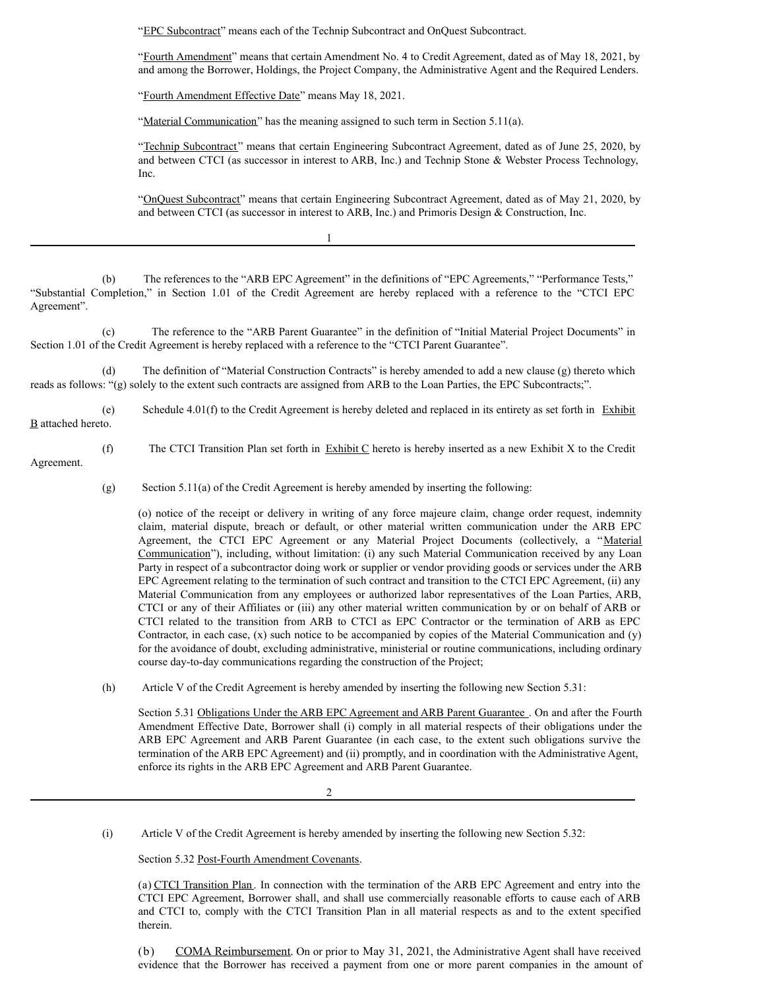"EPC Subcontract" means each of the Technip Subcontract and OnQuest Subcontract.

"Fourth Amendment" means that certain Amendment No. 4 to Credit Agreement, dated as of May 18, 2021, by and among the Borrower, Holdings, the Project Company, the Administrative Agent and the Required Lenders.

"Fourth Amendment Effective Date" means May 18, 2021.

"Material Communication" has the meaning assigned to such term in Section 5.11(a).

"Technip Subcontract" means that certain Engineering Subcontract Agreement, dated as of June 25, 2020, by and between CTCI (as successor in interest to ARB, Inc.) and Technip Stone & Webster Process Technology, Inc.

"OnQuest Subcontract" means that certain Engineering Subcontract Agreement, dated as of May 21, 2020, by and between CTCI (as successor in interest to ARB, Inc.) and Primoris Design & Construction, Inc.

(b) The references to the "ARB EPC Agreement" in the definitions of "EPC Agreements," "Performance Tests," "Substantial Completion," in Section 1.01 of the Credit Agreement are hereby replaced with a reference to the "CTCI EPC Agreement".

1

(c) The reference to the "ARB Parent Guarantee" in the definition of "Initial Material Project Documents" in Section 1.01 of the Credit Agreement is hereby replaced with a reference to the "CTCI Parent Guarantee".

(d) The definition of "Material Construction Contracts" is hereby amended to add a new clause (g) thereto which reads as follows: "(g) solely to the extent such contracts are assigned from ARB to the Loan Parties, the EPC Subcontracts;".

(e) Schedule  $4.01(f)$  to the Credit Agreement is hereby deleted and replaced in its entirety as set forth in Exhibit **B** attached hereto.

- (f) The CTCI Transition Plan set forth in Exhibit C hereto is hereby inserted as a new Exhibit X to the Credit
- Agreement.
- (g) Section 5.11(a) of the Credit Agreement is hereby amended by inserting the following:

(o) notice of the receipt or delivery in writing of any force majeure claim, change order request, indemnity claim, material dispute, breach or default, or other material written communication under the ARB EPC Agreement, the CTCI EPC Agreement or any Material Project Documents (collectively, a "Material Communication"), including, without limitation: (i) any such Material Communication received by any Loan Party in respect of a subcontractor doing work or supplier or vendor providing goods or services under the ARB EPC Agreement relating to the termination of such contract and transition to the CTCI EPC Agreement, (ii) any Material Communication from any employees or authorized labor representatives of the Loan Parties, ARB, CTCI or any of their Affiliates or (iii) any other material written communication by or on behalf of ARB or CTCI related to the transition from ARB to CTCI as EPC Contractor or the termination of ARB as EPC Contractor, in each case, (x) such notice to be accompanied by copies of the Material Communication and (y) for the avoidance of doubt, excluding administrative, ministerial or routine communications, including ordinary course day-to-day communications regarding the construction of the Project;

(h) Article V of the Credit Agreement is hereby amended by inserting the following new Section 5.31:

Section 5.31 Obligations Under the ARB EPC Agreement and ARB Parent Guarantee . On and after the Fourth Amendment Effective Date, Borrower shall (i) comply in all material respects of their obligations under the ARB EPC Agreement and ARB Parent Guarantee (in each case, to the extent such obligations survive the termination of the ARB EPC Agreement) and (ii) promptly, and in coordination with the Administrative Agent, enforce its rights in the ARB EPC Agreement and ARB Parent Guarantee.

 $\mathfrak{D}$ 

(i) Article V of the Credit Agreement is hereby amended by inserting the following new Section 5.32:

Section 5.32 Post-Fourth Amendment Covenants.

(a) CTCI Transition Plan. In connection with the termination of the ARB EPC Agreement and entry into the CTCI EPC Agreement, Borrower shall, and shall use commercially reasonable efforts to cause each of ARB and CTCI to, comply with the CTCI Transition Plan in all material respects as and to the extent specified therein.

(b) COMA Reimbursement. On or prior to May 31, 2021, the Administrative Agent shall have received evidence that the Borrower has received a payment from one or more parent companies in the amount of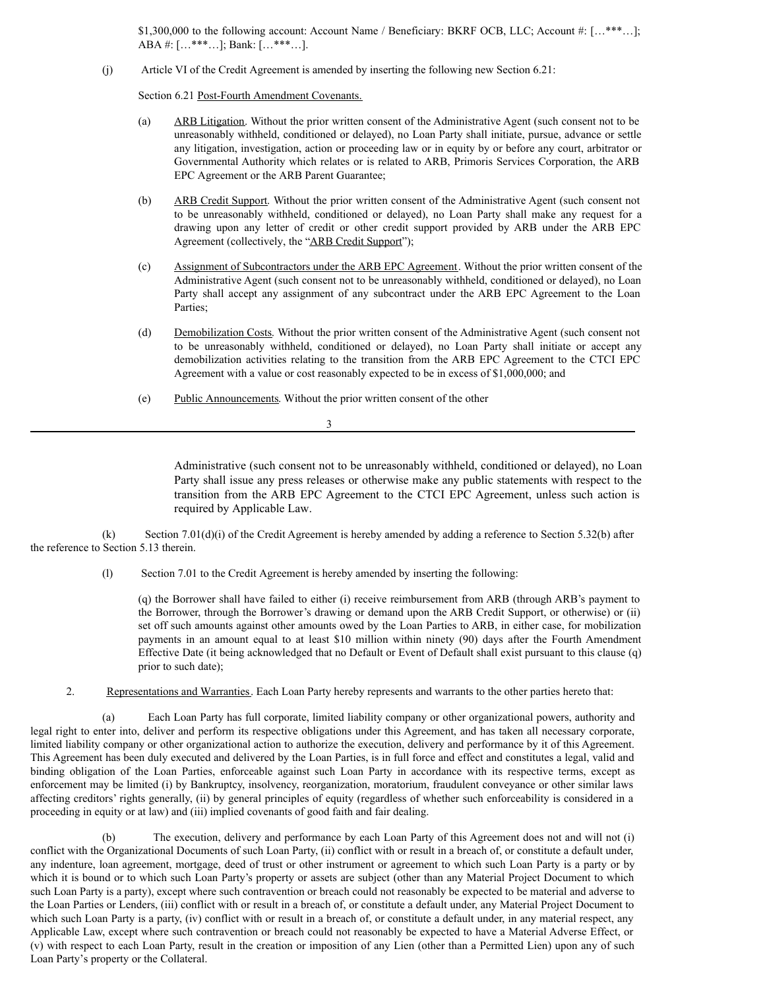\$1,300,000 to the following account: Account Name / Beneficiary: BKRF OCB, LLC; Account #: […\*\*\*…]; ABA #: […\*\*\*…]; Bank: […\*\*\*…].

(j) Article VI of the Credit Agreement is amended by inserting the following new Section 6.21:

Section 6.21 Post-Fourth Amendment Covenants.

- (a) ARB Litigation. Without the prior written consent of the Administrative Agent (such consent not to be unreasonably withheld, conditioned or delayed), no Loan Party shall initiate, pursue, advance or settle any litigation, investigation, action or proceeding law or in equity by or before any court, arbitrator or Governmental Authority which relates or is related to ARB, Primoris Services Corporation, the ARB EPC Agreement or the ARB Parent Guarantee;
- (b) ARB Credit Support. Without the prior written consent of the Administrative Agent (such consent not to be unreasonably withheld, conditioned or delayed), no Loan Party shall make any request for a drawing upon any letter of credit or other credit support provided by ARB under the ARB EPC Agreement (collectively, the "ARB Credit Support");
- (c) Assignment of Subcontractors under the ARB EPC Agreement. Without the prior written consent of the Administrative Agent (such consent not to be unreasonably withheld, conditioned or delayed), no Loan Party shall accept any assignment of any subcontract under the ARB EPC Agreement to the Loan Parties;
- (d) Demobilization Costs. Without the prior written consent of the Administrative Agent (such consent not to be unreasonably withheld, conditioned or delayed), no Loan Party shall initiate or accept any demobilization activities relating to the transition from the ARB EPC Agreement to the CTCI EPC Agreement with a value or cost reasonably expected to be in excess of \$1,000,000; and
- (e) Public Announcements. Without the prior written consent of the other

3

Administrative (such consent not to be unreasonably withheld, conditioned or delayed), no Loan Party shall issue any press releases or otherwise make any public statements with respect to the transition from the ARB EPC Agreement to the CTCI EPC Agreement, unless such action is required by Applicable Law.

(k) Section 7.01(d)(i) of the Credit Agreement is hereby amended by adding a reference to Section 5.32(b) after the reference to Section 5.13 therein.

(l) Section 7.01 to the Credit Agreement is hereby amended by inserting the following:

(q) the Borrower shall have failed to either (i) receive reimbursement from ARB (through ARB's payment to the Borrower, through the Borrower's drawing or demand upon the ARB Credit Support, or otherwise) or (ii) set off such amounts against other amounts owed by the Loan Parties to ARB, in either case, for mobilization payments in an amount equal to at least \$10 million within ninety (90) days after the Fourth Amendment Effective Date (it being acknowledged that no Default or Event of Default shall exist pursuant to this clause (q) prior to such date);

2. Representations and Warranties. Each Loan Party hereby represents and warrants to the other parties hereto that:

(a) Each Loan Party has full corporate, limited liability company or other organizational powers, authority and legal right to enter into, deliver and perform its respective obligations under this Agreement, and has taken all necessary corporate, limited liability company or other organizational action to authorize the execution, delivery and performance by it of this Agreement. This Agreement has been duly executed and delivered by the Loan Parties, is in full force and effect and constitutes a legal, valid and binding obligation of the Loan Parties, enforceable against such Loan Party in accordance with its respective terms, except as enforcement may be limited (i) by Bankruptcy, insolvency, reorganization, moratorium, fraudulent conveyance or other similar laws affecting creditors' rights generally, (ii) by general principles of equity (regardless of whether such enforceability is considered in a proceeding in equity or at law) and (iii) implied covenants of good faith and fair dealing.

The execution, delivery and performance by each Loan Party of this Agreement does not and will not (i) conflict with the Organizational Documents of such Loan Party, (ii) conflict with or result in a breach of, or constitute a default under, any indenture, loan agreement, mortgage, deed of trust or other instrument or agreement to which such Loan Party is a party or by which it is bound or to which such Loan Party's property or assets are subject (other than any Material Project Document to which such Loan Party is a party), except where such contravention or breach could not reasonably be expected to be material and adverse to the Loan Parties or Lenders, (iii) conflict with or result in a breach of, or constitute a default under, any Material Project Document to which such Loan Party is a party, (iv) conflict with or result in a breach of, or constitute a default under, in any material respect, any Applicable Law, except where such contravention or breach could not reasonably be expected to have a Material Adverse Effect, or (v) with respect to each Loan Party, result in the creation or imposition of any Lien (other than a Permitted Lien) upon any of such Loan Party's property or the Collateral.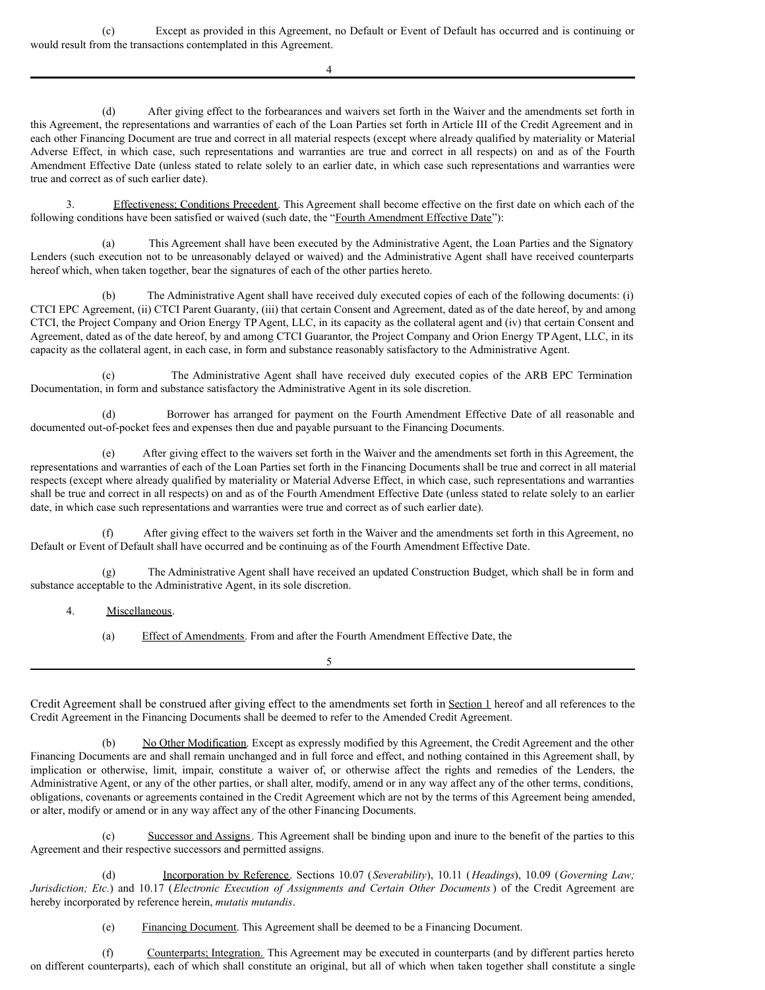(c) Except as provided in this Agreement, no Default or Event of Default has occurred and is continuing or would result from the transactions contemplated in this Agreement.

4

(d) After giving effect to the forbearances and waivers set forth in the Waiver and the amendments set forth in this Agreement, the representations and warranties of each of the Loan Parties set forth in Article III of the Credit Agreement and in each other Financing Document are true and correct in all material respects (except where already qualified by materiality or Material Adverse Effect, in which case, such representations and warranties are true and correct in all respects) on and as of the Fourth Amendment Effective Date (unless stated to relate solely to an earlier date, in which case such representations and warranties were true and correct as of such earlier date).

3. Effectiveness; Conditions Precedent. This Agreement shall become effective on the first date on which each of the following conditions have been satisfied or waived (such date, the "Fourth Amendment Effective Date"):

(a) This Agreement shall have been executed by the Administrative Agent, the Loan Parties and the Signatory Lenders (such execution not to be unreasonably delayed or waived) and the Administrative Agent shall have received counterparts hereof which, when taken together, bear the signatures of each of the other parties hereto.

(b) The Administrative Agent shall have received duly executed copies of each of the following documents: (i) CTCI EPC Agreement, (ii) CTCI Parent Guaranty, (iii) that certain Consent and Agreement, dated as of the date hereof, by and among CTCI, the Project Company and Orion Energy TPAgent, LLC, in its capacity as the collateral agent and (iv) that certain Consent and Agreement, dated as of the date hereof, by and among CTCI Guarantor, the Project Company and Orion Energy TPAgent, LLC, in its capacity as the collateral agent, in each case, in form and substance reasonably satisfactory to the Administrative Agent.

(c) The Administrative Agent shall have received duly executed copies of the ARB EPC Termination Documentation, in form and substance satisfactory the Administrative Agent in its sole discretion.

Borrower has arranged for payment on the Fourth Amendment Effective Date of all reasonable and documented out-of-pocket fees and expenses then due and payable pursuant to the Financing Documents.

(e) After giving effect to the waivers set forth in the Waiver and the amendments set forth in this Agreement, the representations and warranties of each of the Loan Parties set forth in the Financing Documents shall be true and correct in all material respects (except where already qualified by materiality or Material Adverse Effect, in which case, such representations and warranties shall be true and correct in all respects) on and as of the Fourth Amendment Effective Date (unless stated to relate solely to an earlier date, in which case such representations and warranties were true and correct as of such earlier date).

(f) After giving effect to the waivers set forth in the Waiver and the amendments set forth in this Agreement, no Default or Event of Default shall have occurred and be continuing as of the Fourth Amendment Effective Date.

The Administrative Agent shall have received an updated Construction Budget, which shall be in form and substance acceptable to the Administrative Agent, in its sole discretion.

4. Miscellaneous.

(a) Effect of Amendments. From and after the Fourth Amendment Effective Date, the

5

Credit Agreement shall be construed after giving effect to the amendments set forth in Section 1 hereof and all references to the Credit Agreement in the Financing Documents shall be deemed to refer to the Amended Credit Agreement.

(b) No Other Modification. Except as expressly modified by this Agreement, the Credit Agreement and the other Financing Documents are and shall remain unchanged and in full force and effect, and nothing contained in this Agreement shall, by implication or otherwise, limit, impair, constitute a waiver of, or otherwise affect the rights and remedies of the Lenders, the Administrative Agent, or any of the other parties, or shall alter, modify, amend or in any way affect any of the other terms, conditions, obligations, covenants or agreements contained in the Credit Agreement which are not by the terms of this Agreement being amended, or alter, modify or amend or in any way affect any of the other Financing Documents.

(c) Successor and Assigns. This Agreement shall be binding upon and inure to the benefit of the parties to this Agreement and their respective successors and permitted assigns.

(d) Incorporation by Reference. Sections 10.07 (*Severability*), 10.11 (*Headings*), 10.09 (*Governing Law; Jurisdiction; Etc.*) and 10.17 (*Electronic Execution of Assignments and Certain Other Documents* ) of the Credit Agreement are hereby incorporated by reference herein, *mutatis mutandis*.

(e) Financing Document. This Agreement shall be deemed to be a Financing Document.

(f) Counterparts; Integration. This Agreement may be executed in counterparts (and by different parties hereto on different counterparts), each of which shall constitute an original, but all of which when taken together shall constitute a single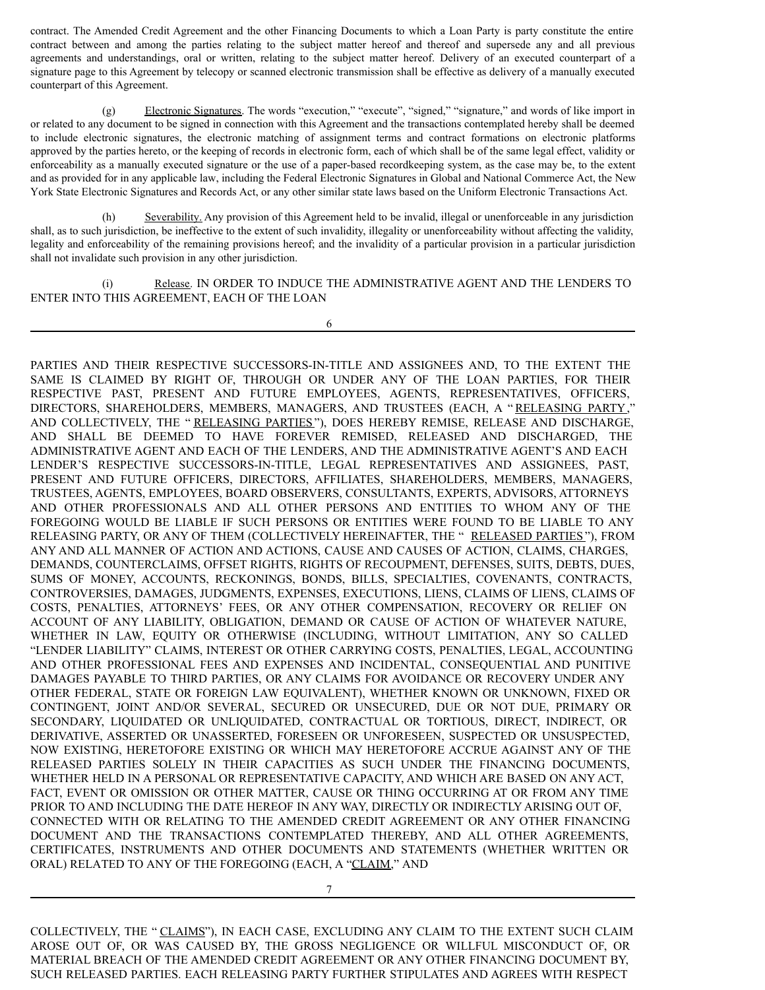contract. The Amended Credit Agreement and the other Financing Documents to which a Loan Party is party constitute the entire contract between and among the parties relating to the subject matter hereof and thereof and supersede any and all previous agreements and understandings, oral or written, relating to the subject matter hereof. Delivery of an executed counterpart of a signature page to this Agreement by telecopy or scanned electronic transmission shall be effective as delivery of a manually executed counterpart of this Agreement.

(g) Electronic Signatures. The words "execution," "execute", "signed," "signature," and words of like import in or related to any document to be signed in connection with this Agreement and the transactions contemplated hereby shall be deemed to include electronic signatures, the electronic matching of assignment terms and contract formations on electronic platforms approved by the parties hereto, or the keeping of records in electronic form, each of which shall be of the same legal effect, validity or enforceability as a manually executed signature or the use of a paper-based recordkeeping system, as the case may be, to the extent and as provided for in any applicable law, including the Federal Electronic Signatures in Global and National Commerce Act, the New York State Electronic Signatures and Records Act, or any other similar state laws based on the Uniform Electronic Transactions Act.

(h) Severability. Any provision of this Agreement held to be invalid, illegal or unenforceable in any jurisdiction shall, as to such jurisdiction, be ineffective to the extent of such invalidity, illegality or unenforceability without affecting the validity, legality and enforceability of the remaining provisions hereof; and the invalidity of a particular provision in a particular jurisdiction shall not invalidate such provision in any other jurisdiction.

(i) Release. IN ORDER TO INDUCE THE ADMINISTRATIVE AGENT AND THE LENDERS TO ENTER INTO THIS AGREEMENT, EACH OF THE LOAN

6

PARTIES AND THEIR RESPECTIVE SUCCESSORS-IN-TITLE AND ASSIGNEES AND, TO THE EXTENT THE SAME IS CLAIMED BY RIGHT OF, THROUGH OR UNDER ANY OF THE LOAN PARTIES, FOR THEIR RESPECTIVE PAST, PRESENT AND FUTURE EMPLOYEES, AGENTS, REPRESENTATIVES, OFFICERS, DIRECTORS, SHAREHOLDERS, MEMBERS, MANAGERS, AND TRUSTEES (EACH, A " RELEASING PARTY," AND COLLECTIVELY, THE " RELEASING PARTIES "), DOES HEREBY REMISE, RELEASE AND DISCHARGE, AND SHALL BE DEEMED TO HAVE FOREVER REMISED, RELEASED AND DISCHARGED, THE ADMINISTRATIVE AGENT AND EACH OF THE LENDERS, AND THE ADMINISTRATIVE AGENT'S AND EACH LENDER'S RESPECTIVE SUCCESSORS-IN-TITLE, LEGAL REPRESENTATIVES AND ASSIGNEES, PAST, PRESENT AND FUTURE OFFICERS, DIRECTORS, AFFILIATES, SHAREHOLDERS, MEMBERS, MANAGERS, TRUSTEES, AGENTS, EMPLOYEES, BOARD OBSERVERS, CONSULTANTS, EXPERTS, ADVISORS, ATTORNEYS AND OTHER PROFESSIONALS AND ALL OTHER PERSONS AND ENTITIES TO WHOM ANY OF THE FOREGOING WOULD BE LIABLE IF SUCH PERSONS OR ENTITIES WERE FOUND TO BE LIABLE TO ANY RELEASING PARTY, OR ANY OF THEM (COLLECTIVELY HEREINAFTER, THE " RELEASED PARTIES"), FROM ANY AND ALL MANNER OF ACTION AND ACTIONS, CAUSE AND CAUSES OF ACTION, CLAIMS, CHARGES, DEMANDS, COUNTERCLAIMS, OFFSET RIGHTS, RIGHTS OF RECOUPMENT, DEFENSES, SUITS, DEBTS, DUES, SUMS OF MONEY, ACCOUNTS, RECKONINGS, BONDS, BILLS, SPECIALTIES, COVENANTS, CONTRACTS, CONTROVERSIES, DAMAGES, JUDGMENTS, EXPENSES, EXECUTIONS, LIENS, CLAIMS OF LIENS, CLAIMS OF COSTS, PENALTIES, ATTORNEYS' FEES, OR ANY OTHER COMPENSATION, RECOVERY OR RELIEF ON ACCOUNT OF ANY LIABILITY, OBLIGATION, DEMAND OR CAUSE OF ACTION OF WHATEVER NATURE, WHETHER IN LAW, EQUITY OR OTHERWISE (INCLUDING, WITHOUT LIMITATION, ANY SO CALLED "LENDER LIABILITY" CLAIMS, INTEREST OR OTHER CARRYING COSTS, PENALTIES, LEGAL, ACCOUNTING AND OTHER PROFESSIONAL FEES AND EXPENSES AND INCIDENTAL, CONSEQUENTIAL AND PUNITIVE DAMAGES PAYABLE TO THIRD PARTIES, OR ANY CLAIMS FOR AVOIDANCE OR RECOVERY UNDER ANY OTHER FEDERAL, STATE OR FOREIGN LAW EQUIVALENT), WHETHER KNOWN OR UNKNOWN, FIXED OR CONTINGENT, JOINT AND/OR SEVERAL, SECURED OR UNSECURED, DUE OR NOT DUE, PRIMARY OR SECONDARY, LIQUIDATED OR UNLIQUIDATED, CONTRACTUAL OR TORTIOUS, DIRECT, INDIRECT, OR DERIVATIVE, ASSERTED OR UNASSERTED, FORESEEN OR UNFORESEEN, SUSPECTED OR UNSUSPECTED, NOW EXISTING, HERETOFORE EXISTING OR WHICH MAY HERETOFORE ACCRUE AGAINST ANY OF THE RELEASED PARTIES SOLELY IN THEIR CAPACITIES AS SUCH UNDER THE FINANCING DOCUMENTS, WHETHER HELD IN A PERSONAL OR REPRESENTATIVE CAPACITY, AND WHICH ARE BASED ON ANY ACT, FACT, EVENT OR OMISSION OR OTHER MATTER, CAUSE OR THING OCCURRING AT OR FROM ANY TIME PRIOR TO AND INCLUDING THE DATE HEREOF IN ANY WAY, DIRECTLY OR INDIRECTLY ARISING OUT OF, CONNECTED WITH OR RELATING TO THE AMENDED CREDIT AGREEMENT OR ANY OTHER FINANCING DOCUMENT AND THE TRANSACTIONS CONTEMPLATED THEREBY, AND ALL OTHER AGREEMENTS, CERTIFICATES, INSTRUMENTS AND OTHER DOCUMENTS AND STATEMENTS (WHETHER WRITTEN OR ORAL) RELATED TO ANY OF THE FOREGOING (EACH, A "CLAIM," AND

COLLECTIVELY, THE " CLAIMS"), IN EACH CASE, EXCLUDING ANY CLAIM TO THE EXTENT SUCH CLAIM AROSE OUT OF, OR WAS CAUSED BY, THE GROSS NEGLIGENCE OR WILLFUL MISCONDUCT OF, OR MATERIAL BREACH OF THE AMENDED CREDIT AGREEMENT OR ANY OTHER FINANCING DOCUMENT BY, SUCH RELEASED PARTIES. EACH RELEASING PARTY FURTHER STIPULATES AND AGREES WITH RESPECT

7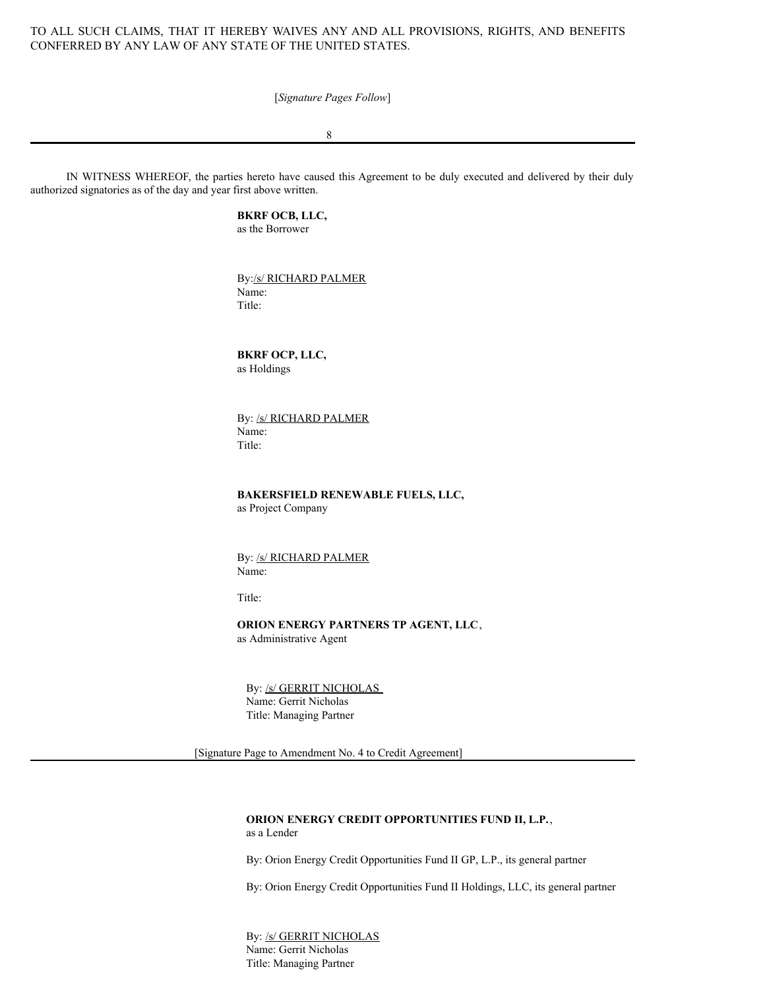# TO ALL SUCH CLAIMS, THAT IT HEREBY WAIVES ANY AND ALL PROVISIONS, RIGHTS, AND BENEFITS CONFERRED BY ANY LAW OF ANY STATE OF THE UNITED STATES.

[*Signature Pages Follow*]

8

IN WITNESS WHEREOF, the parties hereto have caused this Agreement to be duly executed and delivered by their duly authorized signatories as of the day and year first above written.

**BKRF OCB, LLC,**

as the Borrower

By:/s/ RICHARD PALMER Name: Title:

**BKRF OCP, LLC,** as Holdings

By: /s/ RICHARD PALMER Name: Title:

**BAKERSFIELD RENEWABLE FUELS, LLC,** as Project Company

By: /s/ RICHARD PALMER Name:

Title:

**ORION ENERGY PARTNERS TP AGENT, LLC**, as Administrative Agent

By: /s/ GERRIT NICHOLAS Name: Gerrit Nicholas Title: Managing Partner

[Signature Page to Amendment No. 4 to Credit Agreement]

**ORION ENERGY CREDIT OPPORTUNITIES FUND II, L.P.**, as a Lender

By: Orion Energy Credit Opportunities Fund II GP, L.P., its general partner

By: Orion Energy Credit Opportunities Fund II Holdings, LLC, its general partner

By: /s/ GERRIT NICHOLAS Name: Gerrit Nicholas Title: Managing Partner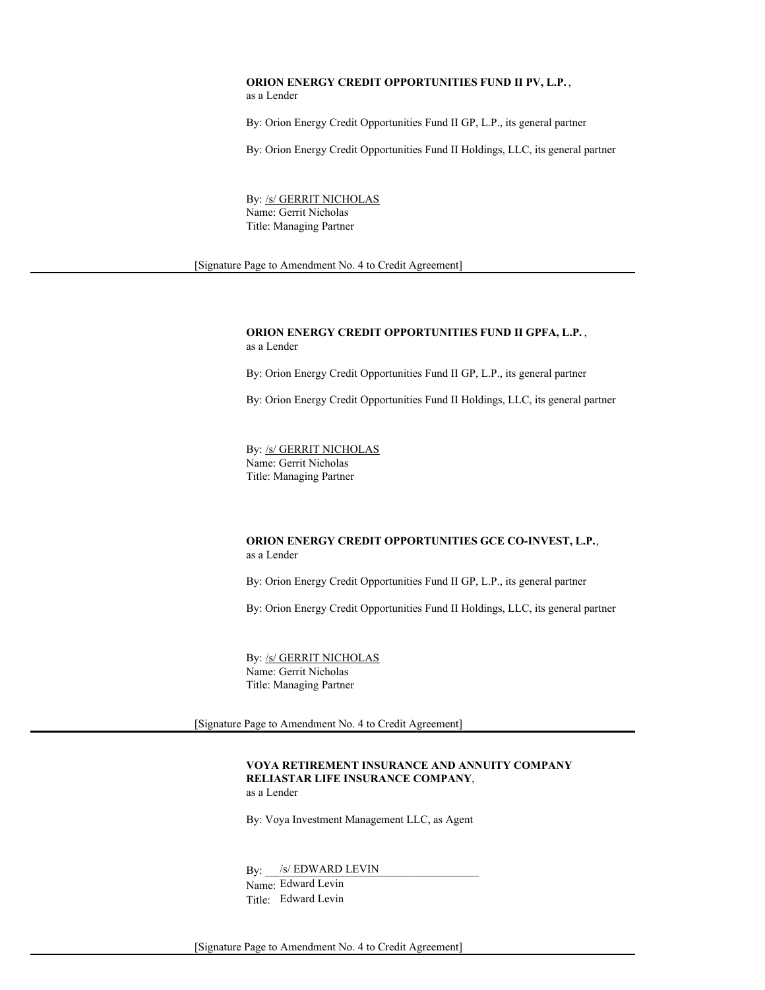### **ORION ENERGY CREDIT OPPORTUNITIES FUND II PV, L.P.** , as a Lender

By: Orion Energy Credit Opportunities Fund II GP, L.P., its general partner

By: Orion Energy Credit Opportunities Fund II Holdings, LLC, its general partner

By: /s/ GERRIT NICHOLAS Name: Gerrit Nicholas Title: Managing Partner

[Signature Page to Amendment No. 4 to Credit Agreement]

### **ORION ENERGY CREDIT OPPORTUNITIES FUND II GPFA, L.P.** , as a Lender

By: Orion Energy Credit Opportunities Fund II GP, L.P., its general partner

By: Orion Energy Credit Opportunities Fund II Holdings, LLC, its general partner

By: /s/ GERRIT NICHOLAS Name: Gerrit Nicholas Title: Managing Partner

## **ORION ENERGY CREDIT OPPORTUNITIES GCE CO-INVEST, L.P.**, as a Lender

By: Orion Energy Credit Opportunities Fund II GP, L.P., its general partner

By: Orion Energy Credit Opportunities Fund II Holdings, LLC, its general partner

By: /s/ GERRIT NICHOLAS Name: Gerrit Nicholas Title: Managing Partner

[Signature Page to Amendment No. 4 to Credit Agreement]

### **VOYA RETIREMENT INSURANCE AND ANNUITY COMPANY RELIASTAR LIFE INSURANCE COMPANY**, as a Lender

By: Voya Investment Management LLC, as Agent

 $By:$  /s/  $EDWARD$  LEVIN

Name: Edward Levin Title: Edward Levin

[Signature Page to Amendment No. 4 to Credit Agreement]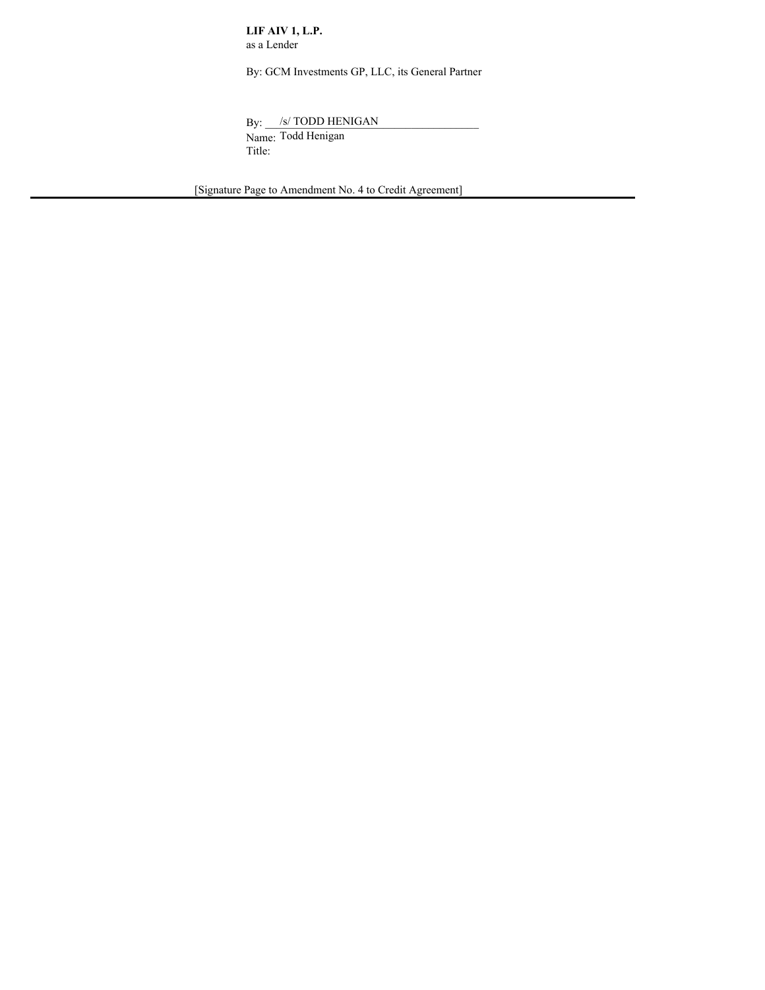**LIF AIV 1, L.P.** as a Lender

By: GCM Investments GP, LLC, its General Partner

By:  $\frac{|s|}{100}$  HENIGAN

Name: Todd Henigan Title:

[Signature Page to Amendment No. 4 to Credit Agreement]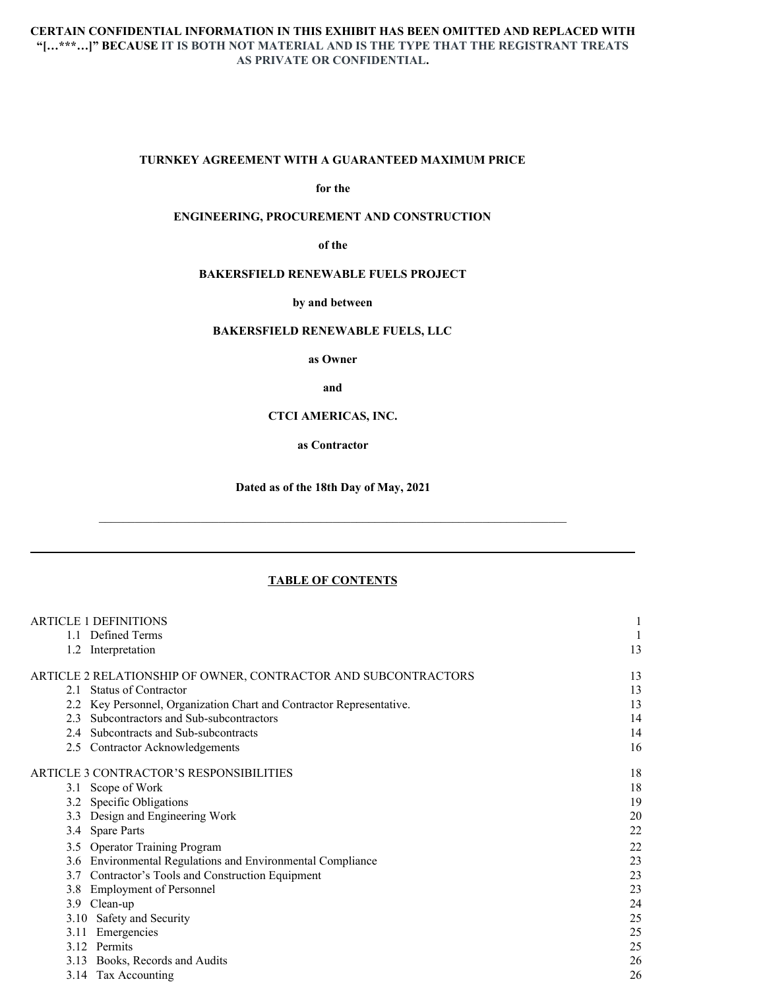# **TURNKEY AGREEMENT WITH A GUARANTEED MAXIMUM PRICE**

**for the**

# **ENGINEERING, PROCUREMENT AND CONSTRUCTION**

**of the**

# **BAKERSFIELD RENEWABLE FUELS PROJECT**

**by and between**

# **BAKERSFIELD RENEWABLE FUELS, LLC**

**as Owner**

**and**

# **CTCI AMERICAS, INC.**

**as Contractor**

**Dated as of the 18th Day of May, 2021**

# **TABLE OF CONTENTS**

|      | <b>ARTICLE 1 DEFINITIONS</b>                                         |    |
|------|----------------------------------------------------------------------|----|
|      | 1.1 Defined Terms                                                    |    |
| 1.2  | Interpretation                                                       | 13 |
|      | ARTICLE 2 RELATIONSHIP OF OWNER, CONTRACTOR AND SUBCONTRACTORS       | 13 |
| 2.1  | Status of Contractor                                                 | 13 |
|      |                                                                      |    |
|      | 2.2 Key Personnel, Organization Chart and Contractor Representative. | 13 |
| 2.3  | Subcontractors and Sub-subcontractors                                | 14 |
|      | 2.4 Subcontracts and Sub-subcontracts                                | 14 |
|      | 2.5 Contractor Acknowledgements                                      | 16 |
|      | ARTICLE 3 CONTRACTOR'S RESPONSIBILITIES                              | 18 |
|      | 3.1 Scope of Work                                                    | 18 |
|      | 3.2 Specific Obligations                                             | 19 |
|      | 3.3 Design and Engineering Work                                      | 20 |
|      | 3.4 Spare Parts                                                      | 22 |
|      | 3.5 Operator Training Program                                        | 22 |
| 3.6  | Environmental Regulations and Environmental Compliance               | 23 |
| 3.7  | Contractor's Tools and Construction Equipment                        | 23 |
| 3.8  | <b>Employment of Personnel</b>                                       | 23 |
| 3.9  | Clean-up                                                             | 24 |
| 3.10 | Safety and Security                                                  | 25 |
| 3.11 | Emergencies                                                          | 25 |
|      | 3.12 Permits                                                         | 25 |
| 3.13 | Books, Records and Audits                                            | 26 |
|      |                                                                      |    |
|      | 3.14 Tax Accounting                                                  | 26 |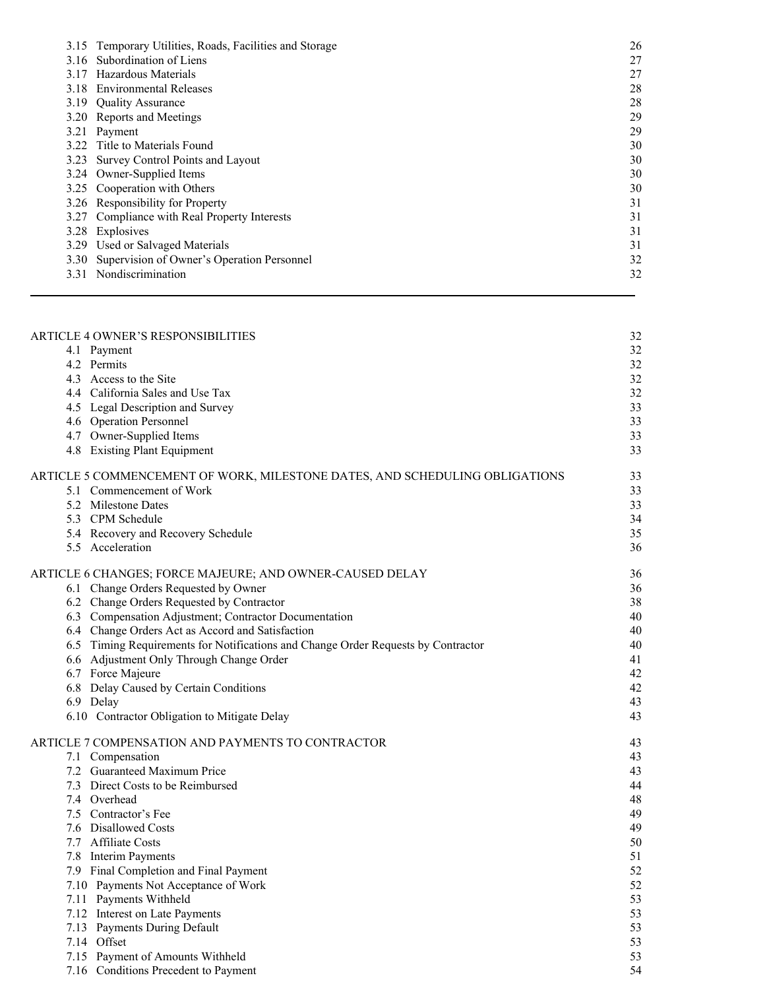|      | 3.15 Temporary Utilities, Roads, Facilities and Storage | 26 |
|------|---------------------------------------------------------|----|
| 3.16 | Subordination of Liens                                  | 27 |
|      | 3.17 Hazardous Materials                                | 27 |
|      | 3.18 Environmental Releases                             | 28 |
|      | 3.19 Quality Assurance                                  | 28 |
|      | 3.20 Reports and Meetings                               | 29 |
|      | 3.21 Payment                                            | 29 |
|      | 3.22 Title to Materials Found                           | 30 |
|      | 3.23 Survey Control Points and Layout                   | 30 |
|      | 3.24 Owner-Supplied Items                               | 30 |
|      | 3.25 Cooperation with Others                            | 30 |
|      | 3.26 Responsibility for Property                        | 31 |
|      | 3.27 Compliance with Real Property Interests            | 31 |
|      | 3.28 Explosives                                         | 31 |
| 3.29 | Used or Salvaged Materials                              | 31 |
| 3.30 | Supervision of Owner's Operation Personnel              | 32 |
| 3.31 | Nondiscrimination                                       | 32 |
|      |                                                         |    |

| ARTICLE 4 OWNER'S RESPONSIBILITIES                                                | 32 |
|-----------------------------------------------------------------------------------|----|
| 4.1 Payment                                                                       | 32 |
| 4.2 Permits                                                                       | 32 |
| 4.3 Access to the Site                                                            | 32 |
| 4.4 California Sales and Use Tax                                                  | 32 |
| 4.5 Legal Description and Survey                                                  | 33 |
| 4.6 Operation Personnel                                                           | 33 |
| 4.7 Owner-Supplied Items                                                          | 33 |
| 4.8 Existing Plant Equipment                                                      | 33 |
| ARTICLE 5 COMMENCEMENT OF WORK, MILESTONE DATES, AND SCHEDULING OBLIGATIONS       | 33 |
| 5.1 Commencement of Work                                                          | 33 |
| 5.2 Milestone Dates                                                               | 33 |
| 5.3 CPM Schedule                                                                  | 34 |
| 5.4 Recovery and Recovery Schedule                                                | 35 |
| 5.5 Acceleration                                                                  | 36 |
| ARTICLE 6 CHANGES; FORCE MAJEURE; AND OWNER-CAUSED DELAY                          | 36 |
| 6.1 Change Orders Requested by Owner                                              | 36 |
| 6.2 Change Orders Requested by Contractor                                         | 38 |
| 6.3 Compensation Adjustment; Contractor Documentation                             | 40 |
| 6.4 Change Orders Act as Accord and Satisfaction                                  | 40 |
| 6.5 Timing Requirements for Notifications and Change Order Requests by Contractor | 40 |
| 6.6 Adjustment Only Through Change Order                                          | 41 |
| 6.7 Force Majeure                                                                 | 42 |
| 6.8 Delay Caused by Certain Conditions                                            | 42 |
| 6.9 Delay                                                                         | 43 |
| 6.10 Contractor Obligation to Mitigate Delay                                      | 43 |
| ARTICLE 7 COMPENSATION AND PAYMENTS TO CONTRACTOR                                 | 43 |
| 7.1 Compensation                                                                  | 43 |
| 7.2 Guaranteed Maximum Price                                                      | 43 |
| 7.3 Direct Costs to be Reimbursed                                                 | 44 |
| 7.4 Overhead                                                                      | 48 |
| 7.5 Contractor's Fee                                                              | 49 |
| 7.6 Disallowed Costs                                                              | 49 |
| 7.7 Affiliate Costs                                                               | 50 |
| 7.8 Interim Payments                                                              | 51 |
| 7.9 Final Completion and Final Payment                                            | 52 |
| 7.10 Payments Not Acceptance of Work                                              | 52 |
| 7.11 Payments Withheld                                                            | 53 |
| 7.12 Interest on Late Payments                                                    | 53 |
| 7.13 Payments During Default                                                      | 53 |
| 7.14 Offset                                                                       | 53 |
| 7.15 Payment of Amounts Withheld                                                  | 53 |
| 7.16 Conditions Precedent to Payment                                              | 54 |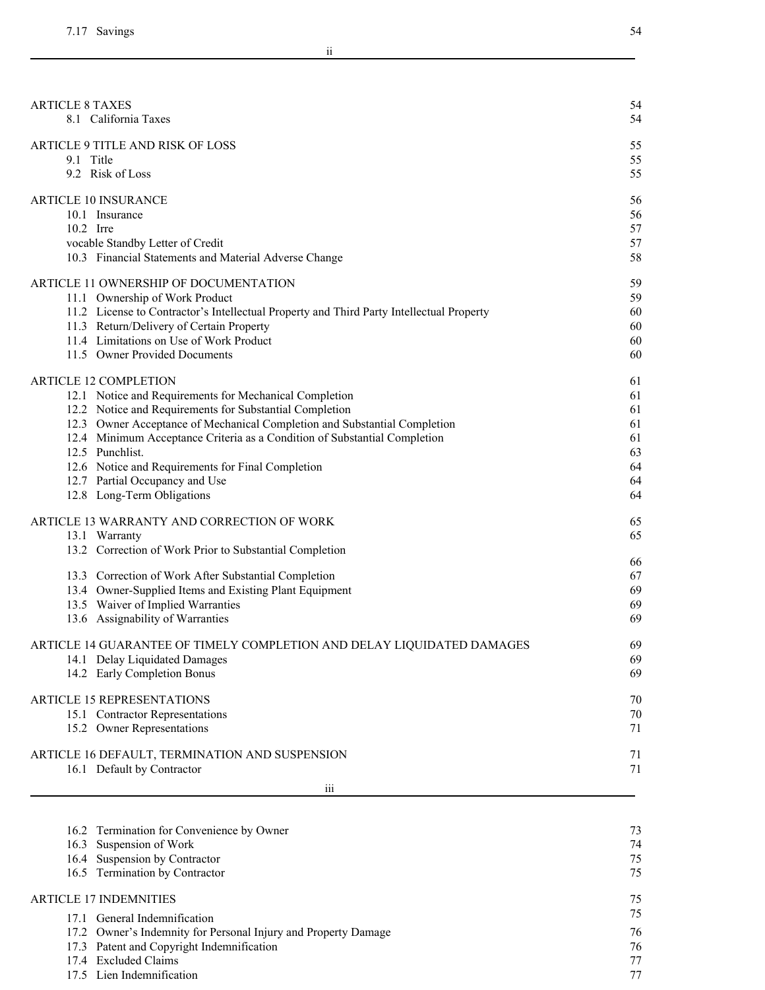|  |  | ×<br>ï |
|--|--|--------|
|  |  |        |
|  |  |        |

| <b>ARTICLE 8 TAXES</b>                                                                                                     | 54       |
|----------------------------------------------------------------------------------------------------------------------------|----------|
| 8.1 California Taxes                                                                                                       | 54       |
| ARTICLE 9 TITLE AND RISK OF LOSS                                                                                           | 55       |
| 9.1 Title                                                                                                                  | 55       |
| 9.2 Risk of Loss                                                                                                           | 55       |
| <b>ARTICLE 10 INSURANCE</b>                                                                                                | 56       |
| 10.1 Insurance                                                                                                             | 56       |
| 10.2 Irre                                                                                                                  | 57       |
| vocable Standby Letter of Credit<br>10.3 Financial Statements and Material Adverse Change                                  | 57<br>58 |
|                                                                                                                            |          |
| ARTICLE 11 OWNERSHIP OF DOCUMENTATION                                                                                      | 59       |
| 11.1 Ownership of Work Product<br>11.2 License to Contractor's Intellectual Property and Third Party Intellectual Property | 59<br>60 |
| 11.3 Return/Delivery of Certain Property                                                                                   | 60       |
| 11.4 Limitations on Use of Work Product                                                                                    | 60       |
| 11.5 Owner Provided Documents                                                                                              | 60       |
| <b>ARTICLE 12 COMPLETION</b>                                                                                               | 61       |
| 12.1 Notice and Requirements for Mechanical Completion                                                                     | 61       |
| 12.2 Notice and Requirements for Substantial Completion                                                                    | 61       |
| 12.3 Owner Acceptance of Mechanical Completion and Substantial Completion                                                  | 61       |
| 12.4 Minimum Acceptance Criteria as a Condition of Substantial Completion                                                  | 61       |
| 12.5 Punchlist.<br>12.6 Notice and Requirements for Final Completion                                                       | 63<br>64 |
| 12.7 Partial Occupancy and Use                                                                                             | 64       |
| 12.8 Long-Term Obligations                                                                                                 | 64       |
|                                                                                                                            |          |
| ARTICLE 13 WARRANTY AND CORRECTION OF WORK<br>13.1 Warranty                                                                | 65<br>65 |
| 13.2 Correction of Work Prior to Substantial Completion                                                                    |          |
|                                                                                                                            | 66       |
| 13.3 Correction of Work After Substantial Completion<br>13.4 Owner-Supplied Items and Existing Plant Equipment             | 67<br>69 |
| 13.5 Waiver of Implied Warranties                                                                                          | 69       |
| 13.6 Assignability of Warranties                                                                                           | 69       |
|                                                                                                                            |          |
| ARTICLE 14 GUARANTEE OF TIMELY COMPLETION AND DELAY LIQUIDATED DAMAGES<br>14.1 Delay Liquidated Damages                    | 69<br>69 |
| 14.2 Early Completion Bonus                                                                                                | 69       |
|                                                                                                                            |          |
| <b>ARTICLE 15 REPRESENTATIONS</b>                                                                                          | 70       |
| 15.1 Contractor Representations<br>15.2 Owner Representations                                                              | 70<br>71 |
|                                                                                                                            |          |
| ARTICLE 16 DEFAULT, TERMINATION AND SUSPENSION                                                                             | 71       |
| 16.1 Default by Contractor                                                                                                 | 71       |
| iii                                                                                                                        |          |
|                                                                                                                            |          |
| 16.2 Termination for Convenience by Owner                                                                                  | 73       |
| 16.3 Suspension of Work                                                                                                    | 74       |
| 16.4 Suspension by Contractor<br>16.5 Termination by Contractor                                                            | 75<br>75 |
|                                                                                                                            |          |
| <b>ARTICLE 17 INDEMNITIES</b>                                                                                              | 75       |
| 17.1 General Indemnification                                                                                               | 75       |
| 17.2 Owner's Indemnity for Personal Injury and Property Damage                                                             | 76       |

17.3 Patent and Copyright Indemnification 76 17.4 Excluded Claims 77 17.5 Lien Indemnification 77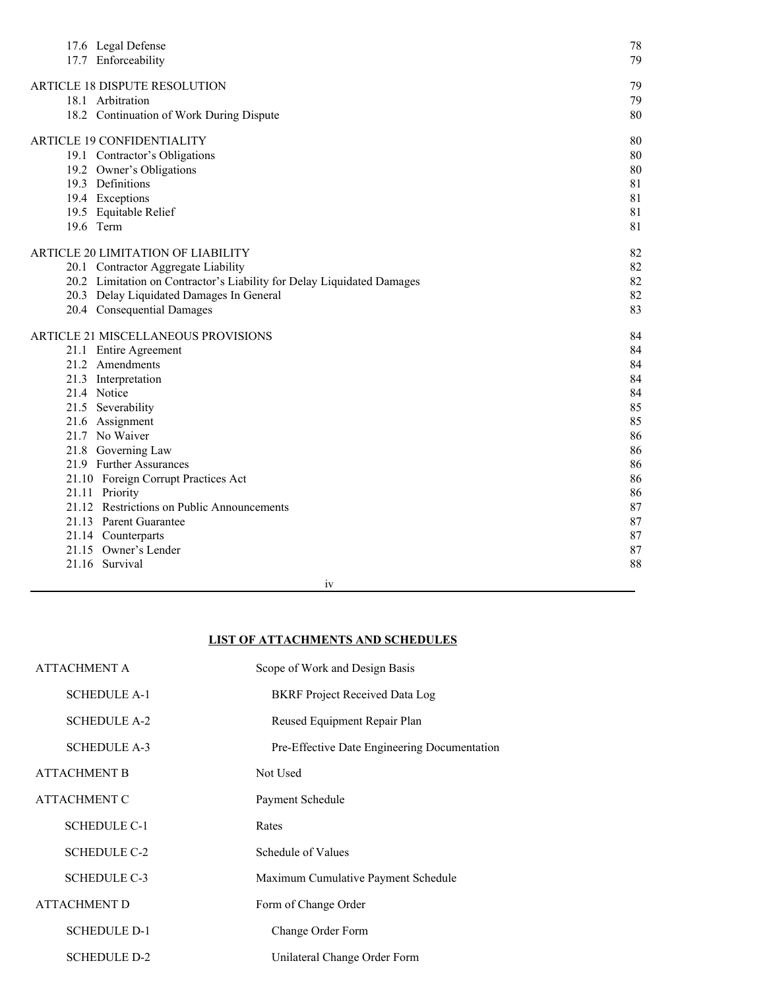| 17.6 Legal Defense                                                     | 78 |
|------------------------------------------------------------------------|----|
| 17.7 Enforceability                                                    | 79 |
|                                                                        |    |
| <b>ARTICLE 18 DISPUTE RESOLUTION</b>                                   | 79 |
| 18.1 Arbitration                                                       | 79 |
| 18.2 Continuation of Work During Dispute                               | 80 |
| <b>ARTICLE 19 CONFIDENTIALITY</b>                                      | 80 |
| 19.1 Contractor's Obligations                                          | 80 |
| 19.2 Owner's Obligations                                               | 80 |
| 19.3 Definitions                                                       | 81 |
| 19.4 Exceptions                                                        | 81 |
| 19.5 Equitable Relief                                                  | 81 |
| 19.6 Term                                                              | 81 |
| ARTICLE 20 LIMITATION OF LIABILITY                                     | 82 |
| 20.1 Contractor Aggregate Liability                                    | 82 |
| 20.2 Limitation on Contractor's Liability for Delay Liquidated Damages | 82 |
| 20.3 Delay Liquidated Damages In General                               | 82 |
| 20.4 Consequential Damages                                             | 83 |
|                                                                        |    |
| ARTICLE 21 MISCELLANEOUS PROVISIONS                                    | 84 |
| 21.1 Entire Agreement                                                  | 84 |
| 21.2 Amendments                                                        | 84 |
| 21.3 Interpretation                                                    | 84 |
| 21.4 Notice                                                            | 84 |
| 21.5 Severability                                                      | 85 |
| 21.6 Assignment                                                        | 85 |
| 21.7 No Waiver                                                         | 86 |
| 21.8 Governing Law                                                     | 86 |
| 21.9 Further Assurances                                                | 86 |
| 21.10 Foreign Corrupt Practices Act                                    | 86 |
| 21.11 Priority                                                         | 86 |
| 21.12 Restrictions on Public Announcements                             | 87 |
| 21.13 Parent Guarantee                                                 | 87 |
| 21.14 Counterparts                                                     | 87 |
| 21.15 Owner's Lender                                                   | 87 |
| 21.16 Survival                                                         | 88 |
|                                                                        |    |

iv

# **LIST OF ATTACHMENTS AND SCHEDULES**

| <b>ATTACHMENT A</b> | Scope of Work and Design Basis               |
|---------------------|----------------------------------------------|
| <b>SCHEDULE A-1</b> | <b>BKRF</b> Project Received Data Log        |
| <b>SCHEDULE A-2</b> | Reused Equipment Repair Plan                 |
| <b>SCHEDULE A-3</b> | Pre-Effective Date Engineering Documentation |
| <b>ATTACHMENT B</b> | Not Used                                     |
| <b>ATTACHMENT C</b> | Payment Schedule                             |
| <b>SCHEDULE C-1</b> | Rates                                        |
| <b>SCHEDULE C-2</b> | Schedule of Values                           |
| <b>SCHEDULE C-3</b> | Maximum Cumulative Payment Schedule          |
| <b>ATTACHMENT D</b> | Form of Change Order                         |
| <b>SCHEDULE D-1</b> | Change Order Form                            |
| <b>SCHEDULE D-2</b> | Unilateral Change Order Form                 |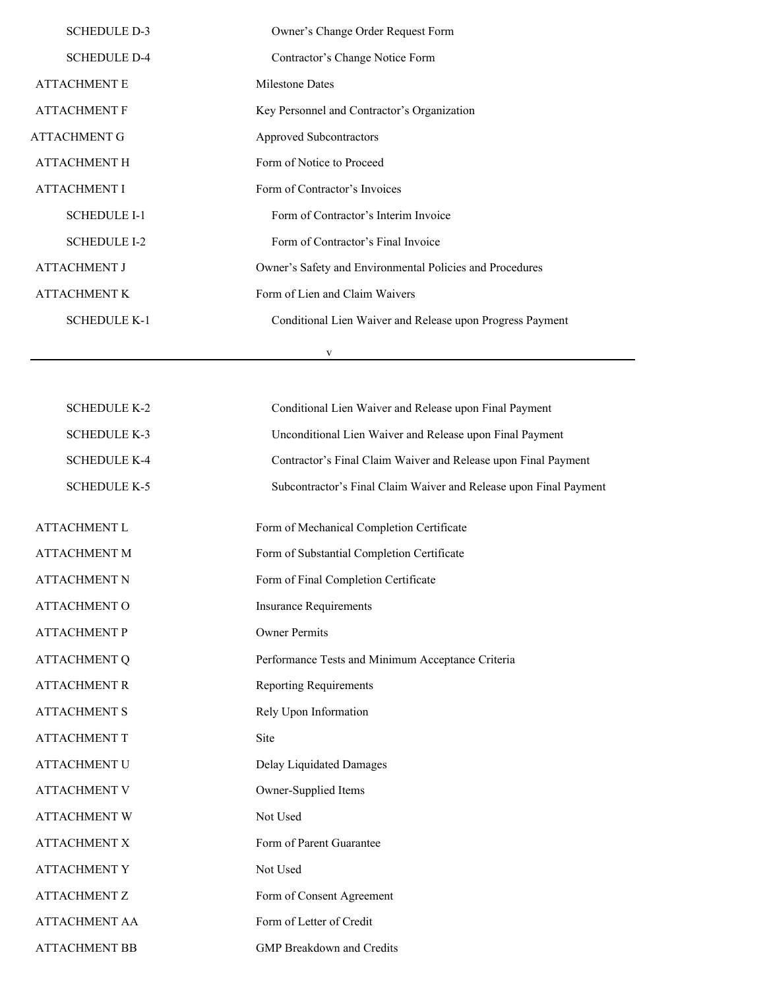| <b>SCHEDULE D-3</b> | Owner's Change Order Request Form                         |
|---------------------|-----------------------------------------------------------|
| <b>SCHEDULE D-4</b> | Contractor's Change Notice Form                           |
| <b>ATTACHMENT E</b> | <b>Milestone Dates</b>                                    |
| <b>ATTACHMENT F</b> | Key Personnel and Contractor's Organization               |
| <b>ATTACHMENT G</b> | Approved Subcontractors                                   |
| <b>ATTACHMENT H</b> | Form of Notice to Proceed                                 |
| <b>ATTACHMENT I</b> | Form of Contractor's Invoices                             |
| <b>SCHEDULE I-1</b> | Form of Contractor's Interim Invoice                      |
| <b>SCHEDULE I-2</b> | Form of Contractor's Final Invoice                        |
| <b>ATTACHMENT J</b> | Owner's Safety and Environmental Policies and Procedures  |
| <b>ATTACHMENT K</b> | Form of Lien and Claim Waivers                            |
| <b>SCHEDULE K-1</b> | Conditional Lien Waiver and Release upon Progress Payment |
|                     | V                                                         |

| <b>SCHEDULE K-2</b>  | Conditional Lien Waiver and Release upon Final Payment            |
|----------------------|-------------------------------------------------------------------|
| <b>SCHEDULE K-3</b>  | Unconditional Lien Waiver and Release upon Final Payment          |
| <b>SCHEDULE K-4</b>  | Contractor's Final Claim Waiver and Release upon Final Payment    |
| <b>SCHEDULE K-5</b>  | Subcontractor's Final Claim Waiver and Release upon Final Payment |
|                      |                                                                   |
| <b>ATTACHMENT L</b>  | Form of Mechanical Completion Certificate                         |
| <b>ATTACHMENT M</b>  | Form of Substantial Completion Certificate                        |
| <b>ATTACHMENT N</b>  | Form of Final Completion Certificate                              |
| <b>ATTACHMENT O</b>  | <b>Insurance Requirements</b>                                     |
| <b>ATTACHMENT P</b>  | <b>Owner Permits</b>                                              |
| <b>ATTACHMENT Q</b>  | Performance Tests and Minimum Acceptance Criteria                 |
| <b>ATTACHMENT R</b>  | <b>Reporting Requirements</b>                                     |
| <b>ATTACHMENT S</b>  | Rely Upon Information                                             |
| <b>ATTACHMENT T</b>  | Site                                                              |
| <b>ATTACHMENT U</b>  | <b>Delay Liquidated Damages</b>                                   |
| <b>ATTACHMENT V</b>  | Owner-Supplied Items                                              |
| <b>ATTACHMENT W</b>  | Not Used                                                          |
| <b>ATTACHMENT X</b>  | Form of Parent Guarantee                                          |
| <b>ATTACHMENT Y</b>  | Not Used                                                          |
| <b>ATTACHMENT Z</b>  | Form of Consent Agreement                                         |
| <b>ATTACHMENT AA</b> | Form of Letter of Credit                                          |
| <b>ATTACHMENT BB</b> | <b>GMP</b> Breakdown and Credits                                  |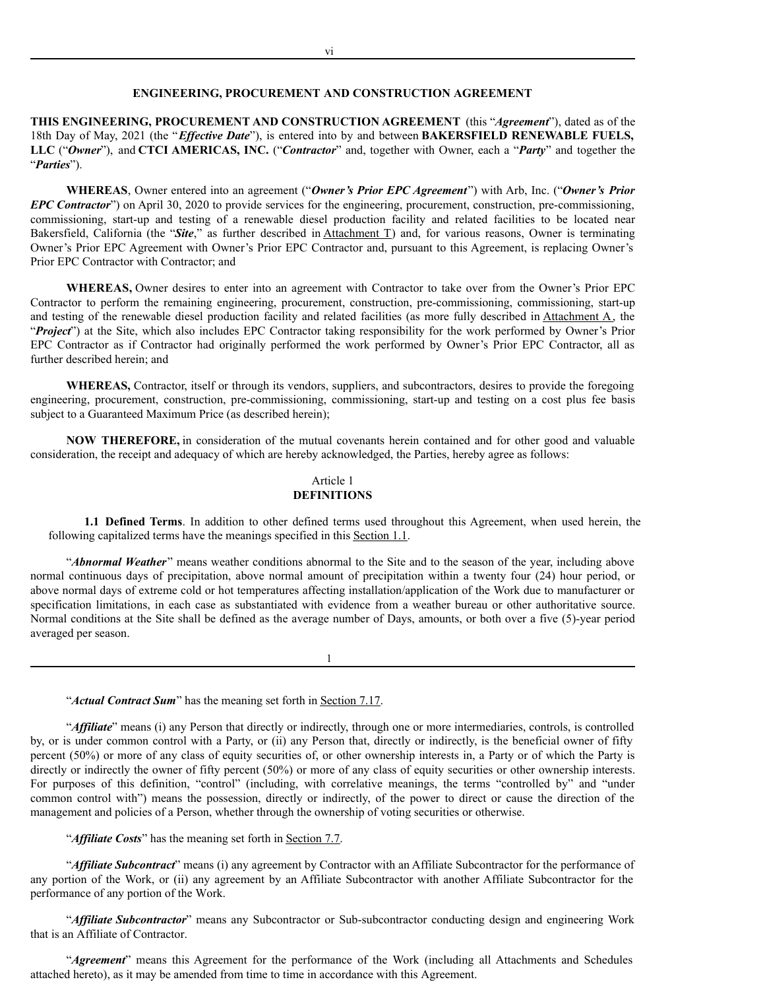## **ENGINEERING, PROCUREMENT AND CONSTRUCTION AGREEMENT**

**THIS ENGINEERING, PROCUREMENT AND CONSTRUCTION AGREEMENT** (this "*Agreement*"), dated as of the 18th Day of May, 2021 (the "*Effective Date*"), is entered into by and between **BAKERSFIELD RENEWABLE** FUELS, **LLC** ("*Owner*"), and **CTCI AMERICAS, INC.** ("*Contractor*" and, together with Owner, each a "*Party*" and together the "*Parties*").

**WHEREAS**, Owner entered into an agreement ("*Owner's Prior EPC Agreement*") with Arb, Inc. ("*Owner's Prior EPC Contractor*") on April 30, 2020 to provide services for the engineering, procurement, construction, pre-commissioning, commissioning, start-up and testing of a renewable diesel production facility and related facilities to be located near Bakersfield, California (the "*Site*," as further described in Attachment T) and, for various reasons, Owner is terminating Owner's Prior EPC Agreement with Owner's Prior EPC Contractor and, pursuant to this Agreement, is replacing Owner's Prior EPC Contractor with Contractor; and

**WHEREAS,** Owner desires to enter into an agreement with Contractor to take over from the Owner's Prior EPC Contractor to perform the remaining engineering, procurement, construction, pre-commissioning, commissioning, start-up and testing of the renewable diesel production facility and related facilities (as more fully described in Attachment A, the "Project") at the Site, which also includes EPC Contractor taking responsibility for the work performed by Owner's Prior EPC Contractor as if Contractor had originally performed the work performed by Owner's Prior EPC Contractor, all as further described herein; and

**WHEREAS,** Contractor, itself or through its vendors, suppliers, and subcontractors, desires to provide the foregoing engineering, procurement, construction, pre-commissioning, commissioning, start-up and testing on a cost plus fee basis subject to a Guaranteed Maximum Price (as described herein);

**NOW THEREFORE,** in consideration of the mutual covenants herein contained and for other good and valuable consideration, the receipt and adequacy of which are hereby acknowledged, the Parties, hereby agree as follows:

# Article 1 **DEFINITIONS**

**1.1 Defined Terms**. In addition to other defined terms used throughout this Agreement, when used herein, the following capitalized terms have the meanings specified in this Section 1.1.

"*Abnormal Weather*" means weather conditions abnormal to the Site and to the season of the year, including above normal continuous days of precipitation, above normal amount of precipitation within a twenty four (24) hour period, or above normal days of extreme cold or hot temperatures affecting installation/application of the Work due to manufacturer or specification limitations, in each case as substantiated with evidence from a weather bureau or other authoritative source. Normal conditions at the Site shall be defined as the average number of Days, amounts, or both over a five (5)-year period averaged per season.

1

"*Actual Contract Sum*" has the meaning set forth in Section 7.17.

"*Affiliate*" means (i) any Person that directly or indirectly, through one or more intermediaries, controls, is controlled by, or is under common control with a Party, or (ii) any Person that, directly or indirectly, is the beneficial owner of fifty percent (50%) or more of any class of equity securities of, or other ownership interests in, a Party or of which the Party is directly or indirectly the owner of fifty percent (50%) or more of any class of equity securities or other ownership interests. For purposes of this definition, "control" (including, with correlative meanings, the terms "controlled by" and "under common control with") means the possession, directly or indirectly, of the power to direct or cause the direction of the management and policies of a Person, whether through the ownership of voting securities or otherwise.

"*Affiliate Costs*" has the meaning set forth in Section 7.7.

"*Af iliate Subcontract*" means (i) any agreement by Contractor with an Affiliate Subcontractor for the performance of any portion of the Work, or (ii) any agreement by an Affiliate Subcontractor with another Affiliate Subcontractor for the performance of any portion of the Work.

"Affiliate Subcontractor" means any Subcontractor or Sub-subcontractor conducting design and engineering Work that is an Affiliate of Contractor.

"*Agreement*" means this Agreement for the performance of the Work (including all Attachments and Schedules attached hereto), as it may be amended from time to time in accordance with this Agreement.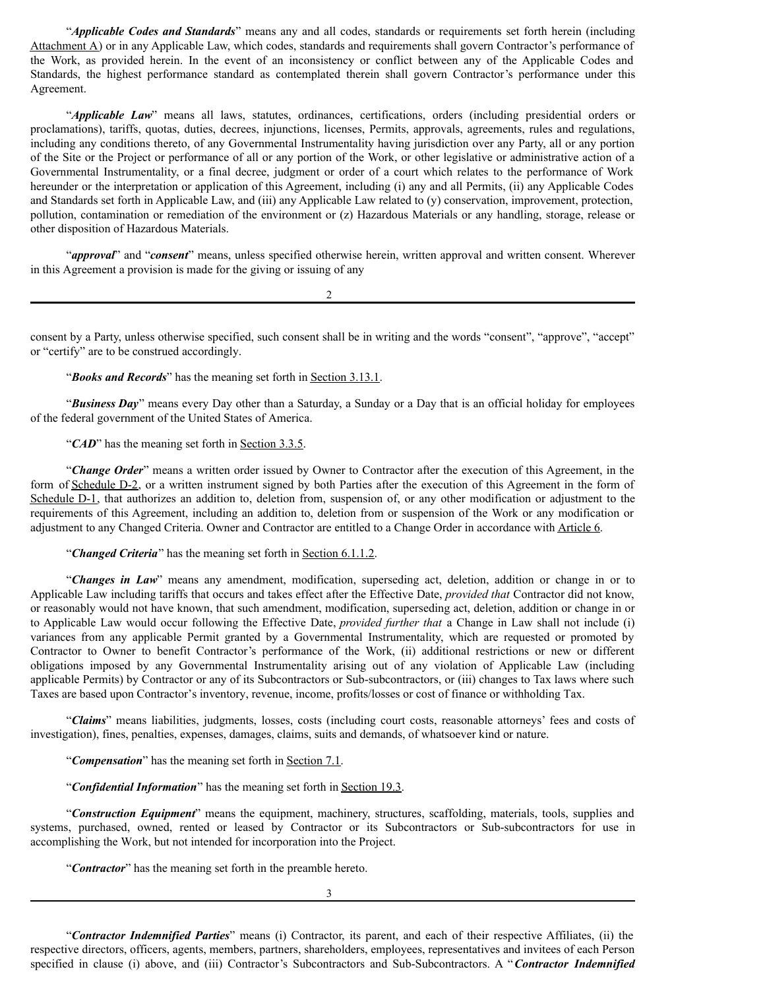"*Applicable Codes and Standards*" means any and all codes, standards or requirements set forth herein (including Attachment A) or in any Applicable Law, which codes, standards and requirements shall govern Contractor's performance of the Work, as provided herein. In the event of an inconsistency or conflict between any of the Applicable Codes and Standards, the highest performance standard as contemplated therein shall govern Contractor's performance under this Agreement.

"*Applicable Law*" means all laws, statutes, ordinances, certifications, orders (including presidential orders or proclamations), tariffs, quotas, duties, decrees, injunctions, licenses, Permits, approvals, agreements, rules and regulations, including any conditions thereto, of any Governmental Instrumentality having jurisdiction over any Party, all or any portion of the Site or the Project or performance of all or any portion of the Work, or other legislative or administrative action of a Governmental Instrumentality, or a final decree, judgment or order of a court which relates to the performance of Work hereunder or the interpretation or application of this Agreement, including (i) any and all Permits, (ii) any Applicable Codes and Standards set forth in Applicable Law, and (iii) any Applicable Law related to (y) conservation, improvement, protection, pollution, contamination or remediation of the environment or (z) Hazardous Materials or any handling, storage, release or other disposition of Hazardous Materials.

"*approval*" and "*consent*" means, unless specified otherwise herein, written approval and written consent. Wherever in this Agreement a provision is made for the giving or issuing of any

 $\mathfrak{D}$ 

consent by a Party, unless otherwise specified, such consent shall be in writing and the words "consent", "approve", "accept" or "certify" are to be construed accordingly.

"*Books and Records*" has the meaning set forth in Section 3.13.1.

"*Business Day*" means every Day other than a Saturday, a Sunday or a Day that is an official holiday for employees of the federal government of the United States of America.

"*CAD*" has the meaning set forth in **Section 3.3.5.** 

"*Change Order*" means a written order issued by Owner to Contractor after the execution of this Agreement, in the form of Schedule D-2, or a written instrument signed by both Parties after the execution of this Agreement in the form of Schedule D-1, that authorizes an addition to, deletion from, suspension of, or any other modification or adjustment to the requirements of this Agreement, including an addition to, deletion from or suspension of the Work or any modification or adjustment to any Changed Criteria. Owner and Contractor are entitled to a Change Order in accordance with Article 6.

"*Changed Criteria*" has the meaning set forth in Section 6.1.1.2.

"*Changes in Law*" means any amendment, modification, superseding act, deletion, addition or change in or to Applicable Law including tariffs that occurs and takes effect after the Effective Date, *provided that* Contractor did not know, or reasonably would not have known, that such amendment, modification, superseding act, deletion, addition or change in or to Applicable Law would occur following the Effective Date, *provided further that* a Change in Law shall not include (i) variances from any applicable Permit granted by a Governmental Instrumentality, which are requested or promoted by Contractor to Owner to benefit Contractor's performance of the Work, (ii) additional restrictions or new or different obligations imposed by any Governmental Instrumentality arising out of any violation of Applicable Law (including applicable Permits) by Contractor or any of its Subcontractors or Sub-subcontractors, or (iii) changes to Tax laws where such Taxes are based upon Contractor's inventory, revenue, income, profits/losses or cost of finance or withholding Tax.

"*Claims*" means liabilities, judgments, losses, costs (including court costs, reasonable attorneys' fees and costs of investigation), fines, penalties, expenses, damages, claims, suits and demands, of whatsoever kind or nature.

"*Compensation*" has the meaning set forth in Section 7.1.

"*Confidential Information*" has the meaning set forth in Section 19.3.

"*Construction Equipment*" means the equipment, machinery, structures, scaffolding, materials, tools, supplies and systems, purchased, owned, rented or leased by Contractor or its Subcontractors or Sub-subcontractors for use in accomplishing the Work, but not intended for incorporation into the Project.

"*Contractor*" has the meaning set forth in the preamble hereto.

3

"*Contractor Indemnified Parties*" means (i) Contractor, its parent, and each of their respective Affiliates, (ii) the respective directors, officers, agents, members, partners, shareholders, employees, representatives and invitees of each Person specified in clause (i) above, and (iii) Contractor's Subcontractors and Sub-Subcontractors. A "*Contractor Indemnified*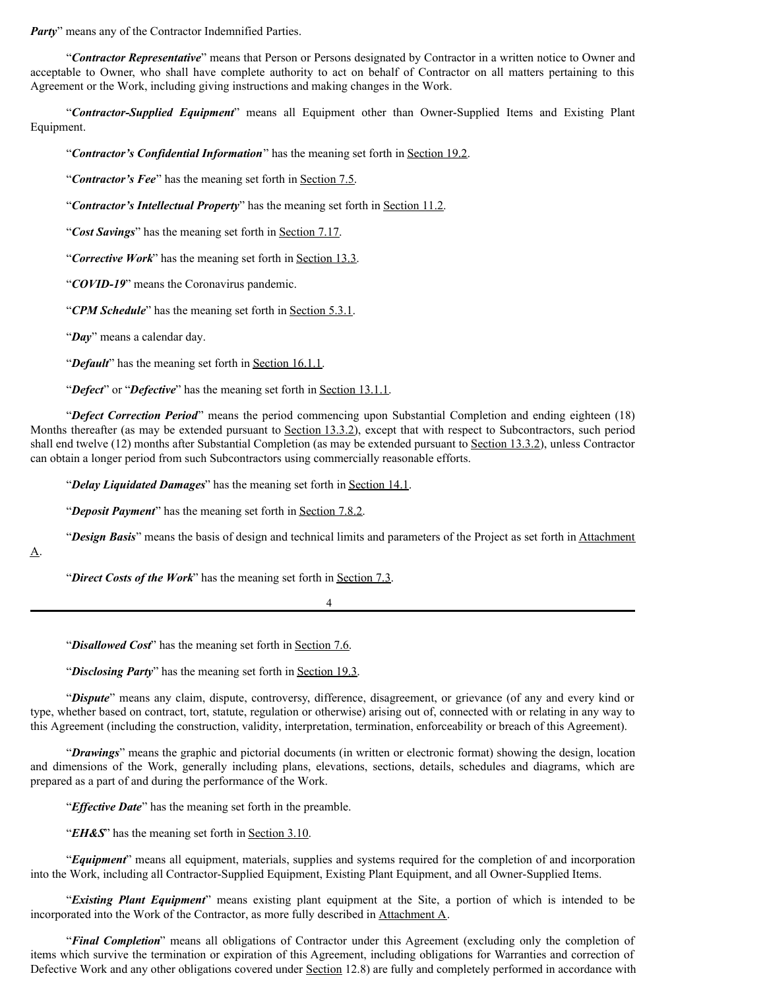*Party*" means any of the Contractor Indemnified Parties.

"*Contractor Representative*" means that Person or Persons designated by Contractor in a written notice to Owner and acceptable to Owner, who shall have complete authority to act on behalf of Contractor on all matters pertaining to this Agreement or the Work, including giving instructions and making changes in the Work.

"*Contractor-Supplied Equipment*" means all Equipment other than Owner-Supplied Items and Existing Plant Equipment.

"*Contractor's Confidential Information*" has the meaning set forth in Section 19.2.

"*Contractor's Fee*" has the meaning set forth in Section 7.5.

"*Contractor's Intellectual Property*" has the meaning set forth in Section 11.2.

"*Cost Savings*" has the meaning set forth in Section 7.17.

"*Corrective Work*" has the meaning set forth in Section 13.3.

"*COVID-19*" means the Coronavirus pandemic.

"*CPM Schedule*" has the meaning set forth in Section 5.3.1.

"*Day*" means a calendar day.

"*Default*" has the meaning set forth in Section 16.1.1.

"**Defect**" or "**Defective**" has the meaning set forth in <u>Section 13.1.1</u>.

"*Defect Correction Period*" means the period commencing upon Substantial Completion and ending eighteen (18) Months thereafter (as may be extended pursuant to Section 13.3.2), except that with respect to Subcontractors, such period shall end twelve (12) months after Substantial Completion (as may be extended pursuant to Section 13.3.2), unless Contractor can obtain a longer period from such Subcontractors using commercially reasonable efforts.

"*Delay Liquidated Damages*" has the meaning set forth in Section 14.1.

"*Deposit Payment*" has the meaning set forth in Section 7.8.2.

"*Design Basis*" means the basis of design and technical limits and parameters of the Project as set forth in Attachment

 $\underline{A}$ .

"*Direct Costs of the Work*" has the meaning set forth in Section 7.3.

4

"*Disallowed Cost*" has the meaning set forth in Section 7.6.

"*Disclosing Party*" has the meaning set forth in Section 19.3.

"*Dispute*" means any claim, dispute, controversy, difference, disagreement, or grievance (of any and every kind or type, whether based on contract, tort, statute, regulation or otherwise) arising out of, connected with or relating in any way to this Agreement (including the construction, validity, interpretation, termination, enforceability or breach of this Agreement).

"*Drawings*" means the graphic and pictorial documents (in written or electronic format) showing the design, location and dimensions of the Work, generally including plans, elevations, sections, details, schedules and diagrams, which are prepared as a part of and during the performance of the Work.

"*Effective Date*" has the meaning set forth in the preamble.

"*EH&S*" has the meaning set forth in Section 3.10.

"*Equipment*" means all equipment, materials, supplies and systems required for the completion of and incorporation into the Work, including all Contractor-Supplied Equipment, Existing Plant Equipment, and all Owner-Supplied Items.

"*Existing Plant Equipment*" means existing plant equipment at the Site, a portion of which is intended to be incorporated into the Work of the Contractor, as more fully described in Attachment A.

"*Final Completion*" means all obligations of Contractor under this Agreement (excluding only the completion of items which survive the termination or expiration of this Agreement, including obligations for Warranties and correction of Defective Work and any other obligations covered under Section 12.8) are fully and completely performed in accordance with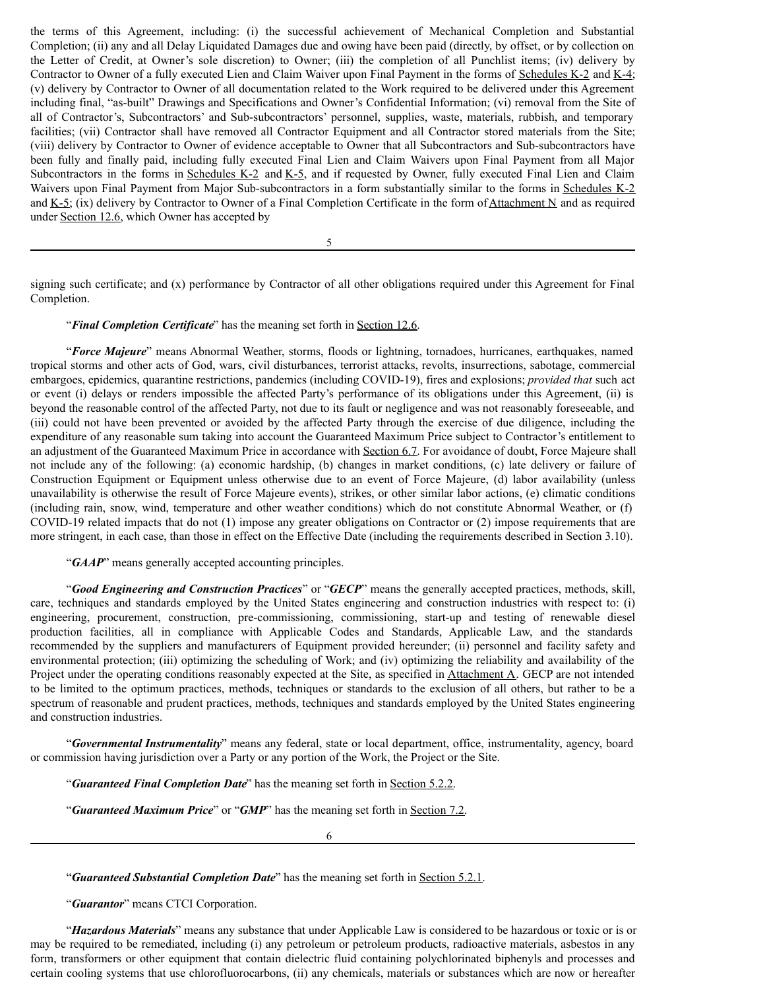the terms of this Agreement, including: (i) the successful achievement of Mechanical Completion and Substantial Completion; (ii) any and all Delay Liquidated Damages due and owing have been paid (directly, by offset, or by collection on the Letter of Credit, at Owner's sole discretion) to Owner; (iii) the completion of all Punchlist items; (iv) delivery by Contractor to Owner of a fully executed Lien and Claim Waiver upon Final Payment in the forms of Schedules K-2 and K-4; (v) delivery by Contractor to Owner of all documentation related to the Work required to be delivered under this Agreement including final, "as-built" Drawings and Specifications and Owner's Confidential Information; (vi) removal from the Site of all of Contractor's, Subcontractors' and Sub-subcontractors' personnel, supplies, waste, materials, rubbish, and temporary facilities; (vii) Contractor shall have removed all Contractor Equipment and all Contractor stored materials from the Site; (viii) delivery by Contractor to Owner of evidence acceptable to Owner that all Subcontractors and Sub-subcontractors have been fully and finally paid, including fully executed Final Lien and Claim Waivers upon Final Payment from all Major Subcontractors in the forms in Schedules K-2 and K-5, and if requested by Owner, fully executed Final Lien and Claim Waivers upon Final Payment from Major Sub-subcontractors in a form substantially similar to the forms in Schedules K-2 and K-5; (ix) delivery by Contractor to Owner of a Final Completion Certificate in the form ofAttachment N and as required under Section 12.6, which Owner has accepted by

5

signing such certificate; and (x) performance by Contractor of all other obligations required under this Agreement for Final Completion.

"*Final Completion Certificate*" has the meaning set forth in Section 12.6.

"*Force Majeure*" means Abnormal Weather, storms, floods or lightning, tornadoes, hurricanes, earthquakes, named tropical storms and other acts of God, wars, civil disturbances, terrorist attacks, revolts, insurrections, sabotage, commercial embargoes, epidemics, quarantine restrictions, pandemics (including COVID-19), fires and explosions; *provided that* such act or event (i) delays or renders impossible the affected Party's performance of its obligations under this Agreement, (ii) is beyond the reasonable control of the affected Party, not due to its fault or negligence and was not reasonably foreseeable, and (iii) could not have been prevented or avoided by the affected Party through the exercise of due diligence, including the expenditure of any reasonable sum taking into account the Guaranteed Maximum Price subject to Contractor's entitlement to an adjustment of the Guaranteed Maximum Price in accordance with Section 6.7. For avoidance of doubt, Force Majeure shall not include any of the following: (a) economic hardship, (b) changes in market conditions, (c) late delivery or failure of Construction Equipment or Equipment unless otherwise due to an event of Force Majeure, (d) labor availability (unless unavailability is otherwise the result of Force Majeure events), strikes, or other similar labor actions, (e) climatic conditions (including rain, snow, wind, temperature and other weather conditions) which do not constitute Abnormal Weather, or (f) COVID-19 related impacts that do not (1) impose any greater obligations on Contractor or (2) impose requirements that are more stringent, in each case, than those in effect on the Effective Date (including the requirements described in Section 3.10).

"*GAAP*" means generally accepted accounting principles.

"*Good Engineering and Construction Practices*" or "*GECP*" means the generally accepted practices, methods, skill, care, techniques and standards employed by the United States engineering and construction industries with respect to: (i) engineering, procurement, construction, pre-commissioning, commissioning, start-up and testing of renewable diesel production facilities, all in compliance with Applicable Codes and Standards, Applicable Law, and the standards recommended by the suppliers and manufacturers of Equipment provided hereunder; (ii) personnel and facility safety and environmental protection; (iii) optimizing the scheduling of Work; and (iv) optimizing the reliability and availability of the Project under the operating conditions reasonably expected at the Site, as specified in Attachment A. GECP are not intended to be limited to the optimum practices, methods, techniques or standards to the exclusion of all others, but rather to be a spectrum of reasonable and prudent practices, methods, techniques and standards employed by the United States engineering and construction industries.

"*Governmental Instrumentality*" means any federal, state or local department, office, instrumentality, agency, board or commission having jurisdiction over a Party or any portion of the Work, the Project or the Site.

"*Guaranteed Final Completion Date*" has the meaning set forth in Section 5.2.2.

"*Guaranteed Maximum Price*" or "*GMP*" has the meaning set forth in Section 7.2.

6

"*Guaranteed Substantial Completion Date*" has the meaning set forth in Section 5.2.1.

"*Guarantor*" means CTCI Corporation.

"*Hazardous Materials*" means any substance that under Applicable Law is considered to be hazardous or toxic or is or may be required to be remediated, including (i) any petroleum or petroleum products, radioactive materials, asbestos in any form, transformers or other equipment that contain dielectric fluid containing polychlorinated biphenyls and processes and certain cooling systems that use chlorofluorocarbons, (ii) any chemicals, materials or substances which are now or hereafter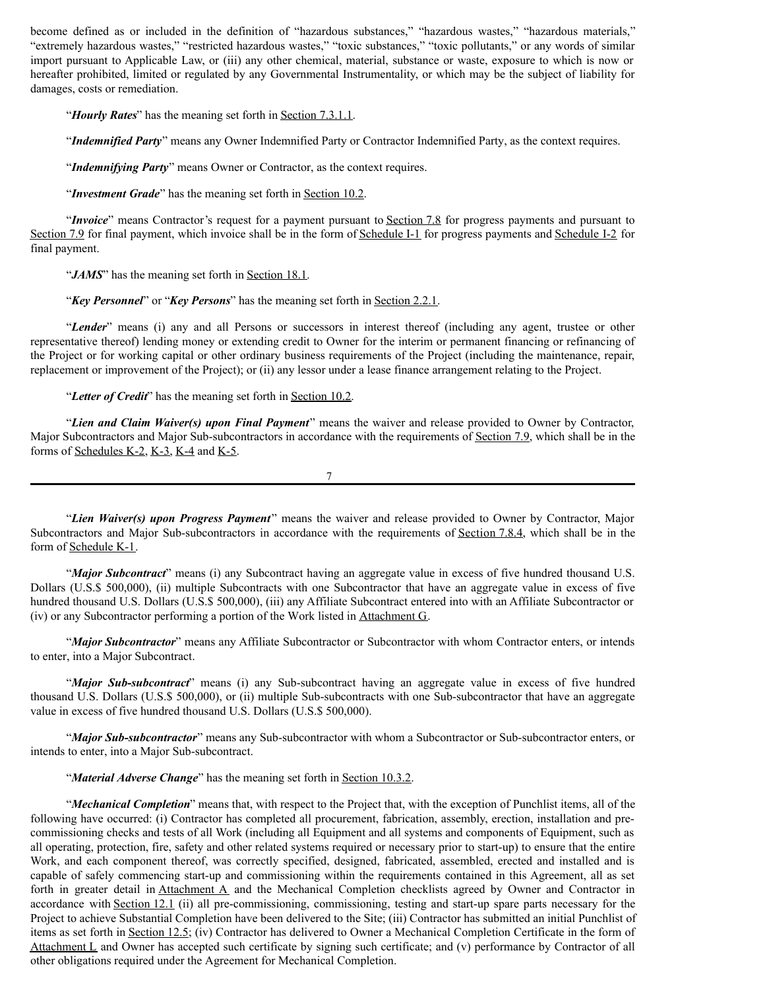become defined as or included in the definition of "hazardous substances," "hazardous wastes," "hazardous materials," "extremely hazardous wastes," "restricted hazardous wastes," "toxic substances," "toxic pollutants," or any words of similar import pursuant to Applicable Law, or (iii) any other chemical, material, substance or waste, exposure to which is now or hereafter prohibited, limited or regulated by any Governmental Instrumentality, or which may be the subject of liability for damages, costs or remediation.

"*Hourly Rates*" has the meaning set forth in Section 7.3.1.1.

"*Indemnified Party*" means any Owner Indemnified Party or Contractor Indemnified Party, as the context requires.

"*Indemnifying Party*" means Owner or Contractor, as the context requires.

"*Investment Grade*" has the meaning set forth in Section 10.2.

"*Invoice*" means Contractor's request for a payment pursuant to Section 7.8 for progress payments and pursuant to Section 7.9 for final payment, which invoice shall be in the form of Schedule I-1 for progress payments and Schedule I-2 for final payment.

"*JAMS*" has the meaning set forth in Section 18.1.

"*Key Personnel*" or "*Key Persons*" has the meaning set forth in Section 2.2.1.

"*Lender*" means (i) any and all Persons or successors in interest thereof (including any agent, trustee or other representative thereof) lending money or extending credit to Owner for the interim or permanent financing or refinancing of the Project or for working capital or other ordinary business requirements of the Project (including the maintenance, repair, replacement or improvement of the Project); or (ii) any lessor under a lease finance arrangement relating to the Project.

"*Letter of Credit*" has the meaning set forth in Section 10.2.

"*Lien and Claim Waiver(s) upon Final Payment*" means the waiver and release provided to Owner by Contractor, Major Subcontractors and Major Sub-subcontractors in accordance with the requirements of Section 7.9, which shall be in the forms of Schedules K-2, K-3, K-4 and K-5.

7

"*Lien Waiver(s) upon Progress Payment*" means the waiver and release provided to Owner by Contractor, Major Subcontractors and Major Sub-subcontractors in accordance with the requirements of Section 7.8.4, which shall be in the form of Schedule K-1.

"*Major Subcontract*" means (i) any Subcontract having an aggregate value in excess of five hundred thousand U.S. Dollars (U.S.\$ 500,000), (ii) multiple Subcontracts with one Subcontractor that have an aggregate value in excess of five hundred thousand U.S. Dollars (U.S.\$ 500,000), (iii) any Affiliate Subcontract entered into with an Affiliate Subcontractor or (iv) or any Subcontractor performing a portion of the Work listed in Attachment G.

"*Major Subcontractor*" means any Affiliate Subcontractor or Subcontractor with whom Contractor enters, or intends to enter, into a Major Subcontract.

"*Major Sub-subcontract*" means (i) any Sub-subcontract having an aggregate value in excess of five hundred thousand U.S. Dollars (U.S.\$ 500,000), or (ii) multiple Sub-subcontracts with one Sub-subcontractor that have an aggregate value in excess of five hundred thousand U.S. Dollars (U.S.\$ 500,000).

"*Major Sub-subcontractor*" means any Sub-subcontractor with whom a Subcontractor or Sub-subcontractor enters, or intends to enter, into a Major Sub-subcontract.

"*Material Adverse Change*" has the meaning set forth in Section 10.3.2.

"*Mechanical Completion*" means that, with respect to the Project that, with the exception of Punchlist items, all of the following have occurred: (i) Contractor has completed all procurement, fabrication, assembly, erection, installation and precommissioning checks and tests of all Work (including all Equipment and all systems and components of Equipment, such as all operating, protection, fire, safety and other related systems required or necessary prior to start-up) to ensure that the entire Work, and each component thereof, was correctly specified, designed, fabricated, assembled, erected and installed and is capable of safely commencing start-up and commissioning within the requirements contained in this Agreement, all as set forth in greater detail in Attachment A and the Mechanical Completion checklists agreed by Owner and Contractor in accordance with Section 12.1 (ii) all pre-commissioning, commissioning, testing and start-up spare parts necessary for the Project to achieve Substantial Completion have been delivered to the Site; (iii) Contractor has submitted an initial Punchlist of items as set forth in Section 12.5; (iv) Contractor has delivered to Owner a Mechanical Completion Certificate in the form of Attachment L and Owner has accepted such certificate by signing such certificate; and (v) performance by Contractor of all other obligations required under the Agreement for Mechanical Completion.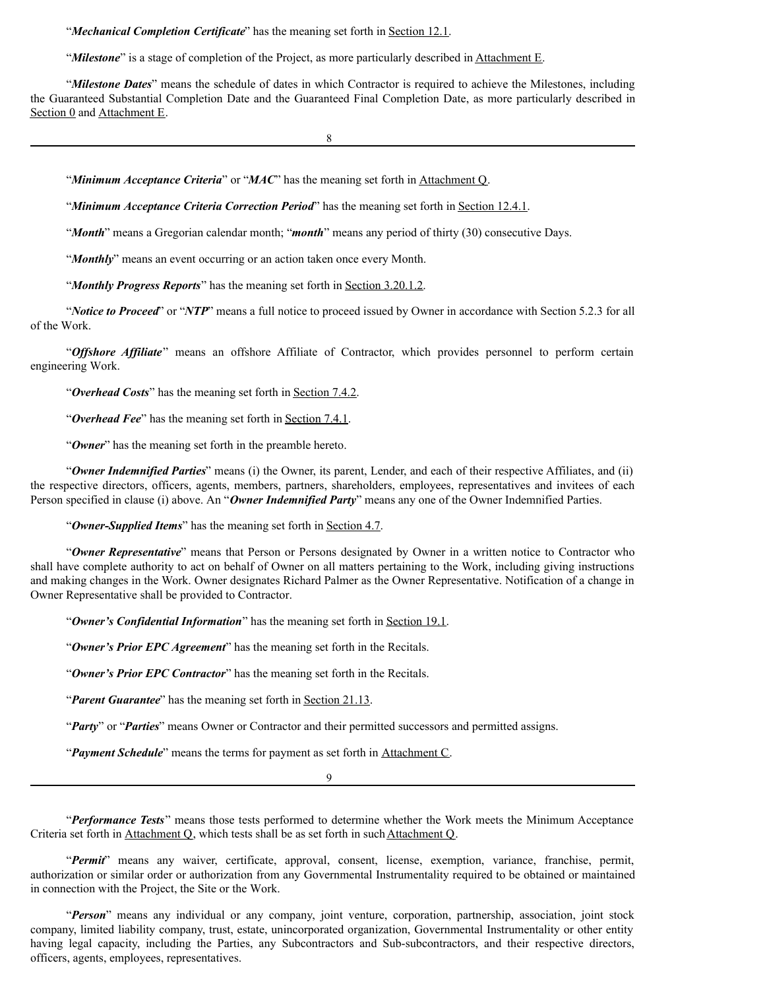"*Mechanical Completion Certificate*" has the meaning set forth in Section 12.1.

"*Milestone*" is a stage of completion of the Project, as more particularly described in Attachment E.

"*Milestone Dates*" means the schedule of dates in which Contractor is required to achieve the Milestones, including the Guaranteed Substantial Completion Date and the Guaranteed Final Completion Date, as more particularly described in Section 0 and Attachment E.

8

"*Minimum Acceptance Criteria*" or "*MAC*" has the meaning set forth in Attachment Q.

"*Minimum Acceptance Criteria Correction Period*" has the meaning set forth in Section 12.4.1.

"*Month*" means a Gregorian calendar month; "*month*" means any period of thirty (30) consecutive Days.

"*Monthly*" means an event occurring or an action taken once every Month.

"*Monthly Progress Reports*" has the meaning set forth in Section 3.20.1.2.

"*Notice to Proceed*" or "*NTP*" means a full notice to proceed issued by Owner in accordance with Section 5.2.3 for all of the Work.

"*Of shore Af iliate*" means an offshore Affiliate of Contractor, which provides personnel to perform certain engineering Work.

"*Overhead Costs*" has the meaning set forth in Section 7.4.2.

"**Overhead Fee**" has the meaning set forth in **Section 7.4.1**.

"*Owner*" has the meaning set forth in the preamble hereto.

"*Owner Indemnified Parties*" means (i) the Owner, its parent, Lender, and each of their respective Affiliates, and (ii) the respective directors, officers, agents, members, partners, shareholders, employees, representatives and invitees of each Person specified in clause (i) above. An "*Owner Indemnified Party*" means any one of the Owner Indemnified Parties.

"*Owner-Supplied Items*" has the meaning set forth in Section 4.7.

"*Owner Representative*" means that Person or Persons designated by Owner in a written notice to Contractor who shall have complete authority to act on behalf of Owner on all matters pertaining to the Work, including giving instructions and making changes in the Work. Owner designates Richard Palmer as the Owner Representative. Notification of a change in Owner Representative shall be provided to Contractor.

"*Owner's Confidential Information*" has the meaning set forth in Section 19.1.

"*Owner's Prior EPC Agreement*" has the meaning set forth in the Recitals.

"*Owner's Prior EPC Contractor*" has the meaning set forth in the Recitals.

"*Parent Guarantee*" has the meaning set forth in Section 21.13.

"*Party*" or "*Parties*" means Owner or Contractor and their permitted successors and permitted assigns.

"*Payment Schedule*" means the terms for payment as set forth in Attachment C.

9

"*Performance Tests*" means those tests performed to determine whether the Work meets the Minimum Acceptance Criteria set forth in Attachment Q, which tests shall be as set forth in such Attachment Q.

"*Permit*" means any waiver, certificate, approval, consent, license, exemption, variance, franchise, permit, authorization or similar order or authorization from any Governmental Instrumentality required to be obtained or maintained in connection with the Project, the Site or the Work.

"*Person*" means any individual or any company, joint venture, corporation, partnership, association, joint stock company, limited liability company, trust, estate, unincorporated organization, Governmental Instrumentality or other entity having legal capacity, including the Parties, any Subcontractors and Sub-subcontractors, and their respective directors, officers, agents, employees, representatives.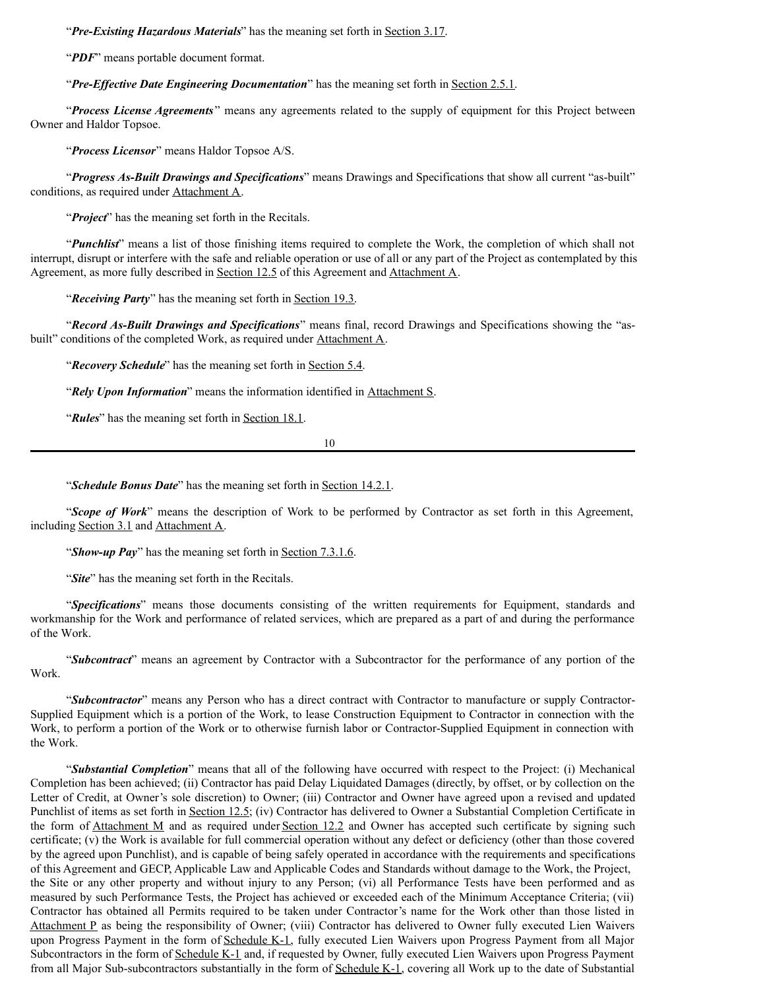"*Pre-Existing Hazardous Materials*" has the meaning set forth in Section 3.17.

"*PDF*" means portable document format.

"*Pre-Ef ective Date Engineering Documentation*" has the meaning set forth in Section 2.5.1.

"*Process License Agreements*" means any agreements related to the supply of equipment for this Project between Owner and Haldor Topsoe.

"*Process Licensor*" means Haldor Topsoe A/S.

"*Progress As-Built Drawings and Specifications*" means Drawings and Specifications that show all current "as-built" conditions, as required under Attachment A.

"*Project*" has the meaning set forth in the Recitals.

"*Punchlist*" means a list of those finishing items required to complete the Work, the completion of which shall not interrupt, disrupt or interfere with the safe and reliable operation or use of all or any part of the Project as contemplated by this Agreement, as more fully described in Section 12.5 of this Agreement and Attachment A.

"*Receiving Party*" has the meaning set forth in Section 19.3.

"*Record As-Built Drawings and Specifications*" means final, record Drawings and Specifications showing the "asbuilt" conditions of the completed Work, as required under Attachment A.

"*Recovery Schedule*" has the meaning set forth in Section 5.4.

"*Rely Upon Information*" means the information identified in Attachment S.

"*Rules*" has the meaning set forth in Section 18.1.

10

"*Schedule Bonus Date*" has the meaning set forth in Section 14.2.1.

"*Scope of Work*" means the description of Work to be performed by Contractor as set forth in this Agreement, including Section 3.1 and Attachment A.

"*Show-up Pay*" has the meaning set forth in Section 7.3.1.6.

"Site" has the meaning set forth in the Recitals.

"*Specifications*" means those documents consisting of the written requirements for Equipment, standards and workmanship for the Work and performance of related services, which are prepared as a part of and during the performance of the Work.

"*Subcontract*" means an agreement by Contractor with a Subcontractor for the performance of any portion of the Work.

"*Subcontractor*" means any Person who has a direct contract with Contractor to manufacture or supply Contractor-Supplied Equipment which is a portion of the Work, to lease Construction Equipment to Contractor in connection with the Work, to perform a portion of the Work or to otherwise furnish labor or Contractor-Supplied Equipment in connection with the Work.

"*Substantial Completion*" means that all of the following have occurred with respect to the Project: (i) Mechanical Completion has been achieved; (ii) Contractor has paid Delay Liquidated Damages (directly, by offset, or by collection on the Letter of Credit, at Owner's sole discretion) to Owner; (iii) Contractor and Owner have agreed upon a revised and updated Punchlist of items as set forth in Section 12.5; (iv) Contractor has delivered to Owner a Substantial Completion Certificate in the form of Attachment M and as required under Section 12.2 and Owner has accepted such certificate by signing such certificate; (v) the Work is available for full commercial operation without any defect or deficiency (other than those covered by the agreed upon Punchlist), and is capable of being safely operated in accordance with the requirements and specifications of this Agreement and GECP, Applicable Law and Applicable Codes and Standards without damage to the Work, the Project, the Site or any other property and without injury to any Person; (vi) all Performance Tests have been performed and as measured by such Performance Tests, the Project has achieved or exceeded each of the Minimum Acceptance Criteria; (vii) Contractor has obtained all Permits required to be taken under Contractor's name for the Work other than those listed in Attachment P as being the responsibility of Owner; (viii) Contractor has delivered to Owner fully executed Lien Waivers upon Progress Payment in the form of Schedule K-1, fully executed Lien Waivers upon Progress Payment from all Major Subcontractors in the form of Schedule K-1 and, if requested by Owner, fully executed Lien Waivers upon Progress Payment from all Major Sub-subcontractors substantially in the form of Schedule K-1, covering all Work up to the date of Substantial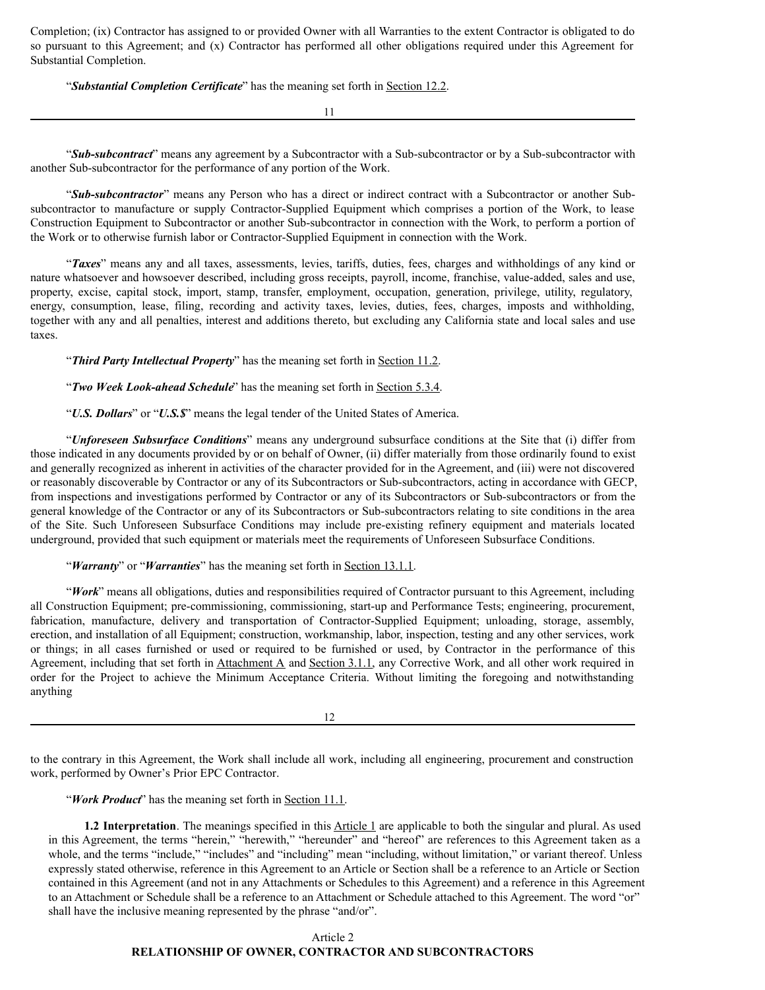Completion; (ix) Contractor has assigned to or provided Owner with all Warranties to the extent Contractor is obligated to do so pursuant to this Agreement; and (x) Contractor has performed all other obligations required under this Agreement for Substantial Completion.

"*Substantial Completion Certificate*" has the meaning set forth in Section 12.2.

11

"*Sub-subcontract*" means any agreement by a Subcontractor with a Sub-subcontractor or by a Sub-subcontractor with another Sub-subcontractor for the performance of any portion of the Work.

"**Sub-subcontractor**" means any Person who has a direct or indirect contract with a Subcontractor or another Subsubcontractor to manufacture or supply Contractor-Supplied Equipment which comprises a portion of the Work, to lease Construction Equipment to Subcontractor or another Sub-subcontractor in connection with the Work, to perform a portion of the Work or to otherwise furnish labor or Contractor-Supplied Equipment in connection with the Work.

"*Taxes*" means any and all taxes, assessments, levies, tariffs, duties, fees, charges and withholdings of any kind or nature whatsoever and howsoever described, including gross receipts, payroll, income, franchise, value-added, sales and use, property, excise, capital stock, import, stamp, transfer, employment, occupation, generation, privilege, utility, regulatory, energy, consumption, lease, filing, recording and activity taxes, levies, duties, fees, charges, imposts and withholding, together with any and all penalties, interest and additions thereto, but excluding any California state and local sales and use taxes.

"*Third Party Intellectual Property*" has the meaning set forth in Section 11.2.

"*Two Week Look-ahead Schedule*" has the meaning set forth in Section 5.3.4.

"*U.S. Dollars*" or "*U.S.\$*" means the legal tender of the United States of America.

"*Unforeseen Subsurface Conditions*" means any underground subsurface conditions at the Site that (i) differ from those indicated in any documents provided by or on behalf of Owner, (ii) differ materially from those ordinarily found to exist and generally recognized as inherent in activities of the character provided for in the Agreement, and (iii) were not discovered or reasonably discoverable by Contractor or any of its Subcontractors or Sub-subcontractors, acting in accordance with GECP, from inspections and investigations performed by Contractor or any of its Subcontractors or Sub-subcontractors or from the general knowledge of the Contractor or any of its Subcontractors or Sub-subcontractors relating to site conditions in the area of the Site. Such Unforeseen Subsurface Conditions may include pre-existing refinery equipment and materials located underground, provided that such equipment or materials meet the requirements of Unforeseen Subsurface Conditions.

"*Warranty*" or "*Warranties*" has the meaning set forth in Section 13.1.1.

"*Work*" means all obligations, duties and responsibilities required of Contractor pursuant to this Agreement, including all Construction Equipment; pre-commissioning, commissioning, start-up and Performance Tests; engineering, procurement, fabrication, manufacture, delivery and transportation of Contractor-Supplied Equipment; unloading, storage, assembly, erection, and installation of all Equipment; construction, workmanship, labor, inspection, testing and any other services, work or things; in all cases furnished or used or required to be furnished or used, by Contractor in the performance of this Agreement, including that set forth in Attachment A and Section 3.1.1, any Corrective Work, and all other work required in order for the Project to achieve the Minimum Acceptance Criteria. Without limiting the foregoing and notwithstanding anything

12

to the contrary in this Agreement, the Work shall include all work, including all engineering, procurement and construction work, performed by Owner's Prior EPC Contractor.

"*Work Product*" has the meaning set forth in Section 11.1.

**1.2** Interpretation. The meanings specified in this **Article 1** are applicable to both the singular and plural. As used in this Agreement, the terms "herein," "herewith," "hereunder" and "hereof" are references to this Agreement taken as a whole, and the terms "include," "includes" and "including" mean "including, without limitation," or variant thereof. Unless expressly stated otherwise, reference in this Agreement to an Article or Section shall be a reference to an Article or Section contained in this Agreement (and not in any Attachments or Schedules to this Agreement) and a reference in this Agreement to an Attachment or Schedule shall be a reference to an Attachment or Schedule attached to this Agreement. The word "or" shall have the inclusive meaning represented by the phrase "and/or".

# Article 2 **RELATIONSHIP OF OWNER, CONTRACTOR AND SUBCONTRACTORS**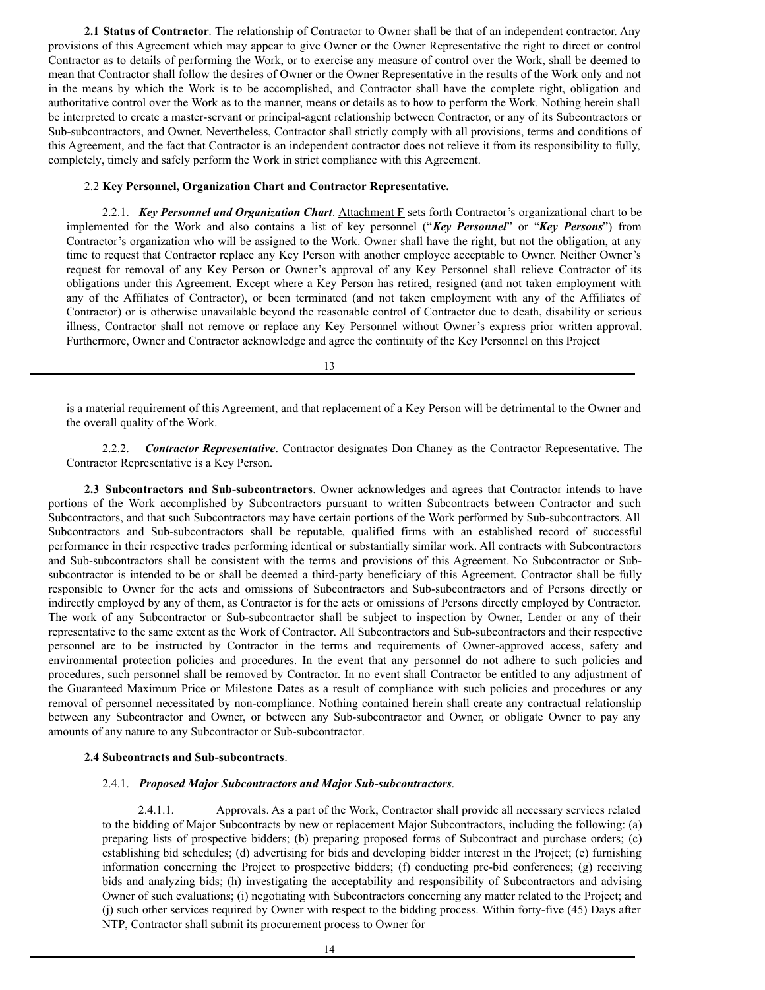**2.1 Status of Contractor**. The relationship of Contractor to Owner shall be that of an independent contractor. Any provisions of this Agreement which may appear to give Owner or the Owner Representative the right to direct or control Contractor as to details of performing the Work, or to exercise any measure of control over the Work, shall be deemed to mean that Contractor shall follow the desires of Owner or the Owner Representative in the results of the Work only and not in the means by which the Work is to be accomplished, and Contractor shall have the complete right, obligation and authoritative control over the Work as to the manner, means or details as to how to perform the Work. Nothing herein shall be interpreted to create a master-servant or principal-agent relationship between Contractor, or any of its Subcontractors or Sub-subcontractors, and Owner. Nevertheless, Contractor shall strictly comply with all provisions, terms and conditions of this Agreement, and the fact that Contractor is an independent contractor does not relieve it from its responsibility to fully, completely, timely and safely perform the Work in strict compliance with this Agreement.

# 2.2 **Key Personnel, Organization Chart and Contractor Representative.**

2.2.1. *Key Personnel and Organization Chart*. Attachment F sets forth Contractor's organizational chart to be implemented for the Work and also contains a list of key personnel ("*Key Personnel*" or "*Key Persons*") from Contractor's organization who will be assigned to the Work. Owner shall have the right, but not the obligation, at any time to request that Contractor replace any Key Person with another employee acceptable to Owner. Neither Owner's request for removal of any Key Person or Owner's approval of any Key Personnel shall relieve Contractor of its obligations under this Agreement. Except where a Key Person has retired, resigned (and not taken employment with any of the Affiliates of Contractor), or been terminated (and not taken employment with any of the Affiliates of Contractor) or is otherwise unavailable beyond the reasonable control of Contractor due to death, disability or serious illness, Contractor shall not remove or replace any Key Personnel without Owner's express prior written approval. Furthermore, Owner and Contractor acknowledge and agree the continuity of the Key Personnel on this Project

13

is a material requirement of this Agreement, and that replacement of a Key Person will be detrimental to the Owner and the overall quality of the Work.

2.2.2. *Contractor Representative*. Contractor designates Don Chaney as the Contractor Representative. The Contractor Representative is a Key Person.

**2.3 Subcontractors and Sub-subcontractors**. Owner acknowledges and agrees that Contractor intends to have portions of the Work accomplished by Subcontractors pursuant to written Subcontracts between Contractor and such Subcontractors, and that such Subcontractors may have certain portions of the Work performed by Sub-subcontractors. All Subcontractors and Sub-subcontractors shall be reputable, qualified firms with an established record of successful performance in their respective trades performing identical or substantially similar work. All contracts with Subcontractors and Sub-subcontractors shall be consistent with the terms and provisions of this Agreement. No Subcontractor or Subsubcontractor is intended to be or shall be deemed a third-party beneficiary of this Agreement. Contractor shall be fully responsible to Owner for the acts and omissions of Subcontractors and Sub-subcontractors and of Persons directly or indirectly employed by any of them, as Contractor is for the acts or omissions of Persons directly employed by Contractor. The work of any Subcontractor or Sub-subcontractor shall be subject to inspection by Owner, Lender or any of their representative to the same extent as the Work of Contractor. All Subcontractors and Sub-subcontractors and their respective personnel are to be instructed by Contractor in the terms and requirements of Owner-approved access, safety and environmental protection policies and procedures. In the event that any personnel do not adhere to such policies and procedures, such personnel shall be removed by Contractor. In no event shall Contractor be entitled to any adjustment of the Guaranteed Maximum Price or Milestone Dates as a result of compliance with such policies and procedures or any removal of personnel necessitated by non-compliance. Nothing contained herein shall create any contractual relationship between any Subcontractor and Owner, or between any Sub-subcontractor and Owner, or obligate Owner to pay any amounts of any nature to any Subcontractor or Sub-subcontractor.

### **2.4 Subcontracts and Sub-subcontracts**.

### 2.4.1. *Proposed Major Subcontractors and Major Sub-subcontractors*.

2.4.1.1. Approvals. As a part of the Work, Contractor shall provide all necessary services related to the bidding of Major Subcontracts by new or replacement Major Subcontractors, including the following: (a) preparing lists of prospective bidders; (b) preparing proposed forms of Subcontract and purchase orders; (c) establishing bid schedules; (d) advertising for bids and developing bidder interest in the Project; (e) furnishing information concerning the Project to prospective bidders; (f) conducting pre-bid conferences; (g) receiving bids and analyzing bids; (h) investigating the acceptability and responsibility of Subcontractors and advising Owner of such evaluations; (i) negotiating with Subcontractors concerning any matter related to the Project; and (j) such other services required by Owner with respect to the bidding process. Within forty-five (45) Days after NTP, Contractor shall submit its procurement process to Owner for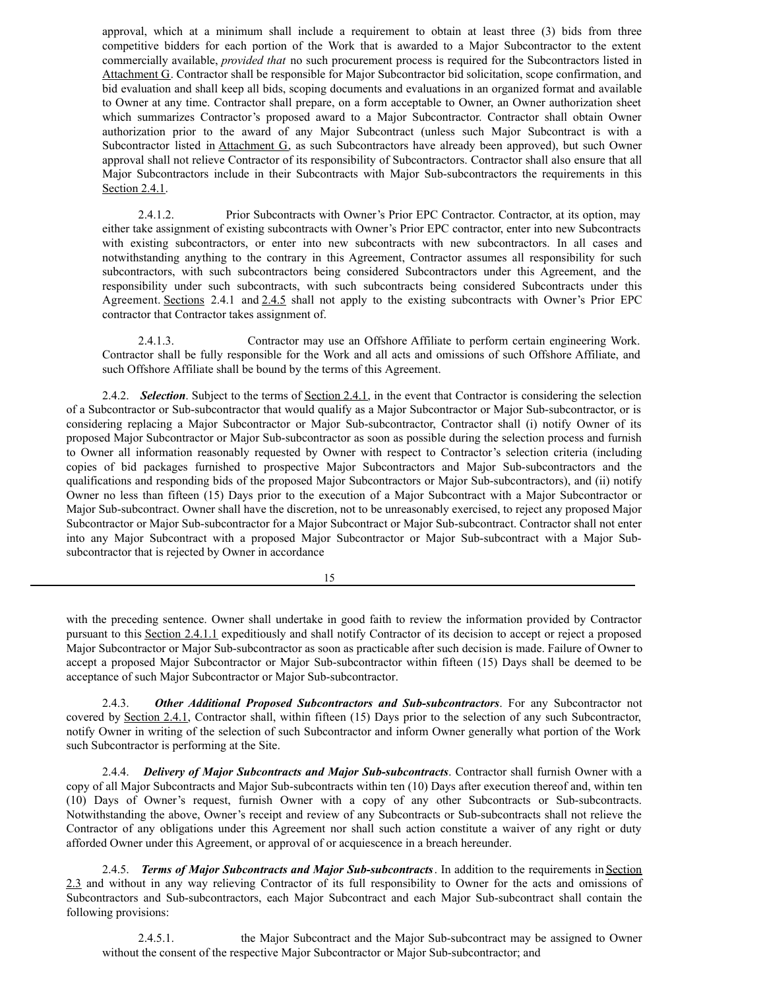approval, which at a minimum shall include a requirement to obtain at least three (3) bids from three competitive bidders for each portion of the Work that is awarded to a Major Subcontractor to the extent commercially available, *provided that* no such procurement process is required for the Subcontractors listed in Attachment G. Contractor shall be responsible for Major Subcontractor bid solicitation, scope confirmation, and bid evaluation and shall keep all bids, scoping documents and evaluations in an organized format and available to Owner at any time. Contractor shall prepare, on a form acceptable to Owner, an Owner authorization sheet which summarizes Contractor's proposed award to a Major Subcontractor. Contractor shall obtain Owner authorization prior to the award of any Major Subcontract (unless such Major Subcontract is with a Subcontractor listed in Attachment G, as such Subcontractors have already been approved), but such Owner approval shall not relieve Contractor of its responsibility of Subcontractors. Contractor shall also ensure that all Major Subcontractors include in their Subcontracts with Major Sub-subcontractors the requirements in this Section 2.4.1.

2.4.1.2. Prior Subcontracts with Owner's Prior EPC Contractor. Contractor, at its option, may either take assignment of existing subcontracts with Owner's Prior EPC contractor, enter into new Subcontracts with existing subcontractors, or enter into new subcontracts with new subcontractors. In all cases and notwithstanding anything to the contrary in this Agreement, Contractor assumes all responsibility for such subcontractors, with such subcontractors being considered Subcontractors under this Agreement, and the responsibility under such subcontracts, with such subcontracts being considered Subcontracts under this Agreement. Sections 2.4.1 and 2.4.5 shall not apply to the existing subcontracts with Owner's Prior EPC contractor that Contractor takes assignment of.

2.4.1.3. Contractor may use an Offshore Affiliate to perform certain engineering Work. Contractor shall be fully responsible for the Work and all acts and omissions of such Offshore Affiliate, and such Offshore Affiliate shall be bound by the terms of this Agreement.

2.4.2. *Selection*. Subject to the terms of Section 2.4.1, in the event that Contractor is considering the selection of a Subcontractor or Sub-subcontractor that would qualify as a Major Subcontractor or Major Sub-subcontractor, or is considering replacing a Major Subcontractor or Major Sub-subcontractor, Contractor shall (i) notify Owner of its proposed Major Subcontractor or Major Sub-subcontractor as soon as possible during the selection process and furnish to Owner all information reasonably requested by Owner with respect to Contractor's selection criteria (including copies of bid packages furnished to prospective Major Subcontractors and Major Sub-subcontractors and the qualifications and responding bids of the proposed Major Subcontractors or Major Sub-subcontractors), and (ii) notify Owner no less than fifteen (15) Days prior to the execution of a Major Subcontract with a Major Subcontractor or Major Sub-subcontract. Owner shall have the discretion, not to be unreasonably exercised, to reject any proposed Major Subcontractor or Major Sub-subcontractor for a Major Subcontract or Major Sub-subcontract. Contractor shall not enter into any Major Subcontract with a proposed Major Subcontractor or Major Sub-subcontract with a Major Subsubcontractor that is rejected by Owner in accordance

15

with the preceding sentence. Owner shall undertake in good faith to review the information provided by Contractor pursuant to this Section 2.4.1.1 expeditiously and shall notify Contractor of its decision to accept or reject a proposed Major Subcontractor or Major Sub-subcontractor as soon as practicable after such decision is made. Failure of Owner to accept a proposed Major Subcontractor or Major Sub-subcontractor within fifteen (15) Days shall be deemed to be acceptance of such Major Subcontractor or Major Sub-subcontractor.

2.4.3. *Other Additional Proposed Subcontractors and Sub-subcontractors*. For any Subcontractor not covered by Section 2.4.1, Contractor shall, within fifteen (15) Days prior to the selection of any such Subcontractor, notify Owner in writing of the selection of such Subcontractor and inform Owner generally what portion of the Work such Subcontractor is performing at the Site.

2.4.4. *Delivery of Major Subcontracts and Major Sub-subcontracts*. Contractor shall furnish Owner with a copy of all Major Subcontracts and Major Sub-subcontracts within ten (10) Days after execution thereof and, within ten (10) Days of Owner's request, furnish Owner with a copy of any other Subcontracts or Sub-subcontracts. Notwithstanding the above, Owner's receipt and review of any Subcontracts or Sub-subcontracts shall not relieve the Contractor of any obligations under this Agreement nor shall such action constitute a waiver of any right or duty afforded Owner under this Agreement, or approval of or acquiescence in a breach hereunder.

2.4.5. *Terms of Major Subcontracts and Major Sub-subcontracts*. In addition to the requirements in Section 2.3 and without in any way relieving Contractor of its full responsibility to Owner for the acts and omissions of Subcontractors and Sub-subcontractors, each Major Subcontract and each Major Sub-subcontract shall contain the following provisions:

2.4.5.1. the Major Subcontract and the Major Sub-subcontract may be assigned to Owner without the consent of the respective Major Subcontractor or Major Sub-subcontractor; and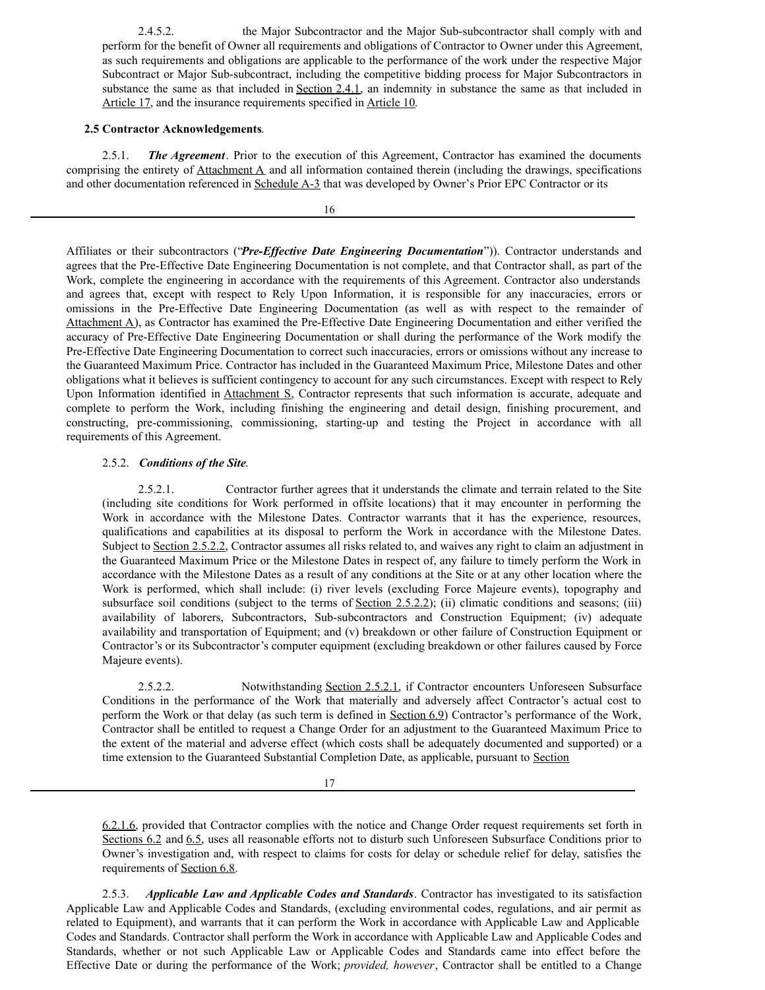2.4.5.2. the Major Subcontractor and the Major Sub-subcontractor shall comply with and perform for the benefit of Owner all requirements and obligations of Contractor to Owner under this Agreement, as such requirements and obligations are applicable to the performance of the work under the respective Major Subcontract or Major Sub-subcontract, including the competitive bidding process for Major Subcontractors in substance the same as that included in Section 2.4.1, an indemnity in substance the same as that included in Article 17, and the insurance requirements specified in Article 10.

## **2.5 Contractor Acknowledgements**.

2.5.1. *The Agreement*. Prior to the execution of this Agreement, Contractor has examined the documents comprising the entirety of  $Attachment A$  and all information contained therein (including the drawings, specifications</u> and other documentation referenced in Schedule A-3 that was developed by Owner's Prior EPC Contractor or its

16

Affiliates or their subcontractors ("Pre-Effective Date Engineering Documentation")). Contractor understands and agrees that the Pre-Effective Date Engineering Documentation is not complete, and that Contractor shall, as part of the Work, complete the engineering in accordance with the requirements of this Agreement. Contractor also understands and agrees that, except with respect to Rely Upon Information, it is responsible for any inaccuracies, errors or omissions in the Pre-Effective Date Engineering Documentation (as well as with respect to the remainder of Attachment A), as Contractor has examined the Pre-Effective Date Engineering Documentation and either verified the accuracy of Pre-Effective Date Engineering Documentation or shall during the performance of the Work modify the Pre-Effective Date Engineering Documentation to correct such inaccuracies, errors or omissions without any increase to the Guaranteed Maximum Price. Contractor has included in the Guaranteed Maximum Price, Milestone Dates and other obligations what it believes is sufficient contingency to account for any such circumstances. Except with respect to Rely Upon Information identified in Attachment S, Contractor represents that such information is accurate, adequate and complete to perform the Work, including finishing the engineering and detail design, finishing procurement, and constructing, pre-commissioning, commissioning, starting-up and testing the Project in accordance with all requirements of this Agreement.

# 2.5.2. *Conditions of the Site*.

2.5.2.1. Contractor further agrees that it understands the climate and terrain related to the Site (including site conditions for Work performed in offsite locations) that it may encounter in performing the Work in accordance with the Milestone Dates. Contractor warrants that it has the experience, resources, qualifications and capabilities at its disposal to perform the Work in accordance with the Milestone Dates. Subject to Section 2.5.2.2, Contractor assumes all risks related to, and waives any right to claim an adjustment in the Guaranteed Maximum Price or the Milestone Dates in respect of, any failure to timely perform the Work in accordance with the Milestone Dates as a result of any conditions at the Site or at any other location where the Work is performed, which shall include: (i) river levels (excluding Force Majeure events), topography and subsurface soil conditions (subject to the terms of  $Section 2.5.2.2$ ); (ii) climatic conditions and seasons; (iii) availability of laborers, Subcontractors, Sub-subcontractors and Construction Equipment; (iv) adequate availability and transportation of Equipment; and (v) breakdown or other failure of Construction Equipment or Contractor's or its Subcontractor's computer equipment (excluding breakdown or other failures caused by Force Majeure events).

2.5.2.2. Notwithstanding Section 2.5.2.1, if Contractor encounters Unforeseen Subsurface Conditions in the performance of the Work that materially and adversely affect Contractor's actual cost to perform the Work or that delay (as such term is defined in Section 6.9) Contractor's performance of the Work, Contractor shall be entitled to request a Change Order for an adjustment to the Guaranteed Maximum Price to the extent of the material and adverse effect (which costs shall be adequately documented and supported) or a time extension to the Guaranteed Substantial Completion Date, as applicable, pursuant to Section

17

6.2.1.6, provided that Contractor complies with the notice and Change Order request requirements set forth in Sections 6.2 and 6.5, uses all reasonable efforts not to disturb such Unforeseen Subsurface Conditions prior to Owner's investigation and, with respect to claims for costs for delay or schedule relief for delay, satisfies the requirements of Section 6.8.

2.5.3. *Applicable Law and Applicable Codes and Standards*. Contractor has investigated to its satisfaction Applicable Law and Applicable Codes and Standards, (excluding environmental codes, regulations, and air permit as related to Equipment), and warrants that it can perform the Work in accordance with Applicable Law and Applicable Codes and Standards. Contractor shall perform the Work in accordance with Applicable Law and Applicable Codes and Standards, whether or not such Applicable Law or Applicable Codes and Standards came into effect before the Effective Date or during the performance of the Work; *provided, however*, Contractor shall be entitled to a Change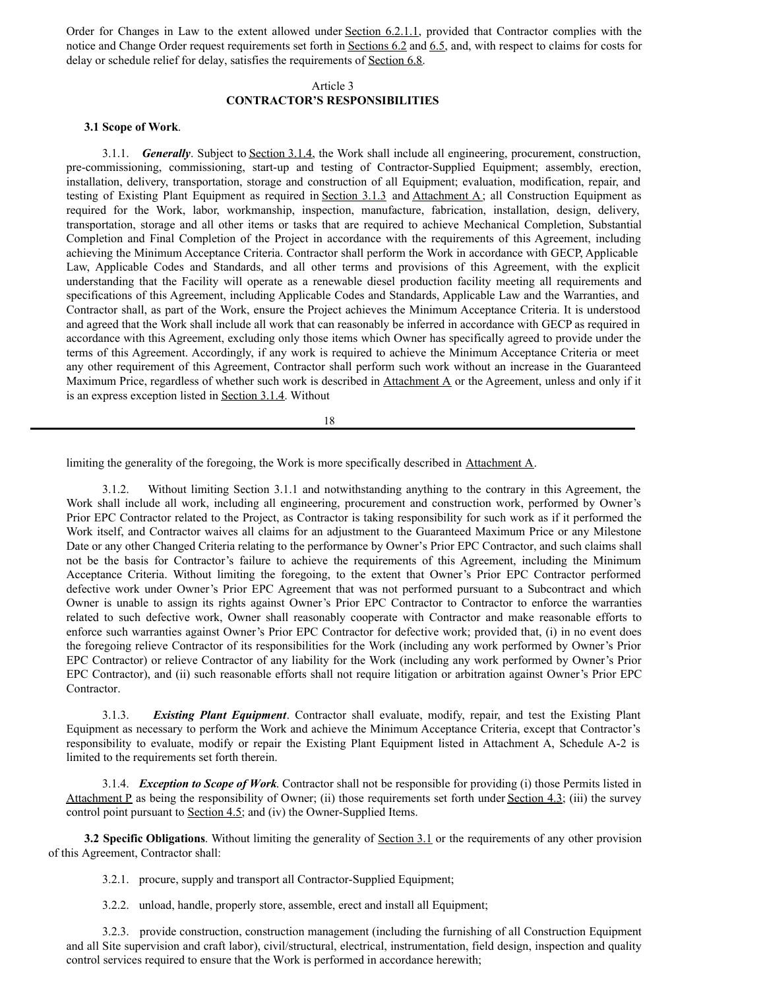Order for Changes in Law to the extent allowed under Section 6.2.1.1, provided that Contractor complies with the notice and Change Order request requirements set forth in Sections 6.2 and 6.5, and, with respect to claims for costs for delay or schedule relief for delay, satisfies the requirements of Section 6.8.

#### Article 3

# **CONTRACTOR'S RESPONSIBILITIES**

### **3.1 Scope of Work**.

3.1.1. *Generally*. Subject to Section 3.1.4, the Work shall include all engineering, procurement, construction, pre-commissioning, commissioning, start-up and testing of Contractor-Supplied Equipment; assembly, erection, installation, delivery, transportation, storage and construction of all Equipment; evaluation, modification, repair, and testing of Existing Plant Equipment as required in Section 3.1.3 and Attachment A; all Construction Equipment as required for the Work, labor, workmanship, inspection, manufacture, fabrication, installation, design, delivery, transportation, storage and all other items or tasks that are required to achieve Mechanical Completion, Substantial Completion and Final Completion of the Project in accordance with the requirements of this Agreement, including achieving the Minimum Acceptance Criteria. Contractor shall perform the Work in accordance with GECP, Applicable Law, Applicable Codes and Standards, and all other terms and provisions of this Agreement, with the explicit understanding that the Facility will operate as a renewable diesel production facility meeting all requirements and specifications of this Agreement, including Applicable Codes and Standards, Applicable Law and the Warranties, and Contractor shall, as part of the Work, ensure the Project achieves the Minimum Acceptance Criteria. It is understood and agreed that the Work shall include all work that can reasonably be inferred in accordance with GECP as required in accordance with this Agreement, excluding only those items which Owner has specifically agreed to provide under the terms of this Agreement. Accordingly, if any work is required to achieve the Minimum Acceptance Criteria or meet any other requirement of this Agreement, Contractor shall perform such work without an increase in the Guaranteed Maximum Price, regardless of whether such work is described in Attachment A or the Agreement, unless and only if it is an express exception listed in Section 3.1.4. Without

18

limiting the generality of the foregoing, the Work is more specifically described in Attachment A.

3.1.2. Without limiting Section 3.1.1 and notwithstanding anything to the contrary in this Agreement, the Work shall include all work, including all engineering, procurement and construction work, performed by Owner's Prior EPC Contractor related to the Project, as Contractor is taking responsibility for such work as if it performed the Work itself, and Contractor waives all claims for an adjustment to the Guaranteed Maximum Price or any Milestone Date or any other Changed Criteria relating to the performance by Owner's Prior EPC Contractor, and such claims shall not be the basis for Contractor's failure to achieve the requirements of this Agreement, including the Minimum Acceptance Criteria. Without limiting the foregoing, to the extent that Owner's Prior EPC Contractor performed defective work under Owner's Prior EPC Agreement that was not performed pursuant to a Subcontract and which Owner is unable to assign its rights against Owner's Prior EPC Contractor to Contractor to enforce the warranties related to such defective work, Owner shall reasonably cooperate with Contractor and make reasonable efforts to enforce such warranties against Owner's Prior EPC Contractor for defective work; provided that, (i) in no event does the foregoing relieve Contractor of its responsibilities for the Work (including any work performed by Owner's Prior EPC Contractor) or relieve Contractor of any liability for the Work (including any work performed by Owner's Prior EPC Contractor), and (ii) such reasonable efforts shall not require litigation or arbitration against Owner's Prior EPC Contractor.

3.1.3. *Existing Plant Equipment*. Contractor shall evaluate, modify, repair, and test the Existing Plant Equipment as necessary to perform the Work and achieve the Minimum Acceptance Criteria, except that Contractor's responsibility to evaluate, modify or repair the Existing Plant Equipment listed in Attachment A, Schedule A-2 is limited to the requirements set forth therein.

3.1.4. *Exception to Scope of Work*. Contractor shall not be responsible for providing (i) those Permits listed in Attachment P as being the responsibility of Owner; (ii) those requirements set forth under Section 4.3; (iii) the survey control point pursuant to Section 4.5; and (iv) the Owner-Supplied Items.

**3.2 Specific Obligations**. Without limiting the generality of Section 3.1 or the requirements of any other provision of this Agreement, Contractor shall:

3.2.1. procure, supply and transport all Contractor-Supplied Equipment;

3.2.2. unload, handle, properly store, assemble, erect and install all Equipment;

3.2.3. provide construction, construction management (including the furnishing of all Construction Equipment and all Site supervision and craft labor), civil/structural, electrical, instrumentation, field design, inspection and quality control services required to ensure that the Work is performed in accordance herewith;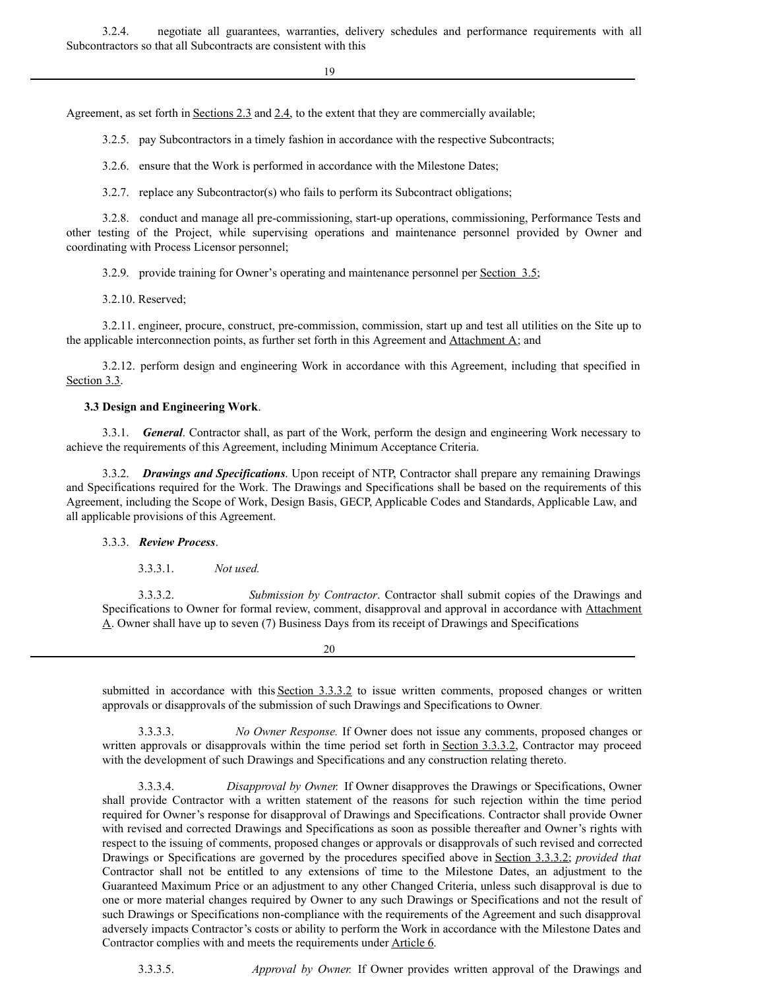3.2.4. negotiate all guarantees, warranties, delivery schedules and performance requirements with all Subcontractors so that all Subcontracts are consistent with this

Agreement, as set forth in Sections 2.3 and 2.4, to the extent that they are commercially available;

3.2.5. pay Subcontractors in a timely fashion in accordance with the respective Subcontracts;

3.2.6. ensure that the Work is performed in accordance with the Milestone Dates;

3.2.7. replace any Subcontractor(s) who fails to perform its Subcontract obligations;

3.2.8. conduct and manage all pre-commissioning, start-up operations, commissioning, Performance Tests and other testing of the Project, while supervising operations and maintenance personnel provided by Owner and coordinating with Process Licensor personnel;

3.2.9. provide training for Owner's operating and maintenance personnel per Section 3.5;

3.2.10. Reserved;

3.2.11. engineer, procure, construct, pre-commission, commission, start up and test all utilities on the Site up to the applicable interconnection points, as further set forth in this Agreement and Attachment A; and

3.2.12. perform design and engineering Work in accordance with this Agreement, including that specified in Section 3.3.

### **3.3 Design and Engineering Work**.

3.3.1. *General*. Contractor shall, as part of the Work, perform the design and engineering Work necessary to achieve the requirements of this Agreement, including Minimum Acceptance Criteria.

3.3.2. *Drawings and Specifications*. Upon receipt of NTP, Contractor shall prepare any remaining Drawings and Specifications required for the Work. The Drawings and Specifications shall be based on the requirements of this Agreement, including the Scope of Work, Design Basis, GECP, Applicable Codes and Standards, Applicable Law, and all applicable provisions of this Agreement.

### 3.3.3. *Review Process*.

3.3.3.1. *Not used.*

3.3.3.2. *Submission by Contractor*. Contractor shall submit copies of the Drawings and Specifications to Owner for formal review, comment, disapproval and approval in accordance with Attachment  $\Delta$ . Owner shall have up to seven (7) Business Days from its receipt of Drawings and Specifications

20

submitted in accordance with this Section 3.3.3.2 to issue written comments, proposed changes or written approvals or disapprovals of the submission of such Drawings and Specifications to Owner.

3.3.3.3. *No Owner Response.* If Owner does not issue any comments, proposed changes or written approvals or disapprovals within the time period set forth in Section 3.3.3.2, Contractor may proceed with the development of such Drawings and Specifications and any construction relating thereto.

3.3.3.4. *Disapproval by Owner.* If Owner disapproves the Drawings or Specifications, Owner shall provide Contractor with a written statement of the reasons for such rejection within the time period required for Owner's response for disapproval of Drawings and Specifications. Contractor shall provide Owner with revised and corrected Drawings and Specifications as soon as possible thereafter and Owner's rights with respect to the issuing of comments, proposed changes or approvals or disapprovals of such revised and corrected Drawings or Specifications are governed by the procedures specified above in Section 3.3.3.2; *provided that* Contractor shall not be entitled to any extensions of time to the Milestone Dates, an adjustment to the Guaranteed Maximum Price or an adjustment to any other Changed Criteria, unless such disapproval is due to one or more material changes required by Owner to any such Drawings or Specifications and not the result of such Drawings or Specifications non-compliance with the requirements of the Agreement and such disapproval adversely impacts Contractor's costs or ability to perform the Work in accordance with the Milestone Dates and Contractor complies with and meets the requirements under Article 6.

3.3.3.5. *Approval by Owner.* If Owner provides written approval of the Drawings and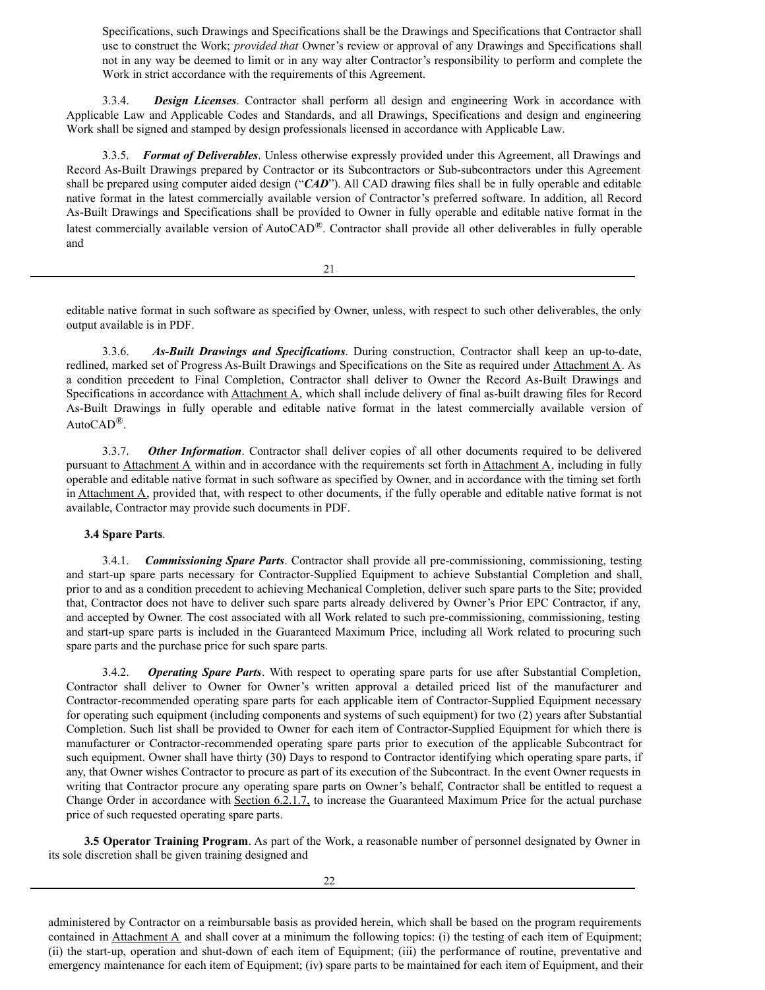Specifications, such Drawings and Specifications shall be the Drawings and Specifications that Contractor shall use to construct the Work; *provided that* Owner's review or approval of any Drawings and Specifications shall not in any way be deemed to limit or in any way alter Contractor's responsibility to perform and complete the Work in strict accordance with the requirements of this Agreement.

3.3.4. *Design Licenses*. Contractor shall perform all design and engineering Work in accordance with Applicable Law and Applicable Codes and Standards, and all Drawings, Specifications and design and engineering Work shall be signed and stamped by design professionals licensed in accordance with Applicable Law.

3.3.5. *Format of Deliverables*. Unless otherwise expressly provided under this Agreement, all Drawings and Record As-Built Drawings prepared by Contractor or its Subcontractors or Sub-subcontractors under this Agreement shall be prepared using computer aided design ("*CAD*"). All CAD drawing files shall be in fully operable and editable native format in the latest commercially available version of Contractor's preferred software. In addition, all Record As-Built Drawings and Specifications shall be provided to Owner in fully operable and editable native format in the latest commercially available version of AutoCAD<sup>®</sup>. Contractor shall provide all other deliverables in fully operable and

21

editable native format in such software as specified by Owner, unless, with respect to such other deliverables, the only output available is in PDF.

3.3.6. *As-Built Drawings and Specifications*. During construction, Contractor shall keep an up-to-date, redlined, marked set of Progress As-Built Drawings and Specifications on the Site as required under Attachment A. As a condition precedent to Final Completion, Contractor shall deliver to Owner the Record As-Built Drawings and Specifications in accordance with Attachment A, which shall include delivery of final as-built drawing files for Record As-Built Drawings in fully operable and editable native format in the latest commercially available version of AutoCAD<sup>®</sup>.

3.3.7. *Other Information*. Contractor shall deliver copies of all other documents required to be delivered pursuant to Attachment A within and in accordance with the requirements set forth in Attachment A, including in fully operable and editable native format in such software as specified by Owner, and in accordance with the timing set forth in Attachment A, provided that, with respect to other documents, if the fully operable and editable native format is not available, Contractor may provide such documents in PDF.

# **3.4 Spare Parts**.

3.4.1. *Commissioning Spare Parts*. Contractor shall provide all pre-commissioning, commissioning, testing and start-up spare parts necessary for Contractor-Supplied Equipment to achieve Substantial Completion and shall, prior to and as a condition precedent to achieving Mechanical Completion, deliver such spare parts to the Site; provided that, Contractor does not have to deliver such spare parts already delivered by Owner's Prior EPC Contractor, if any, and accepted by Owner. The cost associated with all Work related to such pre-commissioning, commissioning, testing and start-up spare parts is included in the Guaranteed Maximum Price, including all Work related to procuring such spare parts and the purchase price for such spare parts.

3.4.2. *Operating Spare Parts*. With respect to operating spare parts for use after Substantial Completion, Contractor shall deliver to Owner for Owner's written approval a detailed priced list of the manufacturer and Contractor-recommended operating spare parts for each applicable item of Contractor-Supplied Equipment necessary for operating such equipment (including components and systems of such equipment) for two (2) years after Substantial Completion. Such list shall be provided to Owner for each item of Contractor-Supplied Equipment for which there is manufacturer or Contractor-recommended operating spare parts prior to execution of the applicable Subcontract for such equipment. Owner shall have thirty (30) Days to respond to Contractor identifying which operating spare parts, if any, that Owner wishes Contractor to procure as part of its execution of the Subcontract. In the event Owner requests in writing that Contractor procure any operating spare parts on Owner's behalf, Contractor shall be entitled to request a Change Order in accordance with Section 6.2.1.7, to increase the Guaranteed Maximum Price for the actual purchase price of such requested operating spare parts.

**3.5 Operator Training Program**. As part of the Work, a reasonable number of personnel designated by Owner in its sole discretion shall be given training designed and

22

administered by Contractor on a reimbursable basis as provided herein, which shall be based on the program requirements contained in Attachment A and shall cover at a minimum the following topics: (i) the testing of each item of Equipment; (ii) the start-up, operation and shut-down of each item of Equipment; (iii) the performance of routine, preventative and emergency maintenance for each item of Equipment; (iv) spare parts to be maintained for each item of Equipment, and their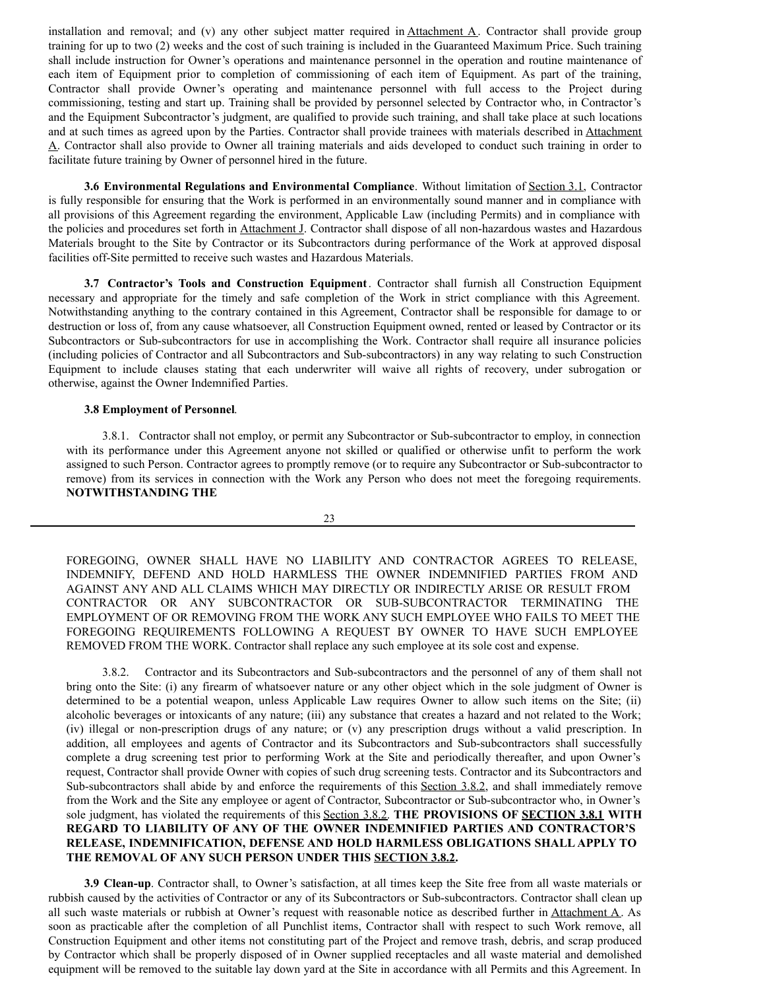installation and removal; and (v) any other subject matter required in  $Attentionment A$ . Contractor shall provide group</u> training for up to two (2) weeks and the cost of such training is included in the Guaranteed Maximum Price. Such training shall include instruction for Owner's operations and maintenance personnel in the operation and routine maintenance of each item of Equipment prior to completion of commissioning of each item of Equipment. As part of the training, Contractor shall provide Owner's operating and maintenance personnel with full access to the Project during commissioning, testing and start up. Training shall be provided by personnel selected by Contractor who, in Contractor's and the Equipment Subcontractor's judgment, are qualified to provide such training, and shall take place at such locations and at such times as agreed upon by the Parties. Contractor shall provide trainees with materials described in Attachment A. Contractor shall also provide to Owner all training materials and aids developed to conduct such training in order to facilitate future training by Owner of personnel hired in the future.

**3.6 Environmental Regulations and Environmental Compliance**. Without limitation of Section 3.1, Contractor is fully responsible for ensuring that the Work is performed in an environmentally sound manner and in compliance with all provisions of this Agreement regarding the environment, Applicable Law (including Permits) and in compliance with the policies and procedures set forth in Attachment J. Contractor shall dispose of all non-hazardous wastes and Hazardous Materials brought to the Site by Contractor or its Subcontractors during performance of the Work at approved disposal facilities off-Site permitted to receive such wastes and Hazardous Materials.

**3.7 Contractor's Tools and Construction Equipment**. Contractor shall furnish all Construction Equipment necessary and appropriate for the timely and safe completion of the Work in strict compliance with this Agreement. Notwithstanding anything to the contrary contained in this Agreement, Contractor shall be responsible for damage to or destruction or loss of, from any cause whatsoever, all Construction Equipment owned, rented or leased by Contractor or its Subcontractors or Sub-subcontractors for use in accomplishing the Work. Contractor shall require all insurance policies (including policies of Contractor and all Subcontractors and Sub-subcontractors) in any way relating to such Construction Equipment to include clauses stating that each underwriter will waive all rights of recovery, under subrogation or otherwise, against the Owner Indemnified Parties.

### **3.8 Employment of Personnel**.

3.8.1. Contractor shall not employ, or permit any Subcontractor or Sub-subcontractor to employ, in connection with its performance under this Agreement anyone not skilled or qualified or otherwise unfit to perform the work assigned to such Person. Contractor agrees to promptly remove (or to require any Subcontractor or Sub-subcontractor to remove) from its services in connection with the Work any Person who does not meet the foregoing requirements. **NOTWITHSTANDING THE**

23

FOREGOING, OWNER SHALL HAVE NO LIABILITY AND CONTRACTOR AGREES TO RELEASE, INDEMNIFY, DEFEND AND HOLD HARMLESS THE OWNER INDEMNIFIED PARTIES FROM AND AGAINST ANY AND ALL CLAIMS WHICH MAY DIRECTLY OR INDIRECTLY ARISE OR RESULT FROM CONTRACTOR OR ANY SUBCONTRACTOR OR SUB-SUBCONTRACTOR TERMINATING THE EMPLOYMENT OF OR REMOVING FROM THE WORK ANY SUCH EMPLOYEE WHO FAILS TO MEET THE FOREGOING REQUIREMENTS FOLLOWING A REQUEST BY OWNER TO HAVE SUCH EMPLOYEE REMOVED FROM THE WORK. Contractor shall replace any such employee at its sole cost and expense.

3.8.2. Contractor and its Subcontractors and Sub-subcontractors and the personnel of any of them shall not bring onto the Site: (i) any firearm of whatsoever nature or any other object which in the sole judgment of Owner is determined to be a potential weapon, unless Applicable Law requires Owner to allow such items on the Site; (ii) alcoholic beverages or intoxicants of any nature; (iii) any substance that creates a hazard and not related to the Work; (iv) illegal or non-prescription drugs of any nature; or (v) any prescription drugs without a valid prescription. In addition, all employees and agents of Contractor and its Subcontractors and Sub-subcontractors shall successfully complete a drug screening test prior to performing Work at the Site and periodically thereafter, and upon Owner's request, Contractor shall provide Owner with copies of such drug screening tests. Contractor and its Subcontractors and Sub-subcontractors shall abide by and enforce the requirements of this Section 3.8.2, and shall immediately remove from the Work and the Site any employee or agent of Contractor, Subcontractor or Sub-subcontractor who, in Owner's sole judgment, has violated the requirements of this Section 3.8.2. **THE PROVISIONS OF SECTION 3.8.1 WITH REGARD TO LIABILITY OF ANY OF THE OWNER INDEMNIFIED PARTIES AND CONTRACTOR'S RELEASE, INDEMNIFICATION, DEFENSE AND HOLD HARMLESS OBLIGATIONS SHALL APPLY TO THE REMOVAL OF ANY SUCH PERSON UNDER THIS SECTION 3.8.2.**

**3.9 Clean-up**. Contractor shall, to Owner's satisfaction, at all times keep the Site free from all waste materials or rubbish caused by the activities of Contractor or any of its Subcontractors or Sub-subcontractors. Contractor shall clean up all such waste materials or rubbish at Owner's request with reasonable notice as described further in Attachment A. As soon as practicable after the completion of all Punchlist items, Contractor shall with respect to such Work remove, all Construction Equipment and other items not constituting part of the Project and remove trash, debris, and scrap produced by Contractor which shall be properly disposed of in Owner supplied receptacles and all waste material and demolished equipment will be removed to the suitable lay down yard at the Site in accordance with all Permits and this Agreement. In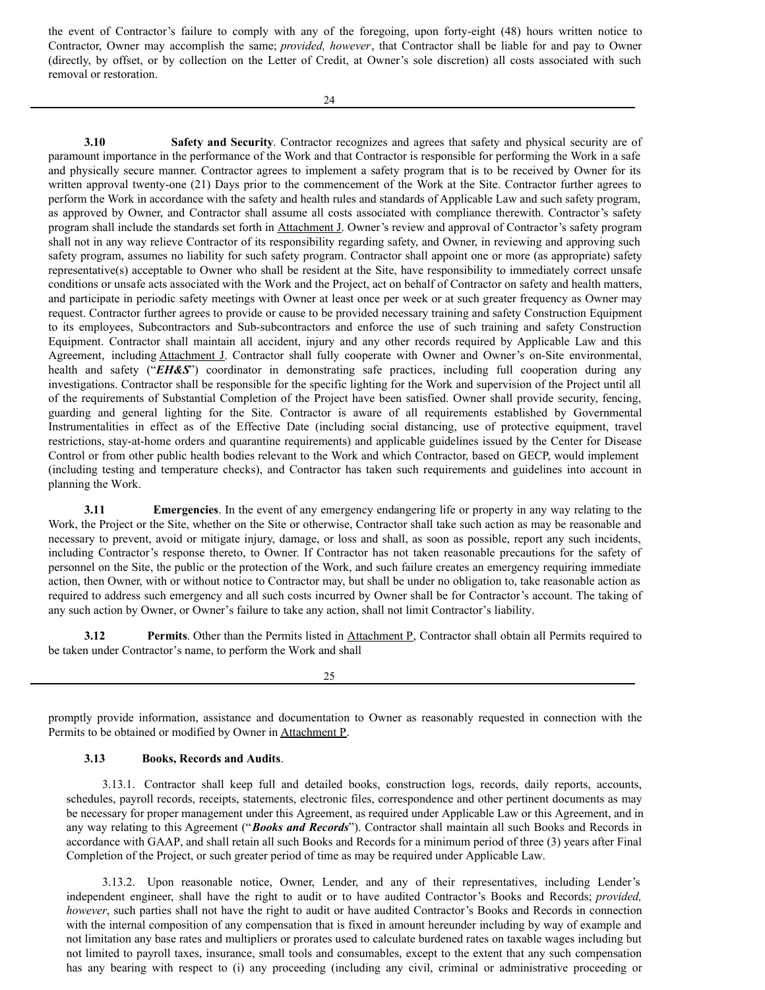the event of Contractor's failure to comply with any of the foregoing, upon forty-eight (48) hours written notice to Contractor, Owner may accomplish the same; *provided, however*, that Contractor shall be liable for and pay to Owner (directly, by offset, or by collection on the Letter of Credit, at Owner's sole discretion) all costs associated with such removal or restoration.

24

**3.10 Safety and Security**. Contractor recognizes and agrees that safety and physical security are of paramount importance in the performance of the Work and that Contractor is responsible for performing the Work in a safe and physically secure manner. Contractor agrees to implement a safety program that is to be received by Owner for its written approval twenty-one (21) Days prior to the commencement of the Work at the Site. Contractor further agrees to perform the Work in accordance with the safety and health rules and standards of Applicable Law and such safety program, as approved by Owner, and Contractor shall assume all costs associated with compliance therewith. Contractor's safety program shall include the standards set forth in Attachment J. Owner's review and approval of Contractor's safety program shall not in any way relieve Contractor of its responsibility regarding safety, and Owner, in reviewing and approving such safety program, assumes no liability for such safety program. Contractor shall appoint one or more (as appropriate) safety representative(s) acceptable to Owner who shall be resident at the Site, have responsibility to immediately correct unsafe conditions or unsafe acts associated with the Work and the Project, act on behalf of Contractor on safety and health matters, and participate in periodic safety meetings with Owner at least once per week or at such greater frequency as Owner may request. Contractor further agrees to provide or cause to be provided necessary training and safety Construction Equipment to its employees, Subcontractors and Sub-subcontractors and enforce the use of such training and safety Construction Equipment. Contractor shall maintain all accident, injury and any other records required by Applicable Law and this Agreement, including Attachment J. Contractor shall fully cooperate with Owner and Owner's on-Site environmental, health and safety ("*EH&S*") coordinator in demonstrating safe practices, including full cooperation during any investigations. Contractor shall be responsible for the specific lighting for the Work and supervision of the Project until all of the requirements of Substantial Completion of the Project have been satisfied. Owner shall provide security, fencing, guarding and general lighting for the Site. Contractor is aware of all requirements established by Governmental Instrumentalities in effect as of the Effective Date (including social distancing, use of protective equipment, travel restrictions, stay-at-home orders and quarantine requirements) and applicable guidelines issued by the Center for Disease Control or from other public health bodies relevant to the Work and which Contractor, based on GECP, would implement (including testing and temperature checks), and Contractor has taken such requirements and guidelines into account in planning the Work.

**3.11 Emergencies**. In the event of any emergency endangering life or property in any way relating to the Work, the Project or the Site, whether on the Site or otherwise, Contractor shall take such action as may be reasonable and necessary to prevent, avoid or mitigate injury, damage, or loss and shall, as soon as possible, report any such incidents, including Contractor's response thereto, to Owner. If Contractor has not taken reasonable precautions for the safety of personnel on the Site, the public or the protection of the Work, and such failure creates an emergency requiring immediate action, then Owner, with or without notice to Contractor may, but shall be under no obligation to, take reasonable action as required to address such emergency and all such costs incurred by Owner shall be for Contractor's account. The taking of any such action by Owner, or Owner's failure to take any action, shall not limit Contractor's liability.

**3.12 Permits**. Other than the Permits listed in Attachment P, Contractor shall obtain all Permits required to be taken under Contractor's name, to perform the Work and shall

25

promptly provide information, assistance and documentation to Owner as reasonably requested in connection with the Permits to be obtained or modified by Owner in Attachment P.

# **3.13 Books, Records and Audits**.

3.13.1. Contractor shall keep full and detailed books, construction logs, records, daily reports, accounts, schedules, payroll records, receipts, statements, electronic files, correspondence and other pertinent documents as may be necessary for proper management under this Agreement, as required under Applicable Law or this Agreement, and in any way relating to this Agreement ("*Books and Records*"). Contractor shall maintain all such Books and Records in accordance with GAAP, and shall retain all such Books and Records for a minimum period of three (3) years after Final Completion of the Project, or such greater period of time as may be required under Applicable Law.

3.13.2. Upon reasonable notice, Owner, Lender, and any of their representatives, including Lender's independent engineer, shall have the right to audit or to have audited Contractor's Books and Records; *provided, however*, such parties shall not have the right to audit or have audited Contractor's Books and Records in connection with the internal composition of any compensation that is fixed in amount hereunder including by way of example and not limitation any base rates and multipliers or prorates used to calculate burdened rates on taxable wages including but not limited to payroll taxes, insurance, small tools and consumables, except to the extent that any such compensation has any bearing with respect to (i) any proceeding (including any civil, criminal or administrative proceeding or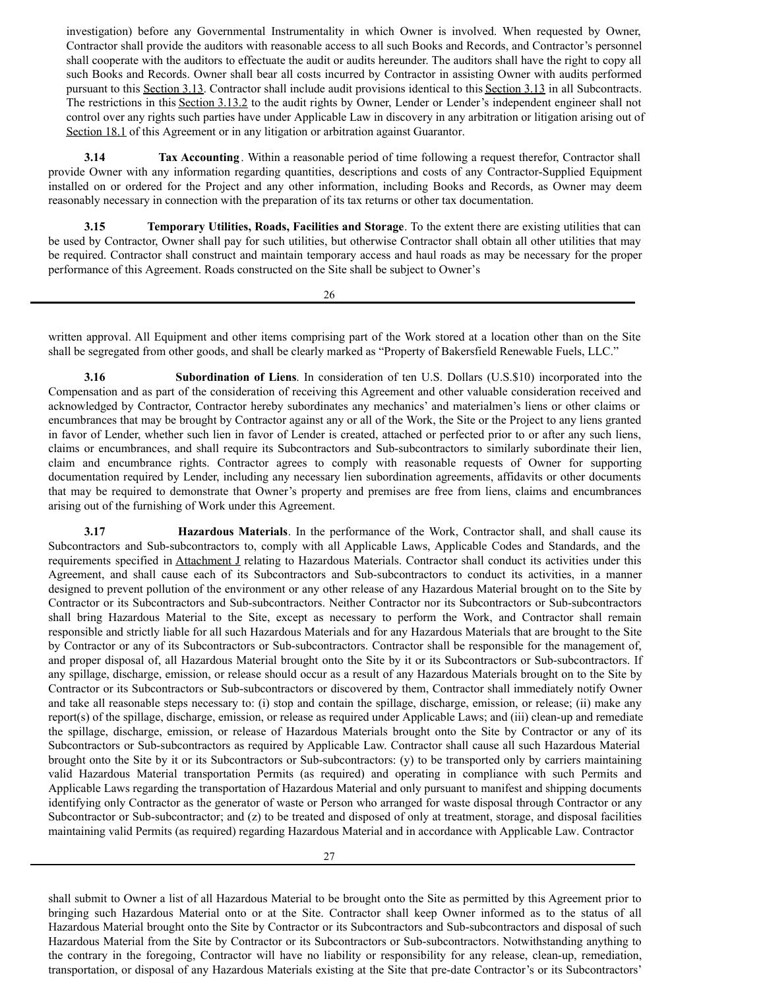investigation) before any Governmental Instrumentality in which Owner is involved. When requested by Owner, Contractor shall provide the auditors with reasonable access to all such Books and Records, and Contractor's personnel shall cooperate with the auditors to effectuate the audit or audits hereunder. The auditors shall have the right to copy all such Books and Records. Owner shall bear all costs incurred by Contractor in assisting Owner with audits performed pursuant to this Section 3.13. Contractor shall include audit provisions identical to this Section 3.13 in all Subcontracts. The restrictions in this Section 3.13.2 to the audit rights by Owner, Lender or Lender's independent engineer shall not control over any rights such parties have under Applicable Law in discovery in any arbitration or litigation arising out of Section 18.1 of this Agreement or in any litigation or arbitration against Guarantor.

**3.14 Tax Accounting**. Within a reasonable period of time following a request therefor, Contractor shall provide Owner with any information regarding quantities, descriptions and costs of any Contractor-Supplied Equipment installed on or ordered for the Project and any other information, including Books and Records, as Owner may deem reasonably necessary in connection with the preparation of its tax returns or other tax documentation.

**3.15 Temporary Utilities, Roads, Facilities and Storage**. To the extent there are existing utilities that can be used by Contractor, Owner shall pay for such utilities, but otherwise Contractor shall obtain all other utilities that may be required. Contractor shall construct and maintain temporary access and haul roads as may be necessary for the proper performance of this Agreement. Roads constructed on the Site shall be subject to Owner's

26

written approval. All Equipment and other items comprising part of the Work stored at a location other than on the Site shall be segregated from other goods, and shall be clearly marked as "Property of Bakersfield Renewable Fuels, LLC."

**3.16 Subordination of Liens**. In consideration of ten U.S. Dollars (U.S.\$10) incorporated into the Compensation and as part of the consideration of receiving this Agreement and other valuable consideration received and acknowledged by Contractor, Contractor hereby subordinates any mechanics' and materialmen's liens or other claims or encumbrances that may be brought by Contractor against any or all of the Work, the Site or the Project to any liens granted in favor of Lender, whether such lien in favor of Lender is created, attached or perfected prior to or after any such liens, claims or encumbrances, and shall require its Subcontractors and Sub-subcontractors to similarly subordinate their lien, claim and encumbrance rights. Contractor agrees to comply with reasonable requests of Owner for supporting documentation required by Lender, including any necessary lien subordination agreements, affidavits or other documents that may be required to demonstrate that Owner's property and premises are free from liens, claims and encumbrances arising out of the furnishing of Work under this Agreement.

**3.17 Hazardous Materials**. In the performance of the Work, Contractor shall, and shall cause its Subcontractors and Sub-subcontractors to, comply with all Applicable Laws, Applicable Codes and Standards, and the requirements specified in Attachment J relating to Hazardous Materials. Contractor shall conduct its activities under this Agreement, and shall cause each of its Subcontractors and Sub-subcontractors to conduct its activities, in a manner designed to prevent pollution of the environment or any other release of any Hazardous Material brought on to the Site by Contractor or its Subcontractors and Sub-subcontractors. Neither Contractor nor its Subcontractors or Sub-subcontractors shall bring Hazardous Material to the Site, except as necessary to perform the Work, and Contractor shall remain responsible and strictly liable for all such Hazardous Materials and for any Hazardous Materials that are brought to the Site by Contractor or any of its Subcontractors or Sub-subcontractors. Contractor shall be responsible for the management of, and proper disposal of, all Hazardous Material brought onto the Site by it or its Subcontractors or Sub-subcontractors. If any spillage, discharge, emission, or release should occur as a result of any Hazardous Materials brought on to the Site by Contractor or its Subcontractors or Sub-subcontractors or discovered by them, Contractor shall immediately notify Owner and take all reasonable steps necessary to: (i) stop and contain the spillage, discharge, emission, or release; (ii) make any report(s) of the spillage, discharge, emission, or release as required under Applicable Laws; and (iii) clean-up and remediate the spillage, discharge, emission, or release of Hazardous Materials brought onto the Site by Contractor or any of its Subcontractors or Sub-subcontractors as required by Applicable Law. Contractor shall cause all such Hazardous Material brought onto the Site by it or its Subcontractors or Sub-subcontractors: (y) to be transported only by carriers maintaining valid Hazardous Material transportation Permits (as required) and operating in compliance with such Permits and Applicable Laws regarding the transportation of Hazardous Material and only pursuant to manifest and shipping documents identifying only Contractor as the generator of waste or Person who arranged for waste disposal through Contractor or any Subcontractor or Sub-subcontractor; and (z) to be treated and disposed of only at treatment, storage, and disposal facilities maintaining valid Permits (as required) regarding Hazardous Material and in accordance with Applicable Law. Contractor

shall submit to Owner a list of all Hazardous Material to be brought onto the Site as permitted by this Agreement prior to bringing such Hazardous Material onto or at the Site. Contractor shall keep Owner informed as to the status of all Hazardous Material brought onto the Site by Contractor or its Subcontractors and Sub-subcontractors and disposal of such Hazardous Material from the Site by Contractor or its Subcontractors or Sub-subcontractors. Notwithstanding anything to the contrary in the foregoing, Contractor will have no liability or responsibility for any release, clean-up, remediation, transportation, or disposal of any Hazardous Materials existing at the Site that pre-date Contractor's or its Subcontractors'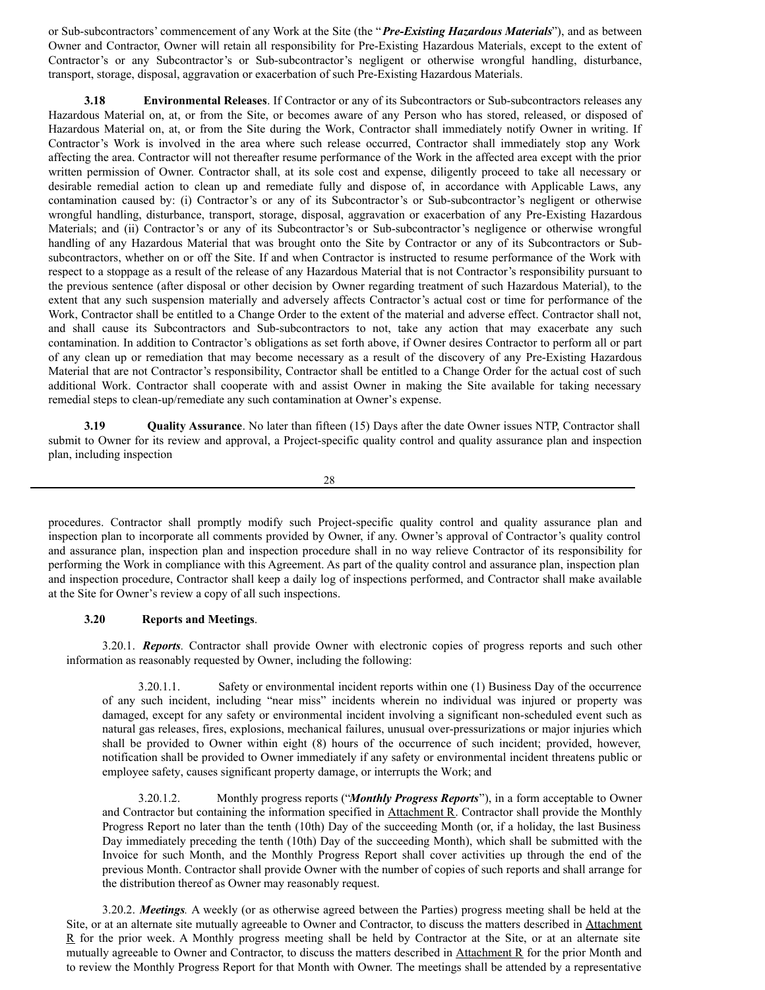or Sub-subcontractors' commencement of any Work at the Site (the "*Pre-Existing Hazardous Materials*"), and as between Owner and Contractor, Owner will retain all responsibility for Pre-Existing Hazardous Materials, except to the extent of Contractor's or any Subcontractor's or Sub-subcontractor's negligent or otherwise wrongful handling, disturbance, transport, storage, disposal, aggravation or exacerbation of such Pre-Existing Hazardous Materials.

**3.18 Environmental Releases**. If Contractor or any of its Subcontractors or Sub-subcontractors releases any Hazardous Material on, at, or from the Site, or becomes aware of any Person who has stored, released, or disposed of Hazardous Material on, at, or from the Site during the Work, Contractor shall immediately notify Owner in writing. If Contractor's Work is involved in the area where such release occurred, Contractor shall immediately stop any Work affecting the area. Contractor will not thereafter resume performance of the Work in the affected area except with the prior written permission of Owner. Contractor shall, at its sole cost and expense, diligently proceed to take all necessary or desirable remedial action to clean up and remediate fully and dispose of, in accordance with Applicable Laws, any contamination caused by: (i) Contractor's or any of its Subcontractor's or Sub-subcontractor's negligent or otherwise wrongful handling, disturbance, transport, storage, disposal, aggravation or exacerbation of any Pre-Existing Hazardous Materials; and (ii) Contractor's or any of its Subcontractor's or Sub-subcontractor's negligence or otherwise wrongful handling of any Hazardous Material that was brought onto the Site by Contractor or any of its Subcontractors or Subsubcontractors, whether on or off the Site. If and when Contractor is instructed to resume performance of the Work with respect to a stoppage as a result of the release of any Hazardous Material that is not Contractor's responsibility pursuant to the previous sentence (after disposal or other decision by Owner regarding treatment of such Hazardous Material), to the extent that any such suspension materially and adversely affects Contractor's actual cost or time for performance of the Work, Contractor shall be entitled to a Change Order to the extent of the material and adverse effect. Contractor shall not, and shall cause its Subcontractors and Sub-subcontractors to not, take any action that may exacerbate any such contamination. In addition to Contractor's obligations as set forth above, if Owner desires Contractor to perform all or part of any clean up or remediation that may become necessary as a result of the discovery of any Pre-Existing Hazardous Material that are not Contractor's responsibility, Contractor shall be entitled to a Change Order for the actual cost of such additional Work. Contractor shall cooperate with and assist Owner in making the Site available for taking necessary remedial steps to clean-up/remediate any such contamination at Owner's expense.

**3.19 Quality Assurance**. No later than fifteen (15) Days after the date Owner issues NTP, Contractor shall submit to Owner for its review and approval, a Project-specific quality control and quality assurance plan and inspection plan, including inspection

28

procedures. Contractor shall promptly modify such Project-specific quality control and quality assurance plan and inspection plan to incorporate all comments provided by Owner, if any. Owner's approval of Contractor's quality control and assurance plan, inspection plan and inspection procedure shall in no way relieve Contractor of its responsibility for performing the Work in compliance with this Agreement. As part of the quality control and assurance plan, inspection plan and inspection procedure, Contractor shall keep a daily log of inspections performed, and Contractor shall make available at the Site for Owner's review a copy of all such inspections.

# **3.20 Reports and Meetings**.

3.20.1. *Reports.* Contractor shall provide Owner with electronic copies of progress reports and such other information as reasonably requested by Owner, including the following:

3.20.1.1. Safety or environmental incident reports within one (1) Business Day of the occurrence of any such incident, including "near miss" incidents wherein no individual was injured or property was damaged, except for any safety or environmental incident involving a significant non-scheduled event such as natural gas releases, fires, explosions, mechanical failures, unusual over-pressurizations or major injuries which shall be provided to Owner within eight (8) hours of the occurrence of such incident; provided, however, notification shall be provided to Owner immediately if any safety or environmental incident threatens public or employee safety, causes significant property damage, or interrupts the Work; and

3.20.1.2. Monthly progress reports ("*Monthly Progress Reports*"), in a form acceptable to Owner and Contractor but containing the information specified in Attachment R. Contractor shall provide the Monthly Progress Report no later than the tenth (10th) Day of the succeeding Month (or, if a holiday, the last Business Day immediately preceding the tenth (10th) Day of the succeeding Month), which shall be submitted with the Invoice for such Month, and the Monthly Progress Report shall cover activities up through the end of the previous Month. Contractor shall provide Owner with the number of copies of such reports and shall arrange for the distribution thereof as Owner may reasonably request.

3.20.2. *Meetings.* A weekly (or as otherwise agreed between the Parties) progress meeting shall be held at the Site, or at an alternate site mutually agreeable to Owner and Contractor, to discuss the matters described in Attachment  $R$  for the prior week. A Monthly progress meeting shall be held by Contractor at the Site, or at an alternate site mutually agreeable to Owner and Contractor, to discuss the matters described in Attachment R for the prior Month and to review the Monthly Progress Report for that Month with Owner. The meetings shall be attended by a representative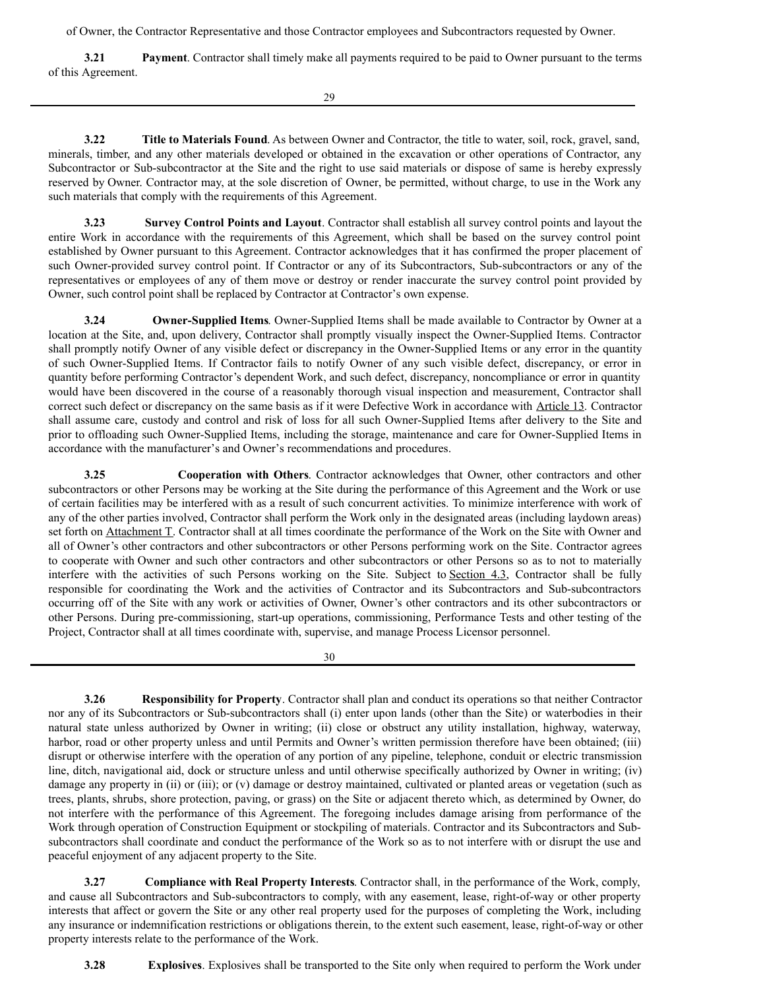of Owner, the Contractor Representative and those Contractor employees and Subcontractors requested by Owner.

**3.21 Payment**. Contractor shall timely make all payments required to be paid to Owner pursuant to the terms of this Agreement.

 $29$ 

**3.22 Title to Materials Found**. As between Owner and Contractor, the title to water, soil, rock, gravel, sand, minerals, timber, and any other materials developed or obtained in the excavation or other operations of Contractor, any Subcontractor or Sub-subcontractor at the Site and the right to use said materials or dispose of same is hereby expressly reserved by Owner. Contractor may, at the sole discretion of Owner, be permitted, without charge, to use in the Work any such materials that comply with the requirements of this Agreement.

**3.23 Survey Control Points and Layout**. Contractor shall establish all survey control points and layout the entire Work in accordance with the requirements of this Agreement, which shall be based on the survey control point established by Owner pursuant to this Agreement. Contractor acknowledges that it has confirmed the proper placement of such Owner-provided survey control point. If Contractor or any of its Subcontractors, Sub-subcontractors or any of the representatives or employees of any of them move or destroy or render inaccurate the survey control point provided by Owner, such control point shall be replaced by Contractor at Contractor's own expense.

**3.24 Owner-Supplied Items**. Owner-Supplied Items shall be made available to Contractor by Owner at a location at the Site, and, upon delivery, Contractor shall promptly visually inspect the Owner-Supplied Items. Contractor shall promptly notify Owner of any visible defect or discrepancy in the Owner-Supplied Items or any error in the quantity of such Owner-Supplied Items. If Contractor fails to notify Owner of any such visible defect, discrepancy, or error in quantity before performing Contractor's dependent Work, and such defect, discrepancy, noncompliance or error in quantity would have been discovered in the course of a reasonably thorough visual inspection and measurement, Contractor shall correct such defect or discrepancy on the same basis as if it were Defective Work in accordance with Article 13. Contractor shall assume care, custody and control and risk of loss for all such Owner-Supplied Items after delivery to the Site and prior to offloading such Owner-Supplied Items, including the storage, maintenance and care for Owner-Supplied Items in accordance with the manufacturer's and Owner's recommendations and procedures.

**3.25 Cooperation with Others**. Contractor acknowledges that Owner, other contractors and other subcontractors or other Persons may be working at the Site during the performance of this Agreement and the Work or use of certain facilities may be interfered with as a result of such concurrent activities. To minimize interference with work of any of the other parties involved, Contractor shall perform the Work only in the designated areas (including laydown areas) set forth on Attachment T. Contractor shall at all times coordinate the performance of the Work on the Site with Owner and all of Owner's other contractors and other subcontractors or other Persons performing work on the Site. Contractor agrees to cooperate with Owner and such other contractors and other subcontractors or other Persons so as to not to materially interfere with the activities of such Persons working on the Site. Subject to Section 4.3, Contractor shall be fully responsible for coordinating the Work and the activities of Contractor and its Subcontractors and Sub-subcontractors occurring off of the Site with any work or activities of Owner, Owner's other contractors and its other subcontractors or other Persons. During pre-commissioning, start-up operations, commissioning, Performance Tests and other testing of the Project, Contractor shall at all times coordinate with, supervise, and manage Process Licensor personnel.

30

**3.26 Responsibility for Property**. Contractor shall plan and conduct its operations so that neither Contractor nor any of its Subcontractors or Sub-subcontractors shall (i) enter upon lands (other than the Site) or waterbodies in their natural state unless authorized by Owner in writing; (ii) close or obstruct any utility installation, highway, waterway, harbor, road or other property unless and until Permits and Owner's written permission therefore have been obtained; (iii) disrupt or otherwise interfere with the operation of any portion of any pipeline, telephone, conduit or electric transmission line, ditch, navigational aid, dock or structure unless and until otherwise specifically authorized by Owner in writing; (iv) damage any property in (ii) or (iii); or (v) damage or destroy maintained, cultivated or planted areas or vegetation (such as trees, plants, shrubs, shore protection, paving, or grass) on the Site or adjacent thereto which, as determined by Owner, do not interfere with the performance of this Agreement. The foregoing includes damage arising from performance of the Work through operation of Construction Equipment or stockpiling of materials. Contractor and its Subcontractors and Subsubcontractors shall coordinate and conduct the performance of the Work so as to not interfere with or disrupt the use and peaceful enjoyment of any adjacent property to the Site.

**3.27 Compliance with Real Property Interests**. Contractor shall, in the performance of the Work, comply, and cause all Subcontractors and Sub-subcontractors to comply, with any easement, lease, right-of-way or other property interests that affect or govern the Site or any other real property used for the purposes of completing the Work, including any insurance or indemnification restrictions or obligations therein, to the extent such easement, lease, right-of-way or other property interests relate to the performance of the Work.

**3.28 Explosives**. Explosives shall be transported to the Site only when required to perform the Work under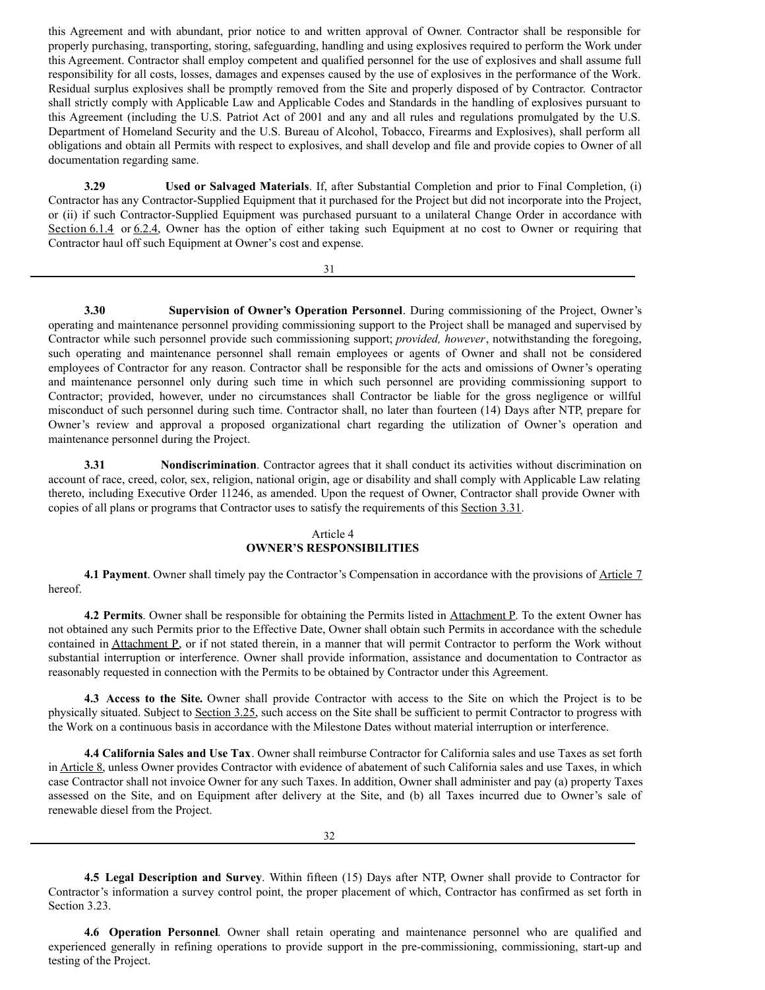this Agreement and with abundant, prior notice to and written approval of Owner. Contractor shall be responsible for properly purchasing, transporting, storing, safeguarding, handling and using explosives required to perform the Work under this Agreement. Contractor shall employ competent and qualified personnel for the use of explosives and shall assume full responsibility for all costs, losses, damages and expenses caused by the use of explosives in the performance of the Work. Residual surplus explosives shall be promptly removed from the Site and properly disposed of by Contractor. Contractor shall strictly comply with Applicable Law and Applicable Codes and Standards in the handling of explosives pursuant to this Agreement (including the U.S. Patriot Act of 2001 and any and all rules and regulations promulgated by the U.S. Department of Homeland Security and the U.S. Bureau of Alcohol, Tobacco, Firearms and Explosives), shall perform all obligations and obtain all Permits with respect to explosives, and shall develop and file and provide copies to Owner of all documentation regarding same.

**3.29 Used or Salvaged Materials**. If, after Substantial Completion and prior to Final Completion, (i) Contractor has any Contractor-Supplied Equipment that it purchased for the Project but did not incorporate into the Project, or (ii) if such Contractor-Supplied Equipment was purchased pursuant to a unilateral Change Order in accordance with Section 6.1.4 or 6.2.4, Owner has the option of either taking such Equipment at no cost to Owner or requiring that Contractor haul off such Equipment at Owner's cost and expense.

31

**3.30 Supervision of Owner's Operation Personnel**. During commissioning of the Project, Owner's operating and maintenance personnel providing commissioning support to the Project shall be managed and supervised by Contractor while such personnel provide such commissioning support; *provided, however*, notwithstanding the foregoing, such operating and maintenance personnel shall remain employees or agents of Owner and shall not be considered employees of Contractor for any reason. Contractor shall be responsible for the acts and omissions of Owner's operating and maintenance personnel only during such time in which such personnel are providing commissioning support to Contractor; provided, however, under no circumstances shall Contractor be liable for the gross negligence or willful misconduct of such personnel during such time. Contractor shall, no later than fourteen (14) Days after NTP, prepare for Owner's review and approval a proposed organizational chart regarding the utilization of Owner's operation and maintenance personnel during the Project.

**3.31 Nondiscrimination**. Contractor agrees that it shall conduct its activities without discrimination on account of race, creed, color, sex, religion, national origin, age or disability and shall comply with Applicable Law relating thereto, including Executive Order 11246, as amended. Upon the request of Owner, Contractor shall provide Owner with copies of all plans or programs that Contractor uses to satisfy the requirements of this Section 3.31.

# Article 4 **OWNER'S RESPONSIBILITIES**

**4.1 Payment**. Owner shall timely pay the Contractor's Compensation in accordance with the provisions of Article 7 hereof.

**4.2 Permits**. Owner shall be responsible for obtaining the Permits listed in Attachment P. To the extent Owner has not obtained any such Permits prior to the Effective Date, Owner shall obtain such Permits in accordance with the schedule contained in Attachment P, or if not stated therein, in a manner that will permit Contractor to perform the Work without substantial interruption or interference. Owner shall provide information, assistance and documentation to Contractor as reasonably requested in connection with the Permits to be obtained by Contractor under this Agreement.

**4.3 Access to the Site.** Owner shall provide Contractor with access to the Site on which the Project is to be physically situated. Subject to Section 3.25, such access on the Site shall be sufficient to permit Contractor to progress with the Work on a continuous basis in accordance with the Milestone Dates without material interruption or interference.

**4.4 California Sales and Use Tax**. Owner shall reimburse Contractor for California sales and use Taxes as set forth in Article 8, unless Owner provides Contractor with evidence of abatement of such California sales and use Taxes, in which case Contractor shall not invoice Owner for any such Taxes. In addition, Owner shall administer and pay (a) property Taxes assessed on the Site, and on Equipment after delivery at the Site, and (b) all Taxes incurred due to Owner's sale of renewable diesel from the Project.

32

**4.5 Legal Description and Survey**. Within fifteen (15) Days after NTP, Owner shall provide to Contractor for Contractor's information a survey control point, the proper placement of which, Contractor has confirmed as set forth in Section 3.23.

**4.6 Operation Personnel**. Owner shall retain operating and maintenance personnel who are qualified and experienced generally in refining operations to provide support in the pre-commissioning, commissioning, start-up and testing of the Project.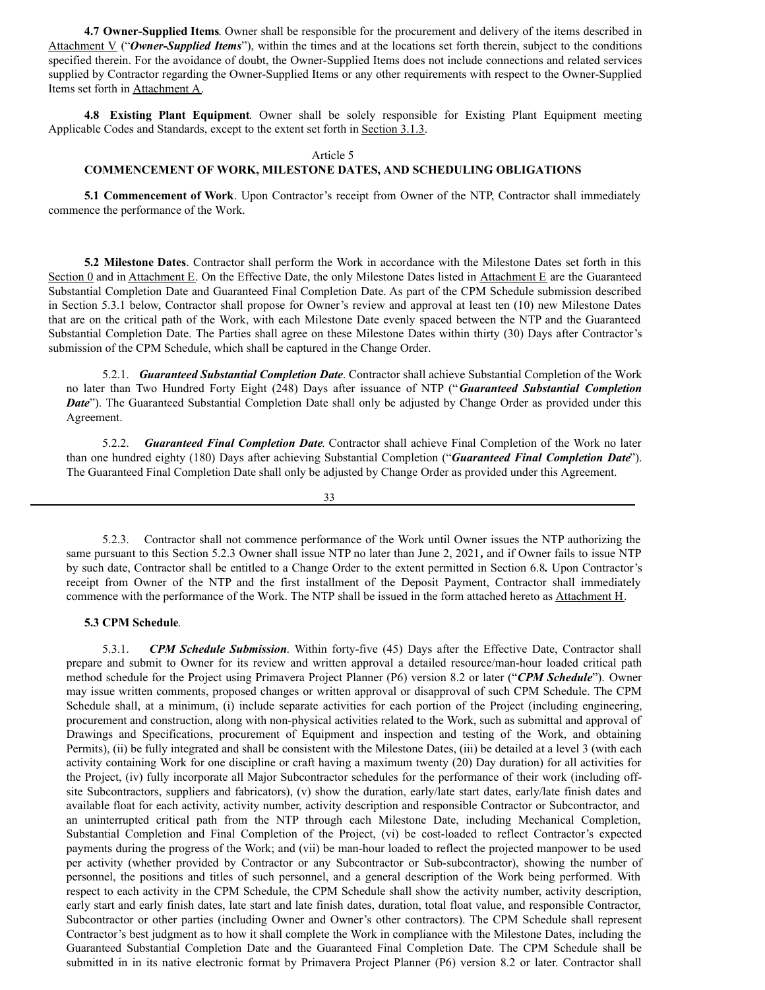**4.7 Owner-Supplied Items**. Owner shall be responsible for the procurement and delivery of the items described in Attachment V ("*Owner-Supplied Items*"), within the times and at the locations set forth therein, subject to the conditions specified therein. For the avoidance of doubt, the Owner-Supplied Items does not include connections and related services supplied by Contractor regarding the Owner-Supplied Items or any other requirements with respect to the Owner-Supplied Items set forth in Attachment A.

**4.8 Existing Plant Equipment**. Owner shall be solely responsible for Existing Plant Equipment meeting Applicable Codes and Standards, except to the extent set forth in Section 3.1.3.

#### Article 5

## **COMMENCEMENT OF WORK, MILESTONE DATES, AND SCHEDULING OBLIGATIONS**

**5.1 Commencement of Work**. Upon Contractor's receipt from Owner of the NTP, Contractor shall immediately commence the performance of the Work.

**5.2 Milestone Dates**. Contractor shall perform the Work in accordance with the Milestone Dates set forth in this Section 0 and in Attachment E. On the Effective Date, the only Milestone Dates listed in Attachment E are the Guaranteed Substantial Completion Date and Guaranteed Final Completion Date. As part of the CPM Schedule submission described in Section 5.3.1 below, Contractor shall propose for Owner's review and approval at least ten (10) new Milestone Dates that are on the critical path of the Work, with each Milestone Date evenly spaced between the NTP and the Guaranteed Substantial Completion Date. The Parties shall agree on these Milestone Dates within thirty (30) Days after Contractor's submission of the CPM Schedule, which shall be captured in the Change Order.

5.2.1. *Guaranteed Substantial Completion Date*. Contractor shall achieve Substantial Completion of the Work no later than Two Hundred Forty Eight (248) Days after issuance of NTP ("*Guaranteed Substantial Completion Date*"). The Guaranteed Substantial Completion Date shall only be adjusted by Change Order as provided under this Agreement.

5.2.2. *Guaranteed Final Completion Date*. Contractor shall achieve Final Completion of the Work no later than one hundred eighty (180) Days after achieving Substantial Completion ("*Guaranteed Final Completion Date*"). The Guaranteed Final Completion Date shall only be adjusted by Change Order as provided under this Agreement.

33

5.2.3. Contractor shall not commence performance of the Work until Owner issues the NTP authorizing the same pursuant to this Section 5.2.3 Owner shall issue NTP no later than June 2, 2021*,* and if Owner fails to issue NTP by such date, Contractor shall be entitled to a Change Order to the extent permitted in Section 6.8*.* Upon Contractor's receipt from Owner of the NTP and the first installment of the Deposit Payment, Contractor shall immediately commence with the performance of the Work. The NTP shall be issued in the form attached hereto as Attachment H.

### **5.3 CPM Schedule**.

5.3.1. *CPM Schedule Submission*. Within forty-five (45) Days after the Effective Date, Contractor shall prepare and submit to Owner for its review and written approval a detailed resource/man-hour loaded critical path method schedule for the Project using Primavera Project Planner (P6) version 8.2 or later ("*CPM Schedule*"). Owner may issue written comments, proposed changes or written approval or disapproval of such CPM Schedule. The CPM Schedule shall, at a minimum, (i) include separate activities for each portion of the Project (including engineering, procurement and construction, along with non-physical activities related to the Work, such as submittal and approval of Drawings and Specifications, procurement of Equipment and inspection and testing of the Work, and obtaining Permits), (ii) be fully integrated and shall be consistent with the Milestone Dates, (iii) be detailed at a level 3 (with each activity containing Work for one discipline or craft having a maximum twenty (20) Day duration) for all activities for the Project, (iv) fully incorporate all Major Subcontractor schedules for the performance of their work (including offsite Subcontractors, suppliers and fabricators), (v) show the duration, early/late start dates, early/late finish dates and available float for each activity, activity number, activity description and responsible Contractor or Subcontractor, and an uninterrupted critical path from the NTP through each Milestone Date, including Mechanical Completion, Substantial Completion and Final Completion of the Project, (vi) be cost-loaded to reflect Contractor's expected payments during the progress of the Work; and (vii) be man-hour loaded to reflect the projected manpower to be used per activity (whether provided by Contractor or any Subcontractor or Sub-subcontractor), showing the number of personnel, the positions and titles of such personnel, and a general description of the Work being performed. With respect to each activity in the CPM Schedule, the CPM Schedule shall show the activity number, activity description, early start and early finish dates, late start and late finish dates, duration, total float value, and responsible Contractor, Subcontractor or other parties (including Owner and Owner's other contractors). The CPM Schedule shall represent Contractor's best judgment as to how it shall complete the Work in compliance with the Milestone Dates, including the Guaranteed Substantial Completion Date and the Guaranteed Final Completion Date. The CPM Schedule shall be submitted in in its native electronic format by Primavera Project Planner (P6) version 8.2 or later. Contractor shall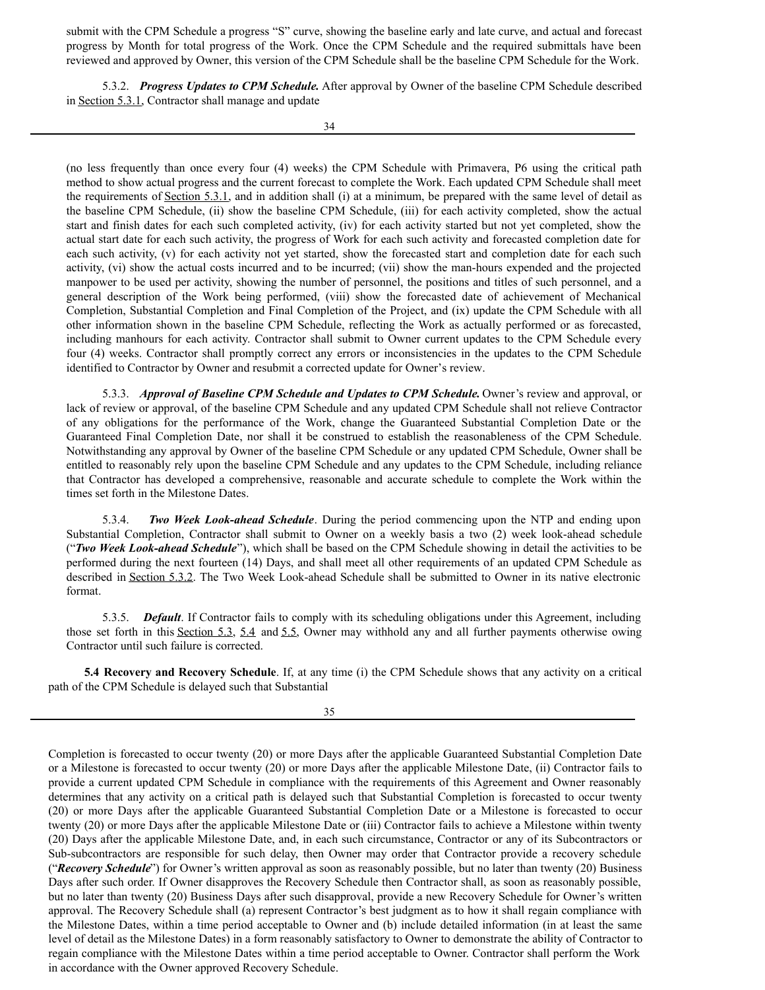submit with the CPM Schedule a progress "S" curve, showing the baseline early and late curve, and actual and forecast progress by Month for total progress of the Work. Once the CPM Schedule and the required submittals have been reviewed and approved by Owner, this version of the CPM Schedule shall be the baseline CPM Schedule for the Work.

5.3.2. *Progress Updates to CPM Schedule.* After approval by Owner of the baseline CPM Schedule described in Section 5.3.1, Contractor shall manage and update

34

(no less frequently than once every four (4) weeks) the CPM Schedule with Primavera, P6 using the critical path method to show actual progress and the current forecast to complete the Work. Each updated CPM Schedule shall meet the requirements of <u>Section 5.3.1</u>, and in addition shall (i) at a minimum, be prepared with the same level of detail as the baseline CPM Schedule, (ii) show the baseline CPM Schedule, (iii) for each activity completed, show the actual start and finish dates for each such completed activity, (iv) for each activity started but not yet completed, show the actual start date for each such activity, the progress of Work for each such activity and forecasted completion date for each such activity, (v) for each activity not yet started, show the forecasted start and completion date for each such activity, (vi) show the actual costs incurred and to be incurred; (vii) show the man-hours expended and the projected manpower to be used per activity, showing the number of personnel, the positions and titles of such personnel, and a general description of the Work being performed, (viii) show the forecasted date of achievement of Mechanical Completion, Substantial Completion and Final Completion of the Project, and (ix) update the CPM Schedule with all other information shown in the baseline CPM Schedule, reflecting the Work as actually performed or as forecasted, including manhours for each activity. Contractor shall submit to Owner current updates to the CPM Schedule every four (4) weeks. Contractor shall promptly correct any errors or inconsistencies in the updates to the CPM Schedule identified to Contractor by Owner and resubmit a corrected update for Owner's review.

5.3.3. *Approval of Baseline CPM Schedule and Updates to CPM Schedule.* Owner's review and approval, or lack of review or approval, of the baseline CPM Schedule and any updated CPM Schedule shall not relieve Contractor of any obligations for the performance of the Work, change the Guaranteed Substantial Completion Date or the Guaranteed Final Completion Date, nor shall it be construed to establish the reasonableness of the CPM Schedule. Notwithstanding any approval by Owner of the baseline CPM Schedule or any updated CPM Schedule, Owner shall be entitled to reasonably rely upon the baseline CPM Schedule and any updates to the CPM Schedule, including reliance that Contractor has developed a comprehensive, reasonable and accurate schedule to complete the Work within the times set forth in the Milestone Dates.

5.3.4. *Two Week Look-ahead Schedule*. During the period commencing upon the NTP and ending upon Substantial Completion, Contractor shall submit to Owner on a weekly basis a two (2) week look-ahead schedule ("*Two Week Look-ahead Schedule*"), which shall be based on the CPM Schedule showing in detail the activities to be performed during the next fourteen (14) Days, and shall meet all other requirements of an updated CPM Schedule as described in Section 5.3.2. The Two Week Look-ahead Schedule shall be submitted to Owner in its native electronic format.

5.3.5. *Default*. If Contractor fails to comply with its scheduling obligations under this Agreement, including those set forth in this Section 5.3, 5.4 and 5.5, Owner may withhold any and all further payments otherwise owing Contractor until such failure is corrected.

**5.4 Recovery and Recovery Schedule**. If, at any time (i) the CPM Schedule shows that any activity on a critical path of the CPM Schedule is delayed such that Substantial

35

Completion is forecasted to occur twenty (20) or more Days after the applicable Guaranteed Substantial Completion Date or a Milestone is forecasted to occur twenty (20) or more Days after the applicable Milestone Date, (ii) Contractor fails to provide a current updated CPM Schedule in compliance with the requirements of this Agreement and Owner reasonably determines that any activity on a critical path is delayed such that Substantial Completion is forecasted to occur twenty (20) or more Days after the applicable Guaranteed Substantial Completion Date or a Milestone is forecasted to occur twenty (20) or more Days after the applicable Milestone Date or (iii) Contractor fails to achieve a Milestone within twenty (20) Days after the applicable Milestone Date, and, in each such circumstance, Contractor or any of its Subcontractors or Sub-subcontractors are responsible for such delay, then Owner may order that Contractor provide a recovery schedule ("*Recovery Schedule*") for Owner's written approval as soon as reasonably possible, but no later than twenty (20) Business Days after such order. If Owner disapproves the Recovery Schedule then Contractor shall, as soon as reasonably possible, but no later than twenty (20) Business Days after such disapproval, provide a new Recovery Schedule for Owner's written approval. The Recovery Schedule shall (a) represent Contractor's best judgment as to how it shall regain compliance with the Milestone Dates, within a time period acceptable to Owner and (b) include detailed information (in at least the same level of detail as the Milestone Dates) in a form reasonably satisfactory to Owner to demonstrate the ability of Contractor to regain compliance with the Milestone Dates within a time period acceptable to Owner. Contractor shall perform the Work in accordance with the Owner approved Recovery Schedule.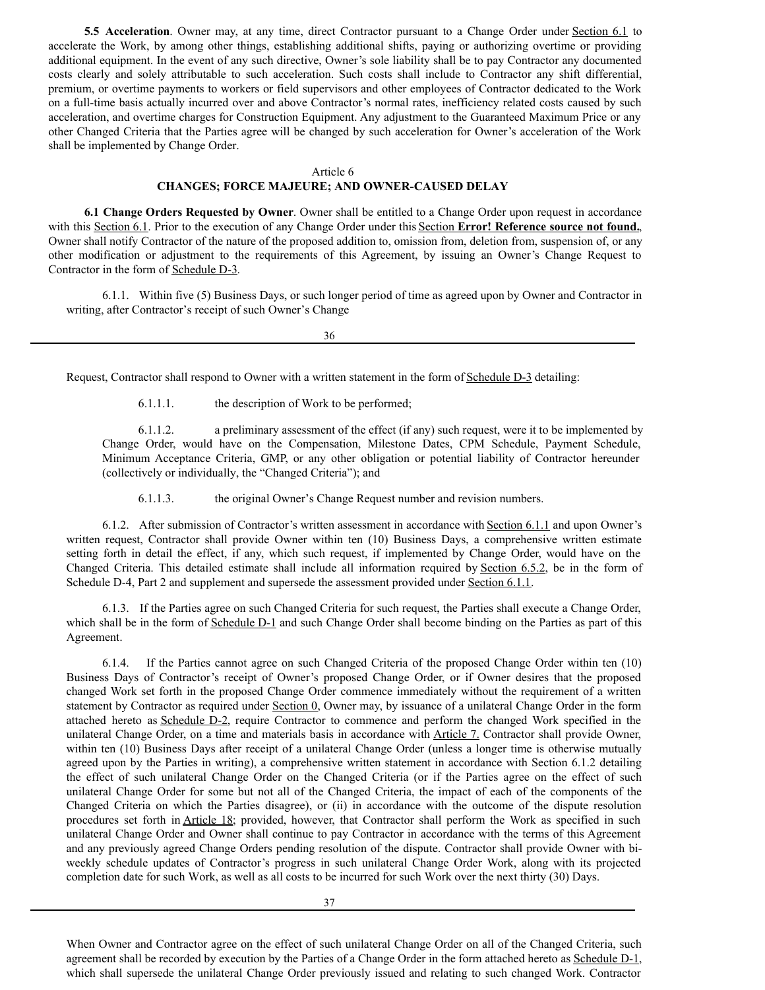**5.5 Acceleration**. Owner may, at any time, direct Contractor pursuant to a Change Order under Section 6.1 to accelerate the Work, by among other things, establishing additional shifts, paying or authorizing overtime or providing additional equipment. In the event of any such directive, Owner's sole liability shall be to pay Contractor any documented costs clearly and solely attributable to such acceleration. Such costs shall include to Contractor any shift differential, premium, or overtime payments to workers or field supervisors and other employees of Contractor dedicated to the Work on a full-time basis actually incurred over and above Contractor's normal rates, inefficiency related costs caused by such acceleration, and overtime charges for Construction Equipment. Any adjustment to the Guaranteed Maximum Price or any other Changed Criteria that the Parties agree will be changed by such acceleration for Owner's acceleration of the Work shall be implemented by Change Order.

#### Article 6

## **CHANGES; FORCE MAJEURE; AND OWNER-CAUSED DELAY**

**6.1 Change Orders Requested by Owner**. Owner shall be entitled to a Change Order upon request in accordance with this Section 6.1. Prior to the execution of any Change Order under this Section **Error! Reference source not found.**, Owner shall notify Contractor of the nature of the proposed addition to, omission from, deletion from, suspension of, or any other modification or adjustment to the requirements of this Agreement, by issuing an Owner's Change Request to Contractor in the form of Schedule D-3.

6.1.1. Within five (5) Business Days, or such longer period of time as agreed upon by Owner and Contractor in writing, after Contractor's receipt of such Owner's Change

36

Request, Contractor shall respond to Owner with a written statement in the form of Schedule D-3 detailing:

6.1.1.1. the description of Work to be performed;

6.1.1.2. a preliminary assessment of the effect (if any) such request, were it to be implemented by Change Order, would have on the Compensation, Milestone Dates, CPM Schedule, Payment Schedule, Minimum Acceptance Criteria, GMP, or any other obligation or potential liability of Contractor hereunder (collectively or individually, the "Changed Criteria"); and

6.1.1.3. the original Owner's Change Request number and revision numbers.

6.1.2. After submission of Contractor's written assessment in accordance with Section 6.1.1 and upon Owner's written request, Contractor shall provide Owner within ten (10) Business Days, a comprehensive written estimate setting forth in detail the effect, if any, which such request, if implemented by Change Order, would have on the Changed Criteria. This detailed estimate shall include all information required by Section 6.5.2, be in the form of Schedule D-4, Part 2 and supplement and supersede the assessment provided under Section 6.1.1.

6.1.3. If the Parties agree on such Changed Criteria for such request, the Parties shall execute a Change Order, which shall be in the form of Schedule D-1 and such Change Order shall become binding on the Parties as part of this Agreement.

6.1.4. If the Parties cannot agree on such Changed Criteria of the proposed Change Order within ten (10) Business Days of Contractor's receipt of Owner's proposed Change Order, or if Owner desires that the proposed changed Work set forth in the proposed Change Order commence immediately without the requirement of a written statement by Contractor as required under Section 0, Owner may, by issuance of a unilateral Change Order in the form attached hereto as Schedule D-2, require Contractor to commence and perform the changed Work specified in the unilateral Change Order, on a time and materials basis in accordance with Article 7. Contractor shall provide Owner, within ten (10) Business Days after receipt of a unilateral Change Order (unless a longer time is otherwise mutually agreed upon by the Parties in writing), a comprehensive written statement in accordance with Section 6.1.2 detailing the effect of such unilateral Change Order on the Changed Criteria (or if the Parties agree on the effect of such unilateral Change Order for some but not all of the Changed Criteria, the impact of each of the components of the Changed Criteria on which the Parties disagree), or (ii) in accordance with the outcome of the dispute resolution procedures set forth in Article 18; provided, however, that Contractor shall perform the Work as specified in such unilateral Change Order and Owner shall continue to pay Contractor in accordance with the terms of this Agreement and any previously agreed Change Orders pending resolution of the dispute. Contractor shall provide Owner with biweekly schedule updates of Contractor's progress in such unilateral Change Order Work, along with its projected completion date for such Work, as well as all costs to be incurred for such Work over the next thirty (30) Days.

37

When Owner and Contractor agree on the effect of such unilateral Change Order on all of the Changed Criteria, such agreement shall be recorded by execution by the Parties of a Change Order in the form attached hereto as Schedule D-1, which shall supersede the unilateral Change Order previously issued and relating to such changed Work. Contractor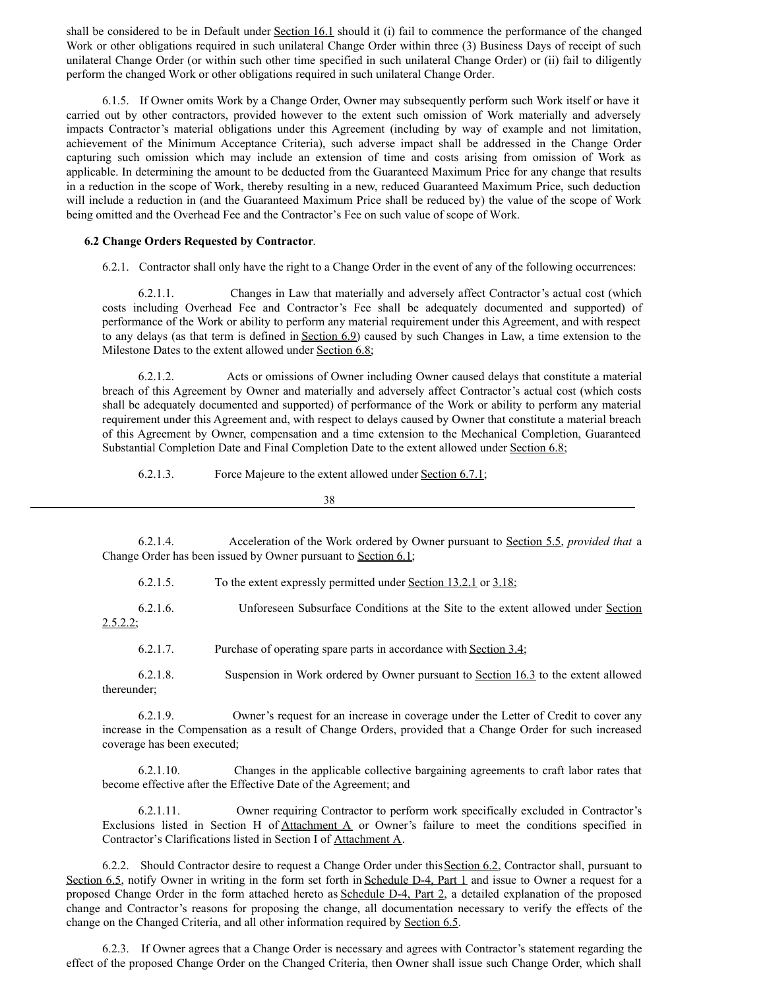shall be considered to be in Default under Section 16.1 should it (i) fail to commence the performance of the changed Work or other obligations required in such unilateral Change Order within three (3) Business Days of receipt of such unilateral Change Order (or within such other time specified in such unilateral Change Order) or (ii) fail to diligently perform the changed Work or other obligations required in such unilateral Change Order.

6.1.5. If Owner omits Work by a Change Order, Owner may subsequently perform such Work itself or have it carried out by other contractors, provided however to the extent such omission of Work materially and adversely impacts Contractor's material obligations under this Agreement (including by way of example and not limitation, achievement of the Minimum Acceptance Criteria), such adverse impact shall be addressed in the Change Order capturing such omission which may include an extension of time and costs arising from omission of Work as applicable. In determining the amount to be deducted from the Guaranteed Maximum Price for any change that results in a reduction in the scope of Work, thereby resulting in a new, reduced Guaranteed Maximum Price, such deduction will include a reduction in (and the Guaranteed Maximum Price shall be reduced by) the value of the scope of Work being omitted and the Overhead Fee and the Contractor's Fee on such value of scope of Work.

### **6.2 Change Orders Requested by Contractor**.

6.2.1. Contractor shall only have the right to a Change Order in the event of any of the following occurrences:

6.2.1.1. Changes in Law that materially and adversely affect Contractor's actual cost (which costs including Overhead Fee and Contractor's Fee shall be adequately documented and supported) of performance of the Work or ability to perform any material requirement under this Agreement, and with respect to any delays (as that term is defined in Section 6.9) caused by such Changes in Law, a time extension to the Milestone Dates to the extent allowed under Section 6.8;

6.2.1.2. Acts or omissions of Owner including Owner caused delays that constitute a material breach of this Agreement by Owner and materially and adversely affect Contractor's actual cost (which costs shall be adequately documented and supported) of performance of the Work or ability to perform any material requirement under this Agreement and, with respect to delays caused by Owner that constitute a material breach of this Agreement by Owner, compensation and a time extension to the Mechanical Completion, Guaranteed Substantial Completion Date and Final Completion Date to the extent allowed under Section 6.8;

6.2.1.3. Force Majeure to the extent allowed under Section 6.7.1;

38

6.2.1.4. Acceleration of the Work ordered by Owner pursuant to Section 5.5, *provided that* a Change Order has been issued by Owner pursuant to Section 6.1;

6.2.1.5. To the extent expressly permitted under <u>Section 13.2.1</u> or 3.18;

6.2.1.6. Unforeseen Subsurface Conditions at the Site to the extent allowed under Section 2.5.2.2;

6.2.1.7. Purchase of operating spare parts in accordance with Section 3.4;

6.2.1.8. Suspension in Work ordered by Owner pursuant to Section 16.3 to the extent allowed thereunder;

6.2.1.9. Owner's request for an increase in coverage under the Letter of Credit to cover any increase in the Compensation as a result of Change Orders, provided that a Change Order for such increased coverage has been executed;

6.2.1.10. Changes in the applicable collective bargaining agreements to craft labor rates that become effective after the Effective Date of the Agreement; and

6.2.1.11. Owner requiring Contractor to perform work specifically excluded in Contractor's Exclusions listed in Section H of Attachment A or Owner's failure to meet the conditions specified in Contractor's Clarifications listed in Section I of Attachment A.

6.2.2. Should Contractor desire to request a Change Order under this Section 6.2, Contractor shall, pursuant to Section 6.5, notify Owner in writing in the form set forth in Schedule D-4, Part 1 and issue to Owner a request for a proposed Change Order in the form attached hereto as Schedule D-4, Part 2, a detailed explanation of the proposed change and Contractor's reasons for proposing the change, all documentation necessary to verify the effects of the change on the Changed Criteria, and all other information required by Section 6.5.

6.2.3. If Owner agrees that a Change Order is necessary and agrees with Contractor's statement regarding the effect of the proposed Change Order on the Changed Criteria, then Owner shall issue such Change Order, which shall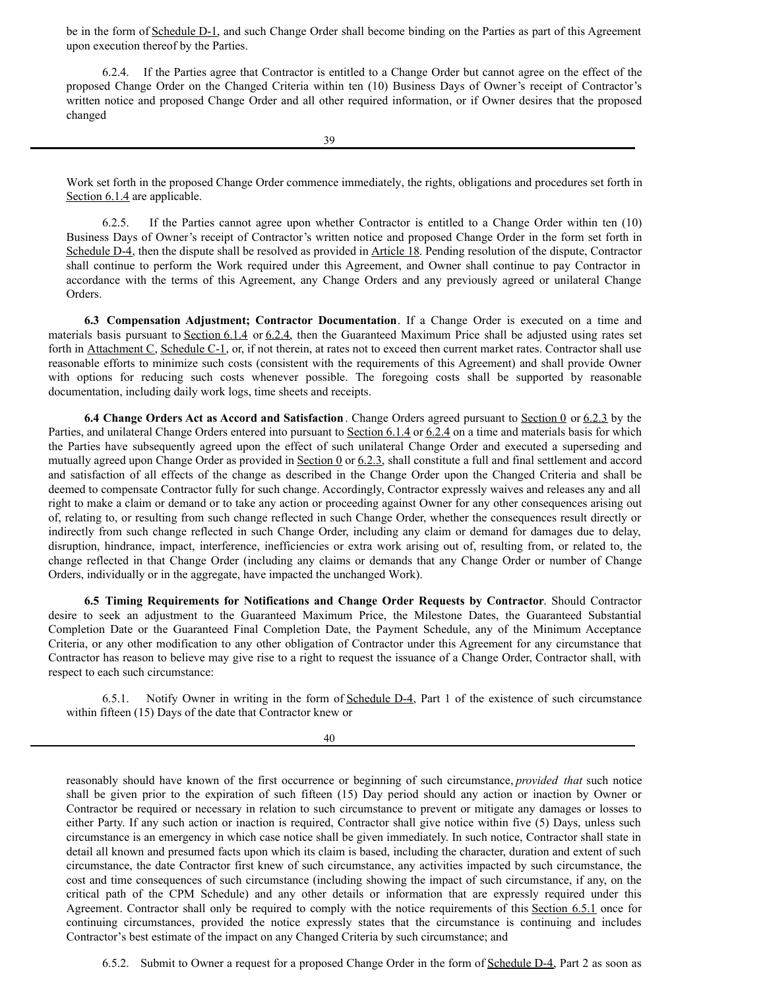be in the form of Schedule D-1, and such Change Order shall become binding on the Parties as part of this Agreement upon execution thereof by the Parties.

6.2.4. If the Parties agree that Contractor is entitled to a Change Order but cannot agree on the effect of the proposed Change Order on the Changed Criteria within ten (10) Business Days of Owner's receipt of Contractor's written notice and proposed Change Order and all other required information, or if Owner desires that the proposed changed

Work set forth in the proposed Change Order commence immediately, the rights, obligations and procedures set forth in Section 6.1.4 are applicable.

6.2.5. If the Parties cannot agree upon whether Contractor is entitled to a Change Order within ten (10) Business Days of Owner's receipt of Contractor's written notice and proposed Change Order in the form set forth in Schedule D-4, then the dispute shall be resolved as provided in Article 18. Pending resolution of the dispute, Contractor shall continue to perform the Work required under this Agreement, and Owner shall continue to pay Contractor in accordance with the terms of this Agreement, any Change Orders and any previously agreed or unilateral Change Orders.

**6.3 Compensation Adjustment; Contractor Documentation**. If a Change Order is executed on a time and materials basis pursuant to Section 6.1.4 or 6.2.4, then the Guaranteed Maximum Price shall be adjusted using rates set forth in Attachment C, Schedule C-1, or, if not therein, at rates not to exceed then current market rates. Contractor shall use reasonable efforts to minimize such costs (consistent with the requirements of this Agreement) and shall provide Owner with options for reducing such costs whenever possible. The foregoing costs shall be supported by reasonable documentation, including daily work logs, time sheets and receipts.

**6.4 Change Orders Act as Accord and Satisfaction**. Change Orders agreed pursuant to Section 0 or 6.2.3 by the Parties, and unilateral Change Orders entered into pursuant to Section 6.1.4 or 6.2.4 on a time and materials basis for which the Parties have subsequently agreed upon the effect of such unilateral Change Order and executed a superseding and mutually agreed upon Change Order as provided in Section 0 or 6.2.3, shall constitute a full and final settlement and accord and satisfaction of all effects of the change as described in the Change Order upon the Changed Criteria and shall be deemed to compensate Contractor fully for such change. Accordingly, Contractor expressly waives and releases any and all right to make a claim or demand or to take any action or proceeding against Owner for any other consequences arising out of, relating to, or resulting from such change reflected in such Change Order, whether the consequences result directly or indirectly from such change reflected in such Change Order, including any claim or demand for damages due to delay, disruption, hindrance, impact, interference, inefficiencies or extra work arising out of, resulting from, or related to, the change reflected in that Change Order (including any claims or demands that any Change Order or number of Change Orders, individually or in the aggregate, have impacted the unchanged Work).

**6.5 Timing Requirements for Notifications and Change Order Requests by Contractor**. Should Contractor desire to seek an adjustment to the Guaranteed Maximum Price, the Milestone Dates, the Guaranteed Substantial Completion Date or the Guaranteed Final Completion Date, the Payment Schedule, any of the Minimum Acceptance Criteria, or any other modification to any other obligation of Contractor under this Agreement for any circumstance that Contractor has reason to believe may give rise to a right to request the issuance of a Change Order, Contractor shall, with respect to each such circumstance:

6.5.1. Notify Owner in writing in the form of Schedule D-4, Part 1 of the existence of such circumstance within fifteen (15) Days of the date that Contractor knew or

40

reasonably should have known of the first occurrence or beginning of such circumstance, *provided that* such notice shall be given prior to the expiration of such fifteen (15) Day period should any action or inaction by Owner or Contractor be required or necessary in relation to such circumstance to prevent or mitigate any damages or losses to either Party. If any such action or inaction is required, Contractor shall give notice within five (5) Days, unless such circumstance is an emergency in which case notice shall be given immediately. In such notice, Contractor shall state in detail all known and presumed facts upon which its claim is based, including the character, duration and extent of such circumstance, the date Contractor first knew of such circumstance, any activities impacted by such circumstance, the cost and time consequences of such circumstance (including showing the impact of such circumstance, if any, on the critical path of the CPM Schedule) and any other details or information that are expressly required under this Agreement. Contractor shall only be required to comply with the notice requirements of this Section 6.5.1 once for continuing circumstances, provided the notice expressly states that the circumstance is continuing and includes Contractor's best estimate of the impact on any Changed Criteria by such circumstance; and

6.5.2. Submit to Owner a request for a proposed Change Order in the form of Schedule D-4, Part 2 as soon as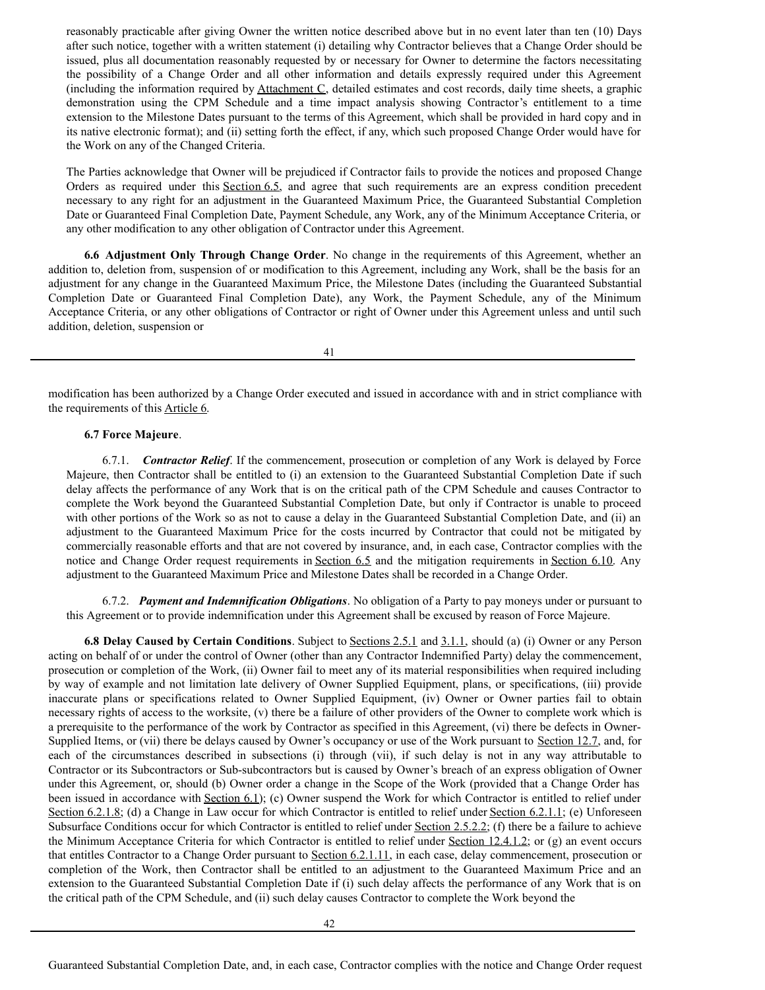reasonably practicable after giving Owner the written notice described above but in no event later than ten (10) Days after such notice, together with a written statement (i) detailing why Contractor believes that a Change Order should be issued, plus all documentation reasonably requested by or necessary for Owner to determine the factors necessitating the possibility of a Change Order and all other information and details expressly required under this Agreement (including the information required by Attachment C, detailed estimates and cost records, daily time sheets, a graphic demonstration using the CPM Schedule and a time impact analysis showing Contractor's entitlement to a time extension to the Milestone Dates pursuant to the terms of this Agreement, which shall be provided in hard copy and in its native electronic format); and (ii) setting forth the effect, if any, which such proposed Change Order would have for the Work on any of the Changed Criteria.

The Parties acknowledge that Owner will be prejudiced if Contractor fails to provide the notices and proposed Change Orders as required under this Section 6.5, and agree that such requirements are an express condition precedent necessary to any right for an adjustment in the Guaranteed Maximum Price, the Guaranteed Substantial Completion Date or Guaranteed Final Completion Date, Payment Schedule, any Work, any of the Minimum Acceptance Criteria, or any other modification to any other obligation of Contractor under this Agreement.

**6.6 Adjustment Only Through Change Order**. No change in the requirements of this Agreement, whether an addition to, deletion from, suspension of or modification to this Agreement, including any Work, shall be the basis for an adjustment for any change in the Guaranteed Maximum Price, the Milestone Dates (including the Guaranteed Substantial Completion Date or Guaranteed Final Completion Date), any Work, the Payment Schedule, any of the Minimum Acceptance Criteria, or any other obligations of Contractor or right of Owner under this Agreement unless and until such addition, deletion, suspension or

41

modification has been authorized by a Change Order executed and issued in accordance with and in strict compliance with the requirements of this **Article 6.** 

## **6.7 Force Majeure**.

6.7.1. *Contractor Relief*. If the commencement, prosecution or completion of any Work is delayed by Force Majeure, then Contractor shall be entitled to (i) an extension to the Guaranteed Substantial Completion Date if such delay affects the performance of any Work that is on the critical path of the CPM Schedule and causes Contractor to complete the Work beyond the Guaranteed Substantial Completion Date, but only if Contractor is unable to proceed with other portions of the Work so as not to cause a delay in the Guaranteed Substantial Completion Date, and (ii) an adjustment to the Guaranteed Maximum Price for the costs incurred by Contractor that could not be mitigated by commercially reasonable efforts and that are not covered by insurance, and, in each case, Contractor complies with the notice and Change Order request requirements in Section 6.5 and the mitigation requirements in Section 6.10. Any adjustment to the Guaranteed Maximum Price and Milestone Dates shall be recorded in a Change Order.

6.7.2. *Payment and Indemnification Obligations*. No obligation of a Party to pay moneys under or pursuant to this Agreement or to provide indemnification under this Agreement shall be excused by reason of Force Majeure.

**6.8 Delay Caused by Certain Conditions**. Subject to Sections 2.5.1 and 3.1.1, should (a) (i) Owner or any Person acting on behalf of or under the control of Owner (other than any Contractor Indemnified Party) delay the commencement, prosecution or completion of the Work, (ii) Owner fail to meet any of its material responsibilities when required including by way of example and not limitation late delivery of Owner Supplied Equipment, plans, or specifications, (iii) provide inaccurate plans or specifications related to Owner Supplied Equipment, (iv) Owner or Owner parties fail to obtain necessary rights of access to the worksite, (v) there be a failure of other providers of the Owner to complete work which is a prerequisite to the performance of the work by Contractor as specified in this Agreement, (vi) there be defects in Owner-Supplied Items, or (vii) there be delays caused by Owner's occupancy or use of the Work pursuant to Section 12.7, and, for each of the circumstances described in subsections (i) through (vii), if such delay is not in any way attributable to Contractor or its Subcontractors or Sub-subcontractors but is caused by Owner's breach of an express obligation of Owner under this Agreement, or, should (b) Owner order a change in the Scope of the Work (provided that a Change Order has been issued in accordance with Section 6.1); (c) Owner suspend the Work for which Contractor is entitled to relief under Section 6.2.1.8; (d) a Change in Law occur for which Contractor is entitled to relief under Section 6.2.1.1; (e) Unforeseen Subsurface Conditions occur for which Contractor is entitled to relief under Section 2.5.2.2; (f) there be a failure to achieve the Minimum Acceptance Criteria for which Contractor is entitled to relief under Section 12.4.1.2; or (g) an event occurs that entitles Contractor to a Change Order pursuant to Section 6.2.1.11, in each case, delay commencement, prosecution or completion of the Work, then Contractor shall be entitled to an adjustment to the Guaranteed Maximum Price and an extension to the Guaranteed Substantial Completion Date if (i) such delay affects the performance of any Work that is on the critical path of the CPM Schedule, and (ii) such delay causes Contractor to complete the Work beyond the

42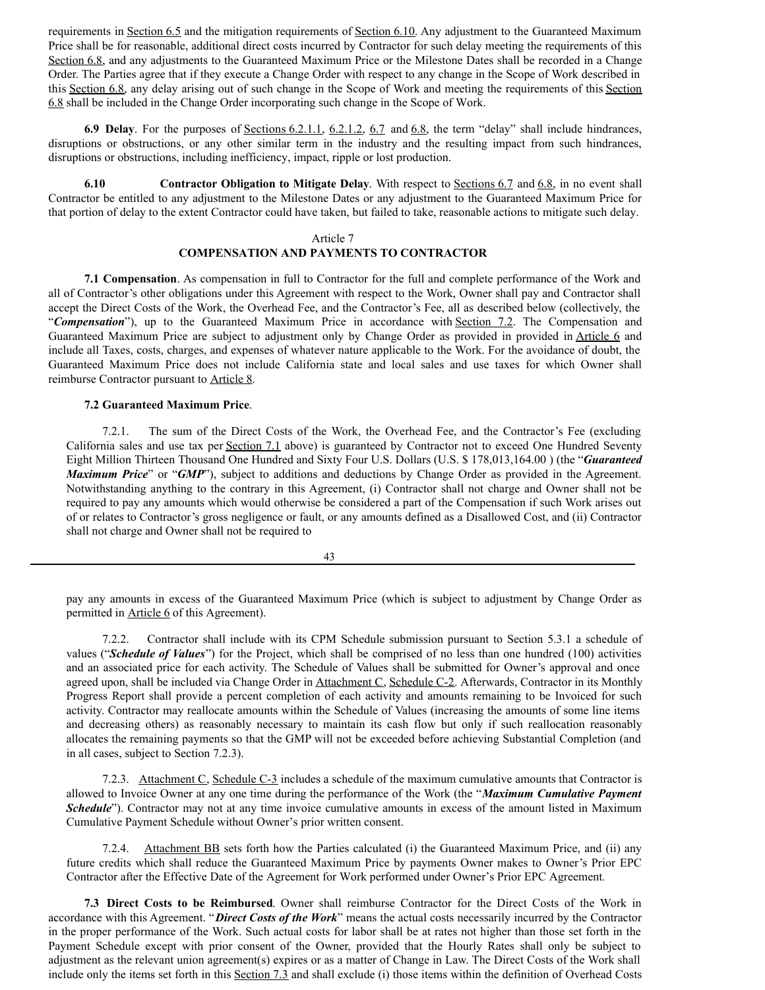requirements in Section 6.5 and the mitigation requirements of Section 6.10. Any adjustment to the Guaranteed Maximum Price shall be for reasonable, additional direct costs incurred by Contractor for such delay meeting the requirements of this Section 6.8, and any adjustments to the Guaranteed Maximum Price or the Milestone Dates shall be recorded in a Change Order. The Parties agree that if they execute a Change Order with respect to any change in the Scope of Work described in this Section 6.8, any delay arising out of such change in the Scope of Work and meeting the requirements of this Section 6.8 shall be included in the Change Order incorporating such change in the Scope of Work.

**6.9 Delay**. For the purposes of Sections 6.2.1.1, 6.2.1.2, 6.7 and 6.8, the term "delay" shall include hindrances, disruptions or obstructions, or any other similar term in the industry and the resulting impact from such hindrances, disruptions or obstructions, including inefficiency, impact, ripple or lost production.

**6.10 Contractor Obligation to Mitigate Delay**. With respect to Sections 6.7 and 6.8, in no event shall Contractor be entitled to any adjustment to the Milestone Dates or any adjustment to the Guaranteed Maximum Price for that portion of delay to the extent Contractor could have taken, but failed to take, reasonable actions to mitigate such delay.

Article 7

# **COMPENSATION AND PAYMENTS TO CONTRACTOR**

**7.1 Compensation**. As compensation in full to Contractor for the full and complete performance of the Work and all of Contractor's other obligations under this Agreement with respect to the Work, Owner shall pay and Contractor shall accept the Direct Costs of the Work, the Overhead Fee, and the Contractor's Fee, all as described below (collectively, the "*Compensation*"), up to the Guaranteed Maximum Price in accordance with Section 7.2. The Compensation and Guaranteed Maximum Price are subject to adjustment only by Change Order as provided in provided in Article 6 and include all Taxes, costs, charges, and expenses of whatever nature applicable to the Work. For the avoidance of doubt, the Guaranteed Maximum Price does not include California state and local sales and use taxes for which Owner shall reimburse Contractor pursuant to Article 8.

### **7.2 Guaranteed Maximum Price**.

7.2.1. The sum of the Direct Costs of the Work, the Overhead Fee, and the Contractor's Fee (excluding California sales and use tax per Section 7.1 above) is guaranteed by Contractor not to exceed One Hundred Seventy Eight Million Thirteen Thousand One Hundred and Sixty Four U.S. Dollars (U.S. \$ 178,013,164.00 ) (the "*Guaranteed Maximum Price*" or "*GMP*"), subject to additions and deductions by Change Order as provided in the Agreement. Notwithstanding anything to the contrary in this Agreement, (i) Contractor shall not charge and Owner shall not be required to pay any amounts which would otherwise be considered a part of the Compensation if such Work arises out of or relates to Contractor's gross negligence or fault, or any amounts defined as a Disallowed Cost, and (ii) Contractor shall not charge and Owner shall not be required to

43

pay any amounts in excess of the Guaranteed Maximum Price (which is subject to adjustment by Change Order as permitted in **Article 6** of this Agreement).

7.2.2. Contractor shall include with its CPM Schedule submission pursuant to Section 5.3.1 a schedule of values ("*Schedule of Values*") for the Project, which shall be comprised of no less than one hundred (100) activities and an associated price for each activity. The Schedule of Values shall be submitted for Owner's approval and once agreed upon, shall be included via Change Order in Attachment C, Schedule C-2. Afterwards, Contractor in its Monthly Progress Report shall provide a percent completion of each activity and amounts remaining to be Invoiced for such activity. Contractor may reallocate amounts within the Schedule of Values (increasing the amounts of some line items and decreasing others) as reasonably necessary to maintain its cash flow but only if such reallocation reasonably allocates the remaining payments so that the GMP will not be exceeded before achieving Substantial Completion (and in all cases, subject to Section 7.2.3).

7.2.3. Attachment C, Schedule C-3 includes a schedule of the maximum cumulative amounts that Contractor is allowed to Invoice Owner at any one time during the performance of the Work (the "*Maximum Cumulative Payment Schedule*"). Contractor may not at any time invoice cumulative amounts in excess of the amount listed in Maximum Cumulative Payment Schedule without Owner's prior written consent.

7.2.4. Attachment BB sets forth how the Parties calculated (i) the Guaranteed Maximum Price, and (ii) any future credits which shall reduce the Guaranteed Maximum Price by payments Owner makes to Owner's Prior EPC Contractor after the Effective Date of the Agreement for Work performed under Owner's Prior EPC Agreement.

**7.3 Direct Costs to be Reimbursed**. Owner shall reimburse Contractor for the Direct Costs of the Work in accordance with this Agreement. "*Direct Costs of the Work*" means the actual costs necessarily incurred by the Contractor in the proper performance of the Work. Such actual costs for labor shall be at rates not higher than those set forth in the Payment Schedule except with prior consent of the Owner, provided that the Hourly Rates shall only be subject to adjustment as the relevant union agreement(s) expires or as a matter of Change in Law. The Direct Costs of the Work shall include only the items set forth in this Section 7.3 and shall exclude (i) those items within the definition of Overhead Costs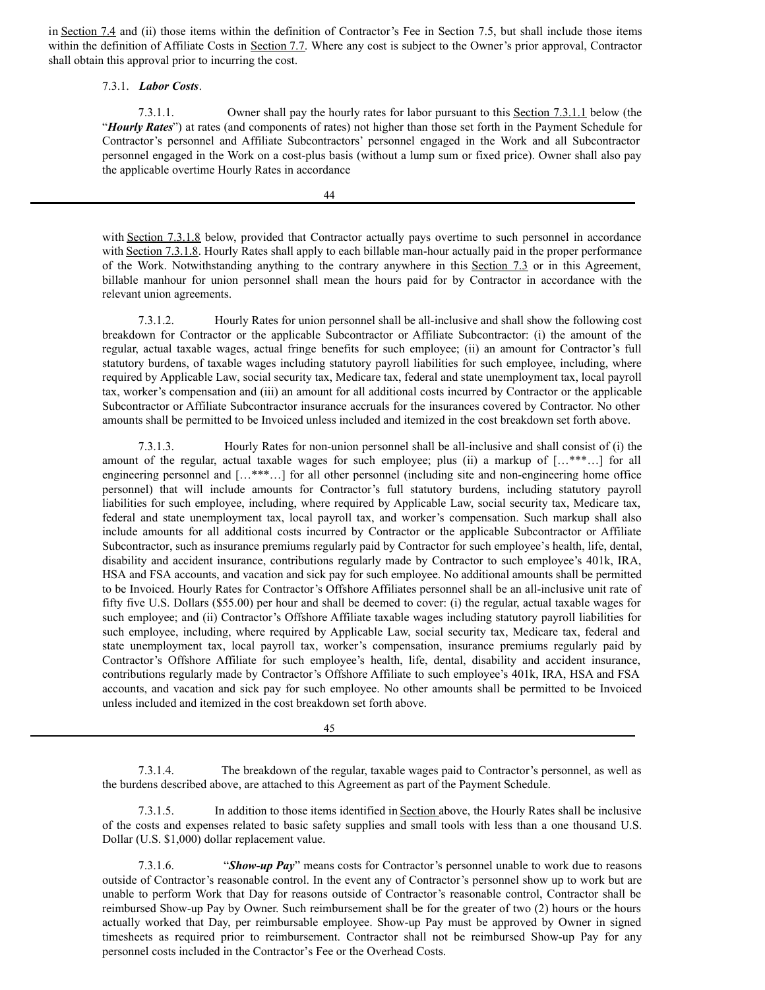in Section 7.4 and (ii) those items within the definition of Contractor's Fee in Section 7.5, but shall include those items within the definition of Affiliate Costs in Section 7.7. Where any cost is subject to the Owner's prior approval, Contractor shall obtain this approval prior to incurring the cost.

### 7.3.1. *Labor Costs*.

7.3.1.1. Owner shall pay the hourly rates for labor pursuant to this Section 7.3.1.1 below (the "*Hourly Rates*") at rates (and components of rates) not higher than those set forth in the Payment Schedule for Contractor's personnel and Affiliate Subcontractors' personnel engaged in the Work and all Subcontractor personnel engaged in the Work on a cost-plus basis (without a lump sum or fixed price). Owner shall also pay the applicable overtime Hourly Rates in accordance

44

with Section 7.3.1.8 below, provided that Contractor actually pays overtime to such personnel in accordance with Section 7.3.1.8. Hourly Rates shall apply to each billable man-hour actually paid in the proper performance of the Work. Notwithstanding anything to the contrary anywhere in this Section 7.3 or in this Agreement, billable manhour for union personnel shall mean the hours paid for by Contractor in accordance with the relevant union agreements.

7.3.1.2. Hourly Rates for union personnel shall be all-inclusive and shall show the following cost breakdown for Contractor or the applicable Subcontractor or Affiliate Subcontractor: (i) the amount of the regular, actual taxable wages, actual fringe benefits for such employee; (ii) an amount for Contractor's full statutory burdens, of taxable wages including statutory payroll liabilities for such employee, including, where required by Applicable Law, social security tax, Medicare tax, federal and state unemployment tax, local payroll tax, worker's compensation and (iii) an amount for all additional costs incurred by Contractor or the applicable Subcontractor or Affiliate Subcontractor insurance accruals for the insurances covered by Contractor. No other amounts shall be permitted to be Invoiced unless included and itemized in the cost breakdown set forth above.

7.3.1.3. Hourly Rates for non-union personnel shall be all-inclusive and shall consist of (i) the amount of the regular, actual taxable wages for such employee; plus (ii) a markup of [...\*\*\*...] for all engineering personnel and […\*\*\*…] for all other personnel (including site and non-engineering home office personnel) that will include amounts for Contractor's full statutory burdens, including statutory payroll liabilities for such employee, including, where required by Applicable Law, social security tax, Medicare tax, federal and state unemployment tax, local payroll tax, and worker's compensation. Such markup shall also include amounts for all additional costs incurred by Contractor or the applicable Subcontractor or Affiliate Subcontractor, such as insurance premiums regularly paid by Contractor for such employee's health, life, dental, disability and accident insurance, contributions regularly made by Contractor to such employee's 401k, IRA, HSA and FSA accounts, and vacation and sick pay for such employee. No additional amounts shall be permitted to be Invoiced. Hourly Rates for Contractor's Offshore Affiliates personnel shall be an all-inclusive unit rate of fifty five U.S. Dollars (\$55.00) per hour and shall be deemed to cover: (i) the regular, actual taxable wages for such employee; and (ii) Contractor's Offshore Affiliate taxable wages including statutory payroll liabilities for such employee, including, where required by Applicable Law, social security tax, Medicare tax, federal and state unemployment tax, local payroll tax, worker's compensation, insurance premiums regularly paid by Contractor's Offshore Affiliate for such employee's health, life, dental, disability and accident insurance, contributions regularly made by Contractor's Offshore Affiliate to such employee's 401k, IRA, HSA and FSA accounts, and vacation and sick pay for such employee. No other amounts shall be permitted to be Invoiced unless included and itemized in the cost breakdown set forth above.

45

7.3.1.4. The breakdown of the regular, taxable wages paid to Contractor's personnel, as well as the burdens described above, are attached to this Agreement as part of the Payment Schedule.

7.3.1.5. In addition to those items identified in Section above, the Hourly Rates shall be inclusive of the costs and expenses related to basic safety supplies and small tools with less than a one thousand U.S. Dollar (U.S. \$1,000) dollar replacement value.

7.3.1.6. "*Show-up Pay*" means costs for Contractor's personnel unable to work due to reasons outside of Contractor's reasonable control. In the event any of Contractor's personnel show up to work but are unable to perform Work that Day for reasons outside of Contractor's reasonable control, Contractor shall be reimbursed Show-up Pay by Owner. Such reimbursement shall be for the greater of two (2) hours or the hours actually worked that Day, per reimbursable employee. Show-up Pay must be approved by Owner in signed timesheets as required prior to reimbursement. Contractor shall not be reimbursed Show-up Pay for any personnel costs included in the Contractor's Fee or the Overhead Costs.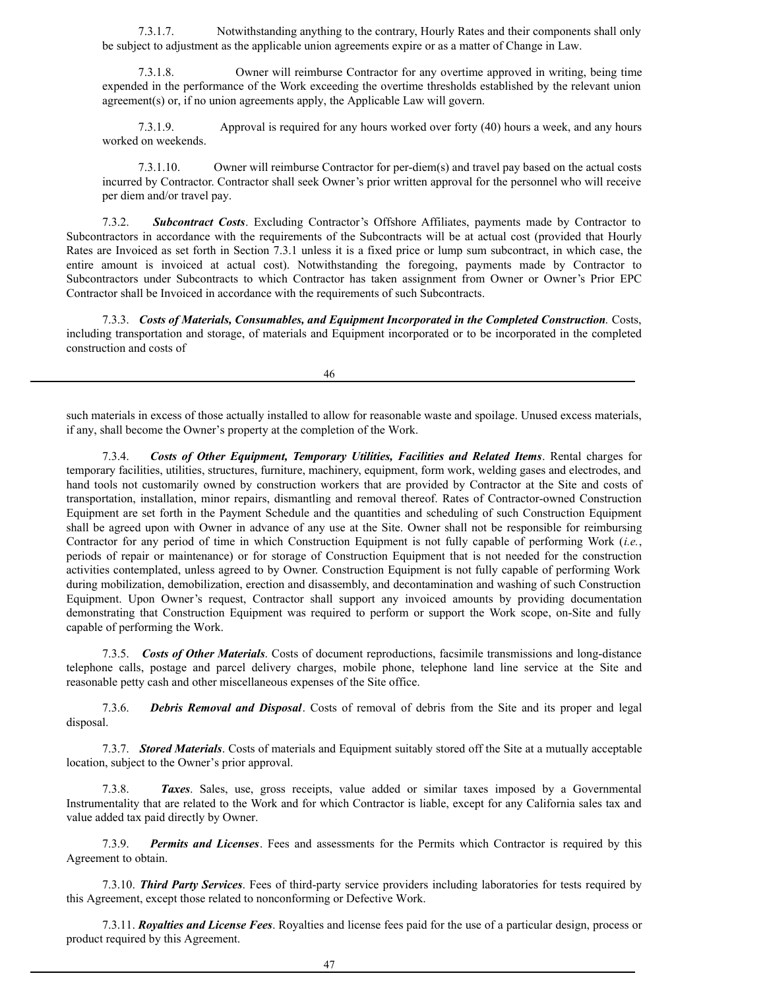7.3.1.7. Notwithstanding anything to the contrary, Hourly Rates and their components shall only be subject to adjustment as the applicable union agreements expire or as a matter of Change in Law.

7.3.1.8. Owner will reimburse Contractor for any overtime approved in writing, being time expended in the performance of the Work exceeding the overtime thresholds established by the relevant union agreement(s) or, if no union agreements apply, the Applicable Law will govern.

7.3.1.9. Approval is required for any hours worked over forty (40) hours a week, and any hours worked on weekends.

7.3.1.10. Owner will reimburse Contractor for per-diem(s) and travel pay based on the actual costs incurred by Contractor. Contractor shall seek Owner's prior written approval for the personnel who will receive per diem and/or travel pay.

7.3.2. *Subcontract Costs*. Excluding Contractor's Offshore Affiliates, payments made by Contractor to Subcontractors in accordance with the requirements of the Subcontracts will be at actual cost (provided that Hourly Rates are Invoiced as set forth in Section 7.3.1 unless it is a fixed price or lump sum subcontract, in which case, the entire amount is invoiced at actual cost). Notwithstanding the foregoing, payments made by Contractor to Subcontractors under Subcontracts to which Contractor has taken assignment from Owner or Owner's Prior EPC Contractor shall be Invoiced in accordance with the requirements of such Subcontracts.

7.3.3. *Costs of Materials, Consumables, and Equipment Incorporated in the Completed Construction*. Costs, including transportation and storage, of materials and Equipment incorporated or to be incorporated in the completed construction and costs of

46

such materials in excess of those actually installed to allow for reasonable waste and spoilage. Unused excess materials, if any, shall become the Owner's property at the completion of the Work.

7.3.4. *Costs of Other Equipment, Temporary Utilities, Facilities and Related Items*. Rental charges for temporary facilities, utilities, structures, furniture, machinery, equipment, form work, welding gases and electrodes, and hand tools not customarily owned by construction workers that are provided by Contractor at the Site and costs of transportation, installation, minor repairs, dismantling and removal thereof. Rates of Contractor-owned Construction Equipment are set forth in the Payment Schedule and the quantities and scheduling of such Construction Equipment shall be agreed upon with Owner in advance of any use at the Site. Owner shall not be responsible for reimbursing Contractor for any period of time in which Construction Equipment is not fully capable of performing Work (*i.e.*, periods of repair or maintenance) or for storage of Construction Equipment that is not needed for the construction activities contemplated, unless agreed to by Owner. Construction Equipment is not fully capable of performing Work during mobilization, demobilization, erection and disassembly, and decontamination and washing of such Construction Equipment. Upon Owner's request, Contractor shall support any invoiced amounts by providing documentation demonstrating that Construction Equipment was required to perform or support the Work scope, on-Site and fully capable of performing the Work.

7.3.5. *Costs of Other Materials*. Costs of document reproductions, facsimile transmissions and long-distance telephone calls, postage and parcel delivery charges, mobile phone, telephone land line service at the Site and reasonable petty cash and other miscellaneous expenses of the Site office.

7.3.6. *Debris Removal and Disposal*. Costs of removal of debris from the Site and its proper and legal disposal.

7.3.7. *Stored Materials*. Costs of materials and Equipment suitably stored off the Site at a mutually acceptable location, subject to the Owner's prior approval.

7.3.8. *Taxes*. Sales, use, gross receipts, value added or similar taxes imposed by a Governmental Instrumentality that are related to the Work and for which Contractor is liable, except for any California sales tax and value added tax paid directly by Owner.

7.3.9. *Permits and Licenses*. Fees and assessments for the Permits which Contractor is required by this Agreement to obtain.

7.3.10. *Third Party Services*. Fees of third-party service providers including laboratories for tests required by this Agreement, except those related to nonconforming or Defective Work.

7.3.11. *Royalties and License Fees*. Royalties and license fees paid for the use of a particular design, process or product required by this Agreement.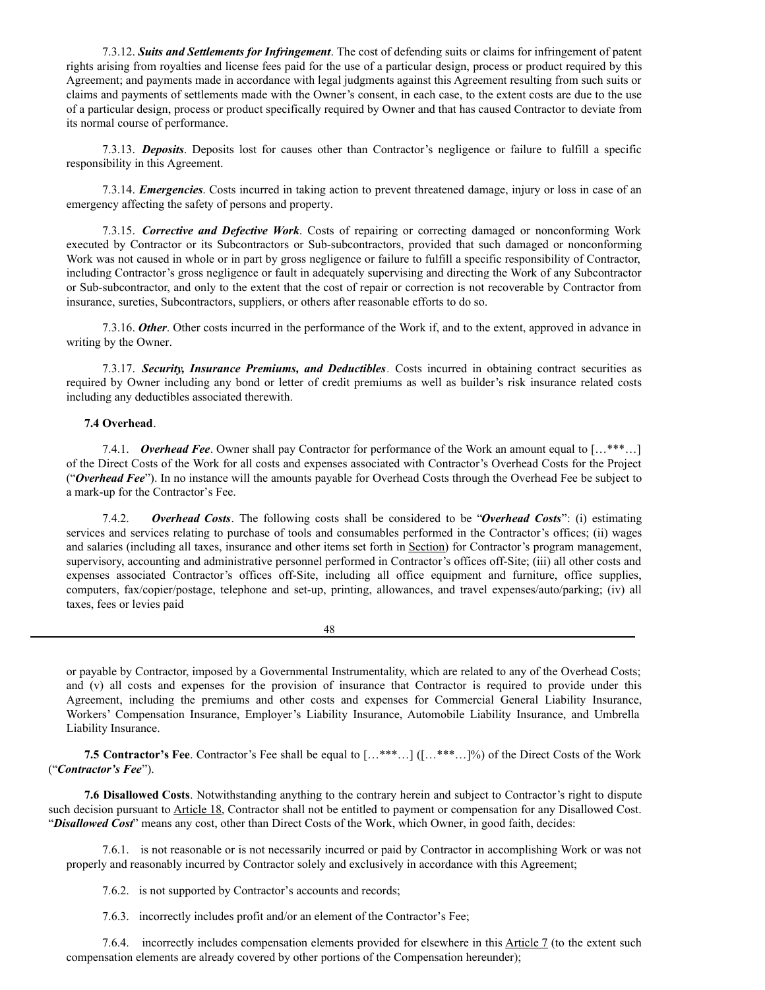7.3.12. *Suits and Settlements for Infringement*. The cost of defending suits or claims for infringement of patent rights arising from royalties and license fees paid for the use of a particular design, process or product required by this Agreement; and payments made in accordance with legal judgments against this Agreement resulting from such suits or claims and payments of settlements made with the Owner's consent, in each case, to the extent costs are due to the use of a particular design, process or product specifically required by Owner and that has caused Contractor to deviate from its normal course of performance.

7.3.13. *Deposits*. Deposits lost for causes other than Contractor's negligence or failure to fulfill a specific responsibility in this Agreement.

7.3.14. *Emergencies*. Costs incurred in taking action to prevent threatened damage, injury or loss in case of an emergency affecting the safety of persons and property.

7.3.15. *Corrective and Defective Work*. Costs of repairing or correcting damaged or nonconforming Work executed by Contractor or its Subcontractors or Sub-subcontractors, provided that such damaged or nonconforming Work was not caused in whole or in part by gross negligence or failure to fulfill a specific responsibility of Contractor, including Contractor's gross negligence or fault in adequately supervising and directing the Work of any Subcontractor or Sub-subcontractor, and only to the extent that the cost of repair or correction is not recoverable by Contractor from insurance, sureties, Subcontractors, suppliers, or others after reasonable efforts to do so.

7.3.16. *Other*. Other costs incurred in the performance of the Work if, and to the extent, approved in advance in writing by the Owner.

7.3.17. *Security, Insurance Premiums, and Deductibles.* Costs incurred in obtaining contract securities as required by Owner including any bond or letter of credit premiums as well as builder's risk insurance related costs including any deductibles associated therewith.

### **7.4 Overhead**.

7.4.1. *Overhead Fee*. Owner shall pay Contractor for performance of the Work an amount equal to […\*\*\*…] of the Direct Costs of the Work for all costs and expenses associated with Contractor's Overhead Costs for the Project ("*Overhead Fee*"). In no instance will the amounts payable for Overhead Costs through the Overhead Fee be subject to a mark-up for the Contractor's Fee.

7.4.2. *Overhead Costs*. The following costs shall be considered to be "*Overhead Costs*": (i) estimating services and services relating to purchase of tools and consumables performed in the Contractor's offices; (ii) wages and salaries (including all taxes, insurance and other items set forth in Section) for Contractor's program management, supervisory, accounting and administrative personnel performed in Contractor's offices off-Site; (iii) all other costs and expenses associated Contractor's offices off-Site, including all office equipment and furniture, office supplies, computers, fax/copier/postage, telephone and set-up, printing, allowances, and travel expenses/auto/parking; (iv) all taxes, fees or levies paid

48

or payable by Contractor, imposed by a Governmental Instrumentality, which are related to any of the Overhead Costs; and (v) all costs and expenses for the provision of insurance that Contractor is required to provide under this Agreement, including the premiums and other costs and expenses for Commercial General Liability Insurance, Workers' Compensation Insurance, Employer's Liability Insurance, Automobile Liability Insurance, and Umbrella Liability Insurance.

**7.5 Contractor's Fee**. Contractor's Fee shall be equal to […\*\*\*…] ([…\*\*\*…]%) of the Direct Costs of the Work ("*Contractor's Fee*").

**7.6 Disallowed Costs**. Notwithstanding anything to the contrary herein and subject to Contractor's right to dispute such decision pursuant to Article 18, Contractor shall not be entitled to payment or compensation for any Disallowed Cost. "*Disallowed Cost*" means any cost, other than Direct Costs of the Work, which Owner, in good faith, decides:

7.6.1. is not reasonable or is not necessarily incurred or paid by Contractor in accomplishing Work or was not properly and reasonably incurred by Contractor solely and exclusively in accordance with this Agreement;

7.6.2. is not supported by Contractor's accounts and records;

7.6.3. incorrectly includes profit and/or an element of the Contractor's Fee;

7.6.4. incorrectly includes compensation elements provided for elsewhere in this Article 7 (to the extent such compensation elements are already covered by other portions of the Compensation hereunder);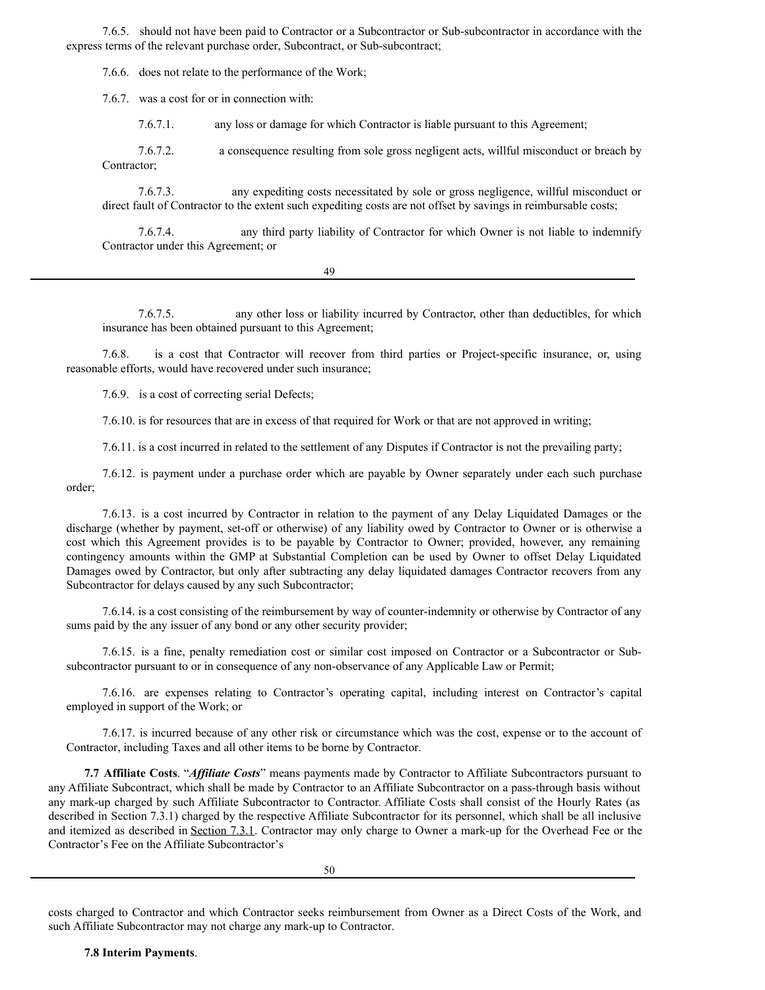7.6.5. should not have been paid to Contractor or a Subcontractor or Sub-subcontractor in accordance with the express terms of the relevant purchase order, Subcontract, or Sub-subcontract;

7.6.6. does not relate to the performance of the Work;

7.6.7. was a cost for or in connection with:

7.6.7.1. any loss or damage for which Contractor is liable pursuant to this Agreement;

7.6.7.2. a consequence resulting from sole gross negligent acts, willful misconduct or breach by Contractor;

7.6.7.3. any expediting costs necessitated by sole or gross negligence, willful misconduct or direct fault of Contractor to the extent such expediting costs are not offset by savings in reimbursable costs;

7.6.7.4. any third party liability of Contractor for which Owner is not liable to indemnify Contractor under this Agreement; or

49

7.6.7.5. any other loss or liability incurred by Contractor, other than deductibles, for which insurance has been obtained pursuant to this Agreement;

7.6.8. is a cost that Contractor will recover from third parties or Project-specific insurance, or, using reasonable efforts, would have recovered under such insurance;

7.6.9. is a cost of correcting serial Defects;

7.6.10. is for resources that are in excess of that required for Work or that are not approved in writing;

7.6.11. is a cost incurred in related to the settlement of any Disputes if Contractor is not the prevailing party;

7.6.12. is payment under a purchase order which are payable by Owner separately under each such purchase order;

7.6.13. is a cost incurred by Contractor in relation to the payment of any Delay Liquidated Damages or the discharge (whether by payment, set-off or otherwise) of any liability owed by Contractor to Owner or is otherwise a cost which this Agreement provides is to be payable by Contractor to Owner; provided, however, any remaining contingency amounts within the GMP at Substantial Completion can be used by Owner to offset Delay Liquidated Damages owed by Contractor, but only after subtracting any delay liquidated damages Contractor recovers from any Subcontractor for delays caused by any such Subcontractor;

7.6.14. is a cost consisting of the reimbursement by way of counter-indemnity or otherwise by Contractor of any sums paid by the any issuer of any bond or any other security provider;

7.6.15. is a fine, penalty remediation cost or similar cost imposed on Contractor or a Subcontractor or Subsubcontractor pursuant to or in consequence of any non-observance of any Applicable Law or Permit;

7.6.16. are expenses relating to Contractor's operating capital, including interest on Contractor's capital employed in support of the Work; or

7.6.17. is incurred because of any other risk or circumstance which was the cost, expense or to the account of Contractor, including Taxes and all other items to be borne by Contractor.

**7.7 Affiliate Costs**. "*Af iliate Costs*" means payments made by Contractor to Affiliate Subcontractors pursuant to any Affiliate Subcontract, which shall be made by Contractor to an Affiliate Subcontractor on a pass-through basis without any mark-up charged by such Affiliate Subcontractor to Contractor. Affiliate Costs shall consist of the Hourly Rates (as described in Section 7.3.1) charged by the respective Affiliate Subcontractor for its personnel, which shall be all inclusive and itemized as described in Section 7.3.1. Contractor may only charge to Owner a mark-up for the Overhead Fee or the Contractor's Fee on the Affiliate Subcontractor's

50

costs charged to Contractor and which Contractor seeks reimbursement from Owner as a Direct Costs of the Work, and such Affiliate Subcontractor may not charge any mark-up to Contractor.

**7.8 Interim Payments**.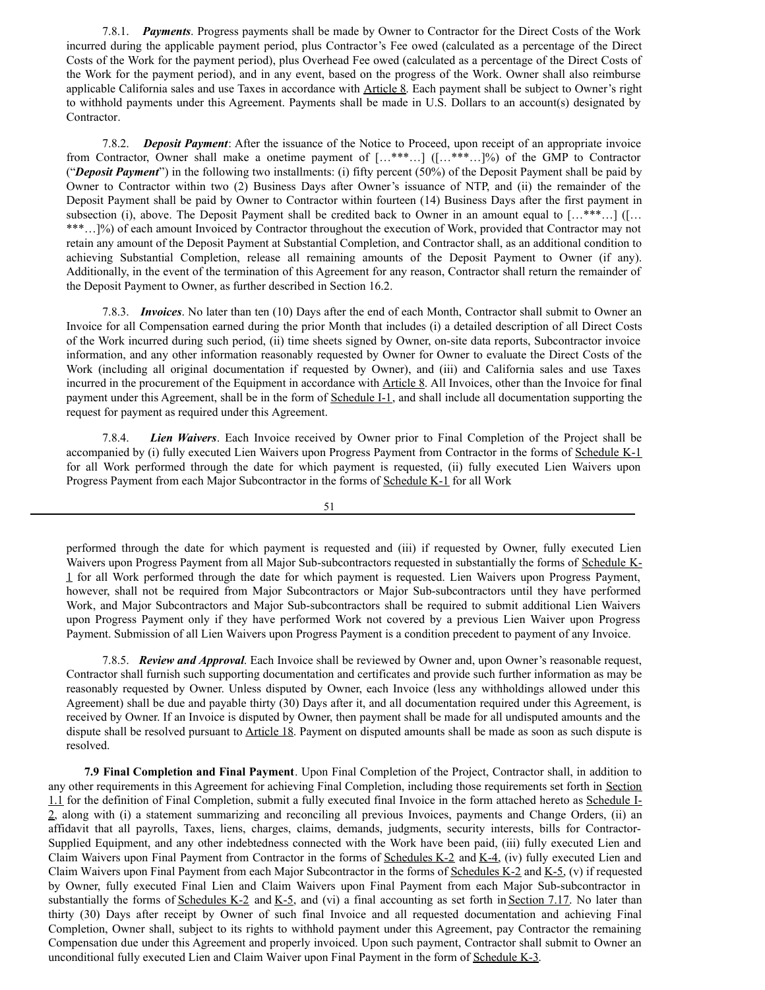7.8.1. *Payments*. Progress payments shall be made by Owner to Contractor for the Direct Costs of the Work incurred during the applicable payment period, plus Contractor's Fee owed (calculated as a percentage of the Direct Costs of the Work for the payment period), plus Overhead Fee owed (calculated as a percentage of the Direct Costs of the Work for the payment period), and in any event, based on the progress of the Work. Owner shall also reimburse applicable California sales and use Taxes in accordance with Article 8. Each payment shall be subject to Owner's right to withhold payments under this Agreement. Payments shall be made in U.S. Dollars to an account(s) designated by Contractor.

7.8.2. *Deposit Payment*: After the issuance of the Notice to Proceed, upon receipt of an appropriate invoice from Contractor, Owner shall make a onetime payment of […\*\*\*…] ([…\*\*\*…]%) of the GMP to Contractor ("*Deposit Payment*") in the following two installments: (i) fifty percent (50%) of the Deposit Payment shall be paid by Owner to Contractor within two (2) Business Days after Owner's issuance of NTP, and (ii) the remainder of the Deposit Payment shall be paid by Owner to Contractor within fourteen (14) Business Days after the first payment in subsection (i), above. The Deposit Payment shall be credited back to Owner in an amount equal to  $[\dots$ \*\*...] ( $[\dots$ \*\*\*…]%) of each amount Invoiced by Contractor throughout the execution of Work, provided that Contractor may not retain any amount of the Deposit Payment at Substantial Completion, and Contractor shall, as an additional condition to achieving Substantial Completion, release all remaining amounts of the Deposit Payment to Owner (if any). Additionally, in the event of the termination of this Agreement for any reason, Contractor shall return the remainder of the Deposit Payment to Owner, as further described in Section 16.2.

7.8.3. *Invoices*. No later than ten (10) Days after the end of each Month, Contractor shall submit to Owner an Invoice for all Compensation earned during the prior Month that includes (i) a detailed description of all Direct Costs of the Work incurred during such period, (ii) time sheets signed by Owner, on-site data reports, Subcontractor invoice information, and any other information reasonably requested by Owner for Owner to evaluate the Direct Costs of the Work (including all original documentation if requested by Owner), and (iii) and California sales and use Taxes incurred in the procurement of the Equipment in accordance with Article 8. All Invoices, other than the Invoice for final payment under this Agreement, shall be in the form of Schedule I-1, and shall include all documentation supporting the request for payment as required under this Agreement.

7.8.4. *Lien Waivers*. Each Invoice received by Owner prior to Final Completion of the Project shall be accompanied by (i) fully executed Lien Waivers upon Progress Payment from Contractor in the forms of Schedule K-1 for all Work performed through the date for which payment is requested, (ii) fully executed Lien Waivers upon Progress Payment from each Major Subcontractor in the forms of Schedule K-1 for all Work

51

performed through the date for which payment is requested and (iii) if requested by Owner, fully executed Lien Waivers upon Progress Payment from all Major Sub-subcontractors requested in substantially the forms of Schedule K-1 for all Work performed through the date for which payment is requested. Lien Waivers upon Progress Payment, however, shall not be required from Major Subcontractors or Major Sub-subcontractors until they have performed Work, and Major Subcontractors and Major Sub-subcontractors shall be required to submit additional Lien Waivers upon Progress Payment only if they have performed Work not covered by a previous Lien Waiver upon Progress Payment. Submission of all Lien Waivers upon Progress Payment is a condition precedent to payment of any Invoice.

7.8.5. *Review and Approval*. Each Invoice shall be reviewed by Owner and, upon Owner's reasonable request, Contractor shall furnish such supporting documentation and certificates and provide such further information as may be reasonably requested by Owner. Unless disputed by Owner, each Invoice (less any withholdings allowed under this Agreement) shall be due and payable thirty (30) Days after it, and all documentation required under this Agreement, is received by Owner. If an Invoice is disputed by Owner, then payment shall be made for all undisputed amounts and the dispute shall be resolved pursuant to Article 18. Payment on disputed amounts shall be made as soon as such dispute is resolved.

**7.9 Final Completion and Final Payment**. Upon Final Completion of the Project, Contractor shall, in addition to any other requirements in this Agreement for achieving Final Completion, including those requirements set forth in Section 1.1 for the definition of Final Completion, submit a fully executed final Invoice in the form attached hereto as Schedule I-2, along with (i) a statement summarizing and reconciling all previous Invoices, payments and Change Orders, (ii) an affidavit that all payrolls, Taxes, liens, charges, claims, demands, judgments, security interests, bills for Contractor-Supplied Equipment, and any other indebtedness connected with the Work have been paid, (iii) fully executed Lien and Claim Waivers upon Final Payment from Contractor in the forms of Schedules K-2 and K-4, (iv) fully executed Lien and Claim Waivers upon Final Payment from each Major Subcontractor in the forms of Schedules K-2 and K-5, (v) if requested by Owner, fully executed Final Lien and Claim Waivers upon Final Payment from each Major Sub-subcontractor in substantially the forms of Schedules K-2 and K-5, and (vi) a final accounting as set forth in Section 7.17. No later than thirty (30) Days after receipt by Owner of such final Invoice and all requested documentation and achieving Final Completion, Owner shall, subject to its rights to withhold payment under this Agreement, pay Contractor the remaining Compensation due under this Agreement and properly invoiced. Upon such payment, Contractor shall submit to Owner an unconditional fully executed Lien and Claim Waiver upon Final Payment in the form of Schedule K-3.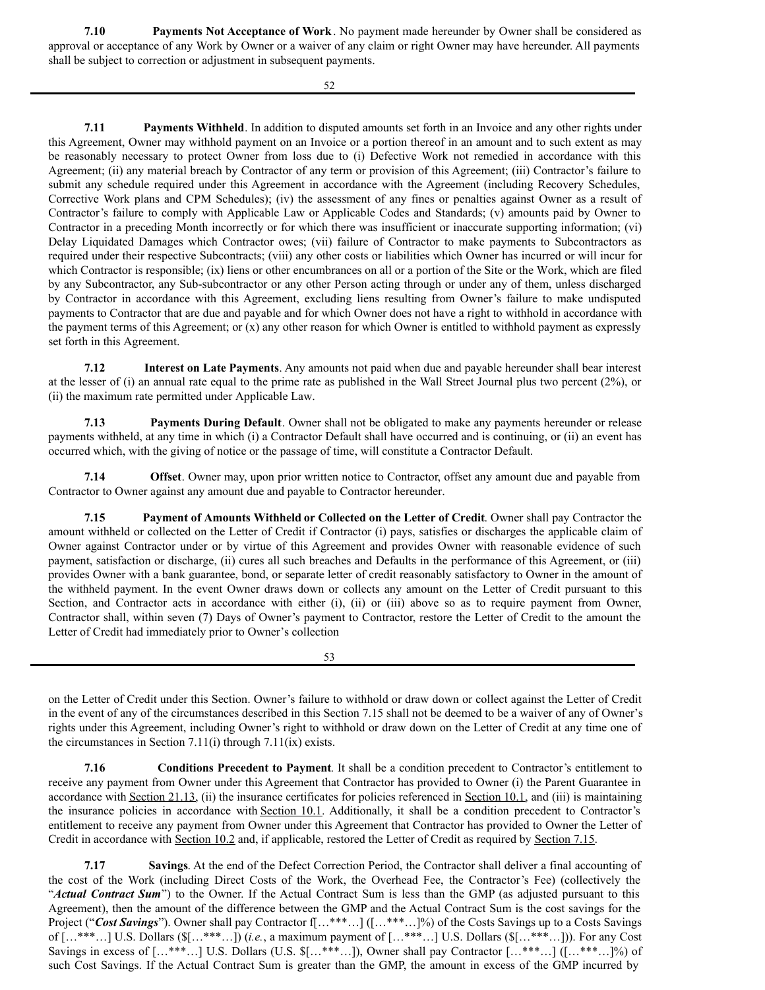**7.10 Payments Not Acceptance of Work**. No payment made hereunder by Owner shall be considered as approval or acceptance of any Work by Owner or a waiver of any claim or right Owner may have hereunder. All payments shall be subject to correction or adjustment in subsequent payments.

52

**7.11 Payments Withheld**. In addition to disputed amounts set forth in an Invoice and any other rights under this Agreement, Owner may withhold payment on an Invoice or a portion thereof in an amount and to such extent as may be reasonably necessary to protect Owner from loss due to (i) Defective Work not remedied in accordance with this Agreement; (ii) any material breach by Contractor of any term or provision of this Agreement; (iii) Contractor's failure to submit any schedule required under this Agreement in accordance with the Agreement (including Recovery Schedules, Corrective Work plans and CPM Schedules); (iv) the assessment of any fines or penalties against Owner as a result of Contractor's failure to comply with Applicable Law or Applicable Codes and Standards; (v) amounts paid by Owner to Contractor in a preceding Month incorrectly or for which there was insufficient or inaccurate supporting information; (vi) Delay Liquidated Damages which Contractor owes; (vii) failure of Contractor to make payments to Subcontractors as required under their respective Subcontracts; (viii) any other costs or liabilities which Owner has incurred or will incur for which Contractor is responsible; (ix) liens or other encumbrances on all or a portion of the Site or the Work, which are filed by any Subcontractor, any Sub-subcontractor or any other Person acting through or under any of them, unless discharged by Contractor in accordance with this Agreement, excluding liens resulting from Owner's failure to make undisputed payments to Contractor that are due and payable and for which Owner does not have a right to withhold in accordance with the payment terms of this Agreement; or (x) any other reason for which Owner is entitled to withhold payment as expressly set forth in this Agreement.

**7.12 Interest on Late Payments**. Any amounts not paid when due and payable hereunder shall bear interest at the lesser of (i) an annual rate equal to the prime rate as published in the Wall Street Journal plus two percent  $(2\%)$ , or (ii) the maximum rate permitted under Applicable Law.

**7.13 Payments During Default**. Owner shall not be obligated to make any payments hereunder or release payments withheld, at any time in which (i) a Contractor Default shall have occurred and is continuing, or (ii) an event has occurred which, with the giving of notice or the passage of time, will constitute a Contractor Default.

**7.14 Offset**. Owner may, upon prior written notice to Contractor, offset any amount due and payable from Contractor to Owner against any amount due and payable to Contractor hereunder.

**7.15 Payment of Amounts Withheld or Collected on the Letter of Credit**. Owner shall pay Contractor the amount withheld or collected on the Letter of Credit if Contractor (i) pays, satisfies or discharges the applicable claim of Owner against Contractor under or by virtue of this Agreement and provides Owner with reasonable evidence of such payment, satisfaction or discharge, (ii) cures all such breaches and Defaults in the performance of this Agreement, or (iii) provides Owner with a bank guarantee, bond, or separate letter of credit reasonably satisfactory to Owner in the amount of the withheld payment. In the event Owner draws down or collects any amount on the Letter of Credit pursuant to this Section, and Contractor acts in accordance with either (i), (ii) or (iii) above so as to require payment from Owner, Contractor shall, within seven (7) Days of Owner's payment to Contractor, restore the Letter of Credit to the amount the Letter of Credit had immediately prior to Owner's collection

53

on the Letter of Credit under this Section. Owner's failure to withhold or draw down or collect against the Letter of Credit in the event of any of the circumstances described in this Section 7.15 shall not be deemed to be a waiver of any of Owner's rights under this Agreement, including Owner's right to withhold or draw down on the Letter of Credit at any time one of the circumstances in Section 7.11(i) through 7.11(ix) exists.

**7.16 Conditions Precedent to Payment**. It shall be a condition precedent to Contractor's entitlement to receive any payment from Owner under this Agreement that Contractor has provided to Owner (i) the Parent Guarantee in accordance with Section 21.13, (ii) the insurance certificates for policies referenced in Section 10.1, and (iii) is maintaining the insurance policies in accordance with Section 10.1. Additionally, it shall be a condition precedent to Contractor's entitlement to receive any payment from Owner under this Agreement that Contractor has provided to Owner the Letter of Credit in accordance with Section 10.2 and, if applicable, restored the Letter of Credit as required by Section 7.15.

**7.17 Savings**. At the end of the Defect Correction Period, the Contractor shall deliver a final accounting of the cost of the Work (including Direct Costs of the Work, the Overhead Fee, the Contractor's Fee) (collectively the "*Actual Contract Sum*") to the Owner. If the Actual Contract Sum is less than the GMP (as adjusted pursuant to this Agreement), then the amount of the difference between the GMP and the Actual Contract Sum is the cost savings for the Project ("Cost Savings"). Owner shall pay Contractor f[...\*\*\*...] ([...\*\*\*...]%) of the Costs Savings up to a Costs Savings of […\*\*\*…] U.S. Dollars (\$[…\*\*\*…]) (*i.e.*, a maximum payment of […\*\*\*…] U.S. Dollars (\$[…\*\*\*…])). For any Cost Savings in excess of […\*\*\*…] U.S. Dollars (U.S. \$[…\*\*\*…]), Owner shall pay Contractor […\*\*\*…] ([…\*\*\*…]%) of such Cost Savings. If the Actual Contract Sum is greater than the GMP, the amount in excess of the GMP incurred by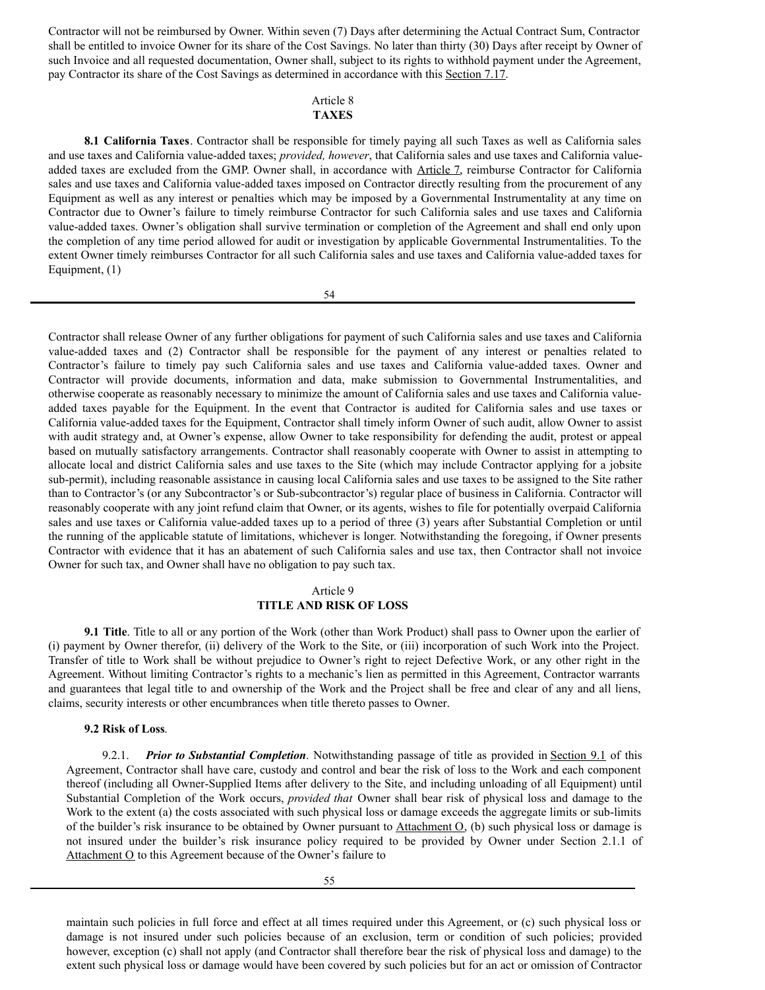Contractor will not be reimbursed by Owner. Within seven (7) Days after determining the Actual Contract Sum, Contractor shall be entitled to invoice Owner for its share of the Cost Savings. No later than thirty (30) Days after receipt by Owner of such Invoice and all requested documentation, Owner shall, subject to its rights to withhold payment under the Agreement, pay Contractor its share of the Cost Savings as determined in accordance with this Section 7.17.

## Article 8 **TAXES**

**8.1 California Taxes**. Contractor shall be responsible for timely paying all such Taxes as well as California sales and use taxes and California value-added taxes; *provided, however*, that California sales and use taxes and California valueadded taxes are excluded from the GMP. Owner shall, in accordance with Article 7, reimburse Contractor for California sales and use taxes and California value-added taxes imposed on Contractor directly resulting from the procurement of any Equipment as well as any interest or penalties which may be imposed by a Governmental Instrumentality at any time on Contractor due to Owner's failure to timely reimburse Contractor for such California sales and use taxes and California value-added taxes. Owner's obligation shall survive termination or completion of the Agreement and shall end only upon the completion of any time period allowed for audit or investigation by applicable Governmental Instrumentalities. To the extent Owner timely reimburses Contractor for all such California sales and use taxes and California value-added taxes for Equipment, (1)

54

Contractor shall release Owner of any further obligations for payment of such California sales and use taxes and California value-added taxes and (2) Contractor shall be responsible for the payment of any interest or penalties related to Contractor's failure to timely pay such California sales and use taxes and California value-added taxes. Owner and Contractor will provide documents, information and data, make submission to Governmental Instrumentalities, and otherwise cooperate as reasonably necessary to minimize the amount of California sales and use taxes and California valueadded taxes payable for the Equipment. In the event that Contractor is audited for California sales and use taxes or California value-added taxes for the Equipment, Contractor shall timely inform Owner of such audit, allow Owner to assist with audit strategy and, at Owner's expense, allow Owner to take responsibility for defending the audit, protest or appeal based on mutually satisfactory arrangements. Contractor shall reasonably cooperate with Owner to assist in attempting to allocate local and district California sales and use taxes to the Site (which may include Contractor applying for a jobsite sub-permit), including reasonable assistance in causing local California sales and use taxes to be assigned to the Site rather than to Contractor's (or any Subcontractor's or Sub-subcontractor's) regular place of business in California. Contractor will reasonably cooperate with any joint refund claim that Owner, or its agents, wishes to file for potentially overpaid California sales and use taxes or California value-added taxes up to a period of three (3) years after Substantial Completion or until the running of the applicable statute of limitations, whichever is longer. Notwithstanding the foregoing, if Owner presents Contractor with evidence that it has an abatement of such California sales and use tax, then Contractor shall not invoice Owner for such tax, and Owner shall have no obligation to pay such tax.

## Article 9 **TITLE AND RISK OF LOSS**

**9.1 Title**. Title to all or any portion of the Work (other than Work Product) shall pass to Owner upon the earlier of (i) payment by Owner therefor, (ii) delivery of the Work to the Site, or (iii) incorporation of such Work into the Project. Transfer of title to Work shall be without prejudice to Owner's right to reject Defective Work, or any other right in the Agreement. Without limiting Contractor's rights to a mechanic's lien as permitted in this Agreement, Contractor warrants and guarantees that legal title to and ownership of the Work and the Project shall be free and clear of any and all liens, claims, security interests or other encumbrances when title thereto passes to Owner.

## **9.2 Risk of Loss**.

9.2.1. *Prior to Substantial Completion*. Notwithstanding passage of title as provided in Section 9.1 of this Agreement, Contractor shall have care, custody and control and bear the risk of loss to the Work and each component thereof (including all Owner-Supplied Items after delivery to the Site, and including unloading of all Equipment) until Substantial Completion of the Work occurs, *provided that* Owner shall bear risk of physical loss and damage to the Work to the extent (a) the costs associated with such physical loss or damage exceeds the aggregate limits or sub-limits of the builder's risk insurance to be obtained by Owner pursuant to Attachment O, (b) such physical loss or damage is not insured under the builder's risk insurance policy required to be provided by Owner under Section 2.1.1 of Attachment O to this Agreement because of the Owner's failure to

55

maintain such policies in full force and effect at all times required under this Agreement, or (c) such physical loss or damage is not insured under such policies because of an exclusion, term or condition of such policies; provided however, exception (c) shall not apply (and Contractor shall therefore bear the risk of physical loss and damage) to the extent such physical loss or damage would have been covered by such policies but for an act or omission of Contractor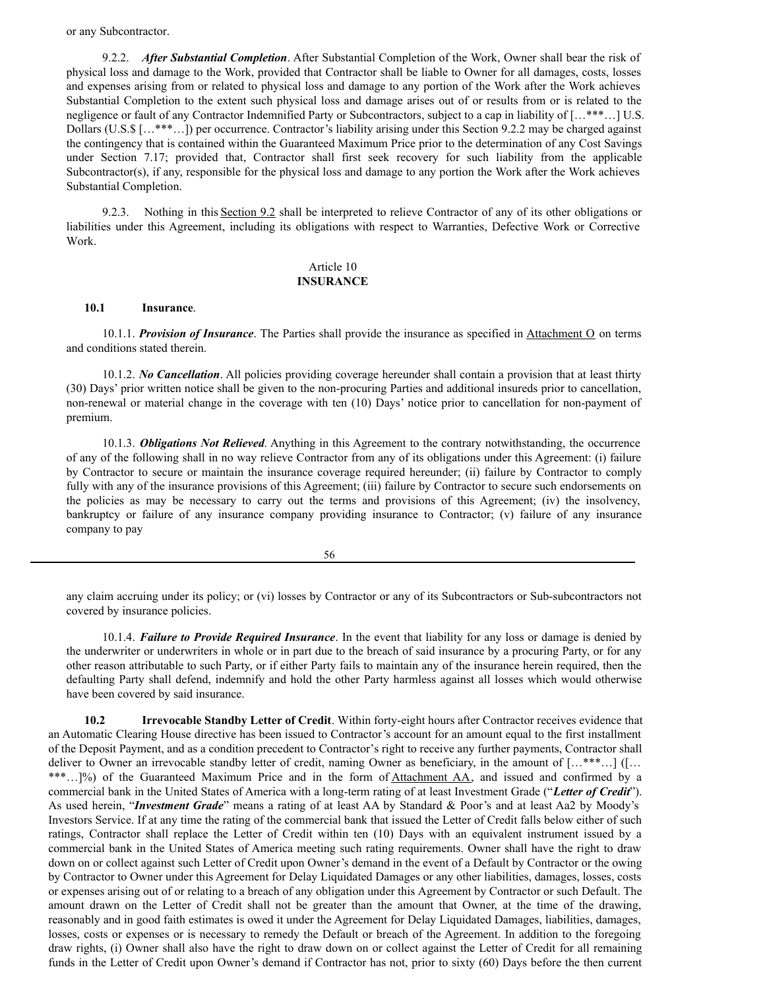or any Subcontractor.

9.2.2. *After Substantial Completion*. After Substantial Completion of the Work, Owner shall bear the risk of physical loss and damage to the Work, provided that Contractor shall be liable to Owner for all damages, costs, losses and expenses arising from or related to physical loss and damage to any portion of the Work after the Work achieves Substantial Completion to the extent such physical loss and damage arises out of or results from or is related to the negligence or fault of any Contractor Indemnified Party or Subcontractors, subject to a cap in liability of […\*\*\*…] U.S. Dollars (U.S.\$ […\*\*\*…]) per occurrence. Contractor's liability arising under this Section 9.2.2 may be charged against the contingency that is contained within the Guaranteed Maximum Price prior to the determination of any Cost Savings under Section 7.17; provided that, Contractor shall first seek recovery for such liability from the applicable Subcontractor(s), if any, responsible for the physical loss and damage to any portion the Work after the Work achieves Substantial Completion.

9.2.3. Nothing in this Section 9.2 shall be interpreted to relieve Contractor of any of its other obligations or liabilities under this Agreement, including its obligations with respect to Warranties, Defective Work or Corrective Work.

## Article 10 **INSURANCE**

### **10.1 Insurance**.

10.1.1. *Provision of Insurance*. The Parties shall provide the insurance as specified in Attachment O on terms and conditions stated therein.

10.1.2. *No Cancellation*. All policies providing coverage hereunder shall contain a provision that at least thirty (30) Days' prior written notice shall be given to the non-procuring Parties and additional insureds prior to cancellation, non-renewal or material change in the coverage with ten (10) Days' notice prior to cancellation for non-payment of premium.

10.1.3. *Obligations Not Relieved*. Anything in this Agreement to the contrary notwithstanding, the occurrence of any of the following shall in no way relieve Contractor from any of its obligations under this Agreement: (i) failure by Contractor to secure or maintain the insurance coverage required hereunder; (ii) failure by Contractor to comply fully with any of the insurance provisions of this Agreement; (iii) failure by Contractor to secure such endorsements on the policies as may be necessary to carry out the terms and provisions of this Agreement; (iv) the insolvency, bankruptcy or failure of any insurance company providing insurance to Contractor; (v) failure of any insurance company to pay

56

any claim accruing under its policy; or (vi) losses by Contractor or any of its Subcontractors or Sub-subcontractors not covered by insurance policies.

10.1.4. *Failure to Provide Required Insurance*. In the event that liability for any loss or damage is denied by the underwriter or underwriters in whole or in part due to the breach of said insurance by a procuring Party, or for any other reason attributable to such Party, or if either Party fails to maintain any of the insurance herein required, then the defaulting Party shall defend, indemnify and hold the other Party harmless against all losses which would otherwise have been covered by said insurance.

**10.2 Irrevocable Standby Letter of Credit**. Within forty-eight hours after Contractor receives evidence that an Automatic Clearing House directive has been issued to Contractor's account for an amount equal to the first installment of the Deposit Payment, and as a condition precedent to Contractor's right to receive any further payments, Contractor shall deliver to Owner an irrevocable standby letter of credit, naming Owner as beneficiary, in the amount of [...\*\*\*...] ([... \*\*\*...]%) of the Guaranteed Maximum Price and in the form of Attachment AA, and issued and confirmed by a commercial bank in the United States of America with a long-term rating of at least Investment Grade ("*Letter of Credit*"). As used herein, "*Investment Grade*" means a rating of at least AA by Standard & Poor's and at least Aa2 by Moody's Investors Service. If at any time the rating of the commercial bank that issued the Letter of Credit falls below either of such ratings, Contractor shall replace the Letter of Credit within ten (10) Days with an equivalent instrument issued by a commercial bank in the United States of America meeting such rating requirements. Owner shall have the right to draw down on or collect against such Letter of Credit upon Owner's demand in the event of a Default by Contractor or the owing by Contractor to Owner under this Agreement for Delay Liquidated Damages or any other liabilities, damages, losses, costs or expenses arising out of or relating to a breach of any obligation under this Agreement by Contractor or such Default. The amount drawn on the Letter of Credit shall not be greater than the amount that Owner, at the time of the drawing, reasonably and in good faith estimates is owed it under the Agreement for Delay Liquidated Damages, liabilities, damages, losses, costs or expenses or is necessary to remedy the Default or breach of the Agreement. In addition to the foregoing draw rights, (i) Owner shall also have the right to draw down on or collect against the Letter of Credit for all remaining funds in the Letter of Credit upon Owner's demand if Contractor has not, prior to sixty (60) Days before the then current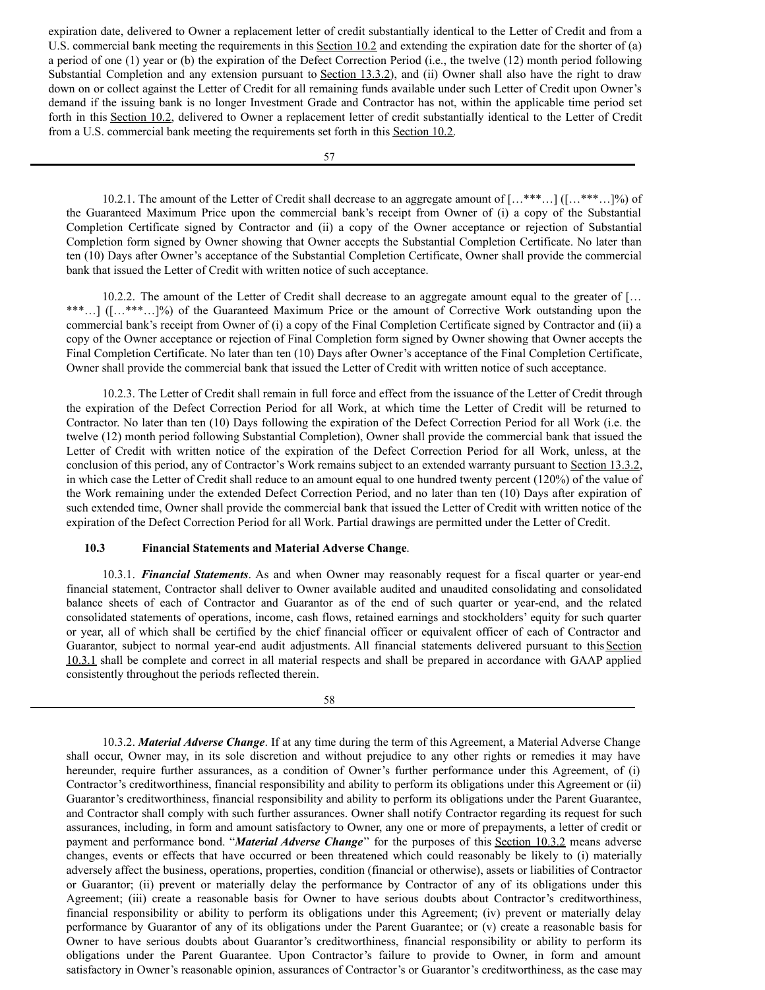expiration date, delivered to Owner a replacement letter of credit substantially identical to the Letter of Credit and from a U.S. commercial bank meeting the requirements in this Section 10.2 and extending the expiration date for the shorter of (a) a period of one (1) year or (b) the expiration of the Defect Correction Period (i.e., the twelve (12) month period following Substantial Completion and any extension pursuant to Section 13.3.2), and (ii) Owner shall also have the right to draw down on or collect against the Letter of Credit for all remaining funds available under such Letter of Credit upon Owner's demand if the issuing bank is no longer Investment Grade and Contractor has not, within the applicable time period set forth in this Section 10.2, delivered to Owner a replacement letter of credit substantially identical to the Letter of Credit from a U.S. commercial bank meeting the requirements set forth in this Section 10.2.

10.2.1. The amount of the Letter of Credit shall decrease to an aggregate amount of […\*\*\*…] ([…\*\*\*…]%) of the Guaranteed Maximum Price upon the commercial bank's receipt from Owner of (i) a copy of the Substantial Completion Certificate signed by Contractor and (ii) a copy of the Owner acceptance or rejection of Substantial Completion form signed by Owner showing that Owner accepts the Substantial Completion Certificate. No later than ten (10) Days after Owner's acceptance of the Substantial Completion Certificate, Owner shall provide the commercial bank that issued the Letter of Credit with written notice of such acceptance.

10.2.2. The amount of the Letter of Credit shall decrease to an aggregate amount equal to the greater of [… \*\*\*…] ([…\*\*\*…]%) of the Guaranteed Maximum Price or the amount of Corrective Work outstanding upon the commercial bank's receipt from Owner of (i) a copy of the Final Completion Certificate signed by Contractor and (ii) a copy of the Owner acceptance or rejection of Final Completion form signed by Owner showing that Owner accepts the Final Completion Certificate. No later than ten (10) Days after Owner's acceptance of the Final Completion Certificate, Owner shall provide the commercial bank that issued the Letter of Credit with written notice of such acceptance.

10.2.3. The Letter of Credit shall remain in full force and effect from the issuance of the Letter of Credit through the expiration of the Defect Correction Period for all Work, at which time the Letter of Credit will be returned to Contractor. No later than ten (10) Days following the expiration of the Defect Correction Period for all Work (i.e. the twelve (12) month period following Substantial Completion), Owner shall provide the commercial bank that issued the Letter of Credit with written notice of the expiration of the Defect Correction Period for all Work, unless, at the conclusion of this period, any of Contractor's Work remains subject to an extended warranty pursuant to Section 13.3.2, in which case the Letter of Credit shall reduce to an amount equal to one hundred twenty percent (120%) of the value of the Work remaining under the extended Defect Correction Period, and no later than ten (10) Days after expiration of such extended time, Owner shall provide the commercial bank that issued the Letter of Credit with written notice of the expiration of the Defect Correction Period for all Work. Partial drawings are permitted under the Letter of Credit.

## **10.3 Financial Statements and Material Adverse Change**.

10.3.1. *Financial Statements*. As and when Owner may reasonably request for a fiscal quarter or year-end financial statement, Contractor shall deliver to Owner available audited and unaudited consolidating and consolidated balance sheets of each of Contractor and Guarantor as of the end of such quarter or year-end, and the related consolidated statements of operations, income, cash flows, retained earnings and stockholders' equity for such quarter or year, all of which shall be certified by the chief financial officer or equivalent officer of each of Contractor and Guarantor, subject to normal year-end audit adjustments. All financial statements delivered pursuant to this Section 10.3.1 shall be complete and correct in all material respects and shall be prepared in accordance with GAAP applied consistently throughout the periods reflected therein.

58

10.3.2. *Material Adverse Change*. If at any time during the term of this Agreement, a Material Adverse Change shall occur, Owner may, in its sole discretion and without prejudice to any other rights or remedies it may have hereunder, require further assurances, as a condition of Owner's further performance under this Agreement, of (i) Contractor's creditworthiness, financial responsibility and ability to perform its obligations under this Agreement or (ii) Guarantor's creditworthiness, financial responsibility and ability to perform its obligations under the Parent Guarantee, and Contractor shall comply with such further assurances. Owner shall notify Contractor regarding its request for such assurances, including, in form and amount satisfactory to Owner, any one or more of prepayments, a letter of credit or payment and performance bond. "*Material Adverse Change*" for the purposes of this Section 10.3.2 means adverse changes, events or effects that have occurred or been threatened which could reasonably be likely to (i) materially adversely affect the business, operations, properties, condition (financial or otherwise), assets or liabilities of Contractor or Guarantor; (ii) prevent or materially delay the performance by Contractor of any of its obligations under this Agreement; (iii) create a reasonable basis for Owner to have serious doubts about Contractor's creditworthiness, financial responsibility or ability to perform its obligations under this Agreement; (iv) prevent or materially delay performance by Guarantor of any of its obligations under the Parent Guarantee; or (v) create a reasonable basis for Owner to have serious doubts about Guarantor's creditworthiness, financial responsibility or ability to perform its obligations under the Parent Guarantee. Upon Contractor's failure to provide to Owner, in form and amount satisfactory in Owner's reasonable opinion, assurances of Contractor's or Guarantor's creditworthiness, as the case may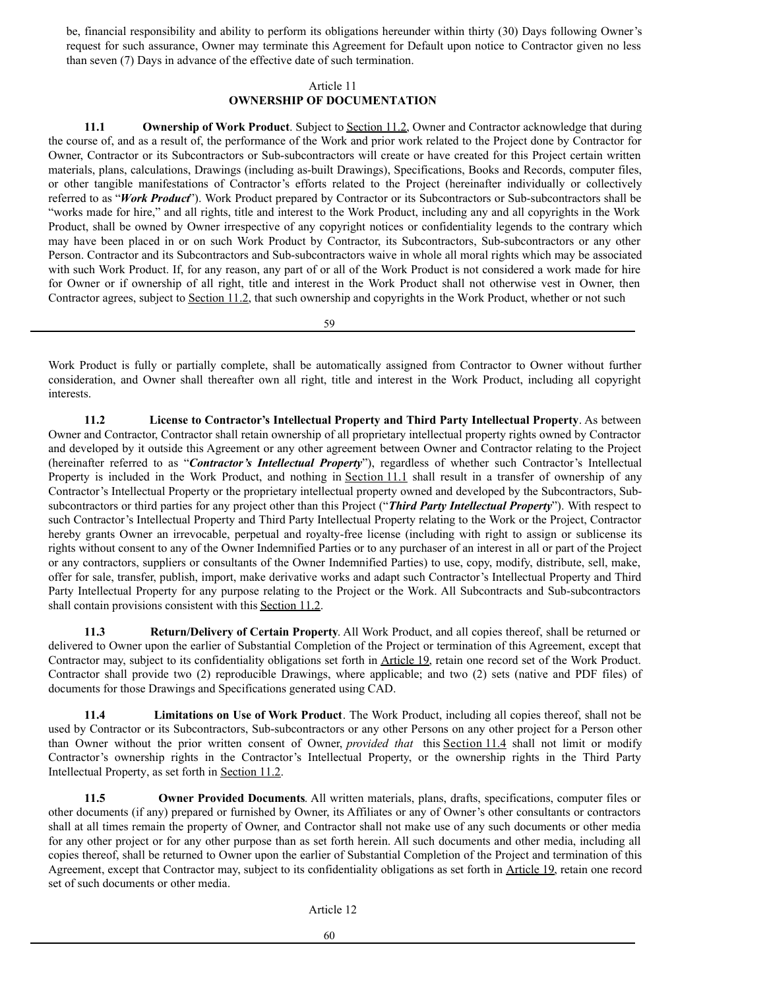be, financial responsibility and ability to perform its obligations hereunder within thirty (30) Days following Owner's request for such assurance, Owner may terminate this Agreement for Default upon notice to Contractor given no less than seven (7) Days in advance of the effective date of such termination.

# Article 11 **OWNERSHIP OF DOCUMENTATION**

**11.1 Ownership of Work Product**. Subject to Section 11.2, Owner and Contractor acknowledge that during the course of, and as a result of, the performance of the Work and prior work related to the Project done by Contractor for Owner, Contractor or its Subcontractors or Sub-subcontractors will create or have created for this Project certain written materials, plans, calculations, Drawings (including as-built Drawings), Specifications, Books and Records, computer files, or other tangible manifestations of Contractor's efforts related to the Project (hereinafter individually or collectively referred to as "*Work Product*"). Work Product prepared by Contractor or its Subcontractors or Sub-subcontractors shall be "works made for hire," and all rights, title and interest to the Work Product, including any and all copyrights in the Work Product, shall be owned by Owner irrespective of any copyright notices or confidentiality legends to the contrary which may have been placed in or on such Work Product by Contractor, its Subcontractors, Sub-subcontractors or any other Person. Contractor and its Subcontractors and Sub-subcontractors waive in whole all moral rights which may be associated with such Work Product. If, for any reason, any part of or all of the Work Product is not considered a work made for hire for Owner or if ownership of all right, title and interest in the Work Product shall not otherwise vest in Owner, then Contractor agrees, subject to Section 11.2, that such ownership and copyrights in the Work Product, whether or not such

59

Work Product is fully or partially complete, shall be automatically assigned from Contractor to Owner without further consideration, and Owner shall thereafter own all right, title and interest in the Work Product, including all copyright interests.

**11.2 License to Contractor's Intellectual Property and Third Party Intellectual Property**. As between Owner and Contractor, Contractor shall retain ownership of all proprietary intellectual property rights owned by Contractor and developed by it outside this Agreement or any other agreement between Owner and Contractor relating to the Project (hereinafter referred to as "*Contractor's Intellectual Property*"), regardless of whether such Contractor's Intellectual Property is included in the Work Product, and nothing in Section 11.1 shall result in a transfer of ownership of any Contractor's Intellectual Property or the proprietary intellectual property owned and developed by the Subcontractors, Subsubcontractors or third parties for any project other than this Project ("*Third Party Intellectual Property*"). With respect to such Contractor's Intellectual Property and Third Party Intellectual Property relating to the Work or the Project, Contractor hereby grants Owner an irrevocable, perpetual and royalty-free license (including with right to assign or sublicense its rights without consent to any of the Owner Indemnified Parties or to any purchaser of an interest in all or part of the Project or any contractors, suppliers or consultants of the Owner Indemnified Parties) to use, copy, modify, distribute, sell, make, offer for sale, transfer, publish, import, make derivative works and adapt such Contractor's Intellectual Property and Third Party Intellectual Property for any purpose relating to the Project or the Work. All Subcontracts and Sub-subcontractors shall contain provisions consistent with this Section 11.2.

**11.3 Return/Delivery of Certain Property**. All Work Product, and all copies thereof, shall be returned or delivered to Owner upon the earlier of Substantial Completion of the Project or termination of this Agreement, except that Contractor may, subject to its confidentiality obligations set forth in Article 19, retain one record set of the Work Product. Contractor shall provide two (2) reproducible Drawings, where applicable; and two (2) sets (native and PDF files) of documents for those Drawings and Specifications generated using CAD.

**11.4 Limitations on Use of Work Product**. The Work Product, including all copies thereof, shall not be used by Contractor or its Subcontractors, Sub-subcontractors or any other Persons on any other project for a Person other than Owner without the prior written consent of Owner, *provided that* this Section 11.4 shall not limit or modify Contractor's ownership rights in the Contractor's Intellectual Property, or the ownership rights in the Third Party Intellectual Property, as set forth in Section 11.2.

**11.5 Owner Provided Documents**. All written materials, plans, drafts, specifications, computer files or other documents (if any) prepared or furnished by Owner, its Affiliates or any of Owner's other consultants or contractors shall at all times remain the property of Owner, and Contractor shall not make use of any such documents or other media for any other project or for any other purpose than as set forth herein. All such documents and other media, including all copies thereof, shall be returned to Owner upon the earlier of Substantial Completion of the Project and termination of this Agreement, except that Contractor may, subject to its confidentiality obligations as set forth in Article 19, retain one record set of such documents or other media.

Article 12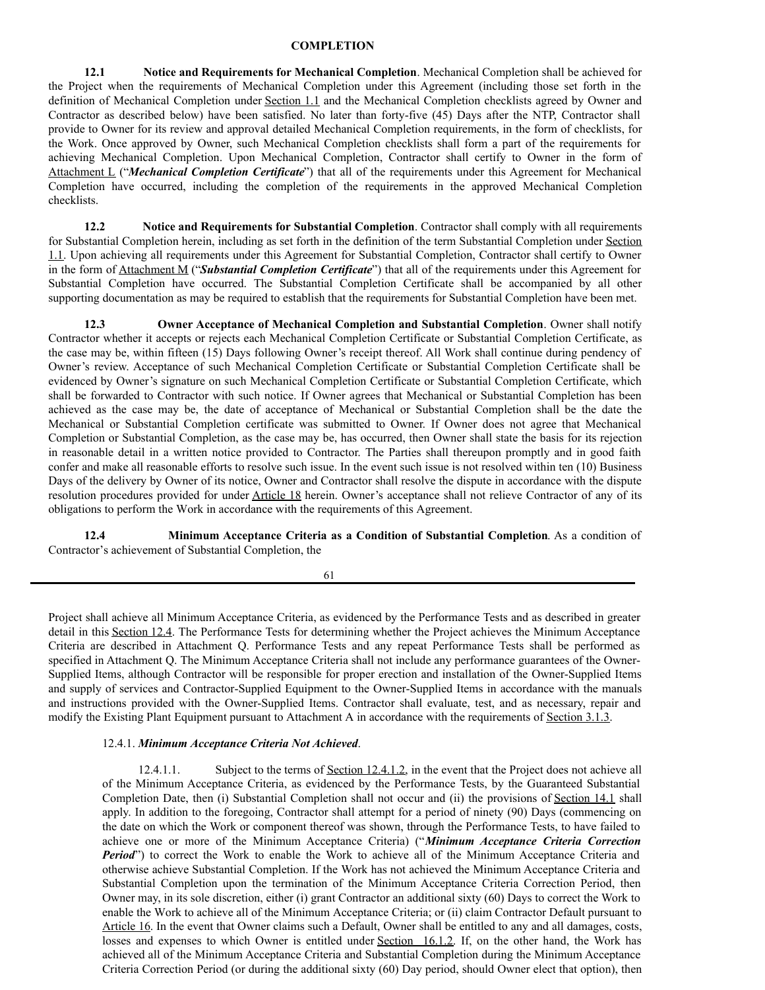### **COMPLETION**

**12.1 Notice and Requirements for Mechanical Completion**. Mechanical Completion shall be achieved for the Project when the requirements of Mechanical Completion under this Agreement (including those set forth in the definition of Mechanical Completion under Section 1.1 and the Mechanical Completion checklists agreed by Owner and Contractor as described below) have been satisfied. No later than forty-five (45) Days after the NTP, Contractor shall provide to Owner for its review and approval detailed Mechanical Completion requirements, in the form of checklists, for the Work. Once approved by Owner, such Mechanical Completion checklists shall form a part of the requirements for achieving Mechanical Completion. Upon Mechanical Completion, Contractor shall certify to Owner in the form of Attachment L ("*Mechanical Completion Certificate*") that all of the requirements under this Agreement for Mechanical Completion have occurred, including the completion of the requirements in the approved Mechanical Completion checklists.

**12.2 Notice and Requirements for Substantial Completion**. Contractor shall comply with all requirements for Substantial Completion herein, including as set forth in the definition of the term Substantial Completion under Section 1.1. Upon achieving all requirements under this Agreement for Substantial Completion, Contractor shall certify to Owner in the form of Attachment M ("*Substantial Completion Certificate*") that all of the requirements under this Agreement for Substantial Completion have occurred. The Substantial Completion Certificate shall be accompanied by all other supporting documentation as may be required to establish that the requirements for Substantial Completion have been met.

**12.3 Owner Acceptance of Mechanical Completion and Substantial Completion**. Owner shall notify Contractor whether it accepts or rejects each Mechanical Completion Certificate or Substantial Completion Certificate, as the case may be, within fifteen (15) Days following Owner's receipt thereof. All Work shall continue during pendency of Owner's review. Acceptance of such Mechanical Completion Certificate or Substantial Completion Certificate shall be evidenced by Owner's signature on such Mechanical Completion Certificate or Substantial Completion Certificate, which shall be forwarded to Contractor with such notice. If Owner agrees that Mechanical or Substantial Completion has been achieved as the case may be, the date of acceptance of Mechanical or Substantial Completion shall be the date the Mechanical or Substantial Completion certificate was submitted to Owner. If Owner does not agree that Mechanical Completion or Substantial Completion, as the case may be, has occurred, then Owner shall state the basis for its rejection in reasonable detail in a written notice provided to Contractor. The Parties shall thereupon promptly and in good faith confer and make all reasonable efforts to resolve such issue. In the event such issue is not resolved within ten (10) Business Days of the delivery by Owner of its notice, Owner and Contractor shall resolve the dispute in accordance with the dispute resolution procedures provided for under Article 18 herein. Owner's acceptance shall not relieve Contractor of any of its obligations to perform the Work in accordance with the requirements of this Agreement.

**12.4 Minimum Acceptance Criteria as a Condition of Substantial Completion**. As a condition of Contractor's achievement of Substantial Completion, the

61

Project shall achieve all Minimum Acceptance Criteria, as evidenced by the Performance Tests and as described in greater detail in this Section 12.4. The Performance Tests for determining whether the Project achieves the Minimum Acceptance Criteria are described in Attachment Q. Performance Tests and any repeat Performance Tests shall be performed as specified in Attachment Q. The Minimum Acceptance Criteria shall not include any performance guarantees of the Owner-Supplied Items, although Contractor will be responsible for proper erection and installation of the Owner-Supplied Items and supply of services and Contractor-Supplied Equipment to the Owner-Supplied Items in accordance with the manuals and instructions provided with the Owner-Supplied Items. Contractor shall evaluate, test, and as necessary, repair and modify the Existing Plant Equipment pursuant to Attachment A in accordance with the requirements of Section 3.1.3.

## 12.4.1. *Minimum Acceptance Criteria Not Achieved*.

12.4.1.1. Subject to the terms of <u>Section 12.4.1.2</u>, in the event that the Project does not achieve all of the Minimum Acceptance Criteria, as evidenced by the Performance Tests, by the Guaranteed Substantial Completion Date, then (i) Substantial Completion shall not occur and (ii) the provisions of Section 14.1 shall apply. In addition to the foregoing, Contractor shall attempt for a period of ninety (90) Days (commencing on the date on which the Work or component thereof was shown, through the Performance Tests, to have failed to achieve one or more of the Minimum Acceptance Criteria) ("*Minimum Acceptance Criteria Correction Period*") to correct the Work to enable the Work to achieve all of the Minimum Acceptance Criteria and otherwise achieve Substantial Completion. If the Work has not achieved the Minimum Acceptance Criteria and Substantial Completion upon the termination of the Minimum Acceptance Criteria Correction Period, then Owner may, in its sole discretion, either (i) grant Contractor an additional sixty (60) Days to correct the Work to enable the Work to achieve all of the Minimum Acceptance Criteria; or (ii) claim Contractor Default pursuant to Article 16. In the event that Owner claims such a Default, Owner shall be entitled to any and all damages, costs, losses and expenses to which Owner is entitled under Section 16.1.2. If, on the other hand, the Work has achieved all of the Minimum Acceptance Criteria and Substantial Completion during the Minimum Acceptance Criteria Correction Period (or during the additional sixty (60) Day period, should Owner elect that option), then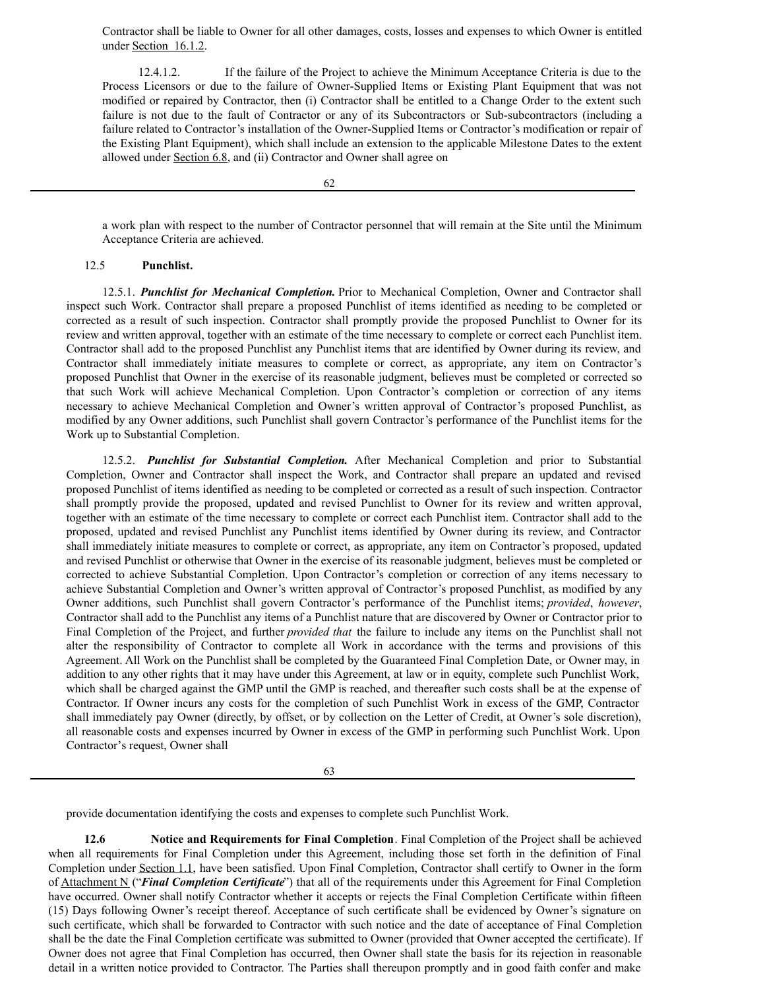Contractor shall be liable to Owner for all other damages, costs, losses and expenses to which Owner is entitled under Section 16.1.2.

12.4.1.2. If the failure of the Project to achieve the Minimum Acceptance Criteria is due to the Process Licensors or due to the failure of Owner-Supplied Items or Existing Plant Equipment that was not modified or repaired by Contractor, then (i) Contractor shall be entitled to a Change Order to the extent such failure is not due to the fault of Contractor or any of its Subcontractors or Sub-subcontractors (including a failure related to Contractor's installation of the Owner-Supplied Items or Contractor's modification or repair of the Existing Plant Equipment), which shall include an extension to the applicable Milestone Dates to the extent allowed under Section 6.8, and (ii) Contractor and Owner shall agree on

62

a work plan with respect to the number of Contractor personnel that will remain at the Site until the Minimum Acceptance Criteria are achieved.

### 12.5 **Punchlist.**

12.5.1. *Punchlist for Mechanical Completion.* Prior to Mechanical Completion, Owner and Contractor shall inspect such Work. Contractor shall prepare a proposed Punchlist of items identified as needing to be completed or corrected as a result of such inspection. Contractor shall promptly provide the proposed Punchlist to Owner for its review and written approval, together with an estimate of the time necessary to complete or correct each Punchlist item. Contractor shall add to the proposed Punchlist any Punchlist items that are identified by Owner during its review, and Contractor shall immediately initiate measures to complete or correct, as appropriate, any item on Contractor's proposed Punchlist that Owner in the exercise of its reasonable judgment, believes must be completed or corrected so that such Work will achieve Mechanical Completion. Upon Contractor's completion or correction of any items necessary to achieve Mechanical Completion and Owner's written approval of Contractor's proposed Punchlist, as modified by any Owner additions, such Punchlist shall govern Contractor's performance of the Punchlist items for the Work up to Substantial Completion.

12.5.2. *Punchlist for Substantial Completion.* After Mechanical Completion and prior to Substantial Completion, Owner and Contractor shall inspect the Work, and Contractor shall prepare an updated and revised proposed Punchlist of items identified as needing to be completed or corrected as a result of such inspection. Contractor shall promptly provide the proposed, updated and revised Punchlist to Owner for its review and written approval, together with an estimate of the time necessary to complete or correct each Punchlist item. Contractor shall add to the proposed, updated and revised Punchlist any Punchlist items identified by Owner during its review, and Contractor shall immediately initiate measures to complete or correct, as appropriate, any item on Contractor's proposed, updated and revised Punchlist or otherwise that Owner in the exercise of its reasonable judgment, believes must be completed or corrected to achieve Substantial Completion. Upon Contractor's completion or correction of any items necessary to achieve Substantial Completion and Owner's written approval of Contractor's proposed Punchlist, as modified by any Owner additions, such Punchlist shall govern Contractor's performance of the Punchlist items; *provided*, *however*, Contractor shall add to the Punchlist any items of a Punchlist nature that are discovered by Owner or Contractor prior to Final Completion of the Project, and further *provided that* the failure to include any items on the Punchlist shall not alter the responsibility of Contractor to complete all Work in accordance with the terms and provisions of this Agreement. All Work on the Punchlist shall be completed by the Guaranteed Final Completion Date, or Owner may, in addition to any other rights that it may have under this Agreement, at law or in equity, complete such Punchlist Work, which shall be charged against the GMP until the GMP is reached, and thereafter such costs shall be at the expense of Contractor. If Owner incurs any costs for the completion of such Punchlist Work in excess of the GMP, Contractor shall immediately pay Owner (directly, by offset, or by collection on the Letter of Credit, at Owner's sole discretion), all reasonable costs and expenses incurred by Owner in excess of the GMP in performing such Punchlist Work. Upon Contractor's request, Owner shall

63

provide documentation identifying the costs and expenses to complete such Punchlist Work.

**12.6 Notice and Requirements for Final Completion**. Final Completion of the Project shall be achieved when all requirements for Final Completion under this Agreement, including those set forth in the definition of Final Completion under Section 1.1, have been satisfied. Upon Final Completion, Contractor shall certify to Owner in the form of Attachment N ("*Final Completion Certificate*") that all of the requirements under this Agreement for Final Completion have occurred. Owner shall notify Contractor whether it accepts or rejects the Final Completion Certificate within fifteen (15) Days following Owner's receipt thereof. Acceptance of such certificate shall be evidenced by Owner's signature on such certificate, which shall be forwarded to Contractor with such notice and the date of acceptance of Final Completion shall be the date the Final Completion certificate was submitted to Owner (provided that Owner accepted the certificate). If Owner does not agree that Final Completion has occurred, then Owner shall state the basis for its rejection in reasonable detail in a written notice provided to Contractor. The Parties shall thereupon promptly and in good faith confer and make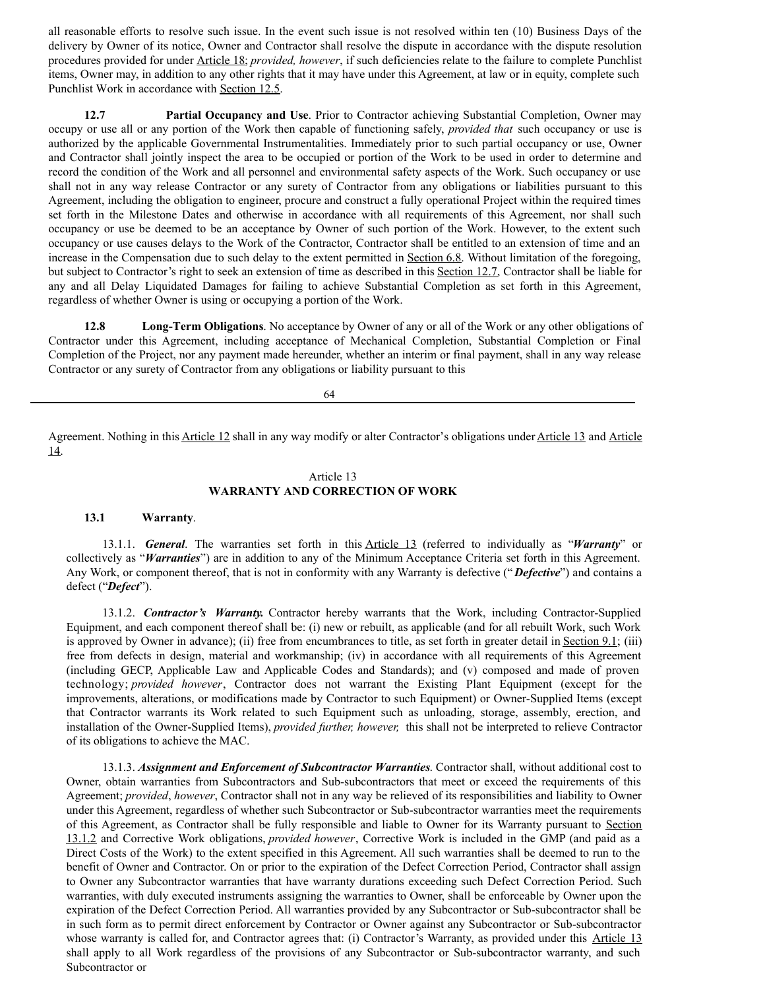all reasonable efforts to resolve such issue. In the event such issue is not resolved within ten (10) Business Days of the delivery by Owner of its notice, Owner and Contractor shall resolve the dispute in accordance with the dispute resolution procedures provided for under Article 18; *provided, however*, if such deficiencies relate to the failure to complete Punchlist items, Owner may, in addition to any other rights that it may have under this Agreement, at law or in equity, complete such Punchlist Work in accordance with Section 12.5.

**12.7 Partial Occupancy and Use**. Prior to Contractor achieving Substantial Completion, Owner may occupy or use all or any portion of the Work then capable of functioning safely, *provided that* such occupancy or use is authorized by the applicable Governmental Instrumentalities. Immediately prior to such partial occupancy or use, Owner and Contractor shall jointly inspect the area to be occupied or portion of the Work to be used in order to determine and record the condition of the Work and all personnel and environmental safety aspects of the Work. Such occupancy or use shall not in any way release Contractor or any surety of Contractor from any obligations or liabilities pursuant to this Agreement, including the obligation to engineer, procure and construct a fully operational Project within the required times set forth in the Milestone Dates and otherwise in accordance with all requirements of this Agreement, nor shall such occupancy or use be deemed to be an acceptance by Owner of such portion of the Work. However, to the extent such occupancy or use causes delays to the Work of the Contractor, Contractor shall be entitled to an extension of time and an increase in the Compensation due to such delay to the extent permitted in Section 6.8. Without limitation of the foregoing, but subject to Contractor's right to seek an extension of time as described in this Section 12.7, Contractor shall be liable for any and all Delay Liquidated Damages for failing to achieve Substantial Completion as set forth in this Agreement, regardless of whether Owner is using or occupying a portion of the Work.

**12.8 Long-Term Obligations**. No acceptance by Owner of any or all of the Work or any other obligations of Contractor under this Agreement, including acceptance of Mechanical Completion, Substantial Completion or Final Completion of the Project, nor any payment made hereunder, whether an interim or final payment, shall in any way release Contractor or any surety of Contractor from any obligations or liability pursuant to this

64

Agreement. Nothing in this Article 12 shall in any way modify or alter Contractor's obligations under Article 13 and Article 14.

# Article 13 **WARRANTY AND CORRECTION OF WORK**

## **13.1 Warranty**.

13.1.1. *General*. The warranties set forth in this Article 13 (referred to individually as "*Warranty*" or collectively as "*Warranties*") are in addition to any of the Minimum Acceptance Criteria set forth in this Agreement. Any Work, or component thereof, that is not in conformity with any Warranty is defective (" *Defective*") and contains a defect ("*Defect*").

13.1.2. *Contractor's Warranty.* Contractor hereby warrants that the Work, including Contractor-Supplied Equipment, and each component thereof shall be: (i) new or rebuilt, as applicable (and for all rebuilt Work, such Work is approved by Owner in advance); (ii) free from encumbrances to title, as set forth in greater detail in Section 9.1; (iii) free from defects in design, material and workmanship; (iv) in accordance with all requirements of this Agreement (including GECP, Applicable Law and Applicable Codes and Standards); and (v) composed and made of proven technology; *provided however*, Contractor does not warrant the Existing Plant Equipment (except for the improvements, alterations, or modifications made by Contractor to such Equipment) or Owner-Supplied Items (except that Contractor warrants its Work related to such Equipment such as unloading, storage, assembly, erection, and installation of the Owner-Supplied Items), *provided further, however,* this shall not be interpreted to relieve Contractor of its obligations to achieve the MAC.

13.1.3. *Assignment and Enforcement of Subcontractor Warranties*. Contractor shall, without additional cost to Owner, obtain warranties from Subcontractors and Sub-subcontractors that meet or exceed the requirements of this Agreement; *provided*, *however*, Contractor shall not in any way be relieved of its responsibilities and liability to Owner under this Agreement, regardless of whether such Subcontractor or Sub-subcontractor warranties meet the requirements of this Agreement, as Contractor shall be fully responsible and liable to Owner for its Warranty pursuant to Section 13.1.2 and Corrective Work obligations, *provided however*, Corrective Work is included in the GMP (and paid as a Direct Costs of the Work) to the extent specified in this Agreement. All such warranties shall be deemed to run to the benefit of Owner and Contractor. On or prior to the expiration of the Defect Correction Period, Contractor shall assign to Owner any Subcontractor warranties that have warranty durations exceeding such Defect Correction Period. Such warranties, with duly executed instruments assigning the warranties to Owner, shall be enforceable by Owner upon the expiration of the Defect Correction Period. All warranties provided by any Subcontractor or Sub-subcontractor shall be in such form as to permit direct enforcement by Contractor or Owner against any Subcontractor or Sub-subcontractor whose warranty is called for, and Contractor agrees that: (i) Contractor's Warranty, as provided under this Article 13 shall apply to all Work regardless of the provisions of any Subcontractor or Sub-subcontractor warranty, and such Subcontractor or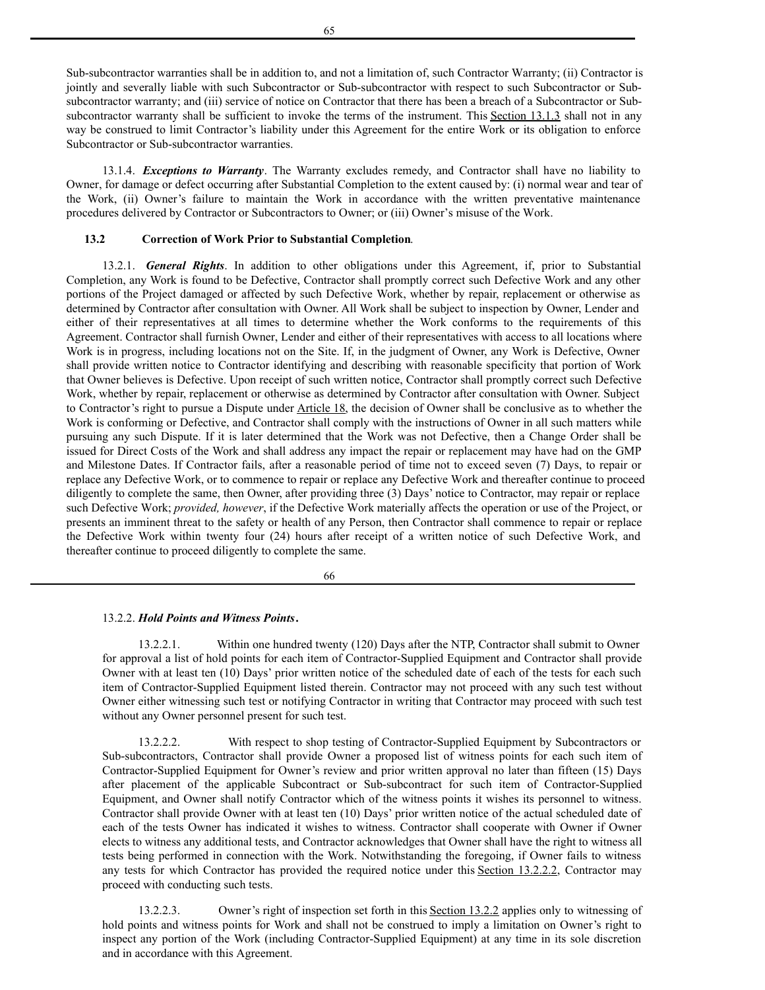Sub-subcontractor warranties shall be in addition to, and not a limitation of, such Contractor Warranty; (ii) Contractor is jointly and severally liable with such Subcontractor or Sub-subcontractor with respect to such Subcontractor or Subsubcontractor warranty; and (iii) service of notice on Contractor that there has been a breach of a Subcontractor or Subsubcontractor warranty shall be sufficient to invoke the terms of the instrument. This Section 13.1.3 shall not in any way be construed to limit Contractor's liability under this Agreement for the entire Work or its obligation to enforce Subcontractor or Sub-subcontractor warranties.

13.1.4. *Exceptions to Warranty*. The Warranty excludes remedy, and Contractor shall have no liability to Owner, for damage or defect occurring after Substantial Completion to the extent caused by: (i) normal wear and tear of the Work, (ii) Owner's failure to maintain the Work in accordance with the written preventative maintenance procedures delivered by Contractor or Subcontractors to Owner; or (iii) Owner's misuse of the Work.

### **13.2 Correction of Work Prior to Substantial Completion**.

13.2.1. *General Rights*. In addition to other obligations under this Agreement, if, prior to Substantial Completion, any Work is found to be Defective, Contractor shall promptly correct such Defective Work and any other portions of the Project damaged or affected by such Defective Work, whether by repair, replacement or otherwise as determined by Contractor after consultation with Owner. All Work shall be subject to inspection by Owner, Lender and either of their representatives at all times to determine whether the Work conforms to the requirements of this Agreement. Contractor shall furnish Owner, Lender and either of their representatives with access to all locations where Work is in progress, including locations not on the Site. If, in the judgment of Owner, any Work is Defective, Owner shall provide written notice to Contractor identifying and describing with reasonable specificity that portion of Work that Owner believes is Defective. Upon receipt of such written notice, Contractor shall promptly correct such Defective Work, whether by repair, replacement or otherwise as determined by Contractor after consultation with Owner. Subject to Contractor's right to pursue a Dispute under Article 18, the decision of Owner shall be conclusive as to whether the Work is conforming or Defective, and Contractor shall comply with the instructions of Owner in all such matters while pursuing any such Dispute. If it is later determined that the Work was not Defective, then a Change Order shall be issued for Direct Costs of the Work and shall address any impact the repair or replacement may have had on the GMP and Milestone Dates. If Contractor fails, after a reasonable period of time not to exceed seven (7) Days, to repair or replace any Defective Work, or to commence to repair or replace any Defective Work and thereafter continue to proceed diligently to complete the same, then Owner, after providing three (3) Days' notice to Contractor, may repair or replace such Defective Work; *provided, however*, if the Defective Work materially affects the operation or use of the Project, or presents an imminent threat to the safety or health of any Person, then Contractor shall commence to repair or replace the Defective Work within twenty four (24) hours after receipt of a written notice of such Defective Work, and thereafter continue to proceed diligently to complete the same.

66

### 13.2.2. *Hold Points and Witness Points***.**

13.2.2.1. Within one hundred twenty (120) Days after the NTP, Contractor shall submit to Owner for approval a list of hold points for each item of Contractor-Supplied Equipment and Contractor shall provide Owner with at least ten (10) Days' prior written notice of the scheduled date of each of the tests for each such item of Contractor-Supplied Equipment listed therein. Contractor may not proceed with any such test without Owner either witnessing such test or notifying Contractor in writing that Contractor may proceed with such test without any Owner personnel present for such test.

13.2.2.2. With respect to shop testing of Contractor-Supplied Equipment by Subcontractors or Sub-subcontractors, Contractor shall provide Owner a proposed list of witness points for each such item of Contractor-Supplied Equipment for Owner's review and prior written approval no later than fifteen (15) Days after placement of the applicable Subcontract or Sub-subcontract for such item of Contractor-Supplied Equipment, and Owner shall notify Contractor which of the witness points it wishes its personnel to witness. Contractor shall provide Owner with at least ten (10) Days' prior written notice of the actual scheduled date of each of the tests Owner has indicated it wishes to witness. Contractor shall cooperate with Owner if Owner elects to witness any additional tests, and Contractor acknowledges that Owner shall have the right to witness all tests being performed in connection with the Work. Notwithstanding the foregoing, if Owner fails to witness any tests for which Contractor has provided the required notice under this Section 13.2.2.2, Contractor may proceed with conducting such tests.

13.2.2.3. Owner's right of inspection set forth in this Section 13.2.2 applies only to witnessing of hold points and witness points for Work and shall not be construed to imply a limitation on Owner's right to inspect any portion of the Work (including Contractor-Supplied Equipment) at any time in its sole discretion and in accordance with this Agreement.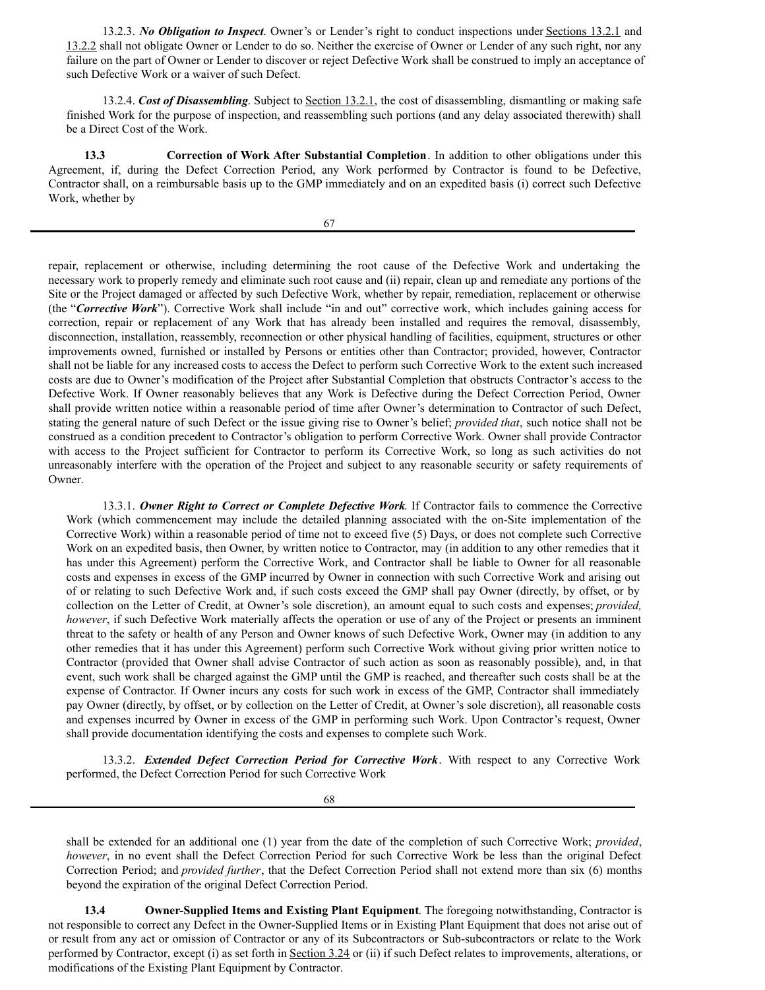13.2.3. *No Obligation to Inspect*. Owner's or Lender's right to conduct inspections under Sections 13.2.1 and 13.2.2 shall not obligate Owner or Lender to do so. Neither the exercise of Owner or Lender of any such right, nor any failure on the part of Owner or Lender to discover or reject Defective Work shall be construed to imply an acceptance of such Defective Work or a waiver of such Defect.

13.2.4. *Cost of Disassembling*. Subject to Section 13.2.1, the cost of disassembling, dismantling or making safe finished Work for the purpose of inspection, and reassembling such portions (and any delay associated therewith) shall be a Direct Cost of the Work.

**13.3 Correction of Work After Substantial Completion**. In addition to other obligations under this Agreement, if, during the Defect Correction Period, any Work performed by Contractor is found to be Defective, Contractor shall, on a reimbursable basis up to the GMP immediately and on an expedited basis (i) correct such Defective Work, whether by

67

repair, replacement or otherwise, including determining the root cause of the Defective Work and undertaking the necessary work to properly remedy and eliminate such root cause and (ii) repair, clean up and remediate any portions of the Site or the Project damaged or affected by such Defective Work, whether by repair, remediation, replacement or otherwise (the "*Corrective Work*"). Corrective Work shall include "in and out" corrective work, which includes gaining access for correction, repair or replacement of any Work that has already been installed and requires the removal, disassembly, disconnection, installation, reassembly, reconnection or other physical handling of facilities, equipment, structures or other improvements owned, furnished or installed by Persons or entities other than Contractor; provided, however, Contractor shall not be liable for any increased costs to access the Defect to perform such Corrective Work to the extent such increased costs are due to Owner's modification of the Project after Substantial Completion that obstructs Contractor's access to the Defective Work. If Owner reasonably believes that any Work is Defective during the Defect Correction Period, Owner shall provide written notice within a reasonable period of time after Owner's determination to Contractor of such Defect, stating the general nature of such Defect or the issue giving rise to Owner's belief; *provided that*, such notice shall not be construed as a condition precedent to Contractor's obligation to perform Corrective Work. Owner shall provide Contractor with access to the Project sufficient for Contractor to perform its Corrective Work, so long as such activities do not unreasonably interfere with the operation of the Project and subject to any reasonable security or safety requirements of Owner.

13.3.1. *Owner Right to Correct or Complete Defective Work*. If Contractor fails to commence the Corrective Work (which commencement may include the detailed planning associated with the on-Site implementation of the Corrective Work) within a reasonable period of time not to exceed five (5) Days, or does not complete such Corrective Work on an expedited basis, then Owner, by written notice to Contractor, may (in addition to any other remedies that it has under this Agreement) perform the Corrective Work, and Contractor shall be liable to Owner for all reasonable costs and expenses in excess of the GMP incurred by Owner in connection with such Corrective Work and arising out of or relating to such Defective Work and, if such costs exceed the GMP shall pay Owner (directly, by offset, or by collection on the Letter of Credit, at Owner's sole discretion), an amount equal to such costs and expenses; *provided, however*, if such Defective Work materially affects the operation or use of any of the Project or presents an imminent threat to the safety or health of any Person and Owner knows of such Defective Work, Owner may (in addition to any other remedies that it has under this Agreement) perform such Corrective Work without giving prior written notice to Contractor (provided that Owner shall advise Contractor of such action as soon as reasonably possible), and, in that event, such work shall be charged against the GMP until the GMP is reached, and thereafter such costs shall be at the expense of Contractor. If Owner incurs any costs for such work in excess of the GMP, Contractor shall immediately pay Owner (directly, by offset, or by collection on the Letter of Credit, at Owner's sole discretion), all reasonable costs and expenses incurred by Owner in excess of the GMP in performing such Work. Upon Contractor's request, Owner shall provide documentation identifying the costs and expenses to complete such Work.

13.3.2. *Extended Defect Correction Period for Corrective Work*. With respect to any Corrective Work performed, the Defect Correction Period for such Corrective Work

68

shall be extended for an additional one (1) year from the date of the completion of such Corrective Work; *provided*, *however*, in no event shall the Defect Correction Period for such Corrective Work be less than the original Defect Correction Period; and *provided further*, that the Defect Correction Period shall not extend more than six (6) months beyond the expiration of the original Defect Correction Period.

**13.4 Owner-Supplied Items and Existing Plant Equipment**. The foregoing notwithstanding, Contractor is not responsible to correct any Defect in the Owner-Supplied Items or in Existing Plant Equipment that does not arise out of or result from any act or omission of Contractor or any of its Subcontractors or Sub-subcontractors or relate to the Work performed by Contractor, except (i) as set forth in Section 3.24 or (ii) if such Defect relates to improvements, alterations, or modifications of the Existing Plant Equipment by Contractor.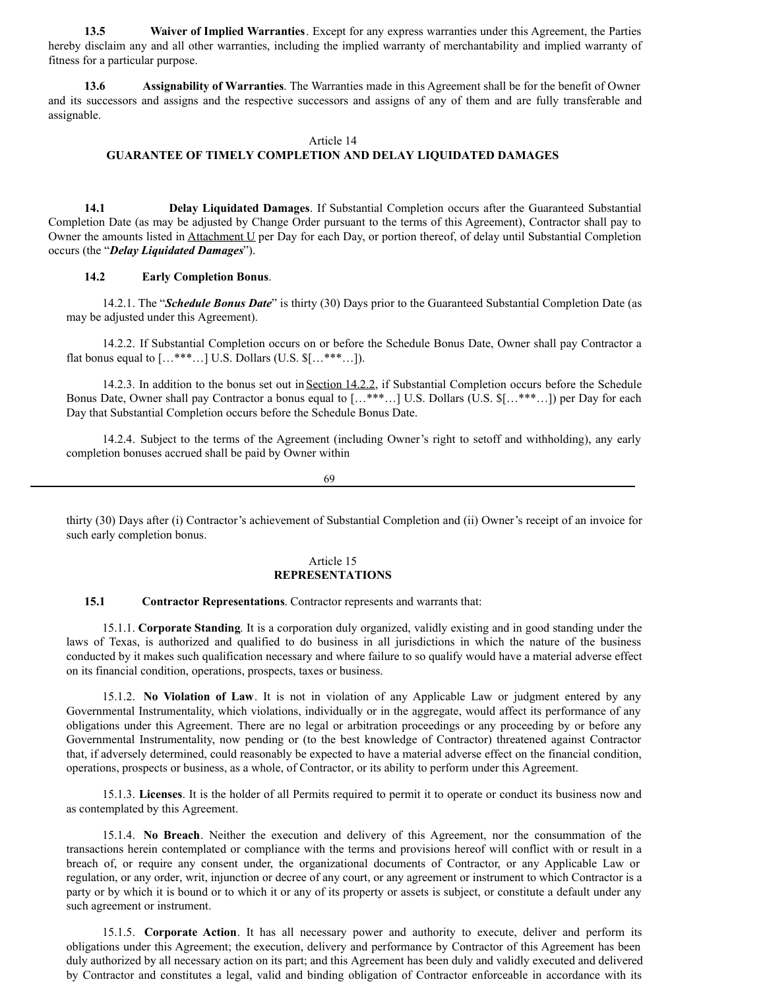**13.5 Waiver of Implied Warranties**. Except for any express warranties under this Agreement, the Parties hereby disclaim any and all other warranties, including the implied warranty of merchantability and implied warranty of fitness for a particular purpose.

**13.6 Assignability of Warranties**. The Warranties made in this Agreement shall be for the benefit of Owner and its successors and assigns and the respective successors and assigns of any of them and are fully transferable and assignable.

#### Article 14

## **GUARANTEE OF TIMELY COMPLETION AND DELAY LIQUIDATED DAMAGES**

**14.1 Delay Liquidated Damages**. If Substantial Completion occurs after the Guaranteed Substantial Completion Date (as may be adjusted by Change Order pursuant to the terms of this Agreement), Contractor shall pay to Owner the amounts listed in Attachment U per Day for each Day, or portion thereof, of delay until Substantial Completion occurs (the "*Delay Liquidated Damages*").

### **14.2 Early Completion Bonus**.

14.2.1. The "*Schedule Bonus Date*" is thirty (30) Days prior to the Guaranteed Substantial Completion Date (as may be adjusted under this Agreement).

14.2.2. If Substantial Completion occurs on or before the Schedule Bonus Date, Owner shall pay Contractor a flat bonus equal to  $[...***...]$  U.S. Dollars (U.S.  $[...***...]$ ).

14.2.3. In addition to the bonus set out in Section 14.2.2, if Substantial Completion occurs before the Schedule Bonus Date, Owner shall pay Contractor a bonus equal to […\*\*\*…] U.S. Dollars (U.S. \$[…\*\*\*…]) per Day for each Day that Substantial Completion occurs before the Schedule Bonus Date.

14.2.4. Subject to the terms of the Agreement (including Owner's right to setoff and withholding), any early completion bonuses accrued shall be paid by Owner within

69

thirty (30) Days after (i) Contractor's achievement of Substantial Completion and (ii) Owner's receipt of an invoice for such early completion bonus.

### Article 15 **REPRESENTATIONS**

### **15.1 Contractor Representations**. Contractor represents and warrants that:

15.1.1. **Corporate Standing**. It is a corporation duly organized, validly existing and in good standing under the laws of Texas, is authorized and qualified to do business in all jurisdictions in which the nature of the business conducted by it makes such qualification necessary and where failure to so qualify would have a material adverse effect on its financial condition, operations, prospects, taxes or business.

15.1.2. **No Violation of Law**. It is not in violation of any Applicable Law or judgment entered by any Governmental Instrumentality, which violations, individually or in the aggregate, would affect its performance of any obligations under this Agreement. There are no legal or arbitration proceedings or any proceeding by or before any Governmental Instrumentality, now pending or (to the best knowledge of Contractor) threatened against Contractor that, if adversely determined, could reasonably be expected to have a material adverse effect on the financial condition, operations, prospects or business, as a whole, of Contractor, or its ability to perform under this Agreement.

15.1.3. **Licenses**. It is the holder of all Permits required to permit it to operate or conduct its business now and as contemplated by this Agreement.

15.1.4. **No Breach**. Neither the execution and delivery of this Agreement, nor the consummation of the transactions herein contemplated or compliance with the terms and provisions hereof will conflict with or result in a breach of, or require any consent under, the organizational documents of Contractor, or any Applicable Law or regulation, or any order, writ, injunction or decree of any court, or any agreement or instrument to which Contractor is a party or by which it is bound or to which it or any of its property or assets is subject, or constitute a default under any such agreement or instrument.

15.1.5. **Corporate Action**. It has all necessary power and authority to execute, deliver and perform its obligations under this Agreement; the execution, delivery and performance by Contractor of this Agreement has been duly authorized by all necessary action on its part; and this Agreement has been duly and validly executed and delivered by Contractor and constitutes a legal, valid and binding obligation of Contractor enforceable in accordance with its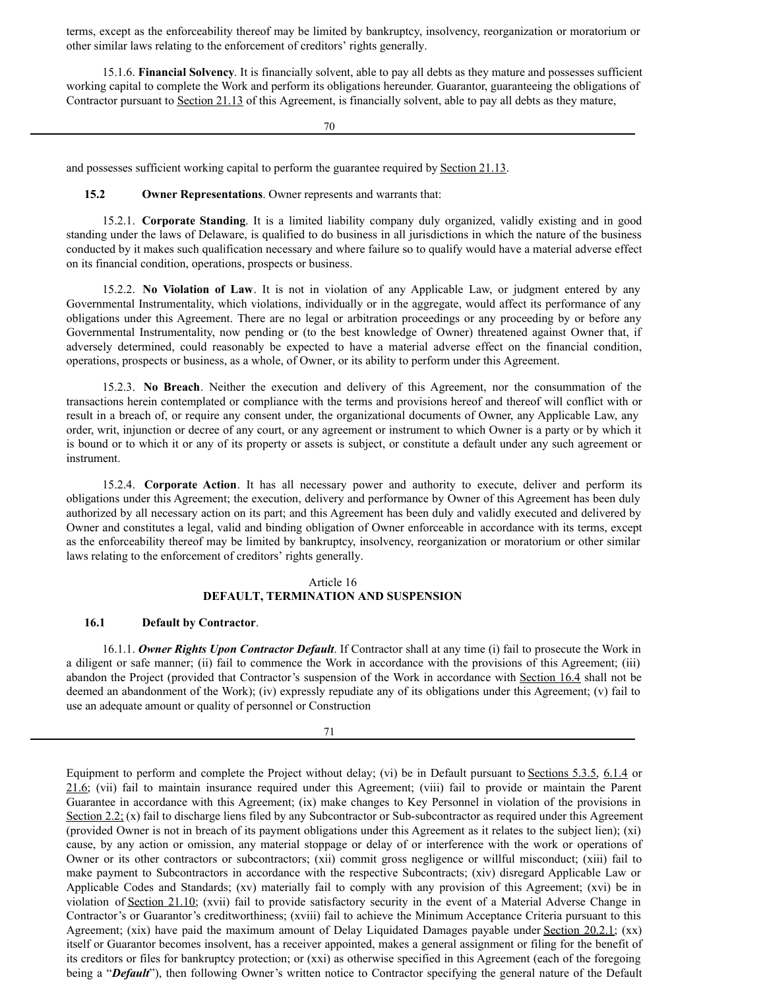terms, except as the enforceability thereof may be limited by bankruptcy, insolvency, reorganization or moratorium or other similar laws relating to the enforcement of creditors' rights generally.

15.1.6. **Financial Solvency**. It is financially solvent, able to pay all debts as they mature and possesses sufficient working capital to complete the Work and perform its obligations hereunder. Guarantor, guaranteeing the obligations of Contractor pursuant to Section 21.13 of this Agreement, is financially solvent, able to pay all debts as they mature,

70

and possesses sufficient working capital to perform the guarantee required by Section 21.13.

## **15.2 Owner Representations**. Owner represents and warrants that:

15.2.1. **Corporate Standing**. It is a limited liability company duly organized, validly existing and in good standing under the laws of Delaware, is qualified to do business in all jurisdictions in which the nature of the business conducted by it makes such qualification necessary and where failure so to qualify would have a material adverse effect on its financial condition, operations, prospects or business.

15.2.2. **No Violation of Law**. It is not in violation of any Applicable Law, or judgment entered by any Governmental Instrumentality, which violations, individually or in the aggregate, would affect its performance of any obligations under this Agreement. There are no legal or arbitration proceedings or any proceeding by or before any Governmental Instrumentality, now pending or (to the best knowledge of Owner) threatened against Owner that, if adversely determined, could reasonably be expected to have a material adverse effect on the financial condition, operations, prospects or business, as a whole, of Owner, or its ability to perform under this Agreement.

15.2.3. **No Breach**. Neither the execution and delivery of this Agreement, nor the consummation of the transactions herein contemplated or compliance with the terms and provisions hereof and thereof will conflict with or result in a breach of, or require any consent under, the organizational documents of Owner, any Applicable Law, any order, writ, injunction or decree of any court, or any agreement or instrument to which Owner is a party or by which it is bound or to which it or any of its property or assets is subject, or constitute a default under any such agreement or instrument.

15.2.4. **Corporate Action**. It has all necessary power and authority to execute, deliver and perform its obligations under this Agreement; the execution, delivery and performance by Owner of this Agreement has been duly authorized by all necessary action on its part; and this Agreement has been duly and validly executed and delivered by Owner and constitutes a legal, valid and binding obligation of Owner enforceable in accordance with its terms, except as the enforceability thereof may be limited by bankruptcy, insolvency, reorganization or moratorium or other similar laws relating to the enforcement of creditors' rights generally.

## Article 16 **DEFAULT, TERMINATION AND SUSPENSION**

### **16.1 Default by Contractor**.

16.1.1. *Owner Rights Upon Contractor Default*. If Contractor shall at any time (i) fail to prosecute the Work in a diligent or safe manner; (ii) fail to commence the Work in accordance with the provisions of this Agreement; (iii) abandon the Project (provided that Contractor's suspension of the Work in accordance with Section 16.4 shall not be deemed an abandonment of the Work); (iv) expressly repudiate any of its obligations under this Agreement; (v) fail to use an adequate amount or quality of personnel or Construction

#### 71

Equipment to perform and complete the Project without delay; (vi) be in Default pursuant to Sections 5.3.5, 6.1.4 or 21.6; (vii) fail to maintain insurance required under this Agreement; (viii) fail to provide or maintain the Parent Guarantee in accordance with this Agreement; (ix) make changes to Key Personnel in violation of the provisions in Section  $2.2$ ; (x) fail to discharge liens filed by any Subcontractor or Sub-subcontractor as required under this Agreement (provided Owner is not in breach of its payment obligations under this Agreement as it relates to the subject lien); (xi) cause, by any action or omission, any material stoppage or delay of or interference with the work or operations of Owner or its other contractors or subcontractors; (xii) commit gross negligence or willful misconduct; (xiii) fail to make payment to Subcontractors in accordance with the respective Subcontracts; (xiv) disregard Applicable Law or Applicable Codes and Standards; (xv) materially fail to comply with any provision of this Agreement; (xvi) be in violation of Section 21.10; (xvii) fail to provide satisfactory security in the event of a Material Adverse Change in Contractor's or Guarantor's creditworthiness; (xviii) fail to achieve the Minimum Acceptance Criteria pursuant to this Agreement; (xix) have paid the maximum amount of Delay Liquidated Damages payable under Section 20.2.1; (xx) itself or Guarantor becomes insolvent, has a receiver appointed, makes a general assignment or filing for the benefit of its creditors or files for bankruptcy protection; or (xxi) as otherwise specified in this Agreement (each of the foregoing being a "*Default*"), then following Owner's written notice to Contractor specifying the general nature of the Default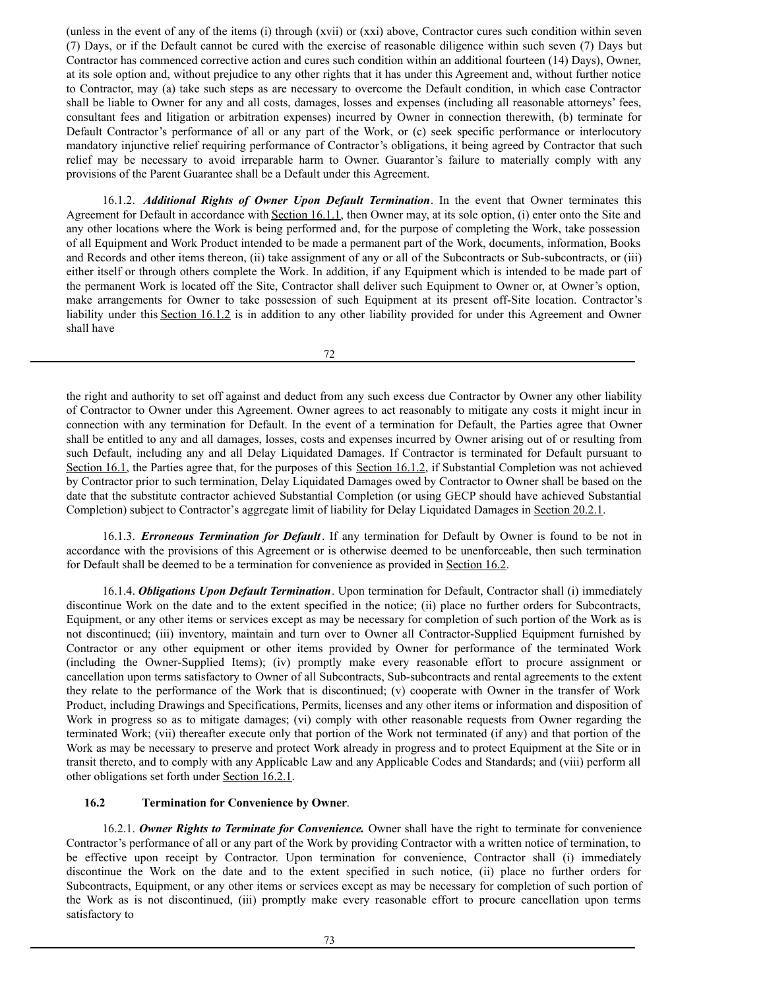(unless in the event of any of the items (i) through (xvii) or (xxi) above, Contractor cures such condition within seven (7) Days, or if the Default cannot be cured with the exercise of reasonable diligence within such seven (7) Days but Contractor has commenced corrective action and cures such condition within an additional fourteen (14) Days), Owner, at its sole option and, without prejudice to any other rights that it has under this Agreement and, without further notice to Contractor, may (a) take such steps as are necessary to overcome the Default condition, in which case Contractor shall be liable to Owner for any and all costs, damages, losses and expenses (including all reasonable attorneys' fees, consultant fees and litigation or arbitration expenses) incurred by Owner in connection therewith, (b) terminate for Default Contractor's performance of all or any part of the Work, or (c) seek specific performance or interlocutory mandatory injunctive relief requiring performance of Contractor's obligations, it being agreed by Contractor that such relief may be necessary to avoid irreparable harm to Owner. Guarantor's failure to materially comply with any provisions of the Parent Guarantee shall be a Default under this Agreement.

16.1.2. *Additional Rights of Owner Upon Default Termination*. In the event that Owner terminates this Agreement for Default in accordance with Section 16.1.1, then Owner may, at its sole option, (i) enter onto the Site and any other locations where the Work is being performed and, for the purpose of completing the Work, take possession of all Equipment and Work Product intended to be made a permanent part of the Work, documents, information, Books and Records and other items thereon, (ii) take assignment of any or all of the Subcontracts or Sub-subcontracts, or (iii) either itself or through others complete the Work. In addition, if any Equipment which is intended to be made part of the permanent Work is located off the Site, Contractor shall deliver such Equipment to Owner or, at Owner's option, make arrangements for Owner to take possession of such Equipment at its present off-Site location. Contractor's liability under this Section 16.1.2 is in addition to any other liability provided for under this Agreement and Owner shall have

72

the right and authority to set off against and deduct from any such excess due Contractor by Owner any other liability of Contractor to Owner under this Agreement. Owner agrees to act reasonably to mitigate any costs it might incur in connection with any termination for Default. In the event of a termination for Default, the Parties agree that Owner shall be entitled to any and all damages, losses, costs and expenses incurred by Owner arising out of or resulting from such Default, including any and all Delay Liquidated Damages. If Contractor is terminated for Default pursuant to Section 16.1, the Parties agree that, for the purposes of this Section 16.1.2, if Substantial Completion was not achieved by Contractor prior to such termination, Delay Liquidated Damages owed by Contractor to Owner shall be based on the date that the substitute contractor achieved Substantial Completion (or using GECP should have achieved Substantial Completion) subject to Contractor's aggregate limit of liability for Delay Liquidated Damages in Section 20.2.1.

16.1.3. *Erroneous Termination for Default*. If any termination for Default by Owner is found to be not in accordance with the provisions of this Agreement or is otherwise deemed to be unenforceable, then such termination for Default shall be deemed to be a termination for convenience as provided in Section 16.2.

16.1.4. *Obligations Upon Default Termination*. Upon termination for Default, Contractor shall (i) immediately discontinue Work on the date and to the extent specified in the notice; (ii) place no further orders for Subcontracts, Equipment, or any other items or services except as may be necessary for completion of such portion of the Work as is not discontinued; (iii) inventory, maintain and turn over to Owner all Contractor-Supplied Equipment furnished by Contractor or any other equipment or other items provided by Owner for performance of the terminated Work (including the Owner-Supplied Items); (iv) promptly make every reasonable effort to procure assignment or cancellation upon terms satisfactory to Owner of all Subcontracts, Sub-subcontracts and rental agreements to the extent they relate to the performance of the Work that is discontinued; (v) cooperate with Owner in the transfer of Work Product, including Drawings and Specifications, Permits, licenses and any other items or information and disposition of Work in progress so as to mitigate damages; (vi) comply with other reasonable requests from Owner regarding the terminated Work; (vii) thereafter execute only that portion of the Work not terminated (if any) and that portion of the Work as may be necessary to preserve and protect Work already in progress and to protect Equipment at the Site or in transit thereto, and to comply with any Applicable Law and any Applicable Codes and Standards; and (viii) perform all other obligations set forth under Section 16.2.1.

# **16.2 Termination for Convenience by Owner**.

16.2.1. *Owner Rights to Terminate for Convenience.* Owner shall have the right to terminate for convenience Contractor's performance of all or any part of the Work by providing Contractor with a written notice of termination, to be effective upon receipt by Contractor. Upon termination for convenience, Contractor shall (i) immediately discontinue the Work on the date and to the extent specified in such notice, (ii) place no further orders for Subcontracts, Equipment, or any other items or services except as may be necessary for completion of such portion of the Work as is not discontinued, (iii) promptly make every reasonable effort to procure cancellation upon terms satisfactory to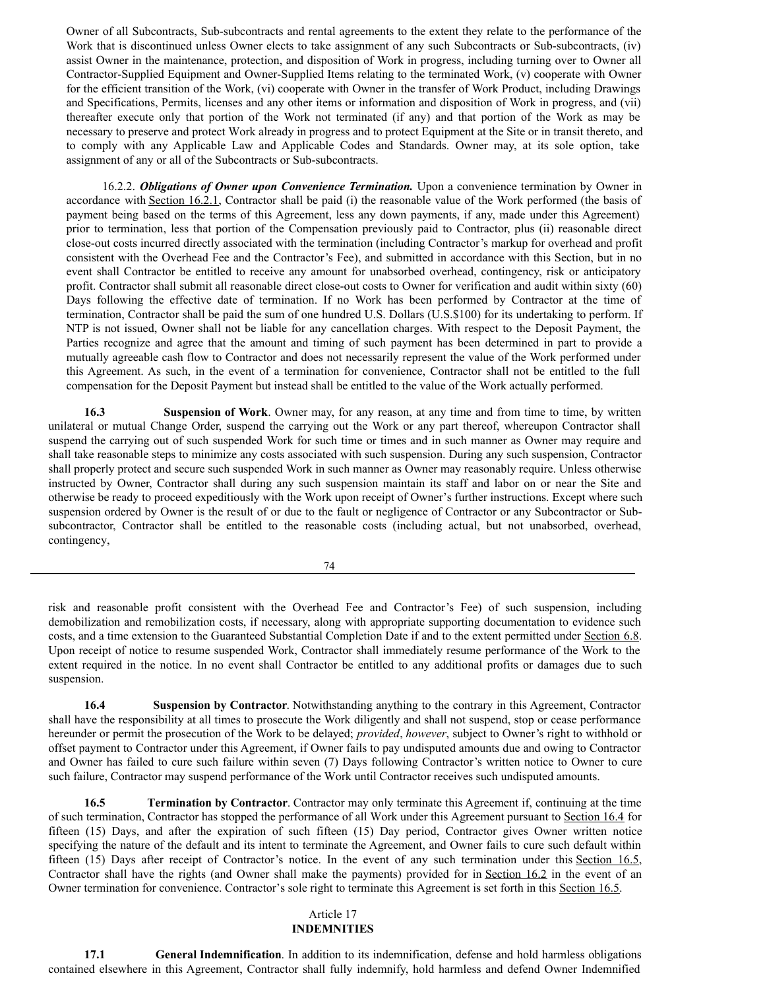Owner of all Subcontracts, Sub-subcontracts and rental agreements to the extent they relate to the performance of the Work that is discontinued unless Owner elects to take assignment of any such Subcontracts or Sub-subcontracts, (iv) assist Owner in the maintenance, protection, and disposition of Work in progress, including turning over to Owner all Contractor-Supplied Equipment and Owner-Supplied Items relating to the terminated Work, (v) cooperate with Owner for the efficient transition of the Work, (vi) cooperate with Owner in the transfer of Work Product, including Drawings and Specifications, Permits, licenses and any other items or information and disposition of Work in progress, and (vii) thereafter execute only that portion of the Work not terminated (if any) and that portion of the Work as may be necessary to preserve and protect Work already in progress and to protect Equipment at the Site or in transit thereto, and to comply with any Applicable Law and Applicable Codes and Standards. Owner may, at its sole option, take assignment of any or all of the Subcontracts or Sub-subcontracts.

16.2.2. *Obligations of Owner upon Convenience Termination.* Upon a convenience termination by Owner in accordance with Section 16.2.1, Contractor shall be paid (i) the reasonable value of the Work performed (the basis of payment being based on the terms of this Agreement, less any down payments, if any, made under this Agreement) prior to termination, less that portion of the Compensation previously paid to Contractor, plus (ii) reasonable direct close-out costs incurred directly associated with the termination (including Contractor's markup for overhead and profit consistent with the Overhead Fee and the Contractor's Fee), and submitted in accordance with this Section, but in no event shall Contractor be entitled to receive any amount for unabsorbed overhead, contingency, risk or anticipatory profit. Contractor shall submit all reasonable direct close-out costs to Owner for verification and audit within sixty (60) Days following the effective date of termination. If no Work has been performed by Contractor at the time of termination, Contractor shall be paid the sum of one hundred U.S. Dollars (U.S.\$100) for its undertaking to perform. If NTP is not issued, Owner shall not be liable for any cancellation charges. With respect to the Deposit Payment, the Parties recognize and agree that the amount and timing of such payment has been determined in part to provide a mutually agreeable cash flow to Contractor and does not necessarily represent the value of the Work performed under this Agreement. As such, in the event of a termination for convenience, Contractor shall not be entitled to the full compensation for the Deposit Payment but instead shall be entitled to the value of the Work actually performed.

**16.3 Suspension of Work**. Owner may, for any reason, at any time and from time to time, by written unilateral or mutual Change Order, suspend the carrying out the Work or any part thereof, whereupon Contractor shall suspend the carrying out of such suspended Work for such time or times and in such manner as Owner may require and shall take reasonable steps to minimize any costs associated with such suspension. During any such suspension, Contractor shall properly protect and secure such suspended Work in such manner as Owner may reasonably require. Unless otherwise instructed by Owner, Contractor shall during any such suspension maintain its staff and labor on or near the Site and otherwise be ready to proceed expeditiously with the Work upon receipt of Owner's further instructions. Except where such suspension ordered by Owner is the result of or due to the fault or negligence of Contractor or any Subcontractor or Subsubcontractor, Contractor shall be entitled to the reasonable costs (including actual, but not unabsorbed, overhead, contingency,

74

risk and reasonable profit consistent with the Overhead Fee and Contractor's Fee) of such suspension, including demobilization and remobilization costs, if necessary, along with appropriate supporting documentation to evidence such costs, and a time extension to the Guaranteed Substantial Completion Date if and to the extent permitted under Section 6.8. Upon receipt of notice to resume suspended Work, Contractor shall immediately resume performance of the Work to the extent required in the notice. In no event shall Contractor be entitled to any additional profits or damages due to such suspension.

**16.4 Suspension by Contractor**. Notwithstanding anything to the contrary in this Agreement, Contractor shall have the responsibility at all times to prosecute the Work diligently and shall not suspend, stop or cease performance hereunder or permit the prosecution of the Work to be delayed; *provided*, *however*, subject to Owner's right to withhold or offset payment to Contractor under this Agreement, if Owner fails to pay undisputed amounts due and owing to Contractor and Owner has failed to cure such failure within seven (7) Days following Contractor's written notice to Owner to cure such failure, Contractor may suspend performance of the Work until Contractor receives such undisputed amounts.

**16.5 Termination by Contractor**. Contractor may only terminate this Agreement if, continuing at the time of such termination, Contractor has stopped the performance of all Work under this Agreement pursuant to Section 16.4 for fifteen (15) Days, and after the expiration of such fifteen (15) Day period, Contractor gives Owner written notice specifying the nature of the default and its intent to terminate the Agreement, and Owner fails to cure such default within fifteen (15) Days after receipt of Contractor's notice. In the event of any such termination under this Section 16.5, Contractor shall have the rights (and Owner shall make the payments) provided for in Section 16.2 in the event of an Owner termination for convenience. Contractor's sole right to terminate this Agreement is set forth in this Section 16.5.

## Article 17 **INDEMNITIES**

**17.1 General Indemnification**. In addition to its indemnification, defense and hold harmless obligations contained elsewhere in this Agreement, Contractor shall fully indemnify, hold harmless and defend Owner Indemnified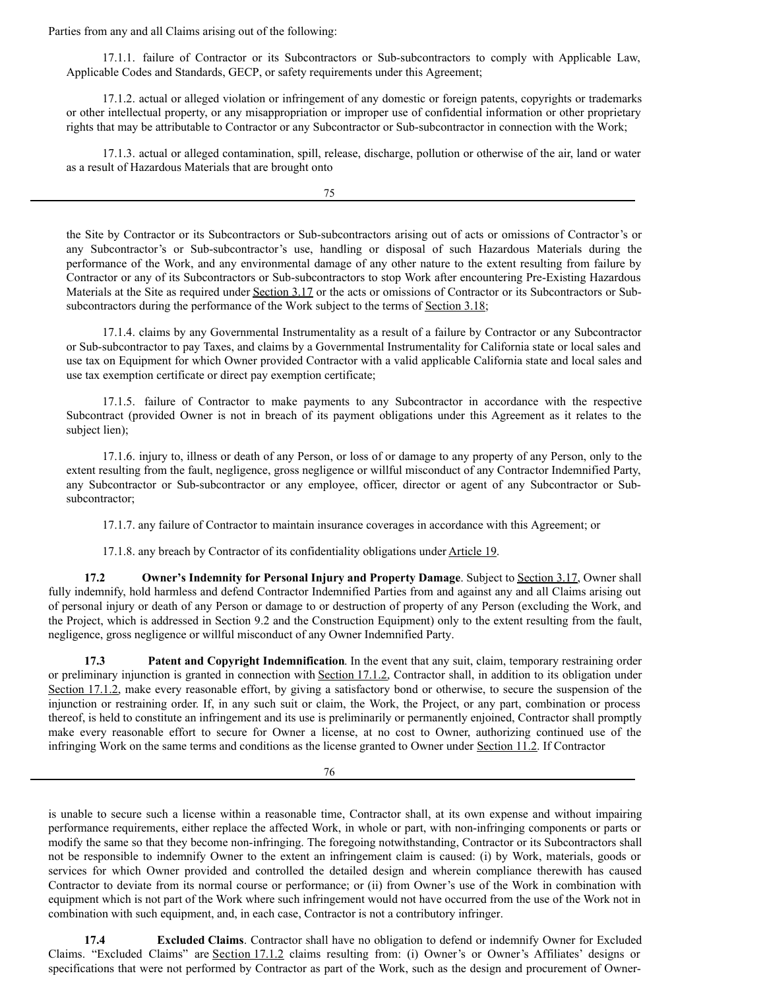Parties from any and all Claims arising out of the following:

17.1.1. failure of Contractor or its Subcontractors or Sub-subcontractors to comply with Applicable Law, Applicable Codes and Standards, GECP, or safety requirements under this Agreement;

17.1.2. actual or alleged violation or infringement of any domestic or foreign patents, copyrights or trademarks or other intellectual property, or any misappropriation or improper use of confidential information or other proprietary rights that may be attributable to Contractor or any Subcontractor or Sub-subcontractor in connection with the Work;

17.1.3. actual or alleged contamination, spill, release, discharge, pollution or otherwise of the air, land or water as a result of Hazardous Materials that are brought onto

75

the Site by Contractor or its Subcontractors or Sub-subcontractors arising out of acts or omissions of Contractor's or any Subcontractor's or Sub-subcontractor's use, handling or disposal of such Hazardous Materials during the performance of the Work, and any environmental damage of any other nature to the extent resulting from failure by Contractor or any of its Subcontractors or Sub-subcontractors to stop Work after encountering Pre-Existing Hazardous Materials at the Site as required under Section 3.17 or the acts or omissions of Contractor or its Subcontractors or Subsubcontractors during the performance of the Work subject to the terms of Section 3.18;

17.1.4. claims by any Governmental Instrumentality as a result of a failure by Contractor or any Subcontractor or Sub-subcontractor to pay Taxes, and claims by a Governmental Instrumentality for California state or local sales and use tax on Equipment for which Owner provided Contractor with a valid applicable California state and local sales and use tax exemption certificate or direct pay exemption certificate;

17.1.5. failure of Contractor to make payments to any Subcontractor in accordance with the respective Subcontract (provided Owner is not in breach of its payment obligations under this Agreement as it relates to the subject lien);

17.1.6. injury to, illness or death of any Person, or loss of or damage to any property of any Person, only to the extent resulting from the fault, negligence, gross negligence or willful misconduct of any Contractor Indemnified Party, any Subcontractor or Sub-subcontractor or any employee, officer, director or agent of any Subcontractor or Subsubcontractor;

17.1.7. any failure of Contractor to maintain insurance coverages in accordance with this Agreement; or

17.1.8. any breach by Contractor of its confidentiality obligations under Article 19.

**17.2 Owner's Indemnity for Personal Injury and Property Damage**. Subject to Section 3.17, Owner shall fully indemnify, hold harmless and defend Contractor Indemnified Parties from and against any and all Claims arising out of personal injury or death of any Person or damage to or destruction of property of any Person (excluding the Work, and the Project, which is addressed in Section 9.2 and the Construction Equipment) only to the extent resulting from the fault, negligence, gross negligence or willful misconduct of any Owner Indemnified Party.

**17.3 Patent and Copyright Indemnification**. In the event that any suit, claim, temporary restraining order or preliminary injunction is granted in connection with Section 17.1.2, Contractor shall, in addition to its obligation under Section 17.1.2, make every reasonable effort, by giving a satisfactory bond or otherwise, to secure the suspension of the injunction or restraining order. If, in any such suit or claim, the Work, the Project, or any part, combination or process thereof, is held to constitute an infringement and its use is preliminarily or permanently enjoined, Contractor shall promptly make every reasonable effort to secure for Owner a license, at no cost to Owner, authorizing continued use of the infringing Work on the same terms and conditions as the license granted to Owner under Section 11.2. If Contractor

76

is unable to secure such a license within a reasonable time, Contractor shall, at its own expense and without impairing performance requirements, either replace the affected Work, in whole or part, with non-infringing components or parts or modify the same so that they become non-infringing. The foregoing notwithstanding, Contractor or its Subcontractors shall not be responsible to indemnify Owner to the extent an infringement claim is caused: (i) by Work, materials, goods or services for which Owner provided and controlled the detailed design and wherein compliance therewith has caused Contractor to deviate from its normal course or performance; or (ii) from Owner's use of the Work in combination with equipment which is not part of the Work where such infringement would not have occurred from the use of the Work not in combination with such equipment, and, in each case, Contractor is not a contributory infringer.

**17.4 Excluded Claims**. Contractor shall have no obligation to defend or indemnify Owner for Excluded Claims. "Excluded Claims" are Section 17.1.2 claims resulting from: (i) Owner's or Owner's Affiliates' designs or specifications that were not performed by Contractor as part of the Work, such as the design and procurement of Owner-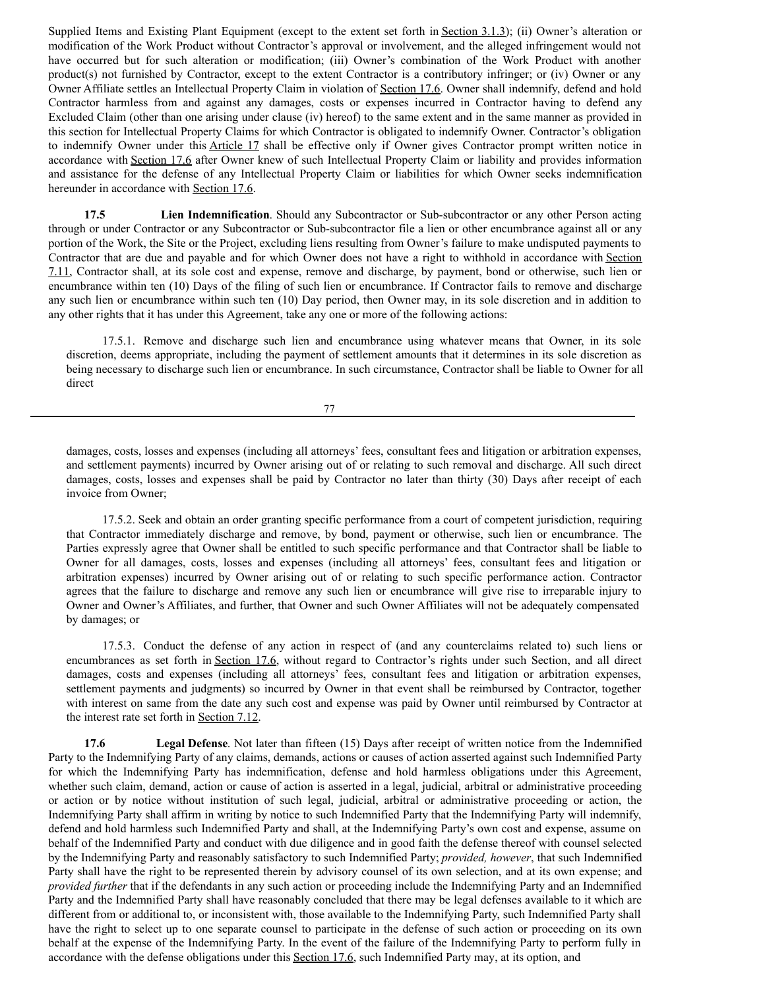Supplied Items and Existing Plant Equipment (except to the extent set forth in Section 3.1.3); (ii) Owner's alteration or modification of the Work Product without Contractor's approval or involvement, and the alleged infringement would not have occurred but for such alteration or modification; (iii) Owner's combination of the Work Product with another product(s) not furnished by Contractor, except to the extent Contractor is a contributory infringer; or (iv) Owner or any Owner Affiliate settles an Intellectual Property Claim in violation of Section 17.6. Owner shall indemnify, defend and hold Contractor harmless from and against any damages, costs or expenses incurred in Contractor having to defend any Excluded Claim (other than one arising under clause (iv) hereof) to the same extent and in the same manner as provided in this section for Intellectual Property Claims for which Contractor is obligated to indemnify Owner. Contractor's obligation to indemnify Owner under this Article 17 shall be effective only if Owner gives Contractor prompt written notice in accordance with Section 17.6 after Owner knew of such Intellectual Property Claim or liability and provides information and assistance for the defense of any Intellectual Property Claim or liabilities for which Owner seeks indemnification hereunder in accordance with Section 17.6.

**17.5 Lien Indemnification**. Should any Subcontractor or Sub-subcontractor or any other Person acting through or under Contractor or any Subcontractor or Sub-subcontractor file a lien or other encumbrance against all or any portion of the Work, the Site or the Project, excluding liens resulting from Owner's failure to make undisputed payments to Contractor that are due and payable and for which Owner does not have a right to withhold in accordance with Section 7.11, Contractor shall, at its sole cost and expense, remove and discharge, by payment, bond or otherwise, such lien or encumbrance within ten (10) Days of the filing of such lien or encumbrance. If Contractor fails to remove and discharge any such lien or encumbrance within such ten (10) Day period, then Owner may, in its sole discretion and in addition to any other rights that it has under this Agreement, take any one or more of the following actions:

17.5.1. Remove and discharge such lien and encumbrance using whatever means that Owner, in its sole discretion, deems appropriate, including the payment of settlement amounts that it determines in its sole discretion as being necessary to discharge such lien or encumbrance. In such circumstance, Contractor shall be liable to Owner for all direct

77

damages, costs, losses and expenses (including all attorneys' fees, consultant fees and litigation or arbitration expenses, and settlement payments) incurred by Owner arising out of or relating to such removal and discharge. All such direct damages, costs, losses and expenses shall be paid by Contractor no later than thirty (30) Days after receipt of each invoice from Owner;

17.5.2. Seek and obtain an order granting specific performance from a court of competent jurisdiction, requiring that Contractor immediately discharge and remove, by bond, payment or otherwise, such lien or encumbrance. The Parties expressly agree that Owner shall be entitled to such specific performance and that Contractor shall be liable to Owner for all damages, costs, losses and expenses (including all attorneys' fees, consultant fees and litigation or arbitration expenses) incurred by Owner arising out of or relating to such specific performance action. Contractor agrees that the failure to discharge and remove any such lien or encumbrance will give rise to irreparable injury to Owner and Owner's Affiliates, and further, that Owner and such Owner Affiliates will not be adequately compensated by damages; or

17.5.3. Conduct the defense of any action in respect of (and any counterclaims related to) such liens or encumbrances as set forth in Section 17.6, without regard to Contractor's rights under such Section, and all direct damages, costs and expenses (including all attorneys' fees, consultant fees and litigation or arbitration expenses, settlement payments and judgments) so incurred by Owner in that event shall be reimbursed by Contractor, together with interest on same from the date any such cost and expense was paid by Owner until reimbursed by Contractor at the interest rate set forth in Section 7.12.

**17.6 Legal Defense**. Not later than fifteen (15) Days after receipt of written notice from the Indemnified Party to the Indemnifying Party of any claims, demands, actions or causes of action asserted against such Indemnified Party for which the Indemnifying Party has indemnification, defense and hold harmless obligations under this Agreement, whether such claim, demand, action or cause of action is asserted in a legal, judicial, arbitral or administrative proceeding or action or by notice without institution of such legal, judicial, arbitral or administrative proceeding or action, the Indemnifying Party shall affirm in writing by notice to such Indemnified Party that the Indemnifying Party will indemnify, defend and hold harmless such Indemnified Party and shall, at the Indemnifying Party's own cost and expense, assume on behalf of the Indemnified Party and conduct with due diligence and in good faith the defense thereof with counsel selected by the Indemnifying Party and reasonably satisfactory to such Indemnified Party; *provided, however*, that such Indemnified Party shall have the right to be represented therein by advisory counsel of its own selection, and at its own expense; and *provided further* that if the defendants in any such action or proceeding include the Indemnifying Party and an Indemnified Party and the Indemnified Party shall have reasonably concluded that there may be legal defenses available to it which are different from or additional to, or inconsistent with, those available to the Indemnifying Party, such Indemnified Party shall have the right to select up to one separate counsel to participate in the defense of such action or proceeding on its own behalf at the expense of the Indemnifying Party. In the event of the failure of the Indemnifying Party to perform fully in accordance with the defense obligations under this Section 17.6, such Indemnified Party may, at its option, and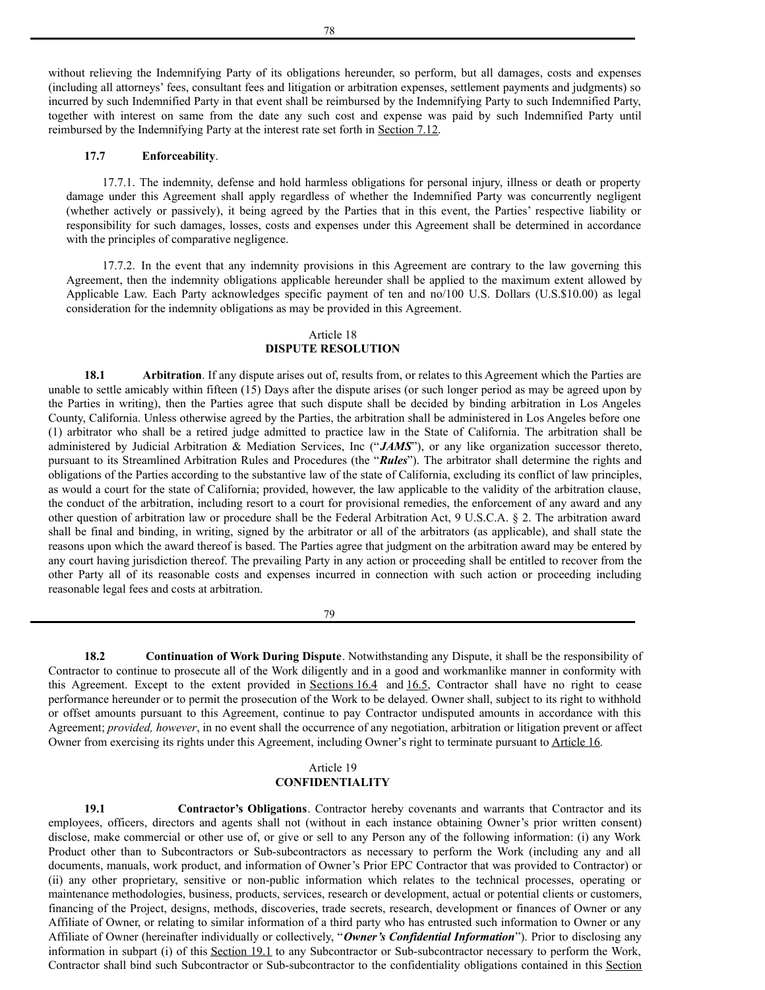without relieving the Indemnifying Party of its obligations hereunder, so perform, but all damages, costs and expenses (including all attorneys' fees, consultant fees and litigation or arbitration expenses, settlement payments and judgments) so incurred by such Indemnified Party in that event shall be reimbursed by the Indemnifying Party to such Indemnified Party, together with interest on same from the date any such cost and expense was paid by such Indemnified Party until reimbursed by the Indemnifying Party at the interest rate set forth in Section 7.12.

### **17.7 Enforceability**.

17.7.1. The indemnity, defense and hold harmless obligations for personal injury, illness or death or property damage under this Agreement shall apply regardless of whether the Indemnified Party was concurrently negligent (whether actively or passively), it being agreed by the Parties that in this event, the Parties' respective liability or responsibility for such damages, losses, costs and expenses under this Agreement shall be determined in accordance with the principles of comparative negligence.

17.7.2. In the event that any indemnity provisions in this Agreement are contrary to the law governing this Agreement, then the indemnity obligations applicable hereunder shall be applied to the maximum extent allowed by Applicable Law. Each Party acknowledges specific payment of ten and no/100 U.S. Dollars (U.S.\$10.00) as legal consideration for the indemnity obligations as may be provided in this Agreement.

# Article 18 **DISPUTE RESOLUTION**

**18.1 Arbitration**. If any dispute arises out of, results from, or relates to this Agreement which the Parties are unable to settle amicably within fifteen (15) Days after the dispute arises (or such longer period as may be agreed upon by the Parties in writing), then the Parties agree that such dispute shall be decided by binding arbitration in Los Angeles County, California. Unless otherwise agreed by the Parties, the arbitration shall be administered in Los Angeles before one (1) arbitrator who shall be a retired judge admitted to practice law in the State of California. The arbitration shall be administered by Judicial Arbitration & Mediation Services, Inc ("*JAMS*"), or any like organization successor thereto, pursuant to its Streamlined Arbitration Rules and Procedures (the "*Rules*"). The arbitrator shall determine the rights and obligations of the Parties according to the substantive law of the state of California, excluding its conflict of law principles, as would a court for the state of California; provided, however, the law applicable to the validity of the arbitration clause, the conduct of the arbitration, including resort to a court for provisional remedies, the enforcement of any award and any other question of arbitration law or procedure shall be the Federal Arbitration Act, 9 U.S.C.A. § 2. The arbitration award shall be final and binding, in writing, signed by the arbitrator or all of the arbitrators (as applicable), and shall state the reasons upon which the award thereof is based. The Parties agree that judgment on the arbitration award may be entered by any court having jurisdiction thereof. The prevailing Party in any action or proceeding shall be entitled to recover from the other Party all of its reasonable costs and expenses incurred in connection with such action or proceeding including reasonable legal fees and costs at arbitration.

79

**18.2 Continuation of Work During Dispute**. Notwithstanding any Dispute, it shall be the responsibility of Contractor to continue to prosecute all of the Work diligently and in a good and workmanlike manner in conformity with this Agreement. Except to the extent provided in Sections 16.4 and 16.5, Contractor shall have no right to cease performance hereunder or to permit the prosecution of the Work to be delayed. Owner shall, subject to its right to withhold or offset amounts pursuant to this Agreement, continue to pay Contractor undisputed amounts in accordance with this Agreement; *provided, however*, in no event shall the occurrence of any negotiation, arbitration or litigation prevent or affect Owner from exercising its rights under this Agreement, including Owner's right to terminate pursuant to Article 16.

## Article 19 **CONFIDENTIALITY**

**19.1 Contractor's Obligations**. Contractor hereby covenants and warrants that Contractor and its employees, officers, directors and agents shall not (without in each instance obtaining Owner's prior written consent) disclose, make commercial or other use of, or give or sell to any Person any of the following information: (i) any Work Product other than to Subcontractors or Sub-subcontractors as necessary to perform the Work (including any and all documents, manuals, work product, and information of Owner's Prior EPC Contractor that was provided to Contractor) or (ii) any other proprietary, sensitive or non-public information which relates to the technical processes, operating or maintenance methodologies, business, products, services, research or development, actual or potential clients or customers, financing of the Project, designs, methods, discoveries, trade secrets, research, development or finances of Owner or any Affiliate of Owner, or relating to similar information of a third party who has entrusted such information to Owner or any Affiliate of Owner (hereinafter individually or collectively, "*Owner's Confidential Information*"). Prior to disclosing any information in subpart (i) of this Section 19.1 to any Subcontractor or Sub-subcontractor necessary to perform the Work, Contractor shall bind such Subcontractor or Sub-subcontractor to the confidentiality obligations contained in this Section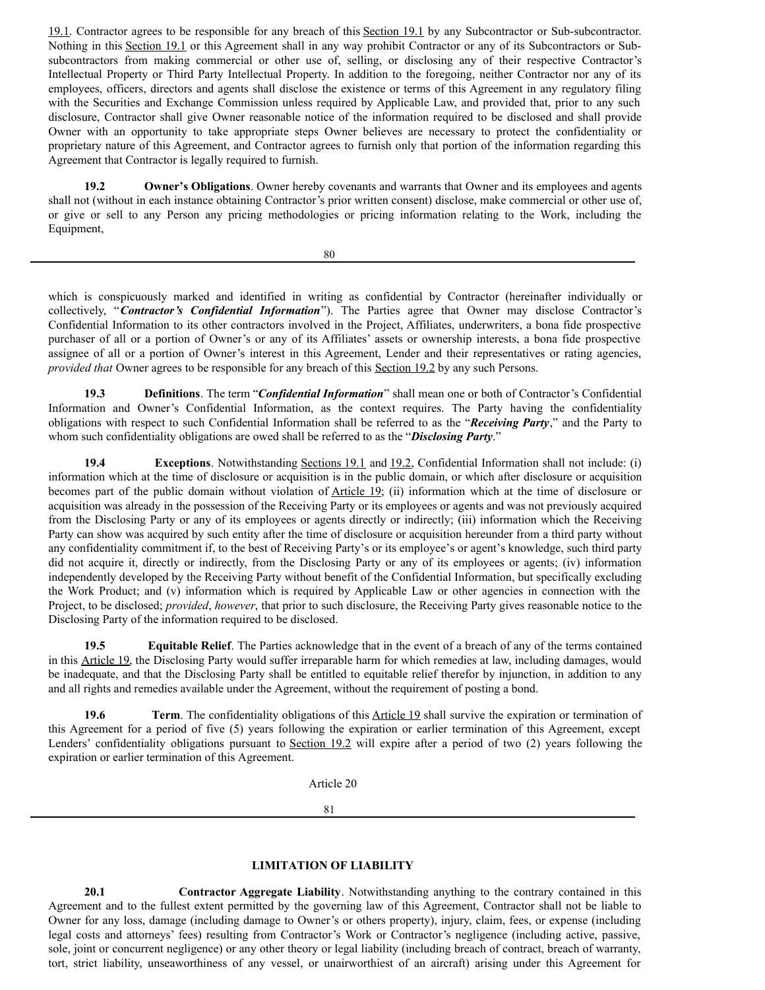19.1. Contractor agrees to be responsible for any breach of this Section 19.1 by any Subcontractor or Sub-subcontractor. Nothing in this Section 19.1 or this Agreement shall in any way prohibit Contractor or any of its Subcontractors or Subsubcontractors from making commercial or other use of, selling, or disclosing any of their respective Contractor's Intellectual Property or Third Party Intellectual Property. In addition to the foregoing, neither Contractor nor any of its employees, officers, directors and agents shall disclose the existence or terms of this Agreement in any regulatory filing with the Securities and Exchange Commission unless required by Applicable Law, and provided that, prior to any such disclosure, Contractor shall give Owner reasonable notice of the information required to be disclosed and shall provide Owner with an opportunity to take appropriate steps Owner believes are necessary to protect the confidentiality or proprietary nature of this Agreement, and Contractor agrees to furnish only that portion of the information regarding this Agreement that Contractor is legally required to furnish.

**19.2 Owner's Obligations**. Owner hereby covenants and warrants that Owner and its employees and agents shall not (without in each instance obtaining Contractor's prior written consent) disclose, make commercial or other use of, or give or sell to any Person any pricing methodologies or pricing information relating to the Work, including the Equipment,

80

which is conspicuously marked and identified in writing as confidential by Contractor (hereinafter individually or collectively, "*Contractor's Confidential Information*"). The Parties agree that Owner may disclose Contractor's Confidential Information to its other contractors involved in the Project, Affiliates, underwriters, a bona fide prospective purchaser of all or a portion of Owner's or any of its Affiliates' assets or ownership interests, a bona fide prospective assignee of all or a portion of Owner's interest in this Agreement, Lender and their representatives or rating agencies, *provided that* Owner agrees to be responsible for any breach of this Section 19.2 by any such Persons.

**19.3 Definitions**. The term "*Confidential Information*" shall mean one or both of Contractor's Confidential Information and Owner's Confidential Information, as the context requires. The Party having the confidentiality obligations with respect to such Confidential Information shall be referred to as the "*Receiving Party*," and the Party to whom such confidentiality obligations are owed shall be referred to as the "*Disclosing Party*."

**19.4 Exceptions**. Notwithstanding Sections 19.1 and 19.2, Confidential Information shall not include: (i) information which at the time of disclosure or acquisition is in the public domain, or which after disclosure or acquisition becomes part of the public domain without violation of Article 19; (ii) information which at the time of disclosure or acquisition was already in the possession of the Receiving Party or its employees or agents and was not previously acquired from the Disclosing Party or any of its employees or agents directly or indirectly; (iii) information which the Receiving Party can show was acquired by such entity after the time of disclosure or acquisition hereunder from a third party without any confidentiality commitment if, to the best of Receiving Party's or its employee's or agent's knowledge, such third party did not acquire it, directly or indirectly, from the Disclosing Party or any of its employees or agents; (iv) information independently developed by the Receiving Party without benefit of the Confidential Information, but specifically excluding the Work Product; and (v) information which is required by Applicable Law or other agencies in connection with the Project, to be disclosed; *provided*, *however*, that prior to such disclosure, the Receiving Party gives reasonable notice to the Disclosing Party of the information required to be disclosed.

**19.5 Equitable Relief**. The Parties acknowledge that in the event of a breach of any of the terms contained in this Article 19, the Disclosing Party would suffer irreparable harm for which remedies at law, including damages, would be inadequate, and that the Disclosing Party shall be entitled to equitable relief therefor by injunction, in addition to any and all rights and remedies available under the Agreement, without the requirement of posting a bond.

**19.6 Term**. The confidentiality obligations of this Article 19 shall survive the expiration or termination of this Agreement for a period of five (5) years following the expiration or earlier termination of this Agreement, except Lenders' confidentiality obligations pursuant to Section 19.2 will expire after a period of two (2) years following the expiration or earlier termination of this Agreement.

Article 20

81

## **LIMITATION OF LIABILITY**

**20.1 Contractor Aggregate Liability**. Notwithstanding anything to the contrary contained in this Agreement and to the fullest extent permitted by the governing law of this Agreement, Contractor shall not be liable to Owner for any loss, damage (including damage to Owner's or others property), injury, claim, fees, or expense (including legal costs and attorneys' fees) resulting from Contractor's Work or Contractor's negligence (including active, passive, sole, joint or concurrent negligence) or any other theory or legal liability (including breach of contract, breach of warranty, tort, strict liability, unseaworthiness of any vessel, or unairworthiest of an aircraft) arising under this Agreement for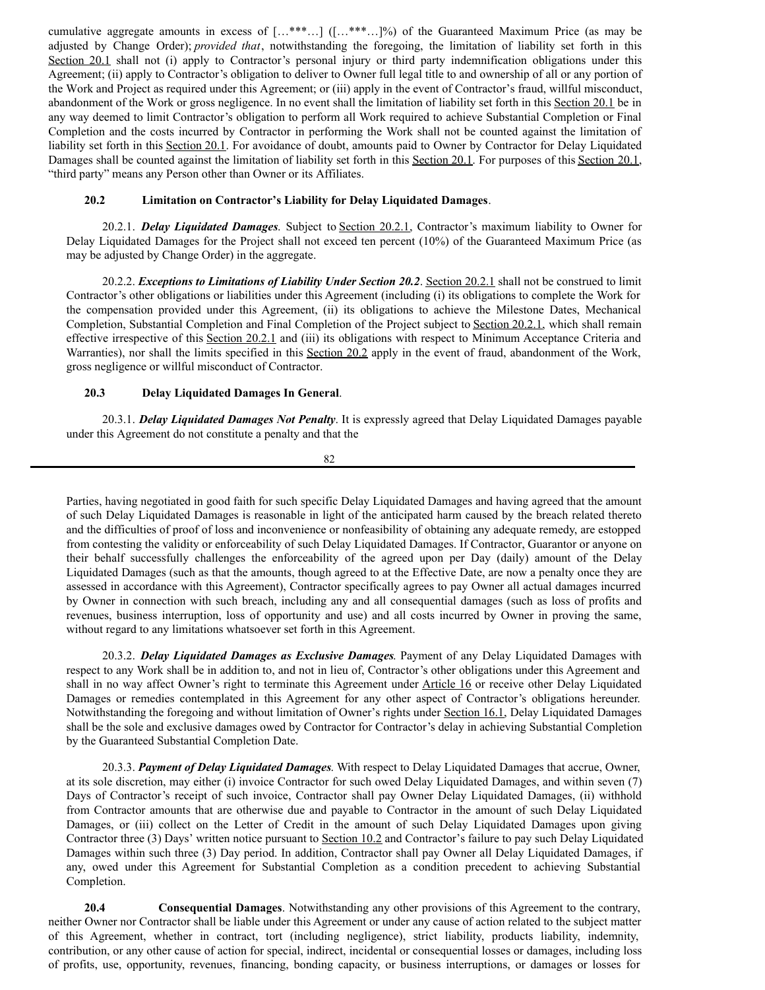cumulative aggregate amounts in excess of  $[...***...]$   $([...***...]\%)$  of the Guaranteed Maximum Price (as may be adjusted by Change Order); *provided that*, notwithstanding the foregoing, the limitation of liability set forth in this Section 20.1 shall not (i) apply to Contractor's personal injury or third party indemnification obligations under this Agreement; (ii) apply to Contractor's obligation to deliver to Owner full legal title to and ownership of all or any portion of the Work and Project as required under this Agreement; or (iii) apply in the event of Contractor's fraud, willful misconduct, abandonment of the Work or gross negligence. In no event shall the limitation of liability set forth in this Section 20.1 be in any way deemed to limit Contractor's obligation to perform all Work required to achieve Substantial Completion or Final Completion and the costs incurred by Contractor in performing the Work shall not be counted against the limitation of liability set forth in this Section 20.1. For avoidance of doubt, amounts paid to Owner by Contractor for Delay Liquidated Damages shall be counted against the limitation of liability set forth in this Section 20.1. For purposes of this Section 20.1, "third party" means any Person other than Owner or its Affiliates.

## **20.2 Limitation on Contractor's Liability for Delay Liquidated Damages**.

20.2.1. *Delay Liquidated Damages*. Subject to Section 20.2.1, Contractor's maximum liability to Owner for Delay Liquidated Damages for the Project shall not exceed ten percent (10%) of the Guaranteed Maximum Price (as may be adjusted by Change Order) in the aggregate.

20.2.2. *Exceptions to Limitations of Liability Under Section 20.2*. Section 20.2.1 shall not be construed to limit Contractor's other obligations or liabilities under this Agreement (including (i) its obligations to complete the Work for the compensation provided under this Agreement, (ii) its obligations to achieve the Milestone Dates, Mechanical Completion, Substantial Completion and Final Completion of the Project subject to Section 20.2.1, which shall remain effective irrespective of this Section 20.2.1 and (iii) its obligations with respect to Minimum Acceptance Criteria and Warranties), nor shall the limits specified in this Section 20.2 apply in the event of fraud, abandonment of the Work, gross negligence or willful misconduct of Contractor.

## **20.3 Delay Liquidated Damages In General**.

20.3.1. *Delay Liquidated Damages Not Penalty*. It is expressly agreed that Delay Liquidated Damages payable under this Agreement do not constitute a penalty and that the

82

Parties, having negotiated in good faith for such specific Delay Liquidated Damages and having agreed that the amount of such Delay Liquidated Damages is reasonable in light of the anticipated harm caused by the breach related thereto and the difficulties of proof of loss and inconvenience or nonfeasibility of obtaining any adequate remedy, are estopped from contesting the validity or enforceability of such Delay Liquidated Damages. If Contractor, Guarantor or anyone on their behalf successfully challenges the enforceability of the agreed upon per Day (daily) amount of the Delay Liquidated Damages (such as that the amounts, though agreed to at the Effective Date, are now a penalty once they are assessed in accordance with this Agreement), Contractor specifically agrees to pay Owner all actual damages incurred by Owner in connection with such breach, including any and all consequential damages (such as loss of profits and revenues, business interruption, loss of opportunity and use) and all costs incurred by Owner in proving the same, without regard to any limitations whatsoever set forth in this Agreement.

20.3.2. *Delay Liquidated Damages as Exclusive Damages*. Payment of any Delay Liquidated Damages with respect to any Work shall be in addition to, and not in lieu of, Contractor's other obligations under this Agreement and shall in no way affect Owner's right to terminate this Agreement under Article 16 or receive other Delay Liquidated Damages or remedies contemplated in this Agreement for any other aspect of Contractor's obligations hereunder. Notwithstanding the foregoing and without limitation of Owner's rights under Section 16.1, Delay Liquidated Damages shall be the sole and exclusive damages owed by Contractor for Contractor's delay in achieving Substantial Completion by the Guaranteed Substantial Completion Date.

20.3.3. *Payment of Delay Liquidated Damages*. With respect to Delay Liquidated Damages that accrue, Owner, at its sole discretion, may either (i) invoice Contractor for such owed Delay Liquidated Damages, and within seven (7) Days of Contractor's receipt of such invoice, Contractor shall pay Owner Delay Liquidated Damages, (ii) withhold from Contractor amounts that are otherwise due and payable to Contractor in the amount of such Delay Liquidated Damages, or (iii) collect on the Letter of Credit in the amount of such Delay Liquidated Damages upon giving Contractor three (3) Days' written notice pursuant to Section 10.2 and Contractor's failure to pay such Delay Liquidated Damages within such three (3) Day period. In addition, Contractor shall pay Owner all Delay Liquidated Damages, if any, owed under this Agreement for Substantial Completion as a condition precedent to achieving Substantial Completion.

**20.4 Consequential Damages**. Notwithstanding any other provisions of this Agreement to the contrary, neither Owner nor Contractor shall be liable under this Agreement or under any cause of action related to the subject matter of this Agreement, whether in contract, tort (including negligence), strict liability, products liability, indemnity, contribution, or any other cause of action for special, indirect, incidental or consequential losses or damages, including loss of profits, use, opportunity, revenues, financing, bonding capacity, or business interruptions, or damages or losses for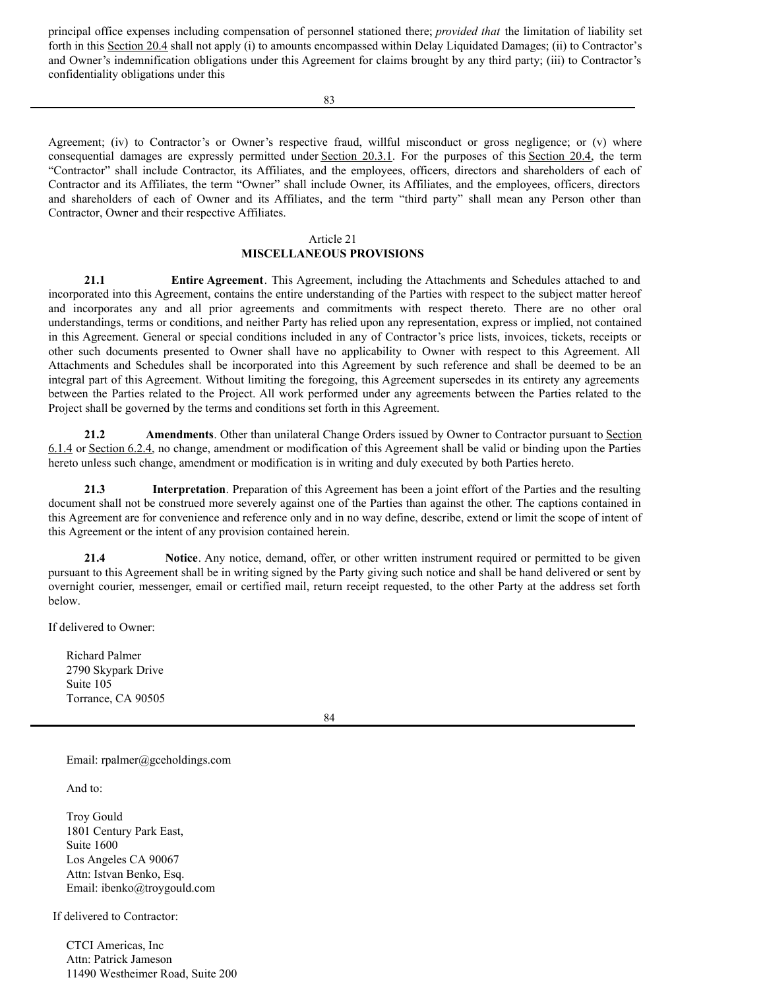principal office expenses including compensation of personnel stationed there; *provided that* the limitation of liability set forth in this Section 20.4 shall not apply (i) to amounts encompassed within Delay Liquidated Damages; (ii) to Contractor's and Owner's indemnification obligations under this Agreement for claims brought by any third party; (iii) to Contractor's confidentiality obligations under this

83

Agreement; (iv) to Contractor's or Owner's respective fraud, willful misconduct or gross negligence; or (v) where consequential damages are expressly permitted under Section 20.3.1. For the purposes of this Section 20.4, the term "Contractor" shall include Contractor, its Affiliates, and the employees, officers, directors and shareholders of each of Contractor and its Affiliates, the term "Owner" shall include Owner, its Affiliates, and the employees, officers, directors and shareholders of each of Owner and its Affiliates, and the term "third party" shall mean any Person other than Contractor, Owner and their respective Affiliates.

## Article 21 **MISCELLANEOUS PROVISIONS**

**21.1 Entire Agreement**. This Agreement, including the Attachments and Schedules attached to and incorporated into this Agreement, contains the entire understanding of the Parties with respect to the subject matter hereof and incorporates any and all prior agreements and commitments with respect thereto. There are no other oral understandings, terms or conditions, and neither Party has relied upon any representation, express or implied, not contained in this Agreement. General or special conditions included in any of Contractor's price lists, invoices, tickets, receipts or other such documents presented to Owner shall have no applicability to Owner with respect to this Agreement. All Attachments and Schedules shall be incorporated into this Agreement by such reference and shall be deemed to be an integral part of this Agreement. Without limiting the foregoing, this Agreement supersedes in its entirety any agreements between the Parties related to the Project. All work performed under any agreements between the Parties related to the Project shall be governed by the terms and conditions set forth in this Agreement.

**21.2 Amendments**. Other than unilateral Change Orders issued by Owner to Contractor pursuant to Section 6.1.4 or Section 6.2.4, no change, amendment or modification of this Agreement shall be valid or binding upon the Parties hereto unless such change, amendment or modification is in writing and duly executed by both Parties hereto.

**21.3 Interpretation**. Preparation of this Agreement has been a joint effort of the Parties and the resulting document shall not be construed more severely against one of the Parties than against the other. The captions contained in this Agreement are for convenience and reference only and in no way define, describe, extend or limit the scope of intent of this Agreement or the intent of any provision contained herein.

**21.4 Notice**. Any notice, demand, offer, or other written instrument required or permitted to be given pursuant to this Agreement shall be in writing signed by the Party giving such notice and shall be hand delivered or sent by overnight courier, messenger, email or certified mail, return receipt requested, to the other Party at the address set forth below.

If delivered to Owner:

Richard Palmer 2790 Skypark Drive Suite 105 Torrance, CA 90505

84

Email: rpalmer@gceholdings.com

And to:

Troy Gould 1801 Century Park East, Suite 1600 Los Angeles CA 90067 Attn: Istvan Benko, Esq. Email: ibenko@troygould.com

If delivered to Contractor:

CTCI Americas, Inc Attn: Patrick Jameson 11490 Westheimer Road, Suite 200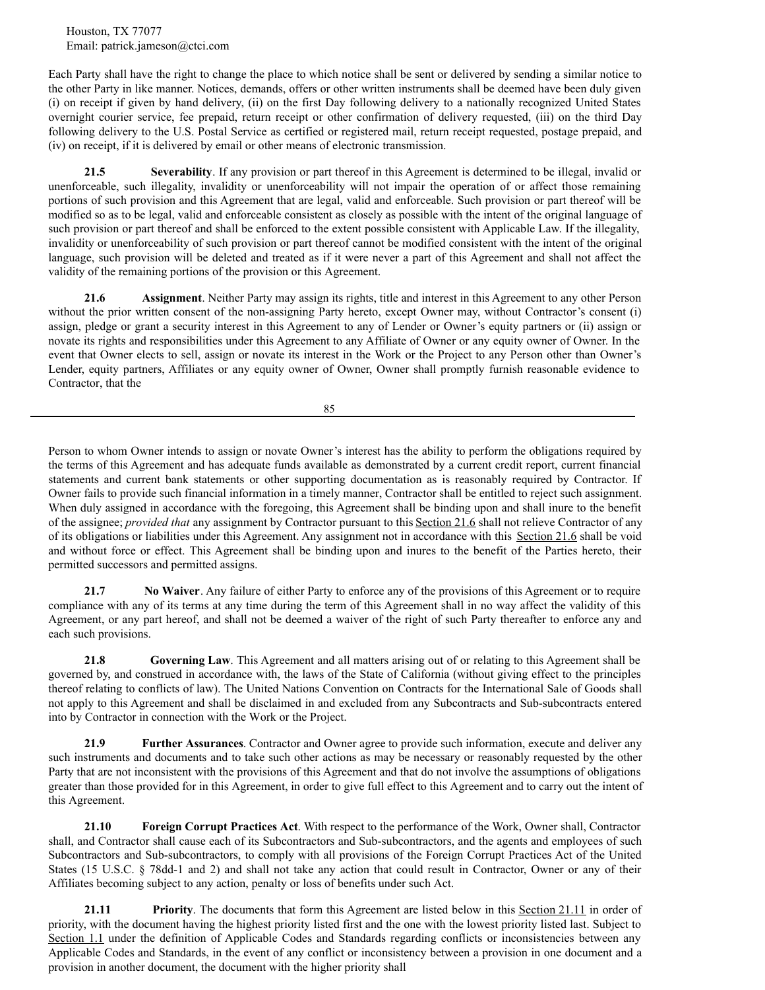Houston, TX 77077 Email: patrick.jameson@ctci.com

Each Party shall have the right to change the place to which notice shall be sent or delivered by sending a similar notice to the other Party in like manner. Notices, demands, offers or other written instruments shall be deemed have been duly given (i) on receipt if given by hand delivery, (ii) on the first Day following delivery to a nationally recognized United States overnight courier service, fee prepaid, return receipt or other confirmation of delivery requested, (iii) on the third Day following delivery to the U.S. Postal Service as certified or registered mail, return receipt requested, postage prepaid, and (iv) on receipt, if it is delivered by email or other means of electronic transmission.

**21.5 Severability**. If any provision or part thereof in this Agreement is determined to be illegal, invalid or unenforceable, such illegality, invalidity or unenforceability will not impair the operation of or affect those remaining portions of such provision and this Agreement that are legal, valid and enforceable. Such provision or part thereof will be modified so as to be legal, valid and enforceable consistent as closely as possible with the intent of the original language of such provision or part thereof and shall be enforced to the extent possible consistent with Applicable Law. If the illegality, invalidity or unenforceability of such provision or part thereof cannot be modified consistent with the intent of the original language, such provision will be deleted and treated as if it were never a part of this Agreement and shall not affect the validity of the remaining portions of the provision or this Agreement.

**21.6 Assignment**. Neither Party may assign its rights, title and interest in this Agreement to any other Person without the prior written consent of the non-assigning Party hereto, except Owner may, without Contractor's consent (i) assign, pledge or grant a security interest in this Agreement to any of Lender or Owner's equity partners or (ii) assign or novate its rights and responsibilities under this Agreement to any Affiliate of Owner or any equity owner of Owner. In the event that Owner elects to sell, assign or novate its interest in the Work or the Project to any Person other than Owner's Lender, equity partners, Affiliates or any equity owner of Owner, Owner shall promptly furnish reasonable evidence to Contractor, that the

85

Person to whom Owner intends to assign or novate Owner's interest has the ability to perform the obligations required by the terms of this Agreement and has adequate funds available as demonstrated by a current credit report, current financial statements and current bank statements or other supporting documentation as is reasonably required by Contractor. If Owner fails to provide such financial information in a timely manner, Contractor shall be entitled to reject such assignment. When duly assigned in accordance with the foregoing, this Agreement shall be binding upon and shall inure to the benefit of the assignee; *provided that* any assignment by Contractor pursuant to this Section 21.6 shall not relieve Contractor of any of its obligations or liabilities under this Agreement. Any assignment not in accordance with this Section 21.6 shall be void and without force or effect. This Agreement shall be binding upon and inures to the benefit of the Parties hereto, their permitted successors and permitted assigns.

**21.7 No Waiver**. Any failure of either Party to enforce any of the provisions of this Agreement or to require compliance with any of its terms at any time during the term of this Agreement shall in no way affect the validity of this Agreement, or any part hereof, and shall not be deemed a waiver of the right of such Party thereafter to enforce any and each such provisions.

**21.8 Governing Law**. This Agreement and all matters arising out of or relating to this Agreement shall be governed by, and construed in accordance with, the laws of the State of California (without giving effect to the principles thereof relating to conflicts of law). The United Nations Convention on Contracts for the International Sale of Goods shall not apply to this Agreement and shall be disclaimed in and excluded from any Subcontracts and Sub-subcontracts entered into by Contractor in connection with the Work or the Project.

**21.9 Further Assurances**. Contractor and Owner agree to provide such information, execute and deliver any such instruments and documents and to take such other actions as may be necessary or reasonably requested by the other Party that are not inconsistent with the provisions of this Agreement and that do not involve the assumptions of obligations greater than those provided for in this Agreement, in order to give full effect to this Agreement and to carry out the intent of this Agreement.

**21.10 Foreign Corrupt Practices Act**. With respect to the performance of the Work, Owner shall, Contractor shall, and Contractor shall cause each of its Subcontractors and Sub-subcontractors, and the agents and employees of such Subcontractors and Sub-subcontractors, to comply with all provisions of the Foreign Corrupt Practices Act of the United States (15 U.S.C. § 78dd-1 and 2) and shall not take any action that could result in Contractor, Owner or any of their Affiliates becoming subject to any action, penalty or loss of benefits under such Act.

**21.11 Priority**. The documents that form this Agreement are listed below in this Section 21.11 in order of priority, with the document having the highest priority listed first and the one with the lowest priority listed last. Subject to Section 1.1 under the definition of Applicable Codes and Standards regarding conflicts or inconsistencies between any Applicable Codes and Standards, in the event of any conflict or inconsistency between a provision in one document and a provision in another document, the document with the higher priority shall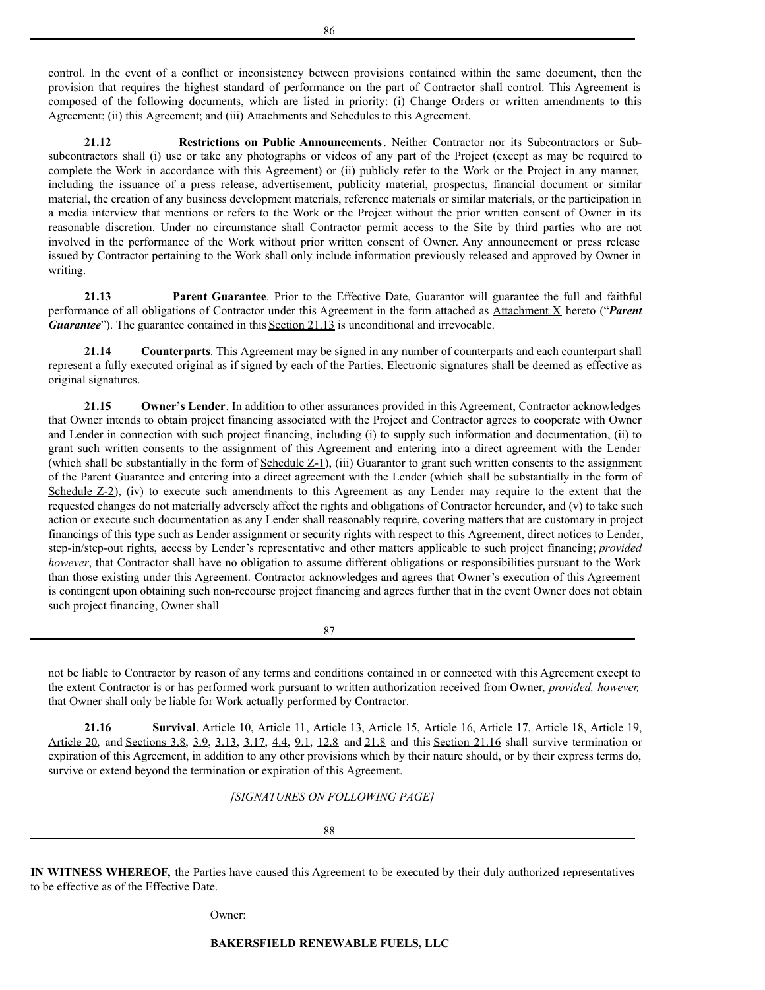control. In the event of a conflict or inconsistency between provisions contained within the same document, then the provision that requires the highest standard of performance on the part of Contractor shall control. This Agreement is composed of the following documents, which are listed in priority: (i) Change Orders or written amendments to this Agreement; (ii) this Agreement; and (iii) Attachments and Schedules to this Agreement.

**21.12 Restrictions on Public Announcements**. Neither Contractor nor its Subcontractors or Subsubcontractors shall (i) use or take any photographs or videos of any part of the Project (except as may be required to complete the Work in accordance with this Agreement) or (ii) publicly refer to the Work or the Project in any manner, including the issuance of a press release, advertisement, publicity material, prospectus, financial document or similar material, the creation of any business development materials, reference materials or similar materials, or the participation in a media interview that mentions or refers to the Work or the Project without the prior written consent of Owner in its reasonable discretion. Under no circumstance shall Contractor permit access to the Site by third parties who are not involved in the performance of the Work without prior written consent of Owner. Any announcement or press release issued by Contractor pertaining to the Work shall only include information previously released and approved by Owner in writing.

**21.13 Parent Guarantee**. Prior to the Effective Date, Guarantor will guarantee the full and faithful performance of all obligations of Contractor under this Agreement in the form attached as Attachment X hereto ("*Parent* **Guarantee**"). The guarantee contained in this **Section 21.13** is unconditional and irrevocable.

**21.14 Counterparts**. This Agreement may be signed in any number of counterparts and each counterpart shall represent a fully executed original as if signed by each of the Parties. Electronic signatures shall be deemed as effective as original signatures.

**21.15 Owner's Lender**. In addition to other assurances provided in this Agreement, Contractor acknowledges that Owner intends to obtain project financing associated with the Project and Contractor agrees to cooperate with Owner and Lender in connection with such project financing, including (i) to supply such information and documentation, (ii) to grant such written consents to the assignment of this Agreement and entering into a direct agreement with the Lender (which shall be substantially in the form of  $S$ chedule  $Z-1$ ), (iii) Guarantor to grant such written consents to the assignment of the Parent Guarantee and entering into a direct agreement with the Lender (which shall be substantially in the form of Schedule Z-2), (iv) to execute such amendments to this Agreement as any Lender may require to the extent that the requested changes do not materially adversely affect the rights and obligations of Contractor hereunder, and (v) to take such action or execute such documentation as any Lender shall reasonably require, covering matters that are customary in project financings of this type such as Lender assignment or security rights with respect to this Agreement, direct notices to Lender, step-in/step-out rights, access by Lender's representative and other matters applicable to such project financing; *provided however*, that Contractor shall have no obligation to assume different obligations or responsibilities pursuant to the Work than those existing under this Agreement. Contractor acknowledges and agrees that Owner's execution of this Agreement is contingent upon obtaining such non-recourse project financing and agrees further that in the event Owner does not obtain such project financing, Owner shall

87

not be liable to Contractor by reason of any terms and conditions contained in or connected with this Agreement except to the extent Contractor is or has performed work pursuant to written authorization received from Owner, *provided, however,* that Owner shall only be liable for Work actually performed by Contractor.

**21.16 Survival**. Article 10, Article 11, Article 13, Article 15, Article 16, Article 17, Article 18, Article 19, Article 20, and Sections 3.8, 3.9, 3.13, 3.17, 4.4, 9.1, 12.8 and 21.8 and this Section 21.16 shall survive termination or expiration of this Agreement, in addition to any other provisions which by their nature should, or by their express terms do, survive or extend beyond the termination or expiration of this Agreement.

*[SIGNATURES ON FOLLOWING PAGE]*

88

**IN WITNESS WHEREOF,** the Parties have caused this Agreement to be executed by their duly authorized representatives to be effective as of the Effective Date.

Owner:

## **BAKERSFIELD RENEWABLE FUELS, LLC**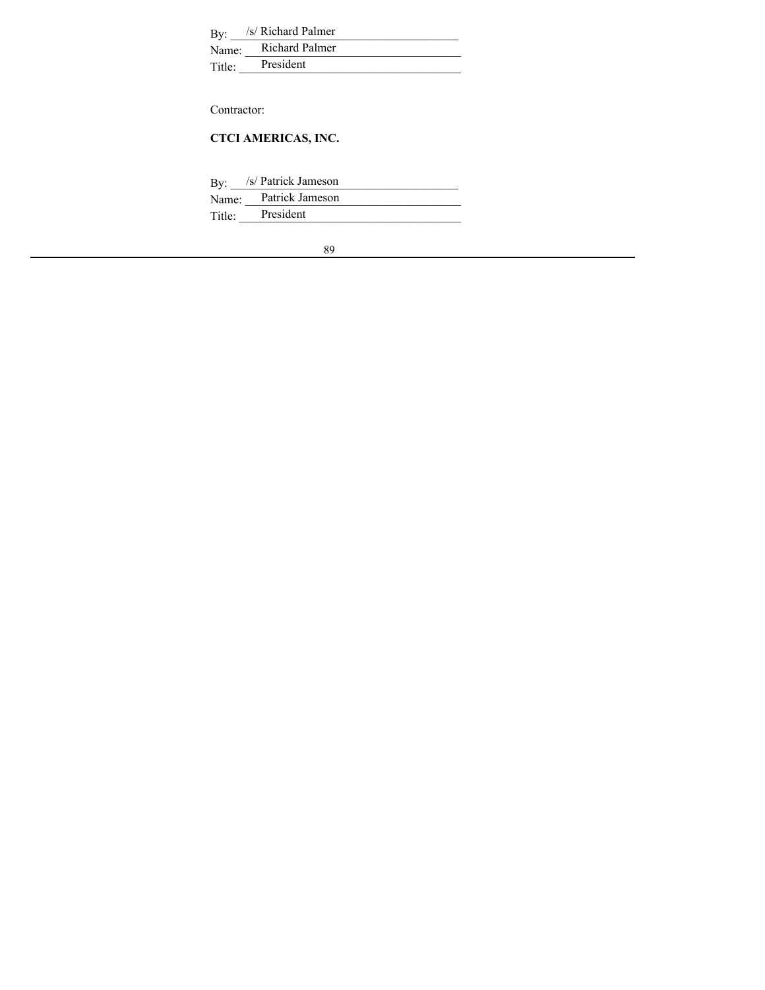By:  $\frac{|s|}{\sqrt{s}}$  Richard Palmer Name: \_\_\_\_Richard Palmer Title: President

Contractor:

# **CTCI AMERICAS, INC.**

|        | By: /s/ Patrick Jameson |
|--------|-------------------------|
|        | Name: Patrick Jameson   |
| Title: | President               |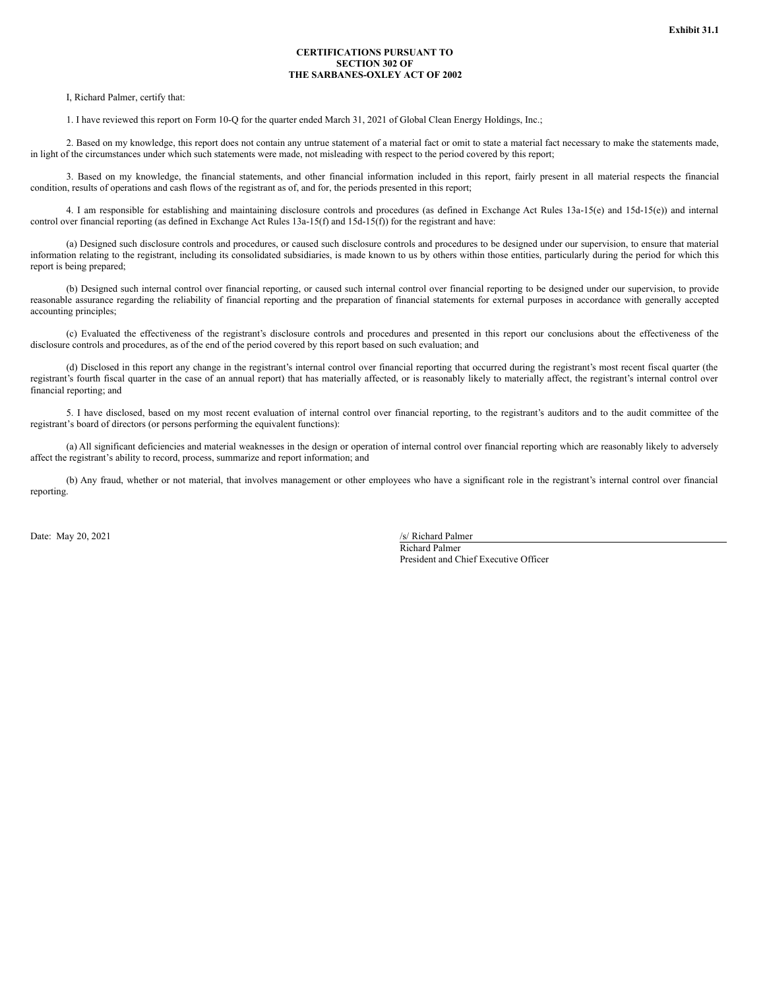#### **CERTIFICATIONS PURSUANT TO SECTION 302 OF THE SARBANES-OXLEY ACT OF 2002**

I, Richard Palmer, certify that:

1. I have reviewed this report on Form 10-Q for the quarter ended March 31, 2021 of Global Clean Energy Holdings, Inc.;

2. Based on my knowledge, this report does not contain any untrue statement of a material fact or omit to state a material fact necessary to make the statements made, in light of the circumstances under which such statements were made, not misleading with respect to the period covered by this report;

3. Based on my knowledge, the financial statements, and other financial information included in this report, fairly present in all material respects the financial condition, results of operations and cash flows of the registrant as of, and for, the periods presented in this report;

4. I am responsible for establishing and maintaining disclosure controls and procedures (as defined in Exchange Act Rules 13a-15(e) and 15d-15(e)) and internal control over financial reporting (as defined in Exchange Act Rules 13a-15(f) and 15d-15(f)) for the registrant and have:

(a) Designed such disclosure controls and procedures, or caused such disclosure controls and procedures to be designed under our supervision, to ensure that material information relating to the registrant, including its consolidated subsidiaries, is made known to us by others within those entities, particularly during the period for which this report is being prepared;

(b) Designed such internal control over financial reporting, or caused such internal control over financial reporting to be designed under our supervision, to provide reasonable assurance regarding the reliability of financial reporting and the preparation of financial statements for external purposes in accordance with generally accepted accounting principles;

(c) Evaluated the effectiveness of the registrant's disclosure controls and procedures and presented in this report our conclusions about the effectiveness of the disclosure controls and procedures, as of the end of the period covered by this report based on such evaluation; and

(d) Disclosed in this report any change in the registrant's internal control over financial reporting that occurred during the registrant's most recent fiscal quarter (the registrant's fourth fiscal quarter in the case of an annual report) that has materially affected, or is reasonably likely to materially affect, the registrant's internal control over financial reporting; and

5. I have disclosed, based on my most recent evaluation of internal control over financial reporting, to the registrant's auditors and to the audit committee of the registrant's board of directors (or persons performing the equivalent functions):

(a) All significant deficiencies and material weaknesses in the design or operation of internal control over financial reporting which are reasonably likely to adversely affect the registrant's ability to record, process, summarize and report information; and

(b) Any fraud, whether or not material, that involves management or other employees who have a significant role in the registrant's internal control over financial reporting.

Date: May 20, 2021 /s/ Richard Palmer

Richard Palmer President and Chief Executive Officer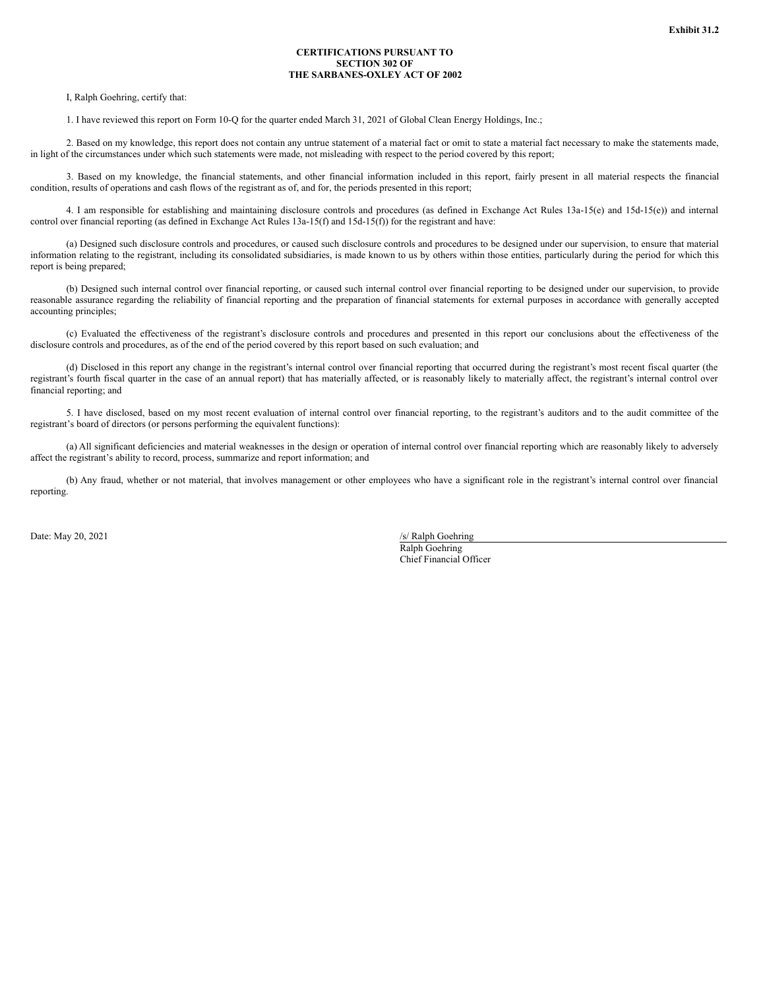### **CERTIFICATIONS PURSUANT TO SECTION 302 OF THE SARBANES-OXLEY ACT OF 2002**

I, Ralph Goehring, certify that:

1. I have reviewed this report on Form 10-Q for the quarter ended March 31, 2021 of Global Clean Energy Holdings, Inc.;

2. Based on my knowledge, this report does not contain any untrue statement of a material fact or omit to state a material fact necessary to make the statements made, in light of the circumstances under which such statements were made, not misleading with respect to the period covered by this report;

3. Based on my knowledge, the financial statements, and other financial information included in this report, fairly present in all material respects the financial condition, results of operations and cash flows of the registrant as of, and for, the periods presented in this report;

4. I am responsible for establishing and maintaining disclosure controls and procedures (as defined in Exchange Act Rules 13a-15(e) and 15d-15(e)) and internal control over financial reporting (as defined in Exchange Act Rules 13a-15(f) and 15d-15(f)) for the registrant and have:

(a) Designed such disclosure controls and procedures, or caused such disclosure controls and procedures to be designed under our supervision, to ensure that material information relating to the registrant, including its consolidated subsidiaries, is made known to us by others within those entities, particularly during the period for which this report is being prepared;

(b) Designed such internal control over financial reporting, or caused such internal control over financial reporting to be designed under our supervision, to provide reasonable assurance regarding the reliability of financial reporting and the preparation of financial statements for external purposes in accordance with generally accepted accounting principles;

(c) Evaluated the effectiveness of the registrant's disclosure controls and procedures and presented in this report our conclusions about the effectiveness of the disclosure controls and procedures, as of the end of the period covered by this report based on such evaluation; and

(d) Disclosed in this report any change in the registrant's internal control over financial reporting that occurred during the registrant's most recent fiscal quarter (the registrant's fourth fiscal quarter in the case of an annual report) that has materially affected, or is reasonably likely to materially affect, the registrant's internal control over financial reporting; and

5. I have disclosed, based on my most recent evaluation of internal control over financial reporting, to the registrant's auditors and to the audit committee of the registrant's board of directors (or persons performing the equivalent functions):

(a) All significant deficiencies and material weaknesses in the design or operation of internal control over financial reporting which are reasonably likely to adversely affect the registrant's ability to record, process, summarize and report information; and

(b) Any fraud, whether or not material, that involves management or other employees who have a significant role in the registrant's internal control over financial reporting.

Date: May 20, 2021 /s/ Ralph Goehring /s/ Ralph Goehring /s/ Ralph Goehring /s/ Ralph Goehring /s/ Ralph Goehring /s/ Ralph Goehring /s/ Ralph Goehring /s/ Ralph Goehring /s/ Ralph Goehring /s/ Ralph Goehring /s/ Ralph Goe

Ralph Goehring Chief Financial Officer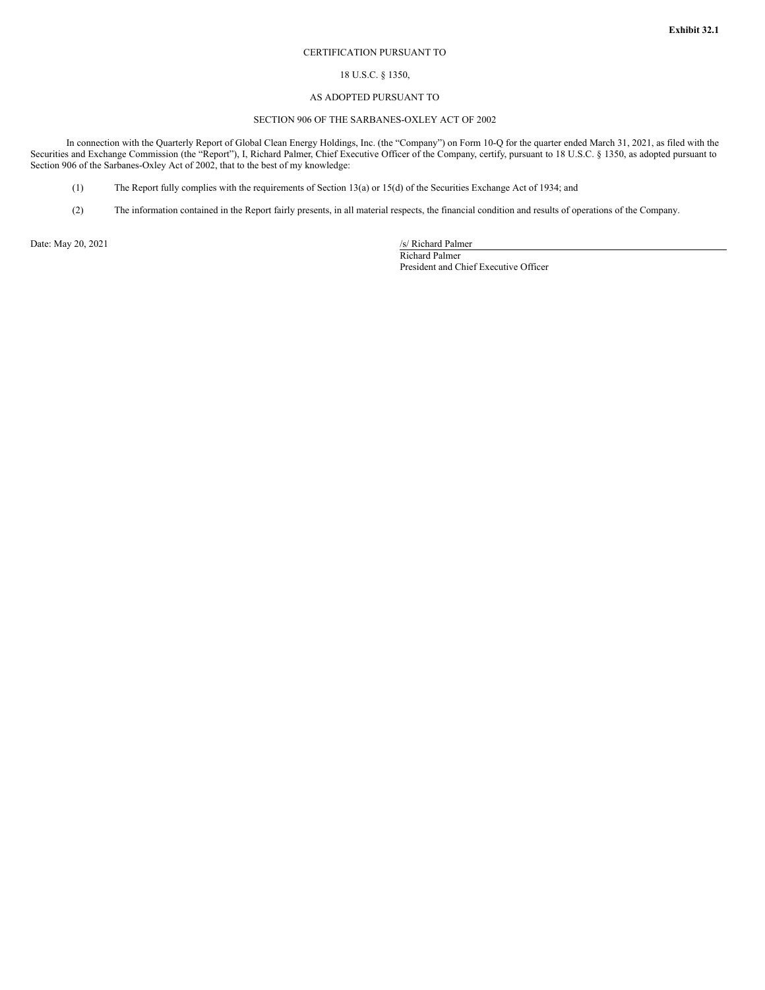#### CERTIFICATION PURSUANT TO

### 18 U.S.C. § 1350,

## AS ADOPTED PURSUANT TO

# SECTION 906 OF THE SARBANES-OXLEY ACT OF 2002

In connection with the Quarterly Report of Global Clean Energy Holdings, Inc. (the "Company") on Form 10-Q for the quarter ended March 31, 2021, as filed with the Securities and Exchange Commission (the "Report"), I, Richard Palmer, Chief Executive Officer of the Company, certify, pursuant to 18 U.S.C. § 1350, as adopted pursuant to Section 906 of the Sarbanes-Oxley Act of 2002, that to the best of my knowledge:

- (1) The Report fully complies with the requirements of Section 13(a) or 15(d) of the Securities Exchange Act of 1934; and
- (2) The information contained in the Report fairly presents, in all material respects, the financial condition and results of operations of the Company.

Date: May 20, 2021 /s/ Richard Palmer

Richard Palmer President and Chief Executive Officer